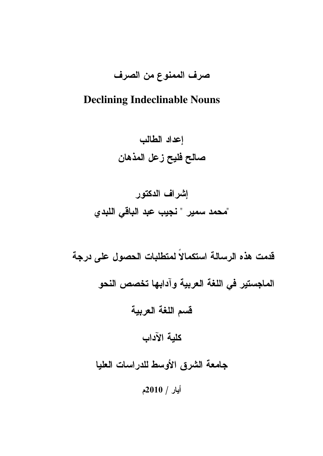## صرف الممنوع من الصرف

## **Declining Indeclinable Nouns**

إعداد الطالب صالح فليح زعل المذهان

# إشراف الدكتور "محمد سمير " نجيب عبد الباقي اللبدي

قدمت هذه الرسالة استكمالاً لمتطلبات الحصول على درجة الماجستير في اللغة العربية وآدابها تخصص النحو قسم اللغة العربية كلية الآداب جامعة الشرق الأوسط للدراسات العليا أيار / 2010م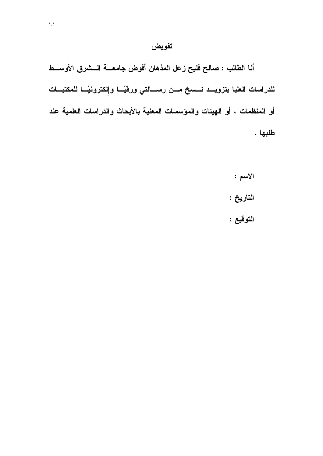## تفويض

أنا الطالب : صالح فليح زعل المذهان أفوض جامعـــة الـــشرق الأوســـط للدراسات العليا بتزويــد نـــسخ مـــن رســـالتي ورقيًـــا وإلكترونيًـــا للمكتبـــات أو المنظمات ، أو الهيئات والمؤسسات المعنية بالأبحاث والدراسات العلمية عند طلبها .

- الاسم : التاريخ :
- التوقيع :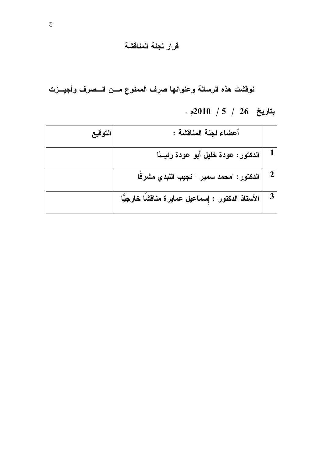## قرار لجنة المناقشة

نوقشت هذه الرسالة وعنوانها صرف الممنوع مسن السصرف وأجيسزت  $.2010$  / 5 / 26 بتاريخ 26 / 30

| التوقيع | أعضاء لجنة المناقشة :                              |  |
|---------|----------------------------------------------------|--|
|         | الدكتور: عودة خليل أبو عودة رئيسًا                 |  |
|         | الدكتور : "محمد سمير " نجيب اللبدي مشرفًا          |  |
|         | الأستاذ الدكتور : إِسماعيل عمايرة مناقشًا خارجيًّا |  |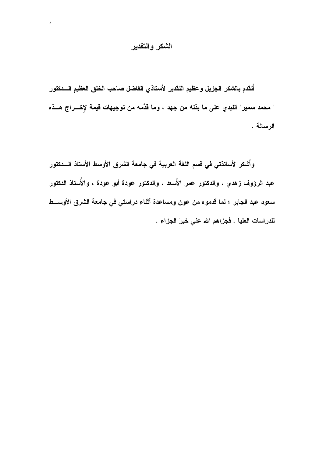## الشكر والتقدير

 $\Delta$ 

أتقدم بالشكر الجزيل وعظيم التقدير لأستاذي الفاضل صاحب الخلق العظيم السدكتور " محمد سمير" اللبدي على ما بذله من جهد ، وما قدَّمه من توجيهات قيمة لإخـــراج هـــذه الرسالة .

وأشكر لأساتذتي في قسم اللغة العربية في جامعة الشرق الأوسط الأستاذ السدكتور عبد الرؤوف زهدي ، والدكتور عمر الأَسعد ، والدكتور عودة أبو عودة ، والأُستاذ الدكتور سعود عبد الجابر ؛ لما قدموه من عون ومساعدة أثناء دراستي في جامعة الشرق الأوســـط للدراسات العليا . فجزاهم الله عني خيرَ الجزاء .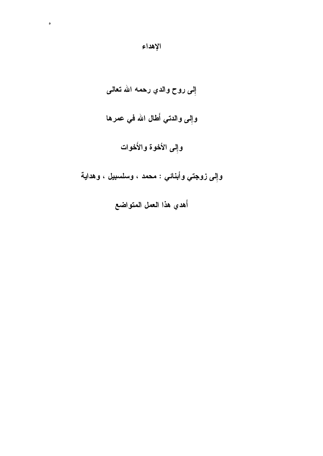# إِلى روح والدي رحمه الله تعالى وإِلى والدتي أَطال الله في عمرها وإِلى الأخوة والأَخوات

وإلى زوجتي وأبنائي : محمد ، وسلسبيل ، وهداية

أهدي هذا العمل المتواضع

 $\ddot{\phantom{a}}$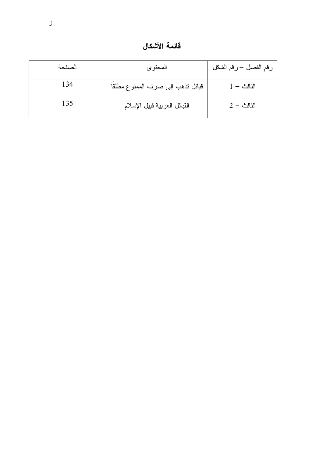قائمة الأشكال

| الصفحة | المحتوى                          | رقم الفصل – رقم الشكل |
|--------|----------------------------------|-----------------------|
| 134    | قبائل نذهب إلى صرف الممنوع مطلقا | $1 -$ الثالث          |
| 135    | القبائل العربية قبيل الإسلام     | $2 -$ الثالث          |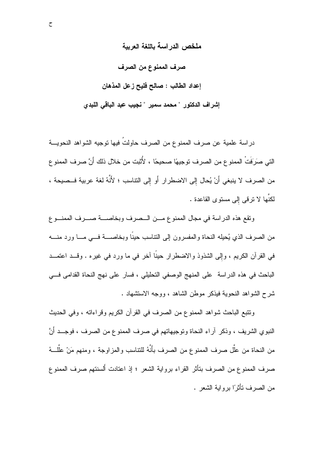ملخص الدر اسة باللغة العربية

صرف الممنوع من الصرف

إعداد الطالب : صالح فليح زعل المذهان

إشراف الدكتور " محمد سمير " نجيب عبد الباقي اللبدي

دراسة علمية عن صرف الممنوع من الصرف حاولتُ فيها توجيه الشواهد النحويـــة التي صَرَفَتْ الممنوع من الصرف توجيهًا صحيحًا ، لأُثبت من خلال ذلك أَنَّ صرف الممنو ع من الصرف لا ينبغي أَنْ يُحال إلى الاضطرار أَو إلى التناسب ؛ لأَنَّهُ لغة عربية فــصيحة ، لكنَّها لا تر في إلى مستوى القاعدة .

ونقع هذه الدراسة في مجال الممنوع مـن الــصرف وبخاصـــة صـــرف الممنـــوع من الصرف الذي يُحيله النحاة والمفسرون إلىي التناسب حينا وبخاصــــة فـــي مــــا ورد منــــه في القرآن الكريم ، وإلى الشذوذ والاضطرار حينًا آخر في ما ورد في غيره . وقـــد اعتمـــد الباحث في هذه الدراسة على المنهج الوصفى التحليلي ، فسار على نهج النحاة القدامي في شرح الشواهد النحوية فيذكر موطن الشاهد ، ووجه الاستشهاد .

ونتبع الباحث شواهد الممنوع من الصرف في القرآن الكريم وقراءاته ، وفي الحديث النبوي الشريف ، وذكر آراء النحاة وتوجيهاتهم في صرف الممنو ع من الصرف ، فوجــد أنَّ من النحاة من علَّل صرف الممنو ع من الصرف بأنَّهُ للنتاسب والمزاوجة ، ومنهم مَنْ علَّلـــهُ صرف الممنوع من الصرف بتأثَّر القراء برواية الشعر ؛ إذ اعتادت أُلسنتهم صرف الممنوع من الصرف نأثرًا برواية الشعر .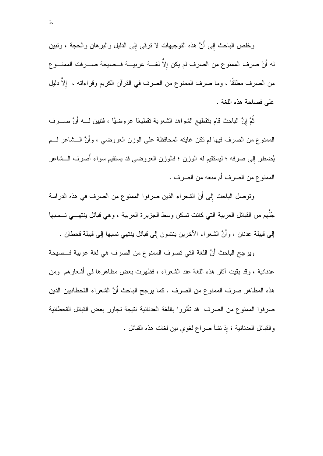وخلص الباحث إلى أَنَّ هذه النوجيهات لا نرقبي إلى الدليل والبرهان والحجة ، ونبين له أَنَّ صرف الممنوع من الصرف لم يكن إلاَّ لغــــة عربيــــة فـــصيحة صـــــرفت الممنــــو ع من الصرف مطلقًا ، وما صرف الممنوع من الصرف في القرآن الكريم وقراءاته ، ٳلاَّ دليل على فصاحة هذه اللغة .

ثُمَّ إِنَّ الباحث قام بنقطيع الشواهد الشعرية نقطيعًا عروضيًّا ، فتبين لــــه أنَّ صـــــرف الممنوع من الصرف فيها لم نكن غابته المحافظة على الوزن العروضيي ، وأنَّ الـــشاعر لـــم يُضطر إلى صرفه ؛ ليستقيم له الوزن ؛ فالوزن العروضي قد يستقيم سواء أُصرف الـــشاعر الممنو ع من الصرف أَم منعه من الصرف .

وتوصل الباحث إلى أَنَّ الشعراء الذين صرفوا الممنوع من الصرف في هذه الدراسة جُلهم من القبائل العربية التي كانت نسكن وسط الجزيرة العربية ، وهي قبائل ينتهـــي نـــسبها إلى فبيلة عدنان ، وأَنَّ الشعراء الآخرين ينتمون إلى قبائل بنتهى نسبها إلى قبيلة قحطان .

ويرجح الباحث أَنَّ اللغة التي تصرف الممنوع من الصرف هي لغة عربية فــصيحة عدنانية ، وقد بقيت أثار هذه اللغة عند الشعراء ، فظهرت بعض مظاهرها في أشعارهم ۖ ومن هذه المظاهر صرف الممنوع من الصرف . كما يرجح الباحث أَنَّ الشعراء القحطانيين الذين صرفوا الممنوع من الصرف قد تأثروا باللغة العدنانية نتيجة تجاور بعض القبائل القحطانية و القبائل العدنانية ؛ إذ نشأ صر اع لغوى بين لغات هذه القبائل .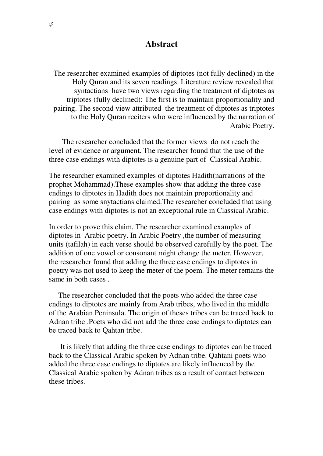#### **Abstract**

The researcher examined examples of diptotes (not fully declined) in the Holy Quran and its seven readings. Literature review revealed that syntactians have two views regarding the treatment of diptotes as triptotes (fully declined): The first is to maintain proportionality and pairing. The second view attributed the treatment of diptotes as triptotes to the Holy Quran reciters who were influenced by the narration of Arabic Poetry.

 The researcher concluded that the former views do not reach the level of evidence or argument. The researcher found that the use of the three case endings with diptotes is a genuine part of Classical Arabic.

The researcher examined examples of diptotes Hadith(narrations of the prophet Mohammad).These examples show that adding the three case endings to diptotes in Hadith does not maintain proportionality and pairing as some snytactians claimed.The researcher concluded that using case endings with diptotes is not an exceptional rule in Classical Arabic.

In order to prove this claim, The researcher examined examples of diptotes in Arabic poetry. In Arabic Poetry ,the number of measuring units (tafilah) in each verse should be observed carefully by the poet. The addition of one vowel or consonant might change the meter. However, the researcher found that adding the three case endings to diptotes in poetry was not used to keep the meter of the poem. The meter remains the same in both cases .

 The researcher concluded that the poets who added the three case endings to diptotes are mainly from Arab tribes, who lived in the middle of the Arabian Peninsula. The origin of theses tribes can be traced back to Adnan tribe .Poets who did not add the three case endings to diptotes can be traced back to Qahtan tribe.

 It is likely that adding the three case endings to diptotes can be traced back to the Classical Arabic spoken by Adnan tribe. Qahtani poets who added the three case endings to diptotes are likely influenced by the Classical Arabic spoken by Adnan tribes as a result of contact between these tribes.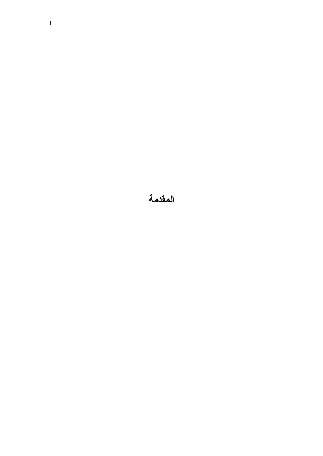المقدمة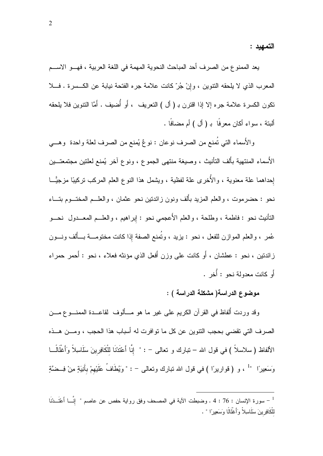التمهيد :

يعد الممنو ع من الصرف أحد المباحث النحوية المهمة في اللغة العربية ، فهـــو الاســـم المعرب الذي لا يلحقه النتوين ، وإنْ جُرِّ كانت علامة جره الفتحة نيابة عن الكـسرة . فـــلا تكون الكسرة علامة جره إلا إذا اقترن بـ ( أل ) التعريف ، أو أُضيف . أمَّا النتوين فلا يلحقه ألبتة ، سواء أكان معرفًا بـ ( أل ) أم مضافًا .

والأَسماء التي تُمنع من الصرف نوعان : نوعٌ يُمنع من الصرف لعلة واحدة ۖ وهـــي الأسماء المنتهية بألف التأنيث ، وصيغة منتهى الجموع ، ونوع آخر يُمنع لعلتين مجتمعتــين إحداهما علة معنوية ، والأخرى علة لفظية ، ويشمل هذا النوع العلم المركب نركيبًا مزجيًّـــا نحو : حضر موت ، و العلم المزيد بأُلف ونون ز ائدتين نحو عثمان ، و العلــم المختــوم بتـــاء التأنيث نحو : فاطمة ، وطلحة ، والعلم الأعجمي نحو : إبراهيم ، والعلـــم المعـــدول نحـــو عُمر ، والعلم الموازن للفعل ، نحو : بزيد ، وتُمنع الصفة إذا كانت مختومـــة بـــألف ونـــون زائدتين ، نحو : عطشان ، أو كانت على وزن أفعل الذي مؤنثه فعلاء ، نحو : أحمر حمراء أَو كانت معدولة نحو : أُخر .

## موضوع الدراسة( مشكلة الدراسة ) :

وقد وردت أُلفاظ في القرآن الكريم على غير ما هو مـــألوف لقاعـــدة الممنـــوع مـــن الصرف التي تقضي بحجب النتوين عن كل ما توافرت له أسباب هذا الحجب ، ومـــن هـــذه الألفاظ (سلاسلاً ) في قول الله – تبارك و تعالى – : " إنَّا أَعْتَدْنَا للْكَافِرِينَ سَلَاسِلاً وَأَغْلَالًــا وَسَعِيرًا ۚ " ، و ( قواريرًا ) في قول الله نبارك ونعالى – : " وَيُطَافُ عَلَيْهِمْ بِأَنِيَةٍ مِنْ فِــضَّةٍ

سورة الإنسان : 76 : 4 . وضبطت الآية في المصحف وفق رواية حفص عن عاصم " اِنِّسا أَعْتَــدْنَا  $^{-1}$ للْكَافِرِ بِنَ سَلَاسِلاْ وَأَغْلَالًا وَسَعِيراً " .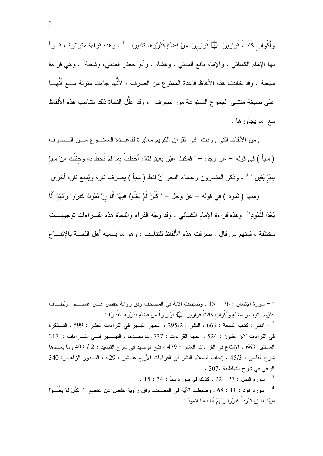وَأَكْوَابٍ كَانَتْ قَوَارِيرًا ۞ قَوَارِيرًا مِنْ فِضَّةٍ قَدَّرُوهَا نَقْدِيرًا  $^{-1}$  . وهذه قراءة متواترة ، قـــرأ بـها الإمـام الكسائـي ، والإمـام نـافـع المـدنـي ، وهشـام ، وأبو جعفر المدنـي، وشـعبـة<sup>2</sup> . وهـي قراءة سبعية . وقد خالفت هذه الألفاظ قاعدة الممنوع من الصرف ؛ لأَنَّها جاءت منونة مــــع أَنَّهـــا على صيغة منتهى الجموع الممنوعة من الصرف ، وقد علَّل النحاة ذلك بنتاسب هذه الألفاظ مع ما يجاورها .

ومن الألفاظ التي وردت ً في القرآن الكريم مغايرة لقاعــدة الممنـــوع مـــن الـــصرف ( سبأ ) في قوله – عز وجل – " فَمَكَثَ غَيْرَ بَعِيدٍ فَقَالَ أَحَطتُ بمَا لَمْ تُحِطْ بهِ وَجئْتُكَ مِنْ سَبَإ بنَبَإِ يَقِين " <sup>3</sup> ، وذكر المفسرون وعلماء النحو أنَّ لفظ ( سبأ ) يصرف نارة ويُمنع نارة أخرى

ومنها ( ثمود ) في قوله – عز وجل – " كَأَنْ لَمْ يَغْنَوْا فِيهَا أَلَا إِنَّ ثَمُودًا كَفَرُوا رِبَّهُمْ أَلَا بُعْدًا لنَّمُودٍ" وهذه قراءة الإمام الكسائي . وقد وجّه القراء والنحاة هذه القـــراءات توجيهـــات مختلفة ، فمنهم من قال : صر فت هذه الأَلفاظ للتناسب ، و هو ما بسمبه أَهل اللَّغـــة بالإنبـــاع

سورة هود : 11 : 68 . وضبطت الآية في المصحف وفق راوية حفص عن عاصم " كَأَنْ لَمْ يَغْنَــوْا " فِيهَا أَلَا إِنَّ ثَمُوداْ كَفَرُوا رِبَّهُمْ أَلَا بُعْدًا لِثَمُودَ " .

عَلَيْهِمْ بِأَنِيَةٍ مِنْ فِضَّةٍ وَأَكْوَابٍ كَانَتْ قَوَارِيرٍ لَا ۞ قَوَارِيرٍ لَ مِنْ فِضَّةٍ قَدَّرُوهَا تَقْدِيرًا " . انظر : كتاب السبعة : 663 ، النشر : 295/2 ، تحبير النيسير في القراءات العشر : 599 ، التـــذكرة  $^{-2}$ في القراءات لابن غلبون : 524 ، حجة القراءات : 737 وما بعــدها ، التيــسير فـــي القـــراءات : 217 المستتير 663 ، الإمتاع في القراءات العشر : 479 ، فتح الوصيد في شرح القصيد : 2 / 499 وما بعــدها شرح الفاسي : 45/3 ، إتحاف فضلاء البشر في القراءات الأربع عــشر : 429 ، البــدور الزاهــرة 340 الوافي في شرح الشاطبية :307 .  $15:34:$ سورة النمل  $22:27:2$  . كذلك في سورة سبأ  $^{-3}$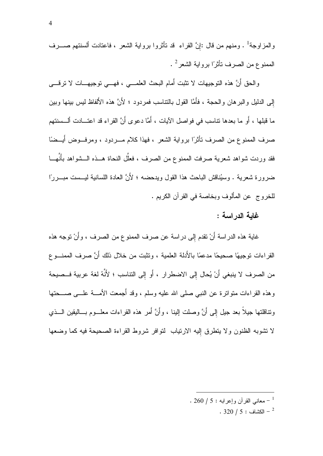والمزاوجة<sup>1</sup> . ومنهم من قال :إنَّ القراء قد تأثَّروا برواية الشعر ، فاعتادت ألسنتهم صــــرف الممنوع من الصرف نأثرًا برواية الشعر<sup>2</sup> .

والحق أَنَّ هذه النوجيهات لا نتبت أُمام البحث العلمـــي ، فهـــي نوجيهـــات لا نرفـــي إلى الدليل والبر هان والحجة ، فأَمَّا القول بالتناسب فمردود ؛ لأَنَّ هذه الأَلفاظ ليس بينها وبين ما قبلها ، أو ما بعدها نتاسب في فواصل الآيات ، أمَّا دعو ي أنَّ القر اء قد اعتـــادت ألـــسنتهم فقد وردت شواهد شعرية صرفت الممنوع من الصرف ، فعلَّل النحاة هـــذه الـــشواهد بأَنَّهـــا ضرورة شعرية . وسُيناقش الباحث هذا القول ويدحضه ؛ لأَنَّ العادة اللسانية ليـــست مبــــررًا للخروج عن المألوف وبخاصة في القرآن الكريم .

## غاية الدراسة :

غاية هذه الدراسة أَنْ نقدم إلىي دراسة عن صرف الممنوع من الصرف ، وأَنْ نوجه هذه القراءات توجيهًا صحيحًا مدعمًا بالأُدلة العلمية ، وتثبت من خلال ذلك أَنَّ صرف الممنـــو ع من الصرف لا ينبغي أَنْ يُحال إلى الاضطرار ، أَو إلى النتاسب ؛ لأَنَّهُ لغة عربية فــصيحة وهذه القراءات منوانزة عن النبي صلى الله عليه وسلم ، وقد أُجمعت الأمــــة علــــى صــــحتها ونتاقلتها جيلاً بعد جيل إلى أَنَّ وصلت إلينا ، وأَنَّ أمرٍ هذه القراءات معلـــوم بـــاليقين الـــذي لا نشوبه الظنون ولا يتطرق إليه الارتياب لتوافر شروط القراءة الصحيحة فيه كما وضعها

. 260  $/$  معانـي القرآن وإعرابـه : 5 / 260 .

. 320  $/$  الكشاف  $5: 320$  .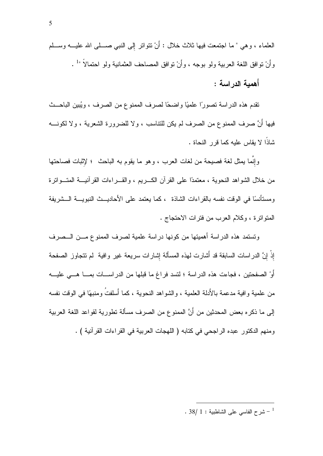## أهمية الدراسة :

تقدم هذه الدراسة تصورًا علميًا واضحًا لصرف الممنوع من الصرف ، ويُبين الباحــث فيها أَنَّ صرف الممنوع من الصرف لم يكن للنتاسب ، ولا للضرورة الشعرية ، ولا لكونــــه شاذًا لا يقاس عليه كما قرر النحاة .

وإنَّما يمثل لغة فصيحة من لغات العرب ، وهو ما يقوم به الباحث ۚ؛ لإثبات فصاحتها من خلال الشواهد النحوية ، معتمدًا على القرآن الكبريع ، والقبر اءات القرآنيبة المتسواترة ومستأنسًا في الوقت نفسه بالقر اءات الشاذة ، كما يعتمد على الأحاديـــث النبويـــة الـــشريفة المنواترة ، وكلام العرب من فترات الاحتجاج .

ونستمد هذه الدراسة أهميتها من كونها دراسة علمية لصرف الممنوع مــن الــصرف إذْ إنَّ الدراسات السابقة قد أشارت لهذه المسألة إشارات سريعة غير وافية ۖ لم تتجاوز الصفحة أَوْ الصفحتين ، فجاءت هذه الدراسة ؛ لتسد فراغ ما قبلها من الدراســـات بمــــا هــــى عليــــه من علمية و افية مدعمة بالأُدلة العلمية ، و الشو اهد النحوية ، كما أَسلفتُ و منبهًا في الوقت نفسه إلى ما ذكره بعض المحدثين من أَنَّ الممنوع من الصرف مسألة تطورية لقواعد اللغة العربية ومنهم الدكتور عبده الراجحي في كتابه ( اللهجات العربية في القراءات القرآنية ) .

. 38/ 1 : شرح الفاسي على الشاطبية  $1:38/1$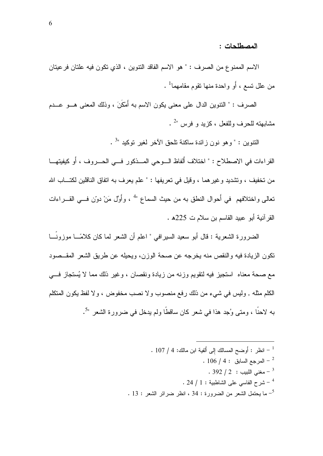المصطلحات :

الاسم الممنوع من الصرف : " هو الاسم الفاقد النتوين ، الذي تكون فيه علتان فرعيتان من علل تسع ، أَو واحدة منها نقوم مقامهما<sup>1</sup> .

الصرف : " النتوين الدال على معنى يكون الاسم به أَمْكَنَ ، وذلك المعنى هــو عــدم مشابهته للحرف وللفعل ، كزيد و فرس "<sup>2</sup> .

النتوين : " وهو نون زائدة ساكنة نلحق الأخر لغير نوكيد "<sup>3</sup> .

القراءات في الاصطلاح : " اختلاف أَلفاظ السوحي المسذكور فسي الحسروف ، أَو كيفيتهـــا من نخفيف ، ونتشديد وغير هما ، وقيل في نعريفها : " علم يعرف به انفاق الناقلين لكتـــاب الله تعالى واختلافهم في أحوال النطق به من حيث السماع "<sup>4</sup> ، وأَوَّل مَنْ دوّن فـــى القـــراءات القرآنية أبو عبيد القاسم بن سلام ت 225هـ.

الضرورة الشعرية : قال أبو سعيد السيرافي " اعلم أن الشعر لما كان كلامًـــا موزونَـــا نكون الزيادة فيه والنقص منه يخرجه عن صحة الوزن، ويحيله عن طريق الشعر المقــصود مع صحة معناه ۖ استجيزٍ فيه لنقويم وزنه من زيادة ونقصان ، وغير ذلك مما لا يُستجازٍ فسي الكلم مثله , وليس في شيء من ذلك رفع منصوب ولا نصب مخفوض ، ولا لفظ يكون المتكلم به لاحنًا ، ومتى وُجد هذا في شعر كان ساقطًا ولم يدخل في ضرورة الشعر "<sup>5</sup>.

> . 107 / 4 - انظر : أوضح المسالك إلى أُلفية ابن مالك: 4 / 107 .  $\sim 106$  / 4 : المرجع السابق  $^{-2}$ . 392 / 2 - مغنى اللبيب  $2$  :  $\sim$  1/ 392  $^{-3}$ . 24  $/$  1 شرح الفاسي على الشاطبية : 1 / 24 . . [13] - ما يحتمل الشعر من الضرورة : 34 ، انظر ضرائر الشعر : 13 .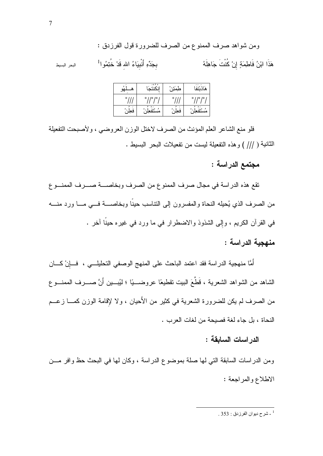| $\Delta$<br>76   | $-0 90$    | صم<br>—   |                            |
|------------------|------------|-----------|----------------------------|
| ۰                | ۰<br>۰     | ٥         | ۰<br>10<br>۰               |
| $\circ$<br>ه جر. | o<br>مستقع | ο<br>فعجم | $\sim$<br>$\circ$<br>مستقع |

فلو منع الشاعر العلم المؤنث من الصرف لاختل الوزن العروضيي ، ولأصبحت التفعيلة الثانية ( /// ) وهذه التفعيلة ليست من تفعيلات البحر البسيط .

مجتمع الدراسة :

تقع هذه الدراسة في مجال صرف الممنوع من الصرف وبخاصــــة صــــرف الممنـــوع من الصرف الذي يُحبِله النحاة والمفسرون إلىي النناسب حينًا وبخاصــــة فــــي مــــا ورد منــــه في القرآن الكريم ، وإلى الشذوذ والاضطرار في ما ورد في غيره حينًا آخر .

## منهجية الدراسة :

أَمَّا منهجية الدراسة فقد اعتمد الباحث على المنهج الوصفي التحليلــــي ، فـــإِنْ كــــان الشاهد من الشواهد الشعرية ، قَطَّعَ البيت نقطيعًا عروضـــيًا ؛ لَيُبـــين أَنَّ صــــرف الممنـــو ع من الصرف لم يكن للضرورة الشعرية في كثير من الأحيان ، ولا لإقامة الوزن كمــــا زعـــم النحاة ، بل جاء لغة فصيحة من لغات العرب .

#### الدر اسات السابقة :

ومن الدراسات السابقة التي لها صلة بموضوع الدراسة ، وكان لها في البحث حظ وافر مـــن الاطلاع والمراجعة :

البحر البسيط

شرح ديوان الفرزدق : 353 .  $^{-1}$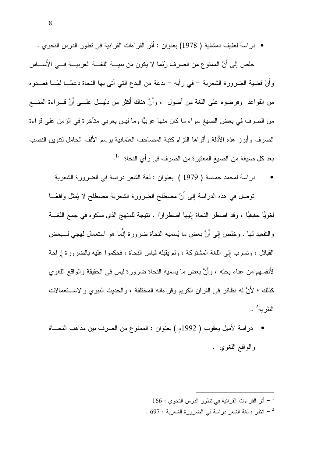• دراسة لعفيف دمشقية ( 1978) بعنوان : أثر القراءات القرآنية في نطور الدرس النحوي .

خلص إلى أَنَّ الممنو ع من الصرف ربِّما لا يكون من بنيـــة اللغـــة العربيـــة فـــى الأَســــاس وأَنَّ قضية الضرورة الشعرية – في رأيه – بدعة من البدع التي أتـى بـها النحاة دعمًـــا لمَـــا قعـــدوه من القواعد وفرضوه على اللغة من أصول ، وأنَّ هناك أكثر من دليـــل علــــى أنَّ قــــراءة المنــــع من الصرف في بعض الصيغ سواء ما كان منها عربيًّا وما ليس بعربي متأخرة في الزمن علي قراءة الصر ف و أبر ز هذه الأُدلة و أقو اها النز ام كتبة المصـاحف العثمانية بر سم الأُلف الحامل لتنوين النصب بعد كل صيغة من الصيغ المعتبرة من الصرف في رأي النحاة  $^{-1}$ .

دراسة لمحمد حماسة ( 1979 ) بعنوان : لغة الشعر دراسة في الضرورة الشعرية

نوصل في هذه الدراسة إلى أَنَّ مصطلح الضرورة الشعرية مصطلح لا يُمثل واقعًـــا لغويًّا حقيقيًّا ، وقد اضطر النحاة إليها اضطرارًا ، نتيجة للمنهج الذي سلكوه في جمع اللغـــة والنقعيد لـها . وخلص إلـى أَنَّ بعض ما يُسميه النحاة ضرورة إنَّما هو استعمال لمهجى لـــبعض القبائل ، وتسرب إلى اللغة المشتركة ، ولم يقبله قياس النحاة ، فحكموا عليه بالضرورة إراحة لأنفسهم من عناء بحثه ، وأنَّ بعض ما يسميه النحاة ضرورة ليس في الحقيقة والواقع اللغوي كذلك ؛ لأَنَّ له نظائرٍ في القرآن الكريم وقراءاته المختلفة ، والحديث النبوى والاستعمالات النثرية $^2$  .

- دراسة لأميل يعقوب ( 1992م ) بعنوان : الممنوع من الصرف بين مذاهب النحساة والواقع اللغوي .
	- . 166 : أثر القراءات القرآنية في نطور الدرس النحوى  $166:$
	- . 697 : انظر : لغة الشعر دراسة في الضرورة الشعرية  $\sim 697$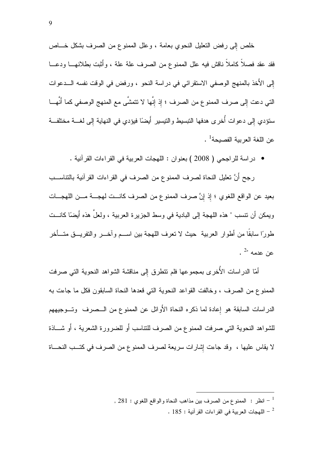خلص إلى رفض النعليل النحوي بعامة ، وعلل الممنوع من الصرف بشكل خـــاص فقد عقد فصلاً كاملاً ناقش فيه علل الممنوع من الصرف علة علة ، وأثبت بطلانهـــا ودعـــا إلى الأخذ بالمنهج الوصفى الاستقرائي في دراسة النحو ، ورفض في الوقت نفسه الــدعوات التي دعت إلى صرف الممنو ع من الصرف ؛ إذ إنَّها لا تتمشَّى مع المنهج الوصفي كما أَنَّهـــا ستؤدي إلى دعوات أخرى هدفها التبسيط والتبسير أيضًا فيؤدي في النهاية إلى لغـــة مختلفـــة عن اللغة العر ببة الفصبحة<sup>1</sup> .

• دراسة للراجحي ( 2008 ) بعنوان : اللهجات العربية في القراءات القرآنية .

رجح أنَّ تعليل النحاة لصرف الممنو ع من الصرف في القراءات القرآنية بالتناســب بعيد عن الواقع اللغوي ؛ إذ إنَّ صرف الممنوع من الصرف كانــت لهجـــة مـــن اللهجـــات ويمكن أن نتسب " هذه اللهجة إلى البادية في وسط الجزير ة العربية ، ولعل هذه أيضًا كانـــت طورًا سابقا من أطوار العربية حيث لا نعرف اللهجة بين اســـم و آخـــر والنفريـــق متـــأخر .  $^{2}$  عن عدمه ".

أمّا الدراسات الأخرى بمجموعها فلم نتطرق إلى مناقشة الشواهد النحوية التي صرفت الممنوع من الصرف ، وخالفت القواعد النحوية التي قعدها النحاة السابقون فكل ما جاءت به الدراسات السابقة هو إعادة لما ذكره النحاة الأوائل عن الممنوع من الـــصرف وتـــوجيههم للشواهد النحوية التي صرفت الممنوع من الصرف للتناسب أو للضرورة الشعرية ، أو شـــاذة لا يقاس عليها ، وقد جاءت إشارات سريعة لصرف الممنوع من الصرف في كتــب النحـــاة

, 281 : انظر : الممنوع من الصرف بين مذاهب النحاة والواقع اللغوي : 281 ,

. 185 - اللهجات العربية في القراءات القرآنية  $\sim 185$  .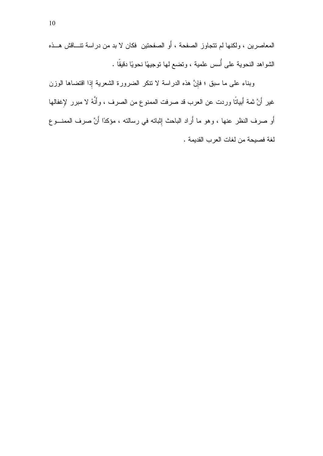المعاصرين ، ولكنها لم نتجاوز الصفحة ، أَو الصفحتين ۖ فكان لا بد من دراسة نتـــاقش هـــذه الشُّواهد النحوية على أُسس علمية ، وتضع لها توجيهًا نحويًا دقيقًا .

وبناء على ما سبق ؛ فإنَّ هذه الدراسة لا نتكر الضرورة الشعرية إذا اقتضاها الوزن غير أَنَّ ثمة أَبياتًا وردت عن العرب قد صرفت الممنوع من الصرف ، وأنَّهُ لا مبرر لإغفالها أو صرف النظر عنها ، وهو ما أراد الباحث إِثباته في رسالته ، مؤكدًا أنَّ صرف الممنـــوع لغة فصيحة من لغات العرب القديمة .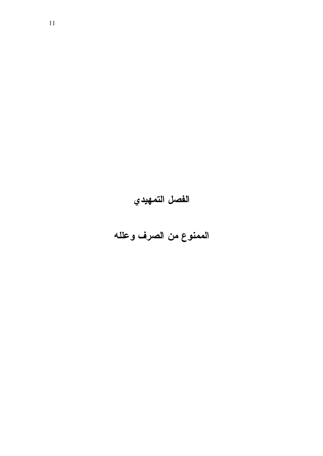# الفصل التمهيدي

الممنوع من الصرف وعلله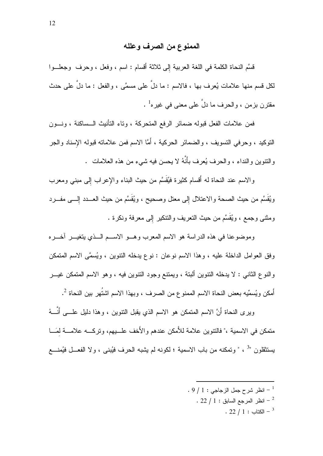### الممنوع من الصرف وعلله

قَسَّم النحاة الكلمة في اللغة العربية إلى ثلاثة أقسام : اسم ، وفعل ، وحرف وجعلـــوا لكل قسم منها علامات يُعرف بها ، فالاسم : ما دل على مسمَّى ، والفعل : ما دل على حدث مقترن بزمن ، والحرف ما دلّ على معنى في غيره<sup>1</sup> .

فمن علامات الفعل قبوله ضمائر الرفع المتحركة ، وناء النأنيث الــساكنة ، ونـــون النَّوكيد ، وحرفي النَّسويف ، والضمائر الحركية ، أمَّا الاسم فمن علاماته قبوله الإسناد والجر والنتوين والنداء ، والحرف يُعرف بأنهُ لا يحسن فيه شيء من هذه العلامات .

والاسم عند النحاة له أقسام كثيرة فَيُقسَّم من حيث البناء والإعراب إلى مبني ومعرب ويُقسَّم من حيث الصحة والاعتلال إلى معتل وصحيح ، ويُقسَّم من حيث العـــدد الِــــى مفـــرد ومثنى وجمع ، ويُقسَّم من حيث النعريف والننكير إلى معرفة ونكرة .

وموضوعنا في هذه الدراسة هو الاسم المعرب وهـــو الاســـم الـــذي يتغيـــر اخــــره وفق العوامل الداخلة عليه ، وهذا الاسم نوعان : نوع يدخله النتوين ، ويُسمَّى الاسم المتمكن والنوع الثاني : لا يدخله النتوين ألبتة ، ويمتنع وجود النتوين فيه ، وهو الاسم المتمكن غيـــر أمكن ويُسمِّيه بعض النحاة الاسم الممنو ع من الصرف ، وبهذا الاسم اشتُهر بين النحاة  $^2$ .

ويرى النحاة أنَّ الاسم المتمكن هو الاسم الذي يقبل النتوين ، وهذا دليل علــــي أنــــهُ متمكن في الاسمية ،" فالنتوين علامة للأمكن عندهم والأخف علــــيهم، ونركــــه علامــــة لَمَـــا يستثقلون "<sup>3</sup> ، " وتمكنه من باب الاسمية ؛ لكونه لم يشبه الحرف فيُبنى ، ولا الفعـــل فيُمنــــع

> $1 \cdot 9 \bigm / \: 1 \, : \, 1 \bigl ( \bigl ( \bigl ( 1 + \delta \bigr ) \bigr ) \bigr )$  .  $\, 9 \bigl / \: 1 \, : \, 1 \bigl ( \bigl ( \bigl ( 1 + \delta \bigr ) \bigr ) \bigr )$  $\sim 22$  / 1 : انظر المرجع السابق  $^{-2}$ .  $22 / 1$  : الكتاب  $^{-3}$

 $\overline{a}$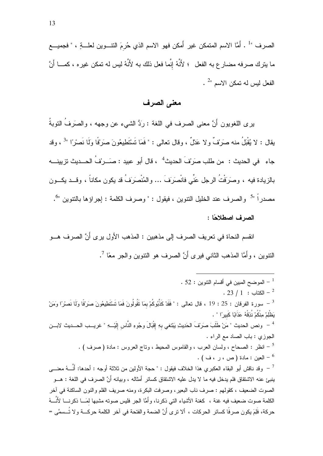الصرف "· أمَّا الاسم المتمكن غير أمكن فهو الاسم الذي حُرمَ النتـــوين لعلــــةٍ ، " فجميــــع ما يترك صرفه مضار ع به الفعل ؛ لأَنَّهُ إنَّما فعل ذلك به لأَنَّهُ ليس له تمكن غير ه ، كمــــا أَنَّ  $^{2}$ الفعل ليس له تمكن الاسم "

### معنى الصرف

برى اللغويون أَنَّ معنى الصرف في اللغة : رَدُّ الشيء عن وجهه ، والصَرفُ النوبةُ بِقال : لا يُقْبَلُ منه صرَيْفٌ ولا عَدْلٌ ، وقال تعالى : " فَمَا تَسْتَطِيعُونَ صرَيْفًا وَلَا نَصرْ ًا "<sup>3</sup> ، وقد جاء في الحديث : من طلب صرَبْفَ الحديث<sup>4</sup> ، قال أبو عبيد : صَـــربْفُ الحـــديث تزيينــــه بالزيادة فيه ، وصرَفْتُ الرجل عَنِّي فانْصرَفَ … والمُنْصرَفُ قد يكون مكاناً ، وقــد يكـــون مصدر اً "<sup>5</sup> و الصر ف عند الخليل النتوين ، فيقول : " وصر ف الكلمة : إجر اؤ ها بالنتوين "<sup>6</sup>. الصرف اصطلاحًا :

انقسم النحاة في تعريف الصرف إلى مذهبين : المذهب الأول يرى أَنَّ الصرف هـــو النتوين ، وأَمَّا المذهب الثاني فيري أنَّ الصرف هو النتوين والجر معًا <sup>7</sup>.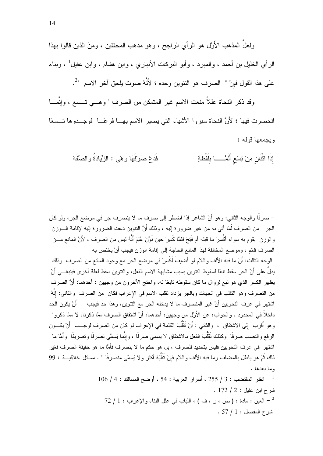ولعلَّ المذهب الأُوَّل هو الرأى الراجح ، وهو مذهب المحقِّقين ، ومِنَ الذين قالوا بهذا الرأي الخليل بن أحمد ، والمبرد ، وأبو البركات الأنباري ، وابن هشام ، وابن عقيل<sup>1</sup> ، وبناء على هذا القول فإنَّ " الصرف هو النتوين وحده ؛ لأَنَّهُ صوت يلحق آخر الاسم "<sup>2</sup>.

وقد ذكر النحاة عللاً منعت الاسم غير المتمكن من الصرف " وهـــي تـــسع ، وإنَّمــــا انحصرت فيها ؛ لأَنَّ النحاة سبروا الأشياء التي يصير الاسم بهـــا فرحَّـــا ۖ فوجـــدوها تـــسعًا ويجمعها قوله:

> إِذَا اثْنَان مِنْ تِسْعِ أَلْمَـْـــا بِلَفْظَةٍ فَدَعْ صَرَفَهَا وَهْيَ : الزِّيَادَةُ وَالصِّفَهْ

= صرفًا والوجه الثاني: وهو أنَّ الشاعر إذا اضطر إلى صرف ما لا ينصرف جر في موضع الجر، ولو كان الـجر \_ من الصرف لَمَا أتـى بـه من غير ضرورة الِيه ، وذلك أنَّ النتوين دعت الضرورة الِيه لإقامة الـــوزن والوزن بقوم به سواء أكُسِرَ ما قبله أم فُتِحَ فلمَّا كُسِرَ حين نُوِّنَ عُلِمَ أنَّهُ ليس من الصرف ، لأَنَّ المانع مـــن الصرف قائم ، وموضع المخالفة لهذا المانع الحاجة إلى إقامة الوزن فيجب أَنْ يختص به الوجه الثالث: أنَّ ما فيه الألف واللام لو أُضيفَ لَكُسِرَ في موضع الجر مع وجود المانع من الصرف وذلك يدلِّ على أَنَّ الجر ِ سقط تبعًا لسقوط النتوين بسبب مشابهة الاسم الفعل، و النتوين سقط لعلة أخر ي فينبغـــي أَنْ يظهر الكسر الذي هو نبع لزوال ما كان سقوطه نابعًا له، واحتج الآخرون من وجهين : أحدهما: أَنَّ الصرف من التصرف وهو النقلب في الجهات وبالجر يزداد نقلب الاسم في الإعراب فكان من الصرف والثاني: إنَّهُ اشتهر في عرف النحويين أَنَّ غير المنصرف ما لا يدخله الجر مع النتوين، وهذا حد فيجب ﴿ أَنْ يكون الحد داخلاً في المحدود . والجواب: عن الأولِّ من وجهين: أحدهما: أَنَّ اشتقاق الصرف ممَّا ذكرناه لا ممَّا ذكروا وهو أُقرب ۖ إلى الاشتقاق ، والثاني : أَنْ تَقَلُّبَ الكلمة في الإعراب لو كان من الصرف لوجــب ۖ أَنْ يكــون الرفع والنصب صرفًا وكذلك تَقَلُّبَ الفعل بالاشتقاق لا يسمى صرفًا ، وإنَّما يُسمَّى تصرفًا وتصريفًا وأمَّا ما اشتهر ٍ في عر ف النحو بين فليس بتحديد للصر ف ، بل هو حكم ما لا ينصر ف فأَمَّا ما هو حقيقة الصر ف فغير ذلك ثُمَّ هو باطل بالمضاف وما فيه الألف واللام فإنَّ تَقَلُّبَهُ أكثر ولا يُسمَّى منصرفًا " . مسائل خلافيـــة : 99 وما بعدها .  $106$  / 4 : انظر المقتضب : 3 / 255 ، أسرار العربية : 54 ، أوضح المسالك : 4 / 106 شرح ابن عقيل : 2 / 172 .

 $72$  / 1 : حالعين : مادة : (ص ، ر ، ف ) ، اللباب في علل البناء و الإعراب : 1 / 72 =  $.57 / 1:$ شرح المفصل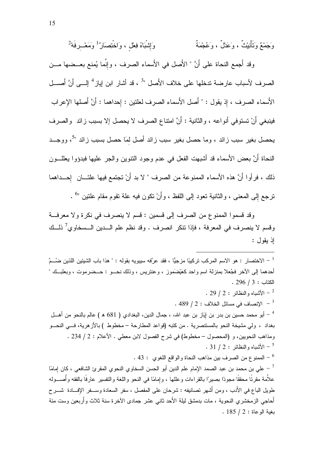وَجَمْعٌ وَتَأْنِيْتُ ، وَعَدْلٌ ، وَعُجْمَةٌ وَإِشْبَاهُ فِعْل ، وَاخْتِصَارُ ۚ وَمَعْـــرفَهُ  $^2$ 

وقد أجمع النحاة على أنَّ " الأَصل في الأَسماء الصرف ، وإنَّما يُمنع بعــضها مـــن الصرف لأسباب عارضة تدخلها على خلاف الأُصل "<sup>3</sup> ، قد أشار ابن إياز <sup>4</sup> إلـــى أَنَّ أُصـــل الأَسماء الصرف ، إذ يقول : " أصل الأَسماء الصرف لعلنين : إحداهما : أَنَّ أَصلها الإعراب فينبغي أَنْ تستوفي أنواعه ، والثانية : أَنَّ امتناع الصرف لا يحصل إلا بسبب زائد ۖ والصرف يحصل بغير سبب زائد ، وما حصل بغير سبب زائد أصل لمَا حصل بسبب زائد "<sup>5</sup>، ووجــد النحاة أَنَّ بعض الأسماء قد أشبهت الفعل في عدم وجود النتوين والجر عليها فبدؤوا يعللـــون ذلك ، فرأوا أَنَّ هذه الأسماء الممنوعة من الصرف " لا بد أَنْ تجتمع فيها علتـــان إحـــداهما نرجع إلى المعنى ، والثانية نعود إلى اللفظ ، وأَنْ نكون فيه علة نقوم مقام علتين "<sup>6</sup> .

وقد قسموا الممنوع من الصرف إلى قسمين : قسم لا ينصرف في نكرة ولا معرفة وقسم لا ينصرف في المعرفة ، فإذا نتكر انصرف . وقد نظم علم الـــدين الـــسخاوي<sup>7</sup> ذلـــك اذ يقول :

لاختصار : هو الاسم المركب تركيبًا مزجيًّا ، فقد عرَّفه سيبويه بقوله : " هذا باب الشيئين اللذين ضـُــمَّ " أحدهما إلى الآخر فجُعلا بمنزلة اسم واحد كعَيْضَمَوز ، وعنتزيس ، وذلك نحـــو : حـــضر موت ، وبعلبــك "  $.296 / 3:$ الكتاب : . 29 / 2 : الأشباه والنظائر  $2: 29$  . . 489 / 2 : الإنصاف في مسائل الخلاف  $2$  : 489 . <sup>4</sup> – أبو محمد حسين بن بدر بن إيَاز بن عبد الله، ، جمال الدين، البغدادي ( 681 ه ) عالم بالنحو من أهـــل بغداد ، ولى مشيخة النحو بالمستنصرية . من كتبه (قواعد المطارحة – مخطوط ) بالأزهرية، فـــي النحـــو ومذاهب النحويين، و (المحصول – مخطوط) في شرح الفصول لابن معطي . الأعلام : 2 / 234 .  $\cdot$  31 / 2 : الأشباه والنظائر  $\cdot$  31  $^{-5}$ . 43 : الممنو ع من الصرف بين مذاهب النحاة والواقع اللغوي : 43 . <sup>7</sup> – على بن محمد بن عبد الصمد الإمام علم الدين أبو الحسن السخاوي النحوي المقرئ الشافعي ، كان إمامًا علاَّمة مقرئًا محققًا مجودًا بصيرًا بالقراءات وعللها ، وإمامًا في النحو واللغة والتفسير عارفًا بالفقه وأصـــوله طويل الباع في الأدب ، ومن أشهر تصانيفه : شرحان على المفصل ، سفر السعادة وســفر الإفـــادة شــــرح أحاجي الز مخشر ي النحوية ، مات بدمشق لبلة الأحد ثاني عشر جمادي الآخر ة سنة ثلاث و أر بعين وست مئة  $.185 / 2$ : بغبة الو عاة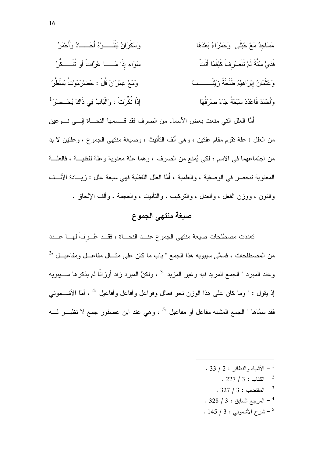مَسَاحِدُ مَعْ حُبُلَى وَحَمُرَاءُ بَعُدَهَا  
وَ سَنَّةُ لَمْ تَتُصَرِفُ كَيُّقَماَ اَتَتُ  
سَوَاءِ إِدِّا مِلَّهُ أَمَ تُتُصَرِفُ كَيُقَماَ اَتَتُ  
وَعُتُّمَانُ إِبُرَاهِيُمُ طَلَّحَةُ زَيُنَسِ بُ  
وَاَحُمَدُ فَاعُدُدٌ سَبُعَةً جَاءَ صَرَنُهَا  

$$
ا
$$
ِذِّا نَكُرَتُ ، وَالَبَابُ في دَالَهَ يُحُصَرُ<sup>1</sup>

أمًّا العلل التي منعت بعض الأسماء من الصرف فقد قـــسمها النحــــاة إلــــي نــــوعين من العلل : علة تقوم مقام علتين ، و هي ألف التأنيث ، وصيغة منتهى الجموع ، و علتين لا بد من اجتماعهما في الاسم ؛ لكي يُمنع من الصرف ، وهما علة معنوية وعلة لفظيـــة ، فالعلـــة المعنوية نتحصر في الوصفية ، والعلمية ، أمَّا العلل اللفظية فهي سبعة علل : زيـــادة الألــف والنون ، ووزن الفعل ، والعدل ، والتركيب ، والنأنيث ، والعجمة ، وألف الإلحاق .

## صيغة منتهى الجموع

تعددت مصطلحات صيغة منتهى الجموع عنسد النحساة ، فقسد عُسرفَ لهسا عسدد من المصطلحات ، فسمَّى سيبويه هذا الجمع " باب ما كان على مثـــال مفاعـــل ومفاعيـــل "2 وعند المبرد " الجمع المزيد فيه وغير المزيد "<sup>3</sup> ، ولكنَّ المبرد زاد أوزانًا لم يذكرها ســـيبويه إذ يقول : " وما كان علي هذا الوزن نحو فعالل وفواعل وأفاعل وأفاعيل "<sup>4</sup> ، أمَّا الأشـــموني فقد سمَّاها " الجمع المشبه مفاعل أو مفاعيل "<sup>5</sup> ، وهي عند ابن عصفور جمع لا نظيــــر لـــــه

- . 33 / 2 : الأشباه والنظائر  $2: 2$  / 33 .
	- $. 227 / 3 : 227 2$ الكتاب -
	- $.327 / 3:$  المقتضب  $.327 / 3$
- $.328 / 3:$  المرجع السابق السابق .
- $145 / 3:$ شرح الأشموني : 3 / 145  $^{-5}$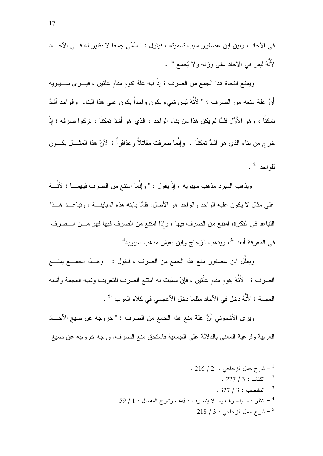في الآحاد ، وبين ابن عصفور سبب تسميته ، فيقول : " سُمِّي جمعًا لا نظير له فـــي الآحـــاد لأَنَّهُ ليس في الآحاد على وزنه ولا يُجمع " .

ويمنع النحاة هذا الجمع من الصرف ؛ إذْ فيه علة نقوم مقام علتين ، فيـــرى ســــيبويه أَنَّ علة منعه من الصرف ؛ " لأَنَّهُ ليس شيء يكون واحداً يكون على هذا البناء ۖ والواحد أشدُّ تمكنًا ، وهو الأُوَّل فلمَّا لم يكن هذا من بناء الواحد ، الذي هو أشدُّ تمكنًا ، تركوا صرفه ؛ إذْ خرج من بناء الذي هو أشدُّ تمكنًا ، وإنَّما صرفت مقاتلاً وعذافراً ؛ لأنَّ هذا المثـــال يكـــون  $\cdot$   $^{2}$  مد $^{2}$ 

ويذهب المبرد مذهب سيبويه ، إذْ يقول : " وإنَّما امتنع من الصرف فيهمـــا ؛ لأَنَّـــهُ على مثال لا بكون عليه الواحد والواحد هو الأصل، فلمَّا بابنه هذه المبابنـــة ، وتباعـــد هـــذا التباعد في النكرة، امتتع من الصرف فيها ، وإذًا امتتع من الصرف فيها فهو مـــن الـــصرف في المعرفة أبعد "<sup>3</sup>، ويذهب الزجاج وابن يعيش مذهب سيبويه<sup>4</sup> .

ويعلَّل ابن عصفور منع هذا الجمع من الصرف ، فيقول : " وهـــذا الجمــــع يمنــــع الصرف ؛ لأَنَّهُ يقوم مقام علَّتين ، فإنْ سمّيت به امتنع الصرف للتعريف وشبه العجمة وأشبه العجمة ؛ لأَنَّهُ دخل في الآحاد مثلما دخل الأعجمي في كلام العرب "5 .

ويرى الأشموني أَنَّ علة منع هذا الجمع من الصرف : " خروجه عن صيغ الأحـــاد العربية وفرعية المعنى بالدلالة على الجمعية فاستحق منع الصرف. ووجه خروجه عن صيغ

- $1.216/2$  : شرح جمل الزجاجي  $^{-1}$ 
	- .  $227 / 3:$  الكتاب  $-^2$
	- . 327  $/3:$  المقتضب  $-3$
- . 59 / 1 : انظر : ما ينصرف وما لا ينصرف : 46 ، وشرح المفصل : 1 / 59 .
	- . 218  $/3:$  شرح جمل الزجاجي  $5$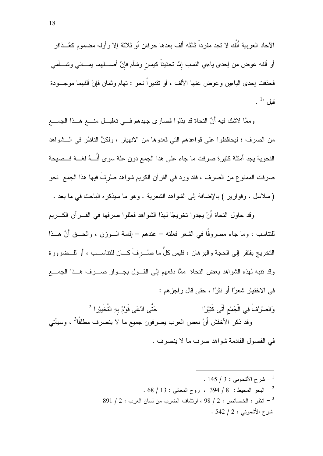الآحاد العربية أَنَّك لا تجد مفرداً ثالثه ألف بعدها حرفان أو ثلاثة إلا وأوله مضموم كعُــذافر أو ألفه عوض من إحدى ياءي النسب إمَّا نحقيقاً كيمان وشآم فإنَّ أصــــلمهما بمــــانـي وشــــأمـي فحذفت إحدى البياءين وعوض عنها الألف ، أو نقديراً نحو : تهام وثمان فإنَّ ألفهما موجـــودة قبل  $1$ ".

وممَّا لاشك فيه أنَّ النحاة قد بذلوا قصارى جهدهم فـــي نعليـــل منــــع هـــذا الجمــــع من الصر ف ؛ ليحافظو ا على فو اعدهم التي قعدو ها من الانهيار ، ولكنَّ الناظر في الـــشو اهد النحوية يجد أمثلة كثيرة صرفت ما جاء على هذا الجمع دون علة سوى أنَّـــهُ لغـــة فــصيحة صرفت الممنوع من الصرف ، فقد ورد في القرآن الكريم شواهد صُرفَ فيها هذا الجمع نحو (سلاسل ، وقوارير ) بالإضافة إلى الشواهد الشعرية . وهو ما سيذكره الباحث في ما بعد .

وقد حاول النحاة أَنْ يجدوا تخريجًا لمهذا الشواهد فعللوا صرفها في القــــرآن الكــــريم للنتاسب ، وما جاء مصروفًا في الشعر فعلنه – عندهم – إقامة الـــوزن ، والحـــق أنَّ هـــذا النخريج يفتقر إلى الحجة والبرهان ، فليس كلُّ ما صُـــرِفَ كــــان للتناســـب ، أو للـــضرورة وقد نتبه لهذه الشواهد بعض النحاة ًمَّا دفعهم إلى القـول بجـواز صـــرف هــذا الجمـــع في الاختيار شعرًا أو نثرًا ، حتى قال راجزهم :

حَتَّى ادَّعَى قَوْمٌ بِهِ التَّخْيِيْرِ ا $^2$ وَالصَّرْفُ فِي الْجَمْعِ أَتَى كَثِيْرًا وقد ذكر الأخفش أَنَّ بعض العرب يصرفون جميع ما لا ينصرف مطلقًا<sup>3</sup> ، وسيأتـي في الفصول القادمة شواهد صرف ما لا ينصرف .

> .  $145 / 3:$  شرح الأشموني  $1 + 1$  $68 / 13$  : للبحر المحيط : 8 / 394 ، روح المعانى : 13 / 68 .  $891 / 2:$  انظر : الخصائص : 2 / 98 ، ارتشاف الضرب من لسان العرب : 2 / 891 شرح الأشموني : 2 / 542 .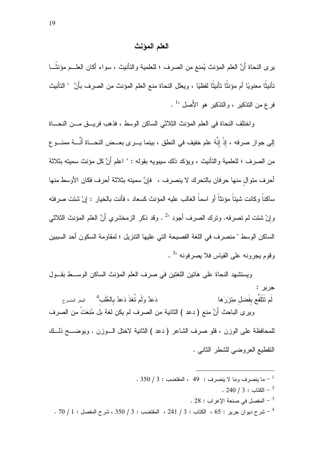#### العلم المؤنث

يرى النحاة أَنَّ العلم المؤنث يُمنع من الصرف ؛ للعلمية والتأنيث ، سواء أكان العلــم مؤنثًـــا تأنيثًا معنويًا أم مؤنثًا تأنيثًا لفظيًا ، ويعلل النحاة منع العلم المؤنث من الصرف بأنَّ " التأنيث فرع من التذكير ، والتذكير هو الأَصل "<sup>1</sup> .

واختلف النحاة في العلم المؤنث الثلاثي الساكن الوسط ، فذهب فريت مـن النحـاة إلى جواز صرفه ، إذْ إنَّهُ علم خفيف في النطق ، بينما يـــرى بعـــض النحـــاة أنَّـــهُ ممنـــو ع من الصرف ؛ للعلمية والتأنيث ، ويؤكد ذلك سيبويه بقوله : " اعلم أَنَّ كل مؤنث سميته بثلاثة أحرف متوال منها حرفان بالتحرك لا ينصرف ، فإنَّ سميته بثلاثة أحرف فكان الأوسط منها ساكناً وكانت شيئاً مؤنثاً أو اسماً الغالب عليه المؤنث كسعاد ، فأنت بالخيار : إنْ شئت صرفته وإنْ شئت لم تصرفه. وترك الصرف أجود "2 . وقد ذكر الزمخشري أَنَّ العلم المؤنث الثلاثي الساكن الوسط " منصرف في اللغة الفصيحة التي عليها النتزيل ؛ لمقاومة السكون أحد السببين وقوم يجرونه على القياس فلا يصرفونه "<sup>3</sup> .

ويستشهد النحاة على هاتين اللغتين في صرف العلم المؤنث الساكن الوســط بقـــول جر پر **:** دَعدٌ وَلَم تُغذَ دَعدُ بِالعُلَب<sup>4</sup> مالبحر المنسرح لَم تَتَلَفَّع بِفَضل مِئزَرَها وير ى الباحث أنَّ منع ( دعد ) الثانية من الصرف لم يكن لغة بل مُنِعَتْ من الصرف للمحافظة على الوزن ، فلو صرف الشاعر (دعد ) الثانية لاختل السوزن . ويوضــــح ذلـــك

النقطيع العروضيي للشطر الثانبي .

- $1-350$  / 3 ما بنصر ف وما لا بنصر ف  $9\; : \; 49\; :$  المقتضب  $3\; : \; -1$ 
	- . 240  $/3$  : الكتاب  $-$  240  $-$
	- . 28 : المفصل في صنعة الإعراب . 28
- $\sim 70$   $/$  1 : شرح ديوان جرير  $\sim 65$  ، الكتاب  $\sim 241$  ، المقتضب  $\sim 350$  ، شرح المفصل  $^{-4}$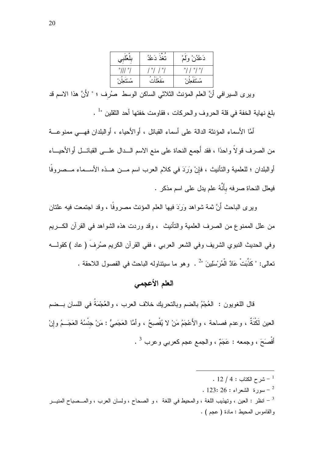| $\circ$        | نُغْذَ دَعْدُ | دَعْدُنْ وَلَمْ                        |
|----------------|---------------|----------------------------------------|
| $^{\circ}$ /// | ' °/ / °/     | $^{\circ}$ / $^{\circ}$ / $^{\circ}$ / |
|                |               | ء م<br>مستقع                           |

ويرى السيرافي أنَّ العلم المؤنث الثلاثي الساكن الوسط صُرف ؛ " لأَنَّ هذا الاسم قد بلغ نهاية الخفة في قلة الحروف والحركات ، فقاومت خفتها أحد الثقلين "<sup>1</sup> .

أمَّا الأسماء المؤنثة الدالة على أسماء القبائل ، أو الأحياء ، أو البلدان فهـــى ممنو عـــة من الصر ف قو لاً و احدًا ، فقد أُجِمع النحاة على منع الاسم الـــدال علـــي القبائـــل أو الأحبـــاء أوالبلدان ؛ للعلمية والتأنيث ، فإنْ وَرَدَ في كلام العرب اسم مـــن هـــذه الأســـماء مـــصروفًا ۖ فيعلل النحاة صرفه بأَنَّهُ علم يدل على اسم مذكر .

ويرى الباحث أَنَّ ثمة شواهد وَرَدَ فيها العلم المؤنث مصروفًا ، وقد اجتمعت فيه علتان من علل الممنوع من الصرف العلمية والتأنيث ، وقد وردت هذه الشواهد في القرآن الكسريم وفي الحديث النبوي الشريف وفي الشعر العربي ، ففي القرآن الكريم صُرفَ ( عاد ) كقولــــه تعالى: " كَذَّبَتْ عَادٌ الْمُر ْسَلِينَ "2 . وهو ما سيتناوله الباحث في الفصول اللاحقة .

## العلم الأعجمي

قال اللغويون : العُجْمُ بـالضم وبـالنحريك خلاف العرب ، والعُجْمَةُ فـي اللسان بـــضم العين لَكْنَةٌ ، وعدم فصاحة ، والأَعْجَمُ مَنْ لا يُفْصِحُ ، وأمَّا العَجَمِيُّ : مَنْ جِنْسُهُ العَجَــمُ وإنْ أَفْصَحَ ، وجمعه : عَجَمٌ ، والجمع عجم كعربي وعرب <sup>3</sup> .

.  $12 / 4:$  شرح الكتاب  $^{-1}$ . 123: 26 : الشعراء  $\sim$  123: 26 . نظر : العين ، وتهذيب اللغة ، والمحيط في اللغة ، و الصحاح ، ولسان العرب ، والمــصباح المنيـــر " والقاموس المحيط: مادة ( عجم ) .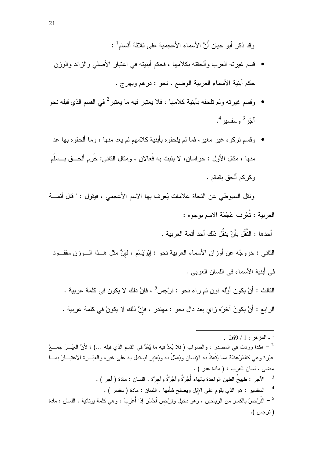وقد ذكر أبو حبان أَنَّ الأسماءِ الأعجمبة على ثلاثة أقسام<sup>1</sup> :

- قسم غيرته العرب وألحقته بكلامها ، فحكم أبنيته في اعتبار الأصلي والزائد والوزن حكم أبنية الأسماء العربية الوضع ، نحو : درهم وبهرج .
- وقسم غيرته ولم تلحقه بأبنية كلامها ، فلا يعتبر فيه ما يعتبر  $^2$  في القسم الذي قبله نحو ولم تلحقه ب آجُر<sup>3</sup> وسفسير<sup>4</sup>.
- وقسم تركو ه غير مغير ، فما لم يلحقو ه بأبنية كلامهم لم يعد منها ، وما ألحقو ه بها عد · منها ، مثال الأول : خراسان، لا يثبت به فُعالان ، ومثال الثانـي: خَرَمَ ألـحـــق بـــسلَمَ وكركم ألحق بقمقم .

ونقل السيوطي عن النحاة علامات يُعرف بها الاسم الأعجمي ، فيقول : " قال أئمـــة العربية : تُعْرِف عُجْمَة الاسم بوجوه :

أحدها : النَّقْل بأَنْ ينقُل ذلك أحد أئمة العربية .

الثاني : خروجُه عن أوزان الأسماء العربية نحو : إبْرَيْسَم ، فإنَّ مثل هــذا الـــوزن مفقـــود في أبنية الأسماء في اللسان العربي .

الثالث : أَنْ يكون أوَّله نون ثم راء نحو : نرجس<sup>5</sup> ، فإنَّ ذلك لا يكون في كلمة عربية . الرابع : أَنْ يكونَ آخرُه زاي بعد دال نحو : مهندز ، فإنَّ ذلك لا يكونُ في كلمة عربية .

<sup>.</sup>  $269/1$  - المزهر : 1

<sup>ً –</sup> هكذا وردت في المصدر ، والصواب ( فلا يُعدُّ فيه ما يُعَدُّ في القسم الذي قبله …) ؛ لأنَّ العِبَــرَ جمـــعُ عِبْرة وهي كالمَوْعِظة مما يَتَّعِظُ به الإنسان ويَعمَلُ به ويَعتبر ليستدل به على غيره والعِبْـــرة الاعتبـــارُ بمـــا مضى . لسان العرب : (مادة عبر ) .  $\cdot$  = الآجر : طبيخُ الطبن الو احدة بالهاء أُجُر َّةٌ و آجِرَّةٌ و آجرتَه . اللسان : مادة ( أجر ) . <sup>4</sup> – السفسير : هو الذي يقوم على الإبل ويصلح شأْنها . اللسان : مادة ( سفسر ) . <sup>5 \_</sup> النَّر ْجسُ بالكسر من الرياحين ، وهو دخيل ونِر ْجس أَحْسَن إذا أُعْرِبَ ، وهي كلمة يونانية . اللسان : مادة (نرجس).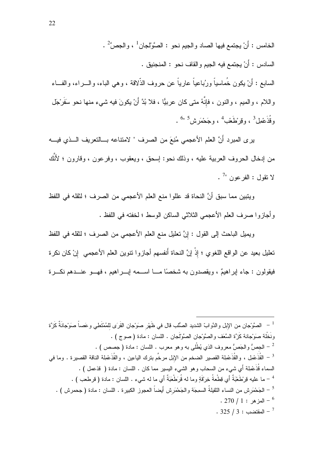الخامس : أَنْ يجتمع فيها الصاد و الجيم نحو : الصَّوِّلجان <sup>1</sup> ، و الجصَّ<sup>2</sup> . السادس : أَنْ يجتمع فيه الجيم والقاف نحو : المنجنيق . السابع : أَنْ يكون خُماسياً ورُباعياً عارياً عن حروف الذَّلاقة ، وهي الباء، والــــراء، والفـــاء واللام ، والمعيم ، والنون ، فإنَّهُ متى كان عربيًّا ، فلا بُدَّ أَنْ يكونَ فيه شيء منها نحو سَفَرْجَل وقُذَعْمِل<sup>3</sup> ، وقِرْطَعْب<sup>4</sup> ، وجَحْمَر ش<sup>5 "6</sup> .

ير ي المبر د أَنَّ العلم الأعجمي مُنِعَ من الصر ف " لامتناعه بِسالتعر بِف السِّذي فيسه من إدخال الحروف العربية عليه ، وذلك نحو: إسحق ، ويعقوب ، وفرعون ، وقارون ؛ لأنَّك  $\frac{7}{4}$  'لا نقول : الفر عون "

ويتبين مما سبق أنَّ النحاة قد عللوا منع العلم الأعجمي من الصرف ؛ لثقله في اللفظ وأجازوا صرف العلم الأعجمي الثلاثي الساكن الوسط ؛ لخفته في اللفظ .

ويميل الباحث إلى القول : إنَّ تعليل منع العلم الأعجمي من الصرف ؛ لثقله في اللفظ تعليل بعيد عن الواقع اللغوي ؛ إذْ إنَّ النحاة أنفسهم أجازوا نتوين العلم الأعجمي ۖ إنْ كان نكرة فيقولون : جاء اير اهيمٌ ، ويقصدون به شخصيًا مـــا اســـمه إيـــر اهيم ، فهـــو عنـــدهم نكـــر ة

<sup>1</sup> – الصَّوْجان من الإبل والدَّوابّ الشديد الصُّلب قال في ظَهْر صوِّجان القَرَى للمُمْتَطِي وعَصـاً صوَحِجانَةً كَزَّة ونَخْلة صوَجانة كَزَّة السَّعَف والصَّوْجان الصَّوْلَجان . اللسان : مادة ( صوح ) . - الجصُّ والجَصُّ معروف الذي يُطْلَى به وهو معرب . اللسان : مادة ( جصص ) . " القُذَعْمِل ، والقُذَعْمِلة القصبير الضخم من الإبل مرخَّم بترك الباءين ، والقُذَعْمِلة الناقة القصبيرة . وما في  $^{-3}$ السماء قُذَعْمِلة أي شيء من السحاب وهو الشيء البِسير مما كان . اللسان : مادة ( قذعمل ) . <sup>4</sup> – ما علبه قِرْ طَعْبَةٌ أَى قِطْعةُ خِرْقَةٍ وما له قُرَ طَعَبَةٌ أَى ما له شيءٍ . اللسان : مادة ( قر طعب ) . <sup>5</sup> – الجَحْمَرِ ش من النساء الثقيلةُ السمِجَة و الجَحْمَرِ ش أيضاً العجوز ِ الكبير ة . اللسان : مادة ( جحمر ش ) . . 270 / 1 : المزهر  $1: 10^{6}$  $.325/3:$  المقتضب  $-7$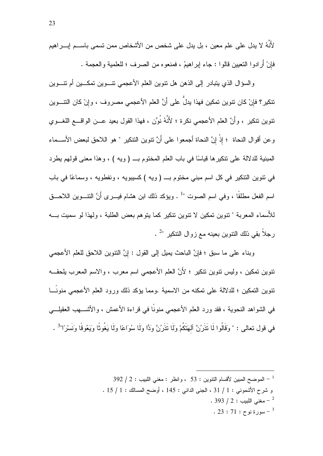لأَنَّهُ لا يدل على علم معين ، بل يدل على شخص من الأشخاص ممن تسمى باســـم ايــــراهيم فإنْ أَر ادو ا التعبين قالو ا : جاء إبر اهبمُ ، فمنعو ه من الصر ف ؛ للعلمية و العجمة .

والسؤال الذي يتبادر إلى الذهن هل نتوين العلم الأعجمي نتسوين تمكسين أم نتسوين نتكير؟ فإنْ كان نتوين تمكين فهذا يدلُّ على أَنَّ العلم الأعجمي مصروف ، وإنْ كان النتـــوين نتوين نتكير ، وأَنَّ العلم الأعجمي نكرة ؛ لأَنَّهُ نُوِّن ، فهذا القول بعيد عـــن الواقــــع اللغـــوي وعن أقوال النحاة ؛ إذْ إنَّ النحاة أجمعوا على أنَّ نتوين النتكير " هو اللاحق لبعض الأســماء المبنية للدلالة على نتكيرها قياسًا في باب العلم المختوم بـ (ويه ) ، وهذا معنى قولهم بطرد في نتوين التنكير في كل اسم مبني مختوم بـــ (ويه ) كسيبويه ، ونفطويه ، وسماعًا في باب اسم الفعل مطلقًا ، وفي اسم الصوت "<sup>1</sup> . ويؤكد ذلك ابن هشام فيــــرى أنَّ النتــــوين الـلاحــــق للأسماء المعربة " نتوين تمكين لا نتوين نتكير كما يتوهم بعض الطلبة ، ولهذا لو سميت بــــه رجلاً بقى ذلك النتوين بعينه مع زوال النتكير للحصحر

وبناء على ما سبق ؛ فإنَّ الباحث بمبل إلى القول : إنَّ النَّنوين اللَّحق للعلم الأعجمي نتوين تمكين ، وليس نتوين نتكير ؛ لأَنَّ العلم الأعجمي اسم معرب ، والاسم المعرب بلحقـــه تنوين التمكين ؛ للدلالة على تمكنه من الاسمية .ومما يؤكد ذلك ورود العلم الأعجمي منونَـــا في الشواهد النحوية ، فقد ورد العلم الأعجمي منونًا في قراءة الأعمش ، والأشــــهب العقيلـــــي في قول تعالى : " وقَالُوا لَا تَذَرِينَ آلهَتَكُمْ ولَا تَذَرِينَ وَدًّا ولَا سُوَاعًا ولَا يَغُوثًا ويَغوقًا ونَسْرًا"<sup>3</sup> .

> 392 / 2 : الموضح المبين لأقسام التتوين : 53 ، وانظر : مغنى اللبيب : 2 / 392 و شرح الأشموني : 1 / 31 ، الجني الداني : 145 ، أوضح المسالك : 1 / 15 . . 393 / 2 : مغنى اللسب  $12: 393$  $.23:71:7$ سور ةنو حـ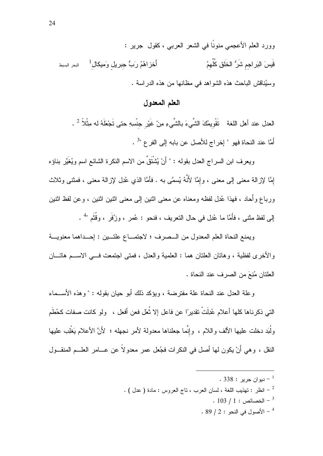وورد العلم الأعجمي منونًا في الشعر العربي ، كقول جرير : قَيسَ النَرِ اجم شَرُّ الخَلَقِ كُلِّهِمُ أَخز اهُمُ رَبُّ جبريلٍ وَميكالٍ<sup>1</sup> للبحر البسيط وسبُناقش الباحث هذه الشواهد في مظانها من هذه الدراسة .

## العلم المعدول

العدل عند أهل اللغة تَقْويمُكَ الشَّيءَ بالشَّيءِ مِنْ غَيْر جنْسِهِ حتى تَجْعَلَهُ له مِثْلاً  $^2$  . أُمَّا عند النحاة فهو " إخراج للأصل عن بابه إلى الفر ع "<sup>3</sup> .

ويعرف ابن السراج العدل بقوله : " أَنْ يُشْتَقَّ من الاسم النكرة الشائع اسم ويُغَيَّر بناؤه إِمَّا لإزالة معنى إلى معنى ، وإِمَّا لأَنَّهُ يُسمَّى به . فأمَّا الذي عُدِل لإزالة معنى ، فمثنى وثلاث وربـاع وأحـاد ، فـهذا عُدِل لفظـه ومـعنـاه عن مـعنـي اثنـين إلـي مـعنـي اثنين اثنـين ، و عن لفظ اثنـين إلى لفظ مثنـى ، فأمَّا ما عُدِل في حال النـعريف ، فنحو : عُمر ، وزُفَر ، وقُثَم "<sup>4</sup> .

ويمنع النحاة العلم المعدول من السصرف ؛ لاجتمـــاع علتـــين : إحـــداهما معنويـــة والأخرى لفظية ، وهانان العلنان هما : العلمية والعدل ، فمنى اجتمعت فـــي الاســـم هاتــــان العلتان مُنِعَ من الصرف عند النحاة .

و علة العدل عند النحاة علة مفترضة ، ويؤكد ذلك أبو حيان بقوله : " وهذه الأســماء التي ذكرناها كلها أعلام عُذِلَتْ تقديرًا عن فاعل إلا ثُعَل فعن أفعل ، ولو كانت صفات كحُطَم ولُبَد دخلت عليها الألف واللام ، وإنَّما جعلناها معدولة لأمر نجهله ؛ لأَنَّ الأعلام يَغْلِب عليها النقل ، وهي أَنْ يكون لمها أصل في النكرات فجُعل عمر معدولاً عن عـــامر العلـــم المنقـــول

- . ديو ان جر بر  $338:$  .
- انظر : تهذيب اللغة ، لسان العرب ، ناج العروس : مادة ( عدل ) .  $^{-2}$ 
	- $\cdot$  103 / 1 : الخصائص  $^{-3}$
	- $.89/2:$  الأصول في النحو $.89/2:$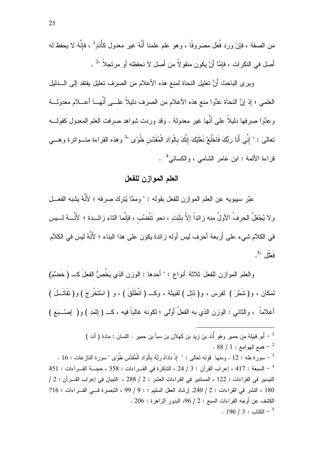من الصفة ، فإنْ ورد فُعَل مصروفًا ، وهو علم علمنا أنَّهُ غير معدول كأُدَدٍ<sup>1</sup> ، فإنَّهُ لا يحفظ له أصل في النكرات ، فإمَّا أَنْ يكون منقولاً من أصل لا نحفظه أو مرتجلاً "2.

ويرى الباحث أنَّ نعليل النحاة لمنع هذه الأعلام من الصرف نعليل يفتقد إلىي الــــدليل العلمي ؛ إذ إنَّ النحاة عدُّوا منع هذه الأعلام من الصرف دليلاً علـــي أنَّهـــا أعــــلام معدولـــة وعدَّوا صرفها دليلاً على أنَّها غير معدولة . وقد وردت شواهد صرفت العلم المعدول كقولــــه نعالى : " إنِّى أَنَا رَبُّكَ فَاخْلَعْ نَعْلَيْكَ إِنَّكَ بِالْوَادِ الْمُقَدَّس طُوًى "<sup>3</sup> وهذه القراءة متـــواترة وهـــي قراءة الأئمة : ابن عامر الشامي ، والكسائي<sup>4</sup> .

## العلم الموازن للفعل

عبَّر سيبويه عن العلم الموازن للفعل بقوله : " وممَّا يُترك صرفه ؛ لأَنَّهُ يشبه الفعـــل ولا يُجْعَلُ الحرفُ الأولُ منه زائداً إلاّ بثَبَتٍ ، نحو تَتْضُب ، فإنَّما التاء زائـــدة ؛ لأَنَّـــهُ لــــيس في الكلام شيء على أُربعة أحرف ليس أوله زائدة يكون على هذا البناء ؛ لأَنَّهُ ليس في الكلام  $5$ " فَعَلْل

والعلم الموازن للفعل ثلاثة أنواع : " أحدها : الوزن الذي يَخُصُّ الفعلَ كـــ ( خَضمَّ) لمكان ، و(شَمَّرَ ) لفرس ، و( دُئل ) لقبيلة ، وكـــ ( انْطَلَقَ ) ، و ( اسْتَخْرَجَ ) و( نَقَاتَـــلَ ) أعلاماً ، والثانبي : الوزن الذي به الفعلُ أوْلَى ؛ لكونه غالباً فيه ، كــــ ( إثمد ) و( ۖ إصــــبَع )

 $3.88 / 1$ : همع الهو امع  $-2$ <sup>3</sup> – سورة طه : 12 . ومنها قوله تعالى : " إذْ نَادَاهُ رَبُّهُ بِالْوَادِ الْمُقَدَّس طُوءِ "سورة النازعات : 16 . 451 - السبعة: 417 ، إعراب القرآن: 3 / 24 ، التذكرة في القـراءات: 358 ، حجــة القـر اءات: 451 النيسير في القراءات : 122 ، المستنير في القراءات العشر : 2 / 288 ، النبيان في إعراب القــرآن : 2 / 180 ، النشر في القراءات : 2 / 240, إرشاد العقل السليم : : 9 / 99 ، التبصر ة فسى القبر اءات : 716  $206:306$  الكشف عن أوجه القر اءات السبع : 2 / 96، البدور الز اهر ة : 206  $. 196 / 3:$  الكتاب  $^{-5}$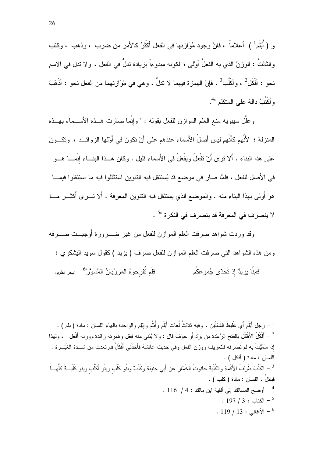و ( أُبْلُم ْ ) أعلاماً ، فإنَّ وجود مُوَازِ نها في الفعل أكْثَرُ كالأمر من ضرب ، وذهب ، وكتب والثالثُ : الوزنُ الذي به الفعلُ أولى ؛ لكونه مبدوءاً بزيادة تدلُّ في الفعل ، ولا تدل في الاسم نحو : أَفْكَل<sup>2</sup> ، وأكْلُب<sup>3</sup> ، فإنَّ الهمزة فيهما لا نذلٌ ، وهي في مُوَازنهما من الفعل نحو : أذْهَبُ وأكْتُبُ دالة على المتكلم "<sup>4</sup>.

وعلَّل سيبويه منع العلم الموازن للفعل بقوله : " وإنَّما صارت هــذه الأَســـماء بـهــذه المنزلة ؛ ﻷنَّهم كأنَّهم ليس أصلُ اﻷسماء عندهم على أنْ نكونَ في أولمها الزوائـــد ، ونكـــونَ على هذا البناء . ألا نرى أنْ نَفْعَلُ ويَفْعَلُ في الأَسماء قليل . وكان هــذا البنـــاء إنَّمـــا هـــو في الأَصل للفعل ، فلمَّا صار في موضع قد يُستثقل فيه النتوين استثقلوا فيه ما استثقلوا فيمـــا هو أُولىي بهذا البناء منه . والموضع الذي يستثقل فيه النتوين المعرفة . ألا تـــرى أكثـــر مــــا لا ينصرف في المعرفة قد ينصرف في النكرة "<sup>5</sup> .

وقد وردت شواهد صرفت العلم الموازن للفعل من غير ضــــرورة أوجبـــت صـــــرفه ومن هذه الشواهد النبي صرفت العلم الموازن للفعل صرف ( يزيد ) كقول سويد البشكري : فَلَم تُفرحوهُ المَرزُبانُ المُسَوَّرُ<sup>6</sup> البحر الطويل فَمِنَّا بَزِيدٌ إذ تَحَدّى جُموعَكُم

<sup>1</sup> – رجل أَبْلَم أَى غَليظُ الشفتَين . وفيه ثلاثُ لُغات أَبْلَم و أُبْلُم و إِبْلِم و الواحدة بالـهاء اللسان : مادة ( بلم ) . ً – أَفْكَلٌ الأَفْكَل بالفتح الرِّعْدة من بَرْد أَو خوف قال : ولا يُبْنى منه فِعْل وهمزته زائدة ووزنه أَفْعَل ، ولمهذا إذا سَمَّيْتَ به لم تصر فه للتعريف ووز ن الفعل وفي حديث عائشة فأَخَذَني أَفْكَلٌ فارتعدت من شـــدة الغَيْــر ة اللسان : مادة ( أفكل ) . <sup>3</sup> – الكَلْبُ طَرَفُ الأَكَمةِ والكُلْبةُ حانوتُ الخَمَّار عن أَبي حنيفة وكَلْبٌ وبنُو كَلْب وبنُو أكَلُب وبنو كَلْبــةَ كلُهــا قبائلُ . اللسان : مادة ( كلب ) . - أو ضبح المسالك إلى ألفية ابن مالك : 4 / 116 .  $197 / 3: 12^{5}$ الكتاب - 1  $\cdot$  119 | 13 : لأغاني $\cdot$  13 |  $^{-6}$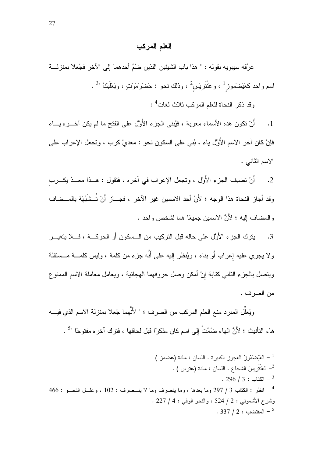### العلم المركب

عرَّفه سيبويه بقوله : " هذا باب الشيئين اللذين ضُمَّ أحدهما إلى الآخر فجُعلا بمنزلــــة اسم واحد كعَيْضَموز<sup>1</sup> ، وعَنْتَريْس<sup>2</sup> ، وذلك نحو : حَضْرْمَوْتٍ ، وبَعْلَبَكَّ "<sup>3</sup> .

وقد ذكر النحاة للعلم المركب ثلاث لغات<sup>4</sup> :

أَنْ نكون هذه الأسماء معربة ، فيُبنى الجزء الأَوَّل على الفتح ما لم يكن آخـــره يـــاء  $\cdot$ 1 فإنْ كان آخر الاسم الأُوَّل ياء ، بُنـى علـى السكون نـحو : معديْ كرب ، وتجعل الإعراب علـى الاسم الثانبي .

أَنْ تضيف الجزء الأُوَّل ، وتجعل الإعراب في آخره ، فتقول : هــذا معــدُ يكـــرب  $\cdot$  2 وقد أجاز النحاة هذا الوجه ؛ لأَنَّ أحد الاسمين غير الآخر ، فجـــاز أَنْ تُــشَبِّهَهُ بالمــضاف والمضاف الِليه ؛ لأَنَّ الاسمين جميعًا هما لشخص واحد .

يترك الجزء الأُوَّل على حاله قبل التركيب من الـــسكون أَو الحركـــة ، فــــلا يتغيــــر  $\cdot$ 3 ولا يجري عليه إِعراب أَو بناء ، ويُنظر إليه على أنَّه جزء من كلمة ، وليس كلمــــة مـــستقلة ويتصل بالجزء الثاني كتابة إنْ أمكن وصل حروفهما الهجائية ، ويعامل معاملة الاسم الممنوع من الصرف .

ويُعلُّل المبرد منع العلم المركب من الصرف ؛ " لأَنَّهما جُعِلا بمنزلة الاسم الذي فيــــه هاء النَّأنيث ؛ لأَنَّ الهاء ضُمَّتْ إلى اسم كان مذكرًا قبل لحاقها ، فترك آخره مفتوحًا "<sup>5</sup> .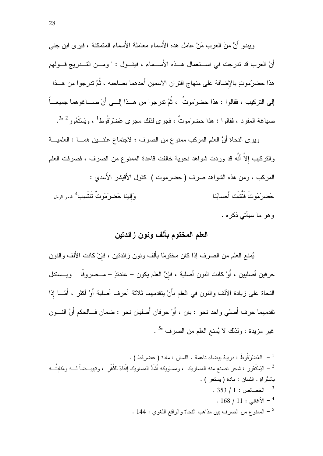وبيدو أَنَّ مِنَ العرب مَنْ عاملٍ هذه الأسماء معاملة الأسماء المتمكنة ، فيرى ابن جني أَنَّ العرب قد تدرجت في اســـتعمال هـــذه الأَســـماء ، فيقـــول : " ومـــن التـــدريج قـــولهم هذا حضرُموتٍ بالإضافة على منهاج اقتران الاسمين أحدهما بصاحبه ، ثُمَّ تدرجوا من هــذا إلى التركيب ، فقالوا : هذا حضرَموتُ ، ثُمَّ تدرجوا من هــذا إلـــي أنْ صــــاغوهما جميعـــاً صباغة المفرد ، فقالوا : هذا حضرَموتٌ ، فجرى لذلك مجرى عَضرْرَفُوطُ ، ويَسْتَعُور<sup>2 3</sup>".

وبر ي النحاة أَنَّ العلم المركب ممنوع من الصرف ؛ لاجتماع علتـــبن همــــا : العلميـــة والتركيب إلاَّ أنَّه قد وردت شواهد نحوية خالفت قاعدة الممنوع من الصرف ، فصرفت العلم المركب ، ومن هذه الشواهد صرف ( حضرموت ) كقول الأقيشر الأسدي : وَالِبِنا حَضرِيَمَوِتٌ نَتَنتَسِب<sup>4</sup> <sub>البحر</sub>ِ الرمَل حَضر َمَوتٌ فَتَّشَت أَحسابَنا وهو ما سيأتي ذكره .

## العلم المختوم بألف ونون زائدتين

يُمنع العلم من الصرف إذا كان مختومًا بألف ونون زائدتين ، فإنْ كانت الألف والنون حرفين أصليين ، أَوْ كانت النون أصلية ، فإنَّ العلم يكون – عندئذٍ – مـــصروفًا " ويـــستدل النحاة على زيادة الألف والنون في العلم بأَنْ يتقدمهما ثلاثة أحرف أصلية أَوْ أكثر ، أَمَّـــا إذا تقدمهما حرف أصلي واحد نحو : بان ، أَوْ حرفان أَصليان نحو : ضمان فــالحكم أَنَّ النـــون غير مزيدة ، ولذلك لا يُمنع العلم من الصرف "<sup>5</sup> .

.<br>- العَضرْفُوطُ : دويبة بيضاء ناعمة . اللسان : مادة ( عضرفط ) . الْبَسْتَعُور : شجر نصنع منه المساويك ، ومساويكه أَشَدُّ المساويك إنْقاءً للثُّغْر ، وتبييــضـاً لــــه ومَنابتُـــه  $^{-2}$ بالسَّر اةِ . اللسان : مادة (بستعر ) .  $.353 / 1:$  الخصائص  $-^{3}$  $. 168 / 11 :$  الأغاني  $^{-4}$ . 144 - الممنوع من الصرف بين مذاهب النحاة والواقع اللغوي : 144 .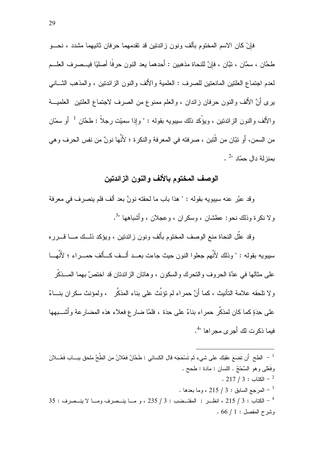فإنْ كان الاسم المختوم بألف ونون زائدتين قد نقدمهما حرفان ثانيهما مشدد ، نحـــو طحَّان ، سمَّان ، نبَّان ، فإنَّ للنحاة مذهبين : أَحدهما يعد النون حرفًا أصليًا فيــصرف العلـــم لعدم اجتماع العلنين المانعتين للصرف : العلمية والألف والنون الزائدتين ، والمذهب الثـــانـي برى أنَّ الألف والنون حرفان زائدان ، والعلم ممنوع من الصرف لاجتماع العلنين العلميـــة و الأَلف و النون الز ائدتين ، ويؤكد ذلك سيبويه بقوله : " و إذا سميّت رجلاً : طحَّان  $^{-1}$  أَو سمّان من السمن، أَو نبّان من الّتين ، صر فته في المعر فة و النكر ة ؛ لأَنّها نونٌ من نفس الحر ف و هي . بمنزلة دال حمّاد "

### الوصف المختوم بالألف والنون الزائدتين

وقد عبَّر عنه سيبويه بقوله : " هذا باب ما لحقته نونٌ بعد ألف فلم ينصرف في معرفة ولا نكرة وذلك نحو: عطشان ، وسكران ، وعجلان ، وأُشباهها "<sup>3</sup>.

وقد علَّل النحاة منع الوصف المختوم بأُلف ونون زائدتين ، ويؤكد ذلــك مـــا قــــرره سيبويه بقوله : " وذلك لأنَّهم جعلوا النون حيث جاءت بعـــد ألـــف كـــألف حمــــراء ؛ لأَنَّهـــا على مثالها في عدَّة الحروف والتحرك والسكون ، وهاتان الزائدتان قد اختصَّ بهما المـــذكَّر و لا تلحقه علامة التأنيث ، كما أَنَّ حمر اء لم تؤنَّث على بناء المذكَّر ، ولمؤنث سكر ان بنـــاءً على حِدَةٍ كما كان لمذكَّر حمراء بناءٌ على حِدَة ، فلمَّا ضار ع فعلاء هذه المضارعة وأُشْـــبهها فبما ذكر ت لك أُجر ي مجر اها "<sup>4</sup>.

الطح ۖ أن تَضنَعَ عَقِبَكَ على شيء ثم تَسْحَجَه قال الكسائي : طَحَّانُ فَعْلانُ من الطَّحِّ ملحق ببـــاب فَعْـــلانَ " وفَعْلـي وهو السَّحْجُ . اللسان : مادة : طحح .  $. 217 / 3 :$ الكتاب - 13 . المرجع السابق : 3 / 215 ، وما بعدها  $\sim$ 35 : الكتاب : 3 / 215 ، انظـــر : المقتـــضب : 3 / 235 ، و مـــا ينـــصرف ومـــا لا ينـــصرف : 35  $.66 / 1:$ وشرح المفصل : 1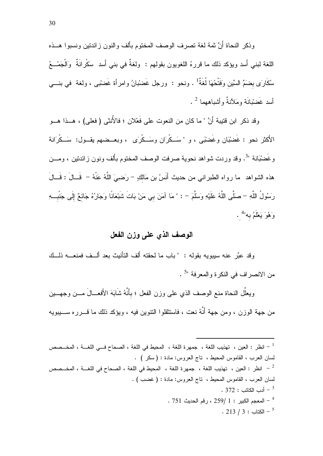وذكر النحاة أنَّ ثمة لغة نصرف الوصف المختوم بألف والنون زائدتين ونسبوا هــذه اللغة لبني أسد ويؤكد ذلك ما قررهُ اللغويون بقولهم : ولغةٌ في بني أسد سكْرانَةٌ وَالْجَمْــعُ سُكَارَى بِضَمِّ السِّينِ وَفَتْحُهَا لُغَةٌ أ . ونحو : ورجل غَضبْبانُ وامرأة غَضبْبي ، ولغة في بنـــي أسد غَضْبْانَة ومَلأَنةٌ وأشباههما <sup>2</sup> .

وقد ذكر ٍ ابن قتيبة أَنَّ " ما كان من النعوت على فَعْلان ؛ فالأنثى ( فعلي) ، هــذا هــو الأَكثر نحو : غَضبْبَان وغَضبْبَي ، و "سَــكْرِ َان وسَــكْرِ َى ، وبعــضبهم بِقــول: سَــكْرِ َانة وغَضْبَانة "<sup>3</sup>. وقد وردت شواهد نحوية صرفت الوصف المختوم بألف ونون زائدتين ، ومـــن هذه الشواهد ً ما رواه الطبراني من حديث أَنَسُ بن مَالكٍ – رَضـِيَ اللَّهُ عَنْهُ – ۖ قَــالَ : قَــالَ رَسُولُ اللَّهِ – صلَّى اللَّهُ عَلَيْهِ وَسَلَّمَ – : " مَا آمَنَ بي مَنْ بَاتَ شَبْعَانًا وَجَارُهُ جَائعٌ إلَى جَنْبٍ و وَهُوَ يَعْلَمُ به" .

# الوصف الذي على وزن الفعل

وقد عبَّرٍ عنه سيبويه بقوله : "باب ما لحقته ألف التأنيث بعد ألَّــف فمنعـــه ذلَّــك من الانصر اف في النكر ة و المعر فة "<sup>5</sup> .

ويعلِّل النحاة منع الوصف الذي على وزن الفعل ؛ بأنَّهُ شَابَهَ الأَفعــالَ مـــن وجهـــين من جهة الوزن ، ومن جهة أَنَّهُ نعت ، فاستثقلوا النتوين فيه ، ويؤكد ذلك ما قــرر ه ســـبيويه

لسان العرب ، القاموس المحيط ، ناج العروس: مادة : ( سكر ) . انظر : العين ، تهذيب اللغة ، جمهرة اللغة ، المحيط في اللغة ، الصحاح في اللغـــة ، المخــصص  $^{-2}$ لسان العرب ، القاموس المحيط ، تاج العروس: مادة : ( غضب ) . . 372 : أدب الكاتب  $^{-3}$ . 751 - المعجم الكبير : 1 /259 ، رقم الحديث  $\sim$  1.  $. 213 / 3 :$ الكتاب - 1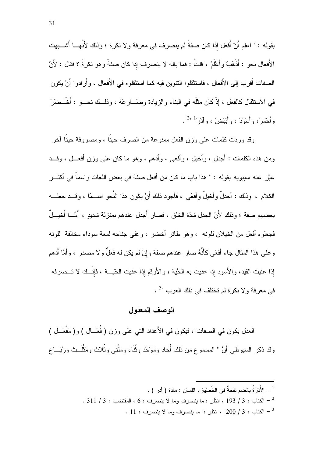بقوله : " اعلم أَنّ أفعل إذا كان صفةً لم ينصر ف في معر فة و لا نكر ة ؛ وذلك لأَنّهـــا أَشـــبهت الأَفعال نحو : أَذْهَبُ وأَعْلَمُ ، قلتُ : فما باله لا ينصرف إذا كان صفةً وهو نكرةً ؟ فقال : لأَنَّ الصفات أقرب إلى الأفعال ، فاستثقلوا النتوين فيه كما استثقلوه في الأفعال ، وأرادوا أنْ يكون في الاستثقال كالفعل ، إذْ كان مثلَه في البناء والزيادة وضَـــارعَهُ ، وذلـــك نحـــو : أَخْــضَرَ َ و أَحْمَرَ ، و أَسْوْدَ ، و أَبْبَضِ َ ، و آدَرَ َ  $^{2n-1}$  .

وقد وردت كلمات على وزن الفعل ممنو عة من الصرف حينًا ، ومصر وفة حينًا آخر ومن هذه الكلمات : أجدل ، وأخيل ، وأفعى ، وأدهم ، وهو ما كان على وزن أفعـــل ، وقـــد عبَّر عنه سيبويه بقوله : " هذا باب ما كان من أفعل صفة في بعض اللغات واسماً في أكثـــر الكلام ، وذلك : أجدلٌ وأخيلٌ وأفعًى ، فأجود ذلك أَنْ يكون هذا النَّحو اســـمًا ، وقـــد جعلـــه بعضهم صفة ؛ وذلك لأَنَّ الجدل شدَّة الخلق ، فصار أَجدل عندهم بمنزلة شديدٍ ، أَمَّــا أَخيـــلٌ فجعلو ه أفعل من الخيلان للونه ) و هو طائر أخضر ) و على جناحه لمعة سوداء مخالفة للونه وعلى هذا المثال جاء أفعًى كأنَّهُ صارٍ عندهم صفة وإنْ لم يكن له فعلٌ ولا مصدرٍ ، وأمَّا أدهم إذا عنيت القيد، والأسود إذا عنيت به الحَّية ، والأَرقم إذا عنيت الحَّيـــة ، فإنَّــك لا تـــصرفه في معرفة و لا نكر ة لم تختلف في ذلك العرب "<sup>3</sup> .

#### الوصف المعدول

العدل يكون في الصفات ، فيكون في الأعداد التي على وزن ( فُعَــال ) و( مَفْعَــل ) وقد ذكر السبوطي أنَّ " المسموع من ذلك أُحاد ومَوْحَد وثُنَاء ومَثْنَى وثُلاث ومَثْلَــث ورُبَـــاع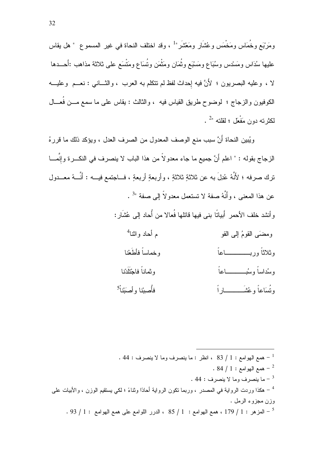ومَرْبَعٍ وخُمَاسٍ ومَخْمَسٍ وعُشَارٍ ومَعْشَرٍ" ، وقد اختلف النحاة في غير المسموع " هل يقاس عليها سُدَاس ومَسْدس وسُبَاع ومَسْبَع وثُمَان ومَثْمَن ونُسَاع ومَتْسَع على ثلاثة مذاهب :أحـــدها لا ، وعليه البصريون ؛ لأنَّ فيه إحداث لفظ لم نتكلم به العرب ، والنَّـــانـي : نعـــم وعليـــه الكوفيون والزجاج ؛ لوضوح طريق القياس فيه ، والثالث : يقاس على ما سمع مـــن فُعـــال لمكثرته دون مَفْعَل ؛ لقلته "2 .

ويُبين النحاة أَنَّ سبب منع الوصف المعدول من الصرف العدل ، ويؤكد ذلك ما قررهُ الزجاج بقوله : " اعلم أَنَّ جميع ما جاء معدولاً من هذا الباب لا ينصرف في النكـــرة وإنَّمــــا ترك صرفه ؛ لأَنَّهُ عُدِلَ به عن ثلاثةٍ ثلاثةٍ ، وأربعةٍ أربعةٍ ، فـــاجتمع فيـــه : أَنَّـــهُ معـــدول عن هذا المعنى ، و أنَّهُ صفة لا تستعمل معدو لاً إلى صفة "<sup>3</sup> . وأنشد خلف الأحمر أَبياتًا بني فيها قائلها فُعالا من أُحاد اِلِي عُشَارٍ :

> م أحاد و اثنا<sup>4</sup> و مضيًے القومُ إلى القو وثلاثاً وربـــــــــــاعاً وخماساً فأطَعْنا وثماناً فاحتَلَانا و ميُدامياً و ميُسِيد حساحاً و تُسَاعاً و عُثنَــــــــــــار أ فأصيننا و أصَينناً<sup>5</sup>

. 44 - همع الهوامع : 1 / 83 ، انظر : ما ينصرف وما لا ينصرف : 44 .  $-84$  / 1 همع الهو امع  $-2$ . 44  $\pm$  ما بنصر ف وما لا بنصر ف  $^{-3}$ <sup>4</sup> – هكذا وردت الرواية في المصدر ، وربما نكون الرواية أحادًا وثناءً ؛ لكي يستقيم الوزن ، والأبيات علي وزن مجزوء الرمل .  $\sim 93$  / 1 : المزهر  $1$  / 179 ، همع الهوامع  $1$  / 85 ، الدرر اللوامع على همع الهوامع  $1$  / 93 .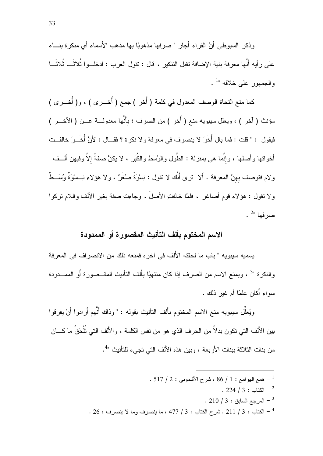وذكر السبوطي أنَّ الفراء أجاز "صرفها مذهوبًا بها مذهب الأسماء أي منكر ة بنساء على رأيه أنَّها معرفة بنية الإضافة تقبل التتكير ، قال : تقول العرب : ادخلــوا ثُلاثَـــا ثُلاثَـــا والجمهور على خلافه  $^{1}$ .

كما منع النحاة الوصف المعدول في كلمة ( أُخر ) جمع ( أُخــــرى ) ، و( أُخـــرى ) مؤنث ( آخر ) ، ويعلل سيبويه منع ( أُخر ) من الصرف ؛ بأنَّها معدولـــة عـــن ( الأخـــر ) فيقول : " قلت : فما بال أُخَرَ لا ينصرف في معرفة و لا نكرة ؟ فقــال : لأَنَّ أُخَــرَ خالفــت أخواتها وأصلها ، وإنَّما هي بمنزلة : الطُّول والوُسَط والكُبَر ، لا يكنَّ صفةً إلاَّ وفيهن ألــف ولام فتوصف بهنَّ المعرفة . ألا ترى أنَّك لا تقول : نِسْوَةٌ صنُغَرٌ ، و لا هؤلاء نِــسوَةٌ وُسَــطٌ ولا تقول : هؤلاء قوم أصاغر ٍ ، فلمَّا خالفتِ الأصلَ ، وجاءت صفة بغير الألف واللام نركوا .  $^{2}$ صرفها $^{2}$ 

# الاسم المختوم بألف التأنيث المقصورة أو الممدودة

يسميه سيبويه " باب ما لحقته الأُلف في آخره فمنعه ذلك من الانصراف في المعرفة والنكرة "<sup>3</sup> ، ويمنع الاسم من الصرف إذا كان منتهيًا بأَلف التأنيث المقــصورة أَو الممـــدودة سواءِ أَكان علمًا أم غير ذلك .

ويُعلَّل سيبويه منع الاسم المختوم بأَلف التأنيث بقوله : " وذاك أنَّهم أَرادوا أَنْ يفرقوا بين الأَلف التي تكون بدلاً من الحرف الذي هو من نفس الكلمة ، والأَلف التي تُلْحَقُ ما كـــان من بنات الثلاثة ببنات الأربعة ، وبين هذه الألف التي تجيء للتأنيث "<sup>4</sup>.

- . 517 / 2 همع المهولِمع : 1 / 86 ، شرح الأشموني : 2 / 517 .
	- $. 224 / 3 : 224 2$ الكتاب -
	- . 210 | 3 | المرجع السابق  $3: 210$
- . 26 : الكتاب : 3 / 211 . شرح الكتاب : 3 / 477 ، ما ينصرف وما لا ينصرف : 26 .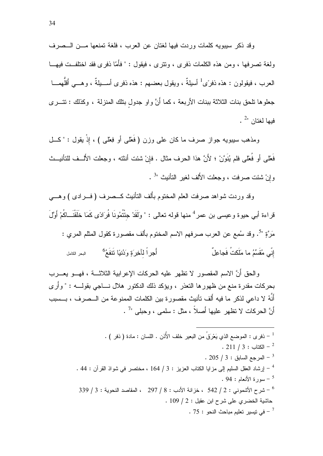وقد ذكر سيبويه كلمات وردت فيها لغتان عن العرب ، فلغة تمنعها مــن الـــصرف ولغة تصرفها ، ومن هذه الكلمات ذفر ي ، وتتر ي ، فبقول : " فأَمَّا ذفر ي فقد اختلفــت فبهــا العرب ، فيقولون : هذه ذفرًى<sup>1</sup> أسيلةٌ ، ويقول بعضهم : هذه ذفرى أســـيلةٌ ، وهـــي أقلُّهمــــا جعلوها نلحق بنات الثلاثة ببنات الأربعة ، كما أَنَّ واو جدول بنلك المنزلة ، وكذلك : نتـــرى .  $^{2}$ فيها لغتان "

ومذهب سيبويه جواز صرف ما كان على وزن (فَعْلـَى أو فِعْلـَى ) ، إِذْ يقول : "كـــل فَعْلَى أَو فُعْلَى فلم يُنُوَّنْ ؛ لأَنَّ هذا الحرف مثال . فإنْ شئت أنثته ، وجعلت الأَلــف للتأنيــث وإنْ شئت صرفت ، وجعلت الألف لغير التأنيث "<sup>3</sup> .

وقد وردت شواهد صرفت العلم المختوم بألف التأنيث كــصرف ( فـــرادي ) وهــــي قراءة أبي حيوة وعيسى بن عمر <sup>4</sup> منها قوله تعالى : " ولَقَدْ جِئْتُمُونَا فُرَادًى كَمَا خَلَقْنَــاكُمْ أَوَّلَ مَرَّةٍ "ً. وقد سُمِع عن العرب صرفهم الاسم المختوم بألف مقصورة كقول المثلم المري : إِنِّي مُقَسِّمُ ما مَلَكتُ فَجاعِلٌ أَجِرِ اً لَآخِرَ ءَ وَدُنبًا نَتَفَعُ<sup>0</sup> البحر الكامل

والحق أنَّ الاسم المقصور لا نظهر عليه الحركات الإعرابية الثلاثــــة ، فهـــو يعــــرب بحركات مقدرة منع من ظهورها التعذر ، ويؤكد ذلك الدكتور هلال نساجي بقولــــه : " وأرى أَنَّهُ لا داعه ٍ لذكر ٍ ما فيه أَلف تأنيث مقصورة بين الكلمات الممنوعة من الــصرف ، بــسبب أَنَّ الحركات لا تظهر عليها أصلاً ، مثل : سلمي ، وحللي "<sup>7</sup> .

$$
\frac{1}{2} - i\epsilon_{0.}
$$
 :   $-\frac{1}{2}$  :   $-\frac{1}{2}$  :   $-\frac{1}{2}$  :   $-\frac{1}{2}$  :   $-\frac{1}{2}$  :   $-\frac{1}{2}$  :   $-\frac{1}{2}$  :   $-\frac{1}{2}$  :   $-\frac{1}{2}$  :   $-\frac{1}{2}$  :   $-\frac{1}{2}$  :   $-\frac{1}{2}$  :   $-\frac{1}{2}$  :   $-\frac{1}{2}$  :   $-\frac{1}{2}$  :   $-\frac{1}{2}$  :   $-\frac{1}{2}$  :   $-\frac{1}{2}$  :   $-\frac{1}{2}$  :   $-\frac{1}{2}$  :   $-\frac{1}{2}$  :   $-\frac{1}{2}$  :   $-\frac{1}{2}$  :   $-\frac{1}{2}$  :   $-\frac{1}{2}$  :   $-\frac{1}{2}$  :   $-\frac{1}{2}$  :   $-\frac{1}{2}$  :   $-\frac{1}{2}$  :   $-\frac{1}{2}$  :   $-\frac{1}{2}$  :   $-\frac{1}{2}$  :   $-\frac{1}{2}$  :   $-\frac{1}{2}$  :   $-\frac{1}{2}$  :   $-\frac{1}{2}$  :   $-\frac{1}{2}$  :   $-\frac{1}{2}$  :   $-\frac{1}{2}$  :   $-\frac{1}{2}$  :   $-\frac{1}{2}$  :   $-\frac{1}{2}$  :   $-\frac{1}{2}$  :   $-\frac{1}{2}$  :   $-\frac{1}{2}$  :   $-\frac{1}{2}$  :   $-\frac{1}{2}$  :   $-\frac{1}{2}$  :   $-\frac{1}{2}$  :   $-\$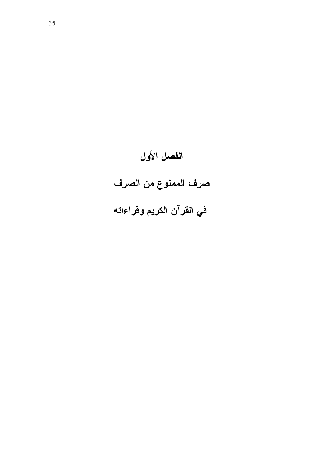# الفصل الأول

# صرف الممنوع من الصرف

# في القرآن الكريم وقراءاته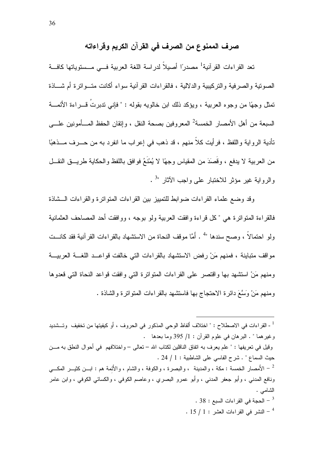### صرف الممنوع من الصرف في القرآن الكريم وقراءاته

تعد القراءات القرآنية<sup>1</sup> مصدرًا أصيلاً لدراسة اللغة العربية فـــى مــستوياتها كافـــة الصونية والصرفية والنركيبية والدلالية ، فالقراءات القرآنية سواء أكانت متــواترة أم شـــاذة تمثل وجهًا من وجوه العربية ، ويؤكد ذلك ابن خالويه بقوله : " فإنـى ندبرتُ قــــراءة الأئمــــة السبعة من أهل الأمصار الخمسة<sup>2</sup> المعروفين بصحة النقل ، وإنقان الحفظ المــأمونين علـــي تأدية الرواية واللفظ ، فرأيت كلاً منهم ، قد ذهب في إعراب ما انفرد به من حـــرف مـــذهبًا من العربية لا يدفع ، وقَصَدَ من المقياس وجهًا لا يُمْنَعُ فوافق باللفظ والحكاية طريـــق النقـــل والرواية غير مؤثر للاختبار على واجب الأثار "<sup>3</sup> .

وقد وضع علماء القراءات ضوابط للتمييز بين القراءات المتواترة والقراءات الـــشاذة فالقراءة المنواترة هي "كل قراءة وافقت العربية ولو بوجه ، ووافقت أحد المصاحف العثمانية ولو احتمالاً ، وصح سندها "<sup>4</sup> . أَمَّا موقف النحاة من الاستشهاد بالقر اءات القر آنية فقد كانـــت مواقف متباينة ، فمنهم مَنْ رفض الاستشهاد بالقراءات التي خالفت قواعــد اللغـــة العربيـــة ومنهم مَنْ استشهد بها واقتصر على القراءات المتواترة التي وافقت قواعد النحاة التي قعدوها ومنهم مَنْ وَسَّعَ دائرة الاحتجاج بها فاستشهد بالقراءات المتواترة والشاذة .

<sup>1</sup> - القراءات في الاصطلاح : " اختلاف ألفاظ الوحي المذكور في الحروف ، أو كيفيتها من تخفيف وتـــشديد وغيرهما " . البرهان في علوم القرآن : 1/ 395 وما بعدها . وقيل في تعريفها : " علم يعرف به اتفاق الناقلين لكتاب الله – تعالى – و اختلافهم في أحو ال النطق به مـــن حيث السماع " . شرح الفاسي على الشاطبية : 1 / 24 . الأمصار الخمسة : مكة ، والمدينة ، والبصرة ، والكوفة ، والشام ، والأئمة هم : ابـــن كثيـــر المكـــي " ونافع المدنى ، وأبو جعفر المدنى ، وأبو عمرو البصرى ، وعاصم الكوفى ، والكسائى الكوفى ، وابن عامر الشامبي . . 38 - الحجة في القراءات السبع : 38 .  $15/1:$  - النشر في القراءات العشر  $1:$  .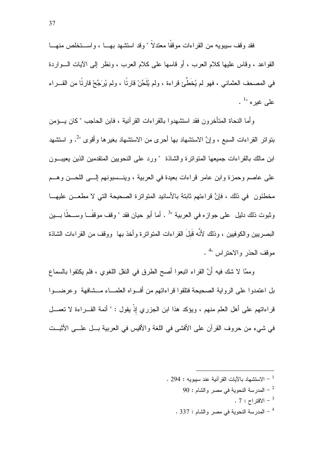فقد وقف سببويه من القر اءات موقفًا معتدلاً " وقد استشهد بهــا ، واســـتخلص منهـــا القواعد ، وقاس عليها كلام العرب ، أو قاسها على كلام العرب ، ونظر إلى الآبات الـــواردة في المصحف العثماني ، فهو لم يُخَطَّئ قراءة ، ولم يُلَحِّنْ قارِئًا ، ولم يُرَجِّحْ قارِئًا من القـــراء . علمی غیرہ  $^{-1}$ 

و أما النحاة المتأخرون فقد استشهدوا بالقراءات القرآنية ، فابن الحاجب "كان يـــؤمن بنواتر القراءات السبع ، وإنَّ الاستشهاد بها أحرى من الاستشهاد بغيرها وأقوى "<sup>2</sup>. و استشهد ابن مالك بالقراءات جميعها المتوانزة والشاذة "ورد على النحويين المتقدمين الذين يعيبـــون على عاصم وحمزة وابن عامرٍ قراءات بعيدة في العربية ، وينـــسبونهم إلــــي اللحـــن وهـــم مخطئون ۖ في ذلك ، فإنَّ قراءتهم ثابتة بالأسانيد المتواترة الصحيحة التي لا مطعـــن عليهـــا وثبوت ذلك دليل على جواز ه في العربية "3 . أما أبو حيان فقد " وقف موقفًــا وســـطًا بـــين البصر بين و الكو فبين ، و ذلك لأنَّه قَبِلَ القر اءات المتو اتر ة و أخذ بـها وو قف من القر اءات الشاذة موقف الحذر والاحتراس "<sup>4</sup> .

وممَّا لا شك فيه أنَّ القراء انبعوا أصح الطرق في النقل اللغوى ، فلم يكتفوا بالسماع بل اعتمدوا على الرواية الصحيحة فتلقوا قراءاتهم من أف واه العلمـــاء مـــشافهة وعرضـــوا قراءاتهم على أهل العلم منهم ، ويؤكد هذا ابن الجزري إذْ يقول : " أئمة القـــراءة لا تعمـــل في شيء من حروف القرآن على الأفشي في اللغة والأقيس في العربية بـــل علـــي الأثبـــت

- . 294 : الاستشهاد بالآبات القر آنية عند سببويه  $294:294$ 
	- 90 : المدرسة النحوية في مصر والشام  $\sim$ 
		- .  $7:7$ الاقتر اح : 7 .
	- . 337 المدرسة النحوية في مصر والشام : 337 .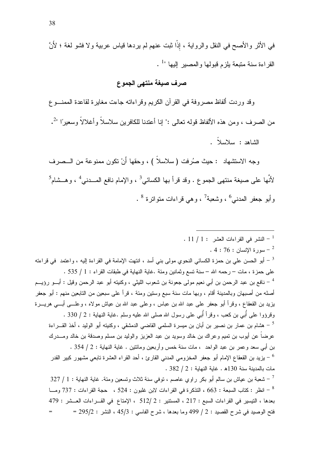### صرف صيغة منتهى الجموع

وقد وردت ألفاظ مصروفة في القرآن الكريم وقراءاته جاءت مغايرة لقاعدة الممنسوع من الصرف ، ومن هذه الألفاظ قوله نعالى :" إنا أعتدنا للكافرين سلاسلاً وأغلالاً وسعيرًا "-ْ. الشاهد : سلاسلاً .

وجه الاستشهاد : حيث صُرفت ( سلاسلاً ) ، وحقها أَنْ نكون ممنوعة من الـــصرف لأنَّها على صبغة منتهى الجموع . وقد قرأ بها الكسائي<sup>3</sup> ، والإمام نافع المـــدنى<sup>4</sup> ، وهــشام<sup>5</sup> وأبو جعفر المدنى<sup>6</sup> ، وشعبة<sup>7</sup> ، وهي قراءات متواترة <sup>8</sup> .

### $11$  / 1: النشر في القراءات العشر  $1$  / 1:

. 4 : 76 : سورة الإنسان  $76$  : 4 .

أبو الحسن على بن حمزة الكسائي النحوي مولى بني أسد ، انتهت الإمامة في القراءة إليه ، واعتمد في قراءته  $^{-3}$ على حمزة ، مات – رحمه الله – سنة تسع وثمانين ومئة .غاية النهاية في طبقات القراء : 1 / 535 . <sup>4</sup> – نافع بن عبد الرحمن بن أبـي نعيم مولـي جعونـة بن شعوب الليثـي ، وكنيتـه أبو عبد الرحمن وقيل : أبـــو رؤيـــم أصله من أصبهان وبالمدينة أقام ، وبها مات سنة سبع وستين ومئة ، قرأ على سبعين من التابعين منهم : أبو جعفر بزيد بن القعقاع ، وقرأ أبو جعفر على عبد الله بن عباس ، وعلى عبد الله بن عياش مولاه ، وعلــــى أبــــى هريــــرة وقرؤوا على أُبي بن كعب ، وقرأ أُبي على رسول الله صلى الله عليه وسلم .غاية النهاية : 2 / 330 . هشام بن عمار بن نصير بن أبان بن ميسرة السلمى القاضى الدمشقى ، وكنيته أبو الوليد ، أخذ القـــراءة  $\sim$ عرضاً عن أيوب بن تميم وعراك بن خالد وسويد بن عبد العزيز والوليد بن مسلم وصدقة بن خالد ومــــدرك بن أبي سعد و عمر بن عبد الواحد ، مات سنة خمس و أربعين ومائتين . غاية النهاية : 2 / 354 . يزيد بن القعقاع الإمام أبو جعفر المخزومي المدنى القارئ ، أحد القراء العشرة تابعي مشهور كبير القدر  $^{\rm 6}$  $.382 / 2:$ مات بالمدينة سنة 130هـ غاية النهاية : 2 / 382 شعبة بن عياش بن سالم أبو بكر راوي عاصم ، نوفي سنة ثلاث وتسعين ومئة. غاية النهاية : 1 / 327  $\,$ انظر : كتاب السبعة : 663 ، التذكر ة في القراءات لابن غلبون : 524 ، حجة القراءات : 737 ومــا "

بعدها ، التيسير في القراءات السبع : 217 ، المستتير : 2 /512 ، الإمتاع في القــراءات العــشر : 479 = 295/2 : فتح الوصيد في شرح القصيد : 2 / 499 وما بعدها ، شرح الفاسي : 45/3 ، النشر : 295/2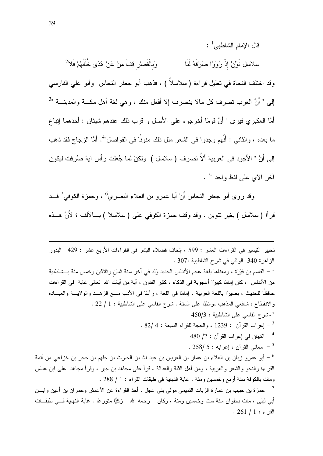قال الإمام الشاطبي<sup>1</sup> :

وَبِالْقَصْرِ قِفْ مِنْ عَنْ هُدَى خُلْفُهُمْ فَلاً سلاسل نَوِّنْ إِذْ رَوَوْا صَرَفَهُ لَنَا وقد اختلف النحاة في تعليل قراءة ( سلاسلاً ) ، فذهب أبو جعفر النحاس وأبو علي الفارسي إلى " أَنَّ العرب نصرف كل مالا ينصرف إلا أفعل منك ، وهي لغة أهل مكـــة والمدينـــة "<sup>3</sup> أمَّا العكبري فيري " أَنَّ قومًا أخرجوه على الأَصل و قرب ذلك عندهم شيئان : أحدهما إتباع ما بعده ، والثاني : أَنَّهم وجدوا في الشعر مثل ذلك منونًا في الفواصل"<sup>4</sup>. أَمَّا الزجاج فقد ذهب إلى أَنَّ " الأجود في العربية ألاَّ تصرف (سلاسل ) ولكنْ لما جُعلت رأس آية صُرفت ليكون  $^{5}$ آخر الآي علي لفظ واحد "5 .

وقد روى أبو جعفر النحاس أَنَّ أبا عمرو بن العلاء البصري<sup>6</sup> ، وحمزة الكوفي<sup>7</sup> قـــد قرأا (سلاسل ) بغير نتوين ، وقد وقف حمزة الكوفي على ( سلاسلا ) بـــالألف ؛ لأَنَّ هـــذه

تحبير التيسير في القراءات العشر : 599 ، إتحاف فضلاء البشر في القراءات الأربع عشر : 429 البدور الزاهرة 340 الوافي في شرح الشاطبية :307 .  $^{-1}$  القاسم بن فيْرَة ، ومعناها بلغة عجم الأندلس الحديد وُلد في آخر سنة ثمان وثلاثين وخمس مئة بـــشاطبية  $^{-1}$ من الأندلس ، كان إمامًا كبيرًا أعجوبة في الذكاء ، كثير الفنون ، آية من آيات الله تعالى غاية في القراءات حافظًا للحديث ، بصيرًا باللغة العربية ، إمامًا في اللغة ، رأسًا في الأدب مـــع الزهـــد والولايـــة والعبـــادة والانقطاع ، شافعي المذهب مواظبًا على السنة . شرح الفاسي على الشاطبية : 1 / 22 .  $450/3$ : أشرح الفاسي على الشاطبية - 450/3 . 82/ 4 : بعراب القرآن : 1239 ، والحجة للقراء السبعة : 4 /82 .  $480/2:$ التبيان في إعر اب القر آن  $2:2$ . 258/ 5 - معاني القرآن ، إعرابه  $5$  /258 . أبو عمرو زبان بن العلاء بن عمار بن العريان بن عبد الله بن الحارث بن جلهم بن حجر بن خزاعي من أئمة  $^6$ القراءة والنحو والشعر والعربية ، ومن أهل الثقة والعدالة ، قرأ على مجاهد بن جبر ، وقرأ مجاهد ً على ابن عباس ومات بالكوفة سنة أربع وخمسين ومئة . غاية النهاية في طبقات القراء : 1 / 288 . حمزة بن حبيب بن عمارة الزيات التميمي مولى بني عجل ، أخذ القراءة عن الأعمش وحمران بن أعين وابـــن — محارة الزيات  $^{-7}\,$ أبي لبلي ، مات بحلو ان سنة ست و خمسين ومئة ، وكان – ر حمه الله – زكبًّا متور عًا . غابة النهاية فـــي طبقــات  $.261/1:$ القراء ا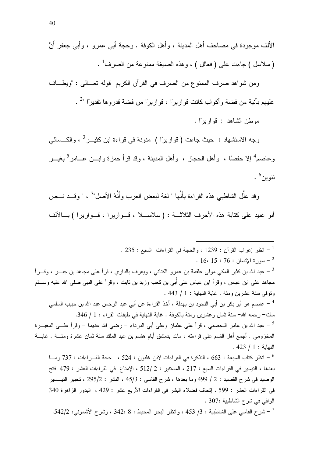ومن شواهد صرف الممنوع من الصرف في القرآن الكريع ۖ قوله تعــالى : "ويطـــاف عليهم بآنية من فضة وأكواب كانت قواريرًا ، قواريرًا من فضة قدروها تقديرًا "<sup>2</sup> .

موطن الشاهد : قواريرًا .

وجه الاستشهاد : حيث جاءت ( فواريرًا ) منونة في فراءة ابن كثيـــر<sup>3</sup> ، والكـــسائـي وعاصم<sup>4</sup> إلا حفصًا ، وأهل الحجاز ، وأهل المدينة ، وقد قرأ حمزة وابـــن عــــامر<sup>5</sup> بغيـــر نٽوين<sup>6</sup> .

وقد علَّل الشاطبي هذه القراءة بأَنَّها " لغة لبعض العرب وأنَّهُ الأصل"<sup>7</sup> ، " وقـــد نـــص أبو عبيد على كتابة هذه الأحرف الثلاثـــة : (سلاســــلا ، قـــواريرا ، قـــواريرا ) بـــالألف

. 235 : انظر إعراب القرآن : 1239 ، والحجة في القراءات السبع : 235 .  $16.15:76:1$ سورة الإنسان - 16  $^{-2}$ عبد الله بن كثير المكي مولمي علقمة بن عمرو الكنانبي ، ويعرف بالداري ، قرأ علمي مجاهد بن جبـــر ، وقــــرأ  $^{-3}$ مجاهد علمي ابن عباس ، وقرأ ابن عباس علمي أُبـي بن كعب وزيد بن ثابت ، وقرأ علـي النبـي صلـي الله عليه وســـلم ونوفي سنة عشرين ومئة . غاية النهاية : 1 / 443 . <sup>4</sup> – عاصم هو أبو بكر بن أبي النجود بن بهدلة ، أخذ القراءة عن أبي عبد الرحمن عبد الله بن حبيب السلمي مات- رحمه الله- سنة ثمان وعشرين ومئة بالكوفة . غاية النهاية في طبقات القراء : 1 / 346. <sup>5</sup> – عبد الله بن عامر اليحصبـي ، قرأ علـي عثمان وعلـي أبـي الدرداء – رضـي الله عنـهما – وقرأ علـــي المغيـــرة المخزومي . أجمع أهل الشام على قراءته ، مات بدمشق أيام هشام بن عبد الملك سنة ثمان عشرة ومئــــة . غايــــة  $.423 / 1:$ النهابة انظر كتاب السبعة : 663 ، التذكرة في القراءات لابن غلبون : 524 ، حجة القـــراءات : 737 ومـــا انظر كتاب السبعة : 337 ومـــا

بعدها ، التيسير في القراءات السبع : 217 ، المستتير : 2 /512 ، الإمتاع في القراءات العشر : 479 فتح الوصيد في شرح القصيد : 2 / 499 وما بعدها ، شرح الفاسي : 45/3 ، النشر : 295/2 ، تحبير التيسير في القراءات العشر : 599 ، إتحاف فضلاء البشر في القراءات الأربع عشر : 429 ، البدور الزاهرة 340 الو افي في شرح الشاطبية :307 .

شرح الفاسي على الشاطبية : 3/ 453 ، وانظر البحر المحيط : 8 :342 ، وشرح الأشموني: 542/2.  $^{-7}$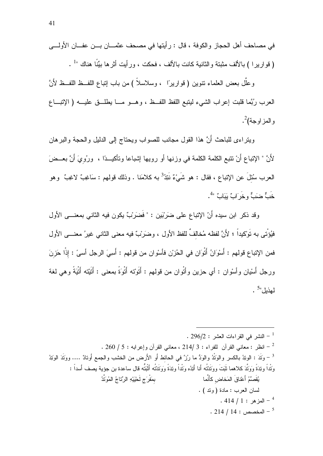وعلَّل بعض العلماء نتوين ( فواريرًا ، وسلاسلاً ) من باب إنباع اللفــظ اللفــظ لأَنَّ العرب رُبَّمًا قلبت إعراب الشَّيء ليتبع اللُّفظ اللُّفـظ ، وهــو مـــا يطلَّــق عليـــه ( الإتبـــاع والمزاوجة)<sup>2</sup>.

ويتراءى للباحث أَنَّ هذا القول مجانب للصواب ويحتاج إلى الدليل والحجة والبرهان لأَنَّ " الإِتباع أَنْ نتبع الكلمة الكلمة في وزنها أو رويها إشباعا وتأكيــدًا ، ۖ ورُويَ أَنَّ بعــضَ العرب سُئلَ عن الإنباع ، فقال : هو شَيْءٌ نَتِدُ<sup>3</sup> به كلامَنا . وذلك قولهم : سَاغِبٌ لاغِبٌ وهو خَبٌّ ضَبَّ و خَر<sup>َ</sup>ابٌ يَبَابُ<sup>ّ "4</sup>.

وقد ذكر ابن سيده أَنّ الإتباع على ضرَبْين : " فَضَرَبٌ يكون فيه الثاني بمعنـــي الأول فيُؤْتي به تَوْكيداً ؛ لأَنَّ لفظه مُخالفٌ للفظ الأول ، وضَرَبٌ فيه معنى الثاني غيرُ معنـــي الأول فمن الإنباع قولهم : أَسْوَانُ أَتْوَان في الحُزْن فأسْوان من قولهم : أَسِيَ الرجل أسيَّ : إذْا حَزِنَ ورجل أَسْيان وأسْوان : أي حزين وأَتْوان من قولهم : أَتَوْتَه أَتْوَةً بمعنى : أَتَيْتَه أَتْيَةً وهي لغة لهذبل"5.

$$
1 - \text{النشر في القراءات العشر : 296/2.
$$
 - أنظر : معاني القرآن و إعرابه : 200 / 5. - انظر : معاني القرآن للفراء : 214/3 -  
- آنظر : معاني القرث، بالکسر والوَتُدُ والوَدُ مارُزَّ في الحائط أو الأرض من الحشب والجمع أوتِدَّ، بُوَية بصف أسداً :  
وَتُدَاً وتِدَ مَّ وَرَتَّدَ كلاهما تُبَتَ ووَتَدُتُه أَنًا أَتِدُه وَتَدُتُه أَتُبِدَّه أَتُبِدَّهِ الَرِّتَاجُ المُوَتَّدُ  
لسان العرب : مادة (وتد ) .  
- المخصص : 414 / 11 .  
- المخصص : 214 / 14 .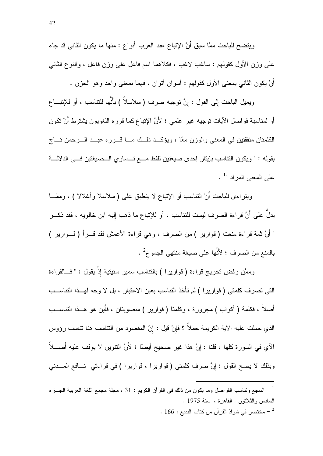ويتضح للباحث ممَّا سبقٍ أَنَّ الإتباع عند العرب أنواع : منها ما يكون الثاني قد جاء على وزن الأول كقولهم : ساغب لاغب ، فكلاهما اسم فاعل على وزن فاعل ، والنوع الثاني أنْ يكون الثاني بمعنى الأول كقولهم : أسوان أنوان ، فهما بمعنى واحد وهو الحزن .

ويميل الباحث إلى القول : إنَّ نوجيه صرف ( سلاسلاً ) بأنَّها للنناسب ، أو للإنبـــاع أو لمناسبة فواصل الآيات توجيه غير علمي ؛ لأنَّ الإنباع كما قرره اللغويون بشترط أنْ نكون الكلمتان متفقتين في المعنى والوزن معًا ، ويؤكــد ذلــك مـــا قـــرره عبــد الـــرحمن تـــاج بقوله : " ويكون النتاسب بإيثار إحدى صيغتين للفظ مـــع تــساوي الـــصيغتين فـــي الدلالــــة  $^{-1}$ على المعنى المر اد  $^{-1}$ .

وبِتراءى للباحث أنَّ النَّناسب أو الإنباع لا ينطبق على ( سلاسلا وأغلالا ) ، ومصَّــا يدلُّ على أَنَّ قراءة الصرف ليست للنناسب ، أو للإنباع ما ذهب إليه ابن خالويه ، فقد ذكـــر " أَنَّ ثمة قراءة منعت ( قوارير ) من الصرف ، وهي قراءة الأعمش فقد قـــرأ ( قـــوارير ) بالمنع من الصرف ؛ لأنَّها على صيغة منتهى الجموع 2.

وممَّن رفض تخريج قراءة ( قواريرا ) بالتناسب سمير ستيتية إذْ يقول : " فـــالقراءة التي تصرف كلمتي ( فواريرا ) لم تأخذ النتاسب بعين الاعتبار ، بل لا وجه لهــذا النتاســب أصلاً ، فكلمة ( أكواب ) مجرورة ، وكلمنا ( قوارير ) منصوبنان ، فأين هو هــذا النناســـب الذي حملت عليه الآية الكريمة حملاً ؟ فإنْ قيل : إنَّ المقصود من التناسب هنا نتاسب رؤوس الآى في السورة كلها ، قلنا : إنَّ هذا غير صحيح أيضًا ؛ لأَنَّ النَّنوين لا يوقف عليه أُصـــلاً وبذلك لا يصح القول : إنَّ صرف كلمتي ( قواريرا ، قواريرا ) في قراءتي نسافع المسدني

السجع وتناسب الفواصل وما يكون من ذلك في القرآن الكريم : 31 ، مجلة مجمع اللغة العربية الجـــز ء " السادس والثلاثون . القاهرة ، سنة 1975 . . 166 - مختصر في شواذ القرآن من كتاب البديع  $\sim$  166  $^{-2}$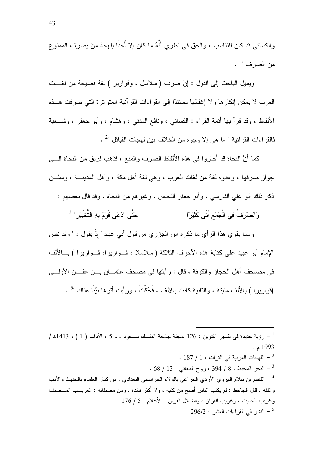و الكسائي قد كان للتناسب ، و الحق في نظر ي أَنَّهُ ما كان إلا أَخذًا بِلْهجة مَنْ بِصر ف الممنو عِ من الصرف "1 .

ويميل الباحث إلى القول : إنَّ صرف (سلاسل ، وقوارير ) لغة فصيحة من لغــات العرب لا يمكن إنكارها ولا إغفالها مستندًا إلى القراءات القرآنية المتواترة التي صرفت هــذه الألفاظ ، وقد قرأ بها أئمة القراء : الكسائبي ، ونافع المدنبي ، وهشام ، وأبو جعفر ، وشـــعبة فالقر اءات القر آنية " ما هي إلا وجو ه من الخلاف بين لهجات القبائل "2 .

كما أَنَّ النحاة قد أجازوا في هذه الألفاظ الصرف والمنع ، فذهب فريق من النحاة إلـــي جواز صرفها ، وعدوه لغة من لغات العرب ، وهي لغة أهل مكة ، وأهل المدينــــة ، وممَّـــن ذكر ذلك أبو على الفارسي ، وأبو جعفر النحاس ، وغير هم من النحاة ، وقد قال بعضهم : ِ حَتَّى ادَّعَى قَوْمٌ بِهِ التَّخْبِيْرِ ا<sup>3</sup> وَالصَّرْفُ فِي الْجَمْعِ أَتَى كَثِيْرًا

ومما يقوي هذا الرأي ما ذكره ابن الجزري من قول أبي عبيد<sup>4</sup> إذْ يقول : " وقد نص الإمام أبو عبيد على كتابة هذه الأحرف الثلاثة (سلاسلا ، قـــواريرا، قـــواريرا ) بـــالألف في مصاحف أهل الحجاز والكوفة ، قال : رأيتها في مصحف عثمـــان بـــن عفـــان الأولــــي (قوارير ا ) بالألف مثبتة ، والثانية كانت بالألف ، فَحُكَّتْ ، ورأيت أثرها بيِّنًا هناك "<sup>5</sup> .

رؤية جديدة في تفسير التتوين : 126 .مجلة جامعة الملَّــك ســعود ، م 5 ، الآداب ( 1 ) ، 1413ه / [ . 1993 $\cdot$  م  $\sim 187$  / اللهجات العربية في التراث  $\sim 1$  .  $68 / 13:$  البحر المحيط : 8 / 394 ، روح المعاني : 13 / 68  $^{-3}$ <sup>4</sup> – القاسم بن سلام الـهروي الأزدي الـخزاعـي بـالولاء الـخراسانـي البـغدادي ، من كبار الـعلماء بـالـحديث والأدب و الفقه . قال الجاحظ : لم يكتب الناس أُصح من كتبه ، و لا أكثر ِ فائدة . ومن مصنفاته : الغريـــب المـــصنف و غربب الحديث ، و غربب القر آن ، وفضائل القر آن . الأَعلام : 5 / 176 . . 296/2 : النشر في القراءات العشر - 296/2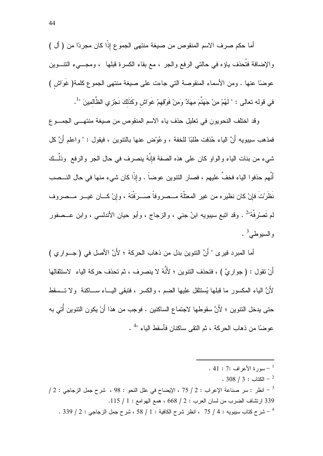أما حكم صرف الاسم المنقوص من صبغة منتهى الجموع إذًا كان مجردًا من ( أل ) والإضافة فتُحذف ياؤه في حالتي الرفع والجر ، مع بقاء الكسرة قبلها ، ومجـــيء النتــــوين عوضًا عنها . ومن الأسماء المنقوصة التي جاءت على صبغة منتهى الجموع كلمة( غَوَاش ) في قوله تعالى : " لَهُمْ مِنْ جَهَنَّمَ مِهَادٌ وَمِنْ فَوْقِهِمْ غَوَاشٍ وَكَذَلكَ نَجْزِي الظَّالمِينَ "<sup>1</sup>.

وقد اختلف النحويون في تعليل حذف ياء الاسم المنقوص من صيغة منتهـــي الجمـــوع فمذهب سببويه أَنَّ الياء حُذفت طلبًا للخفة ، و عُوِّض عنها بالنتوين ، فيقول : " و اعلم أَنَّ كل شيء من بنات الياء والواو كان على هذه الصفة فإنَّهُ ينصرف في حال الجر والرفع ۖ وذلَّــك أَنَّهم حذفوا الياء فخفَّ عليهم ، فصار النتوين عوضاً . وإذْا كان شيء منها في حال النـــصب نَظَرُتَ فإنْ كان نظيرِه من غيرِ المعتلَّة مــصروفاً صَــرَفْتَهُ ، وإنْ كـــان غيـــر مــصروف لم تَصـْرفْهُ" . وقد انبـع سيبويه ابنُ جني ، والزجاج ، وأبو حيان الأندلسي ، وابن عـــصفور والسيوطى<sup>3</sup> .

أما المبرد فيرى " أَنَّ النَّنوين بدل من ذهاب الحركة ؛ لأَنَّ الأصل في ( جـــواري ) أَنْ تقول : ( جواريٌ ) ، فتحذف التنوين ؛ لأَنَّهُ لا ينصرف ، ثم تحذف حركة الياء لاستثقالها ۖ لأَنَّ الباء المكسور ما قبلها بُستثقل علبها الضير ، والكسر ، فتبقى البـــاء ســـاكنة ۚ و لا تـــسقط حتى يدخل النتوين ؛ لأَنَّ سقوطها لاجتماع الساكنين . فوجب من هذا أَنْ يكون النتوين أُتي به عوضًا من ذهاب الحركة ، ثم النقى ساكنان فأسقط الياء "<sup>4</sup> .

- . 41 : 7: الأعر اف $7: 1: 1$ 
	- $.308 / 3:$ الكتاب  $-^2$

 $\gamma$ انظر : سر صناعة الإعراب : 2 / 75 ، الإيضاح في علل النحو : 98 ، شرح جمل الزجاجي : 2 /  $^{-3}$ 339 ارتشاف الضرب من لسان العرب : 2 / 668 ، همع الهوامع : 1 / 115. . 339 / 2 - شرح كتاب سيبويه : 4 / 75 ، انظر شرح الكافية : 1 / 58 ، شرح جمل الزجاجي : 2 / 339 .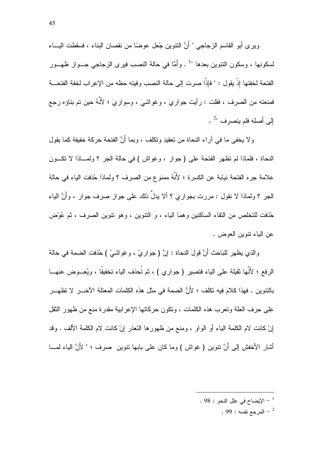و بر ي أبو القاسم الز جاجي " أَنَّ النِّنَو بن جُعل عو ضاً من نقصان البناء ، فسقطت البِـــاء لسكونها ، وسكون النتوين بعدها "· . وأَمَّا في حالة النصب فيرى الزجاجي جـــواز ظهـــور الفتحة لخفتها إذْ يقو ل : " فإذًا صر ت إلى حالة النصب وفيته حظه من الإعر اب لخفة الفتحـــة فمنعته من الصرف ، فقلت : رأيت جواريَ ، وغواشيَ ، وسواريَ ؛ لأَنَّهُ حين تم بناؤه رجع إلى أصله فلم ينصرف "2.

ولا يخفي ما في أراء النحاة من نعقيد ونكلف ، وبما أَنَّ الفتحة حركة خفيفة كما يقول النحاة ، فلماذا لم نظهر الفتحة على ( جوار ، وغواش ) في حالة الجر ؟ ولمساذا لا نكسون علامة جره الفتحة نيابة عن الكسرة ؛ لأَنَّهُ ممنوع من الصرف ؟ ولماذا حُذفت الياء في حالة الجر ؟ ولماذا لا نقول : مررت بجواريَ ؟ ألا يدلُّ ذلك على جواز صرف جوار ، وأنَّ الياء حُذفت للتخلص من النقاء الساكنين وهما الياء ، و النتوين ، وهو نتوين الصرف ، ثم عُوِّض عن الباء نتوبن العوض .

والذي يظهر للباحث أَنَّ قول النحاة : إنَّ ( جواريُ ، وغواشيُ ) حُذفت الضمة في حالة الرفع ؛ لأَنَّها ثقيلة على الياء فتصير (جواري ) ، ثم تُحذف الياء تخفيفًا ، ويُعـــوض عنهـــا بالنتوين . فهذا كلام فيه تكلف ؛ لأَنَّ الضمة في مثل هذه الكلمات المعتلة الآخـــر ِ لا تظهـــر ِ على حرف العلة وتعرب هذه الكلمات ، ونكون حركاتها الإعرابية مقدرة منع من ظهور الثقل إنْ كانت لام الكلمة الياء أو الواو ، ومنع من ظهور ها التعذر إنْ كانت لام الكلمة الألف . وقد أشار الأخفش إلىي أَنَّ نتوين ( غواش ) وما كان على بابها نتوين صرف ؛ " لأَنَّ الباء لمـــا

. 98 : الإيضاح في علل النحو $98:98$  .

. 99 : المرجع نفسه  $^{-2}$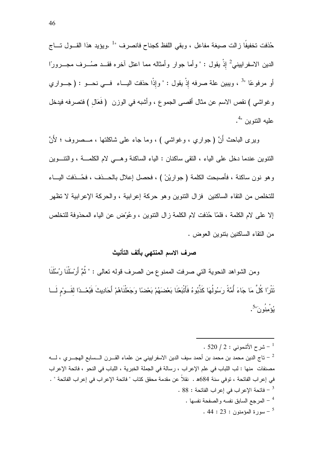حُذفت تخفيفًا زالت صبغة مفاعل ، وبقى اللفظ كجناح فانصرف "<sup>1</sup> .ويؤيد هذا القـــول تـــاج الدين الاسفراييني<sup>2</sup> إذْ يقول : " وأما جوار وأمثاله مما اعتل آخره فقــد صُـــرف مجـــرورًا أو مرفوعًا "<sup>3</sup> ، ويبين علة صرفه إذْ يقول : " وإذًا حذفت البــاء فـــي نحـــو : ( جـــوا*ري* وغواشي ) نقص الاسم عن مثال أقصى الجموع ، وأشبه في الوزن (فَعَال ) فتصرفه فيدخل عليه النتوين ".

ويرى الباحث أَنَّ (جواري ، وغواشي ) ، وما جاء على شاكلتها ، مـــصروف ؛ لأَنَّ النتوين عندما دخل على الياء ، النقى ساكنان : الياء الساكنة وهـــى لام الكلمـــة ، والنتـــوين وهو نون ساكنة ، فأصبحت الكلمة ( جواريْنْ ) ، فحصل إعلال بالحـــذف ، فحُـــذفت اليـــاء للتخلص من النقاء الساكنين فزال النتوين وهو حركة إعرابية ، والحركة الإعرابية لا نظهر إلا على لام الكلمة ، فلمّا حُذفت لام الكلمة زال النتوين ، وعُوَّض عن الباء المحذوفة للتخلص من النقاء الساكنين بنتوين العوض .

# صرف الاسم المنتهى بألف التأنيث

ومن الشواهد النحوية التي صرفت الممنوع من الصرف قوله نعالى : " ثُمَّ أَرْسَلْنَا رُسُلَنَا نَتْرًا كُلَّ مَا جَاءَ أُمَّةً رَسُولُهَا كَذَّبُوهُ فَأَتْبَعْنَا بَعْضَهُمْ بَعْضًا وَجَعَلْنَاهُمْ أَحَادِيثَ فَبُعْــدًا لِقَــوْم لَـــا يُوۡمِنُو نَ"<sup>5</sup>.

<sup>.</sup>  $520 / 2:$  شرح الأشموني : 2 / 520  $^{-1}$ 

تاج الدين محمد بن محمد بن أحمد سيف الدين الاسفر ابيني من علماء القـــرن الـــسابع الهجـــرى ، لــــه -مصنفات منها : لب اللباب في علم الإعراب ، رسالة في الجملة الخبرية ، اللباب في النحو ، فاتحة الإعراب في إعراب الفاتحة ، توفي سنة 684ه . نقلاً عن مقدمة محقق كتاب " فاتحة الإعراب في إعراب الفاتحة " . . 88 - فاتحة الإعراب في إعراب الفاتحة : 88 . المرجع السابق نفسه والصفحة نفسها .  $^{\rm 4}$ . 44 :  $23:$  سورة المؤمنون  $-5$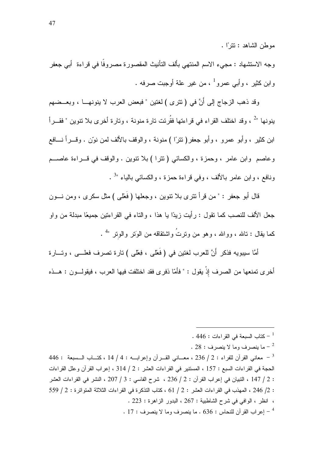موطن الشاهد : تترًا .

وجه الاستشهاد : مجيء الاسم المنتهي بألف النأنيث المقصورة مصروفًا في قراءة ۖ أبي جعفرٍ وابن كثير ، وأبـي عمرو<sup>1</sup> ، من غير علة أوجبت صرفه .

وقد ذهب الزجاج إلىي أَنَّ في ( نتزى ) لغتين " فبعض العرب لا ينونهـــا ، وبعـــضهم ينونها "<sup>2</sup> ، وقد اختلف القراء في قراءتها فقُرِئت تارة منونة ، وتارة أخرى بلا تتوين " فقـــرأ ابن كثير ، و أبو عمر و ، و أبو جعفر ( نتر ًا ) منو نـة ، و الو قف بالألف لمن نوّن . و قـــر أ نـــافع وعاصم وابن عامر ، وحمزة ، والكسائي (تترا ) بلا نتوين . والوقف في قـــراءة عاصــــم ونافع ، وابن عامر بالألف ، وفي قراءة حمزة ، والكسائي بالياء "<sup>3</sup> .

قال أبو جعفر : " من قرأ نترى بلا نتوين ، وجعلها ( فَعْلَى ) مثل سكرى ، ومن نـــون جعل الألف للنصب كما نقول : رأيت زيدًا يا هذا ، والناء في القراءنين جميعًا مبدلة من واو كما يقال : تالله ، ووالله ، وهو من وترتُ واشتقاقه من الوَتر والوتر "<sup>4</sup> .

أمَّا سيبويه فذكر أَنَّ للعرب لغتين في (فَعْلى ، فِعْلى ) نارة نصرف فعلـــى ، ونــــارة أخرى تمنعها من الصرف إذْ يقول : " فأمّا ذفرى فقد اختلفت فيها العرب ، فيقولـــون : هـــذه

- . 446 : كتاب السبعة في القر اءات  $\sim 446$  .
- . 28 ما ينصرف وما لا ينصرف  $\sim$  28  $^{-2}$

446 : معاني القرآن للفراء : 2 / 236 ، معــاني القــرآن وإعرابـــه : 4 / 14 ، كتــاب الــسبعة  $\,$  : 446  $\,$ الحجة في القراءات السبع : 157 ، المستتير في القراءات العشر : 2 / 314 ، إعراب القرآن و علل القراءات : 2 / 147 ، التبيان في إعراب القرآن : 2 / 236 ، شرح الفاسي : 3 / 207 ، النشر في القراءات العشر : 2/ 246 ، المهذب في القراءات العشر : 2 / 61 ، كتاب التذكر ة في القراءات الثلاثة المتواترة : 2 / 559 ، انظر ، الوافي في شرح الشاطبية : 267 ، البدور الزاهرة : 223 . . 17 - اعر اب القر آن للنحاس : 636 . ما بنصر ف وما لا بنصر ف : 17 .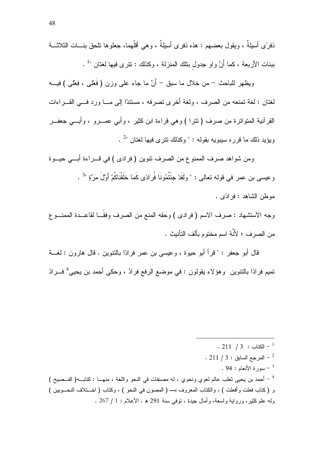ذفرَ ي أسبِلةٌ ، ويقول بعضـهم : هذه ذفر ي أسبِلةٌ ، و هي أقلُّهما، جعلو ها تلحق بنـــات الثلاثـــة ببنات الأربعة ، كما أَنَّ واو جدول بتلك المنزلة ، وكذلك : نترى فيها لغتان "

ويظهر للباحث – من خلال ما سبق – أَنَّ ما جاء على وزن ( فَعْلى ، فِعْلى ) فيـــه لغتان : لغة تمنعه من الصرف ، ولغة أخرى تصرفه ، مستندًا إلى مـــا ورد فـــى القـــراءات القرأنية المتواترة من صرف (تترا ) وهي قراءة ابن كثير ، وأبـي عمـــرو ، وأبـــي جعفـــر وبؤيد ذلك ما قرر ه سببويه يقوله : " وكذلك نتر ي فيها لغتان "<sup>2</sup> .

ومن شواهد صرف الممنوع من الصرف نتوين ( فرادى ) في قـــراءة أبــــي حيــــوة وعيسى بن عمر في قوله تعالى : " ولَقَدْ جِئْتُمُونَا فُرَادًى كَمَا خَلَقْنَاكُمْ أَوَّلَ مَرَّةٍ "<sup>3</sup> . موطن الشاهد : فر ادًى .

وجه الاستشهاد : صرف الاسم ( فرادى ) وحقه المنع من الصرف وفقَّــا لقاعـــدة الممنـــو ع من الصر ف ؛ لأَنَّهُ اسم مختوم بألف التأنيث .

قال أبو جعفر : " قرأ أبو حيوة ، وعيسى بن عمر فرادًا بالنتوين . قال هارون : لغـــة تميم فرادًا بالنتوين وهؤلاء يقولون : في موضع الرفع فرادُ ، وحكى أحمد بن يحيى<sup>4</sup> فـــرادُ

 $. 211 / 3 : 121 - 1$  $\cdot$  211 / 3 - المرجع السابق  $\cdot$  3 -  $^{-2}$ .  $94:$ سورة الأنعام :  $94:$ <sup>4</sup> – أحمد بن يحيى ثعلب عالم لغوي ونحوي ، له مصنفات في النحو واللغة ، منهـــا : كتابـــه( الفــصيح ) و (كتاب فعلت وأفعلت ) ، والكتاب المعروف بــــ ( المصون في النحو ) ، وكتاب ( اخـــنلاف النحـــويين ) وله علم كثير ، ورواية واسعة، وأمال جيدة ، نوفي سنة 291 هـ . الأعلام : 1 / 267 .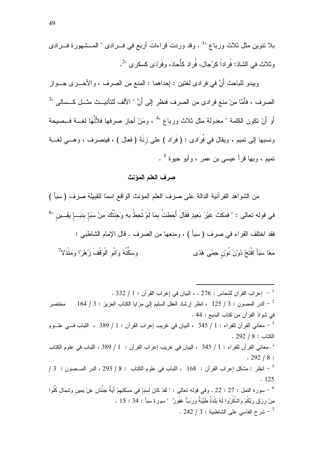بلا نتوين مثل ثلاث ورباع "<sup>1</sup> . وقد وردت قراءات أربع في فــرادي " المـــشهورة فـــرادي و ثلاث في الشاذ: فُر اداً كر'جال، فُر ادَ كأُحادَ، وفَر<sup>ِ</sup> دَى كسكر ي "<sup>2</sup>.

ويبدو للباحث أَنَّ في فرادي لغتين : إحداهما : المنع من الصرف ، والأخـــري جـــواز الصرف ، فأَمَّا مَنْ منع فرادي من الصرف فنظر إلى أَنَّ " الألف للتأنيـــث مثـــل كــسالى "<sup>3</sup> أَو أَنْ نكون الكلمة " معدولة مثل ثلاث ورباع "<sup>4</sup> ، ومَنْ أجاز صرفها فلأَنَّها لغـــة فــصيحة ونسبها إلى تميم ، ويقال في فُرَادي : ( فَرَاد ) على زِنَةِ ( فعال ) ، فينصرف ، وهـــي لغـــة نميم ، وبها قرأ عيسى بن عمر ، وأبو حيوة <sup>5</sup> .

#### صرف العلم المؤنث

من الشواهد القرآنية الدالة على صرف العلم المؤنث الواقع اسمًا للقبيلة صرف (سبأ ) في قوله تعالى : " فَمَكَثَ غَيْرَ بَعِيدٍ فَقَالَ أَحَطتُ بِمَا لَمْ تُحِطْ بِهِ وَجَنْتُكَ مِنْ سَبَإ بنَبَــإ يَقِــين "<sup>6</sup> فقد اختلف القراء في صرف (سبأ ) ، ومنعها من الصرف . قال الإمام الشاطبي : وَسَكَّنْهُ وَانُو الْوَقْفَ زُهْرًا وَمَنْدَلاً مَعًا سَبَأَ اِفْتَحْ دُوْنَ نُوْن حِمًى هُدًى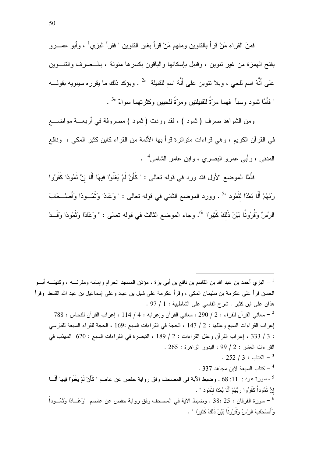فَصِنَ القراءِ مَنْ قرأ بِالنُّنوينِ ومنهم مَنْ قرأ بغيرِ النُّنوينِ " فَقرأ البزي<sup>1</sup> ، وأبو عصــرو بفتح المهمز ة من غير أننوين ، وقنيل بإسكانها والباقون بكسر ها منونة ، بالــصر ف والنتــوين على أَنَّهُ اسم للحي ، وبلا نتوين على أَنَّهُ اسم للقبيلة "<sup>2</sup> . ويؤكد ذلك ما يقرره سيبويه بقولــــه " فأمَّا ثمود وسبأ فهما مرّةً للقبيلتين ومرّةً للحيين وكثرتهما سواءٌ "<sup>3</sup> .

ومن الشواهد صرف ( ثمود ) ، فقد وردت ( ثمود ) مصروفة في أربعـــة مواضــــع في القر آن الكريم ، و هي قر اءات متو اتر ۃ قر أ بـها الأئمـة من القر اء كابن كثير المكـي ، ونافـع المدنبي ، وأبي عمرو البصري ، وابن عامر الشامي<sup>4</sup> .

فأَمَّا الموضع الأول فقد ورد في قوله تعالى : " كَأَنْ لَمْ يَغْنَوْا فِيهَا أَلَا إِنَّ ثَمُودًا كَفَرُوا رَبَّهُمْ أَلَا بُعْدًا لنَّمُودِ "5 . وورد الموضع الثاني في قوله نعالى : " وَعَادًا وَنَمُــودًا وَأَصْــحَابَ الرَّسِّ وَقُرُونًا بَيْنَ ذَلَكَ كَثِيرًا "°. وجاء الموضع الثالث في قوله تعالى : " وَعَادًا وَثَمُودًا وَقَــدْ

البزي أحمد بن عبد الله بن القاسم بن نافع بن أبي بزة ، مؤذن المسجد الحرام وإمامه ومقرئــــه ، وكنيتــــه أبـــو  $^{-1}$ الحسن قرأ على عكرمة بن سليمان المكي ، وقرأ عكرمة على شبل بن عباد وعلى إسماعيل بن عبد الله القسط وقرأ هذان على ابن كثير . شرح الفاسي على الشاطبية : 1 / 97 . 788 - معاني القرآن للفراء : 2 / 290 ، معاني القرآن وإعرابه : 4 / 114 ، إعراب القرآن للنحاس : 788  $^{-2}$ إعراب القراءات السبع وعللها : 2 / 147 ، الحجة في القراءات السبع :169 ، الحجة للقراء السبعة للفارسي : 3 / 333 ، إعراب القرآن وعلل القراءات : 2 / 189 ، التبصرة في القراءات السبع : 620 المهذب في  $.265:$  القراءات العشر: 2 / 99 ، البدور الزاهرة: 265 .  $252 / 3:$  الكتاب - 3 $^3$  $\sim 337$  - كتاب السبعة لابن مجاهد 337  $^{-4}$ <sup>5</sup> - سورة هود : 11: 68 . وضبط الآية في المصحف وفق رواية حفص عن عاصم " كَأَنْ لَمْ يَغْنَوْ ا فِيهَا أَلَـــا إِنَّ ثَمُوداْ كَفَرُوا رَبَّهُمْ أَلَا بُعْدًا لَثَمُودَ " . سورة الفرقان : 25 :38 . وضبط الآية في المصحف وفق رواية حفص عن عاصم "وَعَـــادًا وَتَمُـــوداْ – وَأَصْحَابَ الرَّسِّ وَقُرُونًا بَيْنَ ذَلَكَ كَثِيرًا " .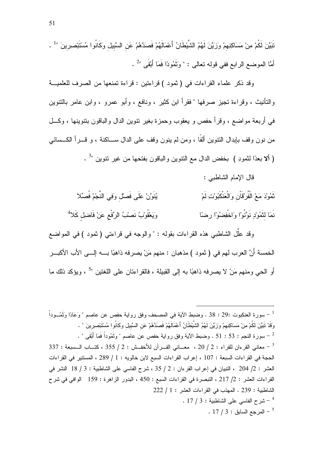تَبَيَّنَ لَكُمْ مِنْ مَسَاكِنِهِمْ وَزَيَّنَ لَهُمُ الشَّيْطَانُ أَعْمَالَهُمْ فَصَدَّهُمْ عَنِ السَّبيل وكَانُوا مُسْتَبْصرِينَ " . أمَّا الموضع الرابع ففي قوله تعالى : " وَثَمُودًا فَمَا أَبْقَى "2 .

وقد ذكر علماء القراءات في (ثمود ) قراءتين : قراءة تمنعها من الصرف للعلميـــة والتأنيث ، وقراءة تجيز صرفها " فقرأ ابن كثير ، ونافع ، وأبو عمرو ، وابن عامر بالتنوين في أربعة مواضع ، وقرأ حفص و يعقوب وحمزة بغير نتوين الدال والباقون بنتوينها ، وكـــل من نون وقف بإبدال النتوين ألفًا ، ومن لم ينون وقف على الدال ســـاكنة ، و قـــر أ الكـــسائـي ( ألا بعدًا لنَّمودِ ) بخفض الدال مع النَّنوين والباقون بفتحها من غير نتوين "<sup>3</sup> .

قال الإمام الشاطبي :

يُنَوَّنْ عَلَى فَصلْ وَفِي النَّجْمْ فُصَّلا ثَمُوْدَ مَعْ الْفُرْقَاْنِ وَالْعَنْكَبُوْتِ لَمْ وَيَعْقُونْبُ نَصِيْبُ الرِّقْعِ عَنْ فَاضلِ كَلاً نَمَا لنَّمُورْ نَوَّنُو ْا وَاخْفِضُوْ ْا رضًا

وقد علَّل الشاطبي هذه القراءات بقوله : " والوجه في قراءتي ( ثمود ) في المواضع الخمسة أَنَّ العرب لهم في ( ثمود ) مذهبان : منهم مَنْ يصرفه ذاهبًا بــــه إلــــى الأب الأكبـــر أو الحي ومنهم مَنْ لا يصرفه ذاهبًا به إلى القبيلة ، فالقراءتان على اللغتين "<sup>5</sup> ، ويؤكد ذلك ما

سورة العنكبوت :29 : 38 . وضبط الآية في المصحف وفق رواية حفص عن عاصم " وَعَادًا وَتَمُــوداْ – وَقَدْ نَبَيَّنَ لَكُمْ مِنْ مَسَاكِنِهِمْ وَزَيَّنَ لَهُمُ الشَّيْطَانُ أَعْمَالَهُمْ فَصدَهُمْ عَن السَّبيل وكَانُوا مُسْتَبْصرِينَ " . . [1] - سورة النجم : 53 : 51 . وضبط الآية وفق رواية حفص عن عاصم " وَتَمُوداْ فَمَا أَبْقَى " . [1] -337 - معاني القرءان للفراء : 2 / 20 ، معــاني القــر أن للأخفــش : 2 / 355 ، كتـــاب الــسبعة : 337 الحجة في القراءات السبعة : 107 ، إعراب القراءات السبع لابن خالويه : 1 / 289 ، المستتير في القراءات العشر : 2/ 204 ، التبيان في إعراب القرءان : 2 / 35 ، شرح الفاسي على الشاطبية : 3 / 18 النشر في القراءات العشر : 2/ 217 ، التبصرة في القراءات السبع : 450 ، البدور الزاهرة : 159 الوافي في شرح الشاطبية : 239 . المهذب في القراءات العشر : 1 / 222 . 17 / 3 : أشرح الفاسي على الشاطبية . 3 / 17 . .  $17/3:$  المرجع السابق  $5$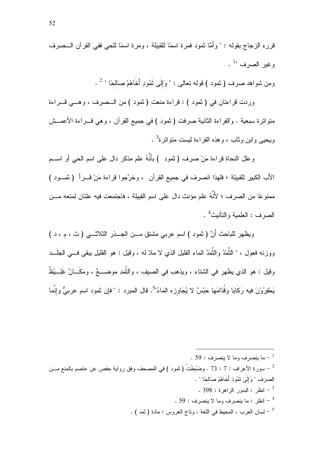ومن شواهد صرف ( شود ) قوله نعالى : " وَإِلَى نَمُودٍ أَخَاهُمْ صَالحًا "  $^2$  .

وردت قراءتان في ( ثمود ) : قراءة منعت ( ثمود ) من الـــصرف ، وهـــي قـــراءة منواترة سبعية . والقراءة الثانية صرفت ( ثمود ) في جميع القرآن ، وهي قــــراءة الأعمـــش وبجبي واين وثاب ، وهذه القراءة لبست متواتر ة<sup>3</sup> .

وعلل النحاة قراءة مَنْ صرف ( نمود ) بأَنَّهُ علم مذكر دال على اسم الحي أو اســـم الأب الكبير للقبيلة ؛ فلهذا انصرف في جميع القرآن ، وخرَّجوا قراءة مَنْ قـــراً (تمـــود ) ممنوعًا من الصرف ؛ لأَنَّهُ علم مؤنث دال على اسم القبيلة ، فاجتمعت فيه علتان لمنعه مـــن الصر ف : العلمبة و التأنيث<sup>4</sup> .

ويظهر للباحث أَنَّ ( ثمود ) اسم عربي مشتق مـــن الجـــذر الثلاثـــي ( ث ، م ، د ) ووزنه فعول ، " النُّمْدُ والنُّمَدُ الماء القليل الذي لا مادَّ له ، وقيل : هو القليل يبقى فـــى الجَلَـــد وقيل : هو الذي يظهر في الشتاء ، ويذهب في الصيف ، والنَّمدِ موضــــعٌ ، ومَكَـــانٌ غَلِـــبْظٌ يَحْفِرُوْنَ فيه رَكَايَا وقُدَّامَها حَبْسٌ لا يُجَاوِزِه الماءُ"<sup>5</sup>. قال المبرِد : " فإن ثمود اسم عربيٌّ وإنَّما

<sup>.</sup> ج ما ينصر ف وما لا ينصر ف  $\sim 59$  . سورة الأعراف : 7 : 73 . وضُبطَتْ ( شود ) في المصحف وفق رواية حفص عن عاصم بالمنع مـــن – الصرف " وَإِلَى ثَمُودَ أَخَاهُمْ صَالحًا " . . 398 : انظر : البدور الزاهرة : 398 . . 59 : انظر : ما ينصر ف وما لا ينصر ف  $\sim$  59 . . [ - لسان العرب ، المحيط في اللغة ، وناج العروس : مادة ( ثمد ) .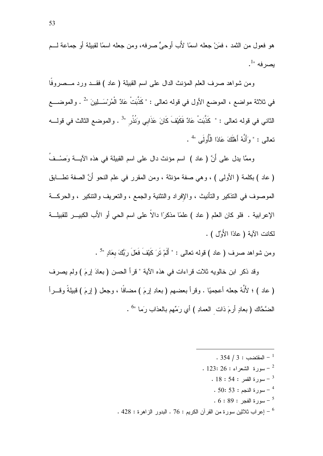هو فعو ل من النَّمد ، فمَنْ جعله اسمًا لأَب أو حيٍّ صر فه، و من جعله اسمًا لقبيلة أو جماعة لـــم  $\cdot^{1}$ يصرفه ".

ومن شواهد صرف العلم المؤنث الدال على اسم القبيلة ( عاد ) فقــد ورد مـــصروفا في ثلاثة مواضع ، الموضع الأول في قوله تعالى : " كَذَّبَتْ عَادٌ الْمُرسْلِينَ "2 . والموضـــع الثاني في قوله تعالى : " كَذَّبَتْ عَادٌ فَكَيْفَ كَانَ عَذَابِي وَنُذُرٍ "3 . والموضع الثالث في قولــــه نعالى : " وَأَنَّهُ أَهْلَكَ عَادًا الْأُولَى "<sup>4</sup> .

وممَّا يدل على أَنَّ ( عاد ) اسم مؤنث دال على اسم القبيلة في هذه الآيــــة وَصــْــفُ ( عاد ) بكلمة ( الأولى ) ، وهي صفة مؤنثة ، ومن المقرر في علم النحو أَنَّ الصفة نطـــابق الموصوف في النذكير والنأنيث ، والإفراد والنثنية والجمع ، والنعريف والنتكير ، والحركـــة الإعرابية . فلو كان العلم ( عاد ) علمًا مذكرًا دالاً على اسم الحي أو الأَب الكبيـــر للقبيلـــة لكانت الآبة ( عادًا الأَوَّل ) .

ومن شواهد صرف ( عاد ) قوله نعالى : " أَلَمْ نَرَ كَيْفَ فَعَلَ رَبُّكَ بِعَادِ "<sup>5</sup> .

وقد ذكر ابن خالويه ثلات قراءات في هذه الآية " قرأ الحسن ( بعادَ إرمَ ) ولم يصرف ( عاد ) ؛ لأنَّهُ جعله أعجميًا . وقرأ بعضهم ( بعادِ إرمَ ) مضافًا ، وجعل ( إرمَ ) قبيلةً وقـــرأ الضَّحَّاك (بعادِ أرمَ ذات العمادِ ) أي رَمِّهم بالعذاب رَما "<sup>6</sup> .

- . 354  $/$  3 : المقتضب $^{-1}$
- . 123: 26 : الشعر اء  $26:123:26$ 
	- $18:54:$  سورة القمر  $-3$
	- .  $50:53:1$ سورة النجم  $-$
	-
- . 428 : إعراب ثلاثين سورة من القرآن الكريم : 76 . البدور الزاهرة : 428 .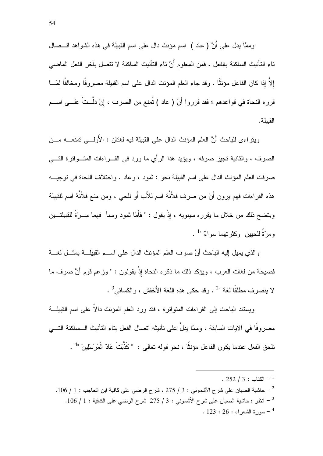وممَّا بدل على أَنَّ ( عاد ) اسم مؤنث دال على اسم القبيلة في هذه الشواهد اتـــصـال تاء التأنيث الساكنة بالفعل ، فمن المعلوم أَنَّ ناء التأنيث الساكنة لا تتصل بآخر الفعل الماضي إلاَّ إذا كان الفاعل مؤنثًا . وقد جاء العلم المؤنث الدال على اسم القبيلة مصروفًا ومخالفًا لمَـــا قرره النحاة في قواعدهم ؛ فقد قرروا أَنَّ ( عاد ) تُمنع من الصرف ، إنْ دلَّــتْ علـــى اســـم القبيلة.

ويتراءى للباحث أنَّ العلم المؤنث الدال على القبيلة فيه لغتان : الأولـــي تمنعــــه مـــن الصرف ، والثانية نجيز صرفه ، ويؤيد هذا الرأي ما ورد في القـــراءات المتـــواترة التــــي صرفت العلم المؤنث الدال على اسم القبيلة نحو : ثمود ، وعاد . واختلاف النحاة في توجيسه هذه القراءات فهم يرون أَنَّ من صرف فلأَنَّهُ اسم للأَب أَو للحي ، ومن منع فلأَنَّهُ اسم للقبيلة ويتضح ذلك من خلال ما يقرره سيبويه ، إذْ يقول : " فأَمَّا ثمود وسبأ ۖ فهما مـــرَّةُ للقبيلةــــين ومرّةُ للجين وكثر تهما سواءٌ  $^{-1}$ .

و الذي يميل إليه الباحث أَنَّ صرف العلم المؤنث الدال على اســـم القبيلـــة يمثـــل لغــــة فصيحة من لغات العرب ، ويؤكد ذلك ما ذكره النحاة لِاْ يقولون : " وزعم قوم أَنَّ صرف ما لا بنصر ف مطلقًا لغة "2 . وقد حكى هذه اللغة الأُخفش ، والكسائي<sup>3</sup> .

ويستند الباحث إلى القراءات المتواترة ، فقد ورد العلم المؤنث دالاً على اسم القبيلة مصر وفًا في الآبات السابقة ، وممَّا بدلٌ على تأنبتْه اتصال الفعل بتاء التأنبث الــساكنة التـــي تلحق الفعل عندما يكون الفاعل مؤنثًا ، نحو قوله تعالى : "كَذَّبَتْ عَادٌ الْمُر ْسَلِينَ "<sup>4</sup> .

<sup>.</sup>  $252 / 3 : 252 - 1$ الكتاب -

<sup>-</sup> حاشية الصبان على شرح الأشموني : 3 / 275 ، شرح الرضي على كافية ابن الحاجب : 1 / 106.  $^{-2}$ - انظر : حاشية الصبان على شرح الأشموني : 3 / 275 شرح الرضي على الكافية : 1 / 106. .  $123:26:$  الشعر اء  $123:26:$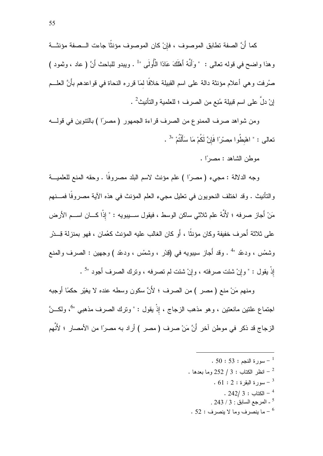كما أَنَّ الصفة تطابق الموصوف ، فإنْ كان الموصوف مؤنثًا جاءت الـــصفة مؤنثـــة وهذا واضح في قوله تعالى : " وَأَنَّهُ أَهْلَكَ عَادًا الْأُولَى "' . ويبدو للباحث أَنَّ ( عاد ، وثمود ) صُرفت وهي أعلام مؤنثة دالة على اسم القبيلة خلافًا لمَا قرره النحاة في قواعدهم بأَنَّ العلـــم إنْ دلٌ على اسم قبيلة مُنِع من الصرف ؛ للعلمية والتأنيث<sup>2</sup> .

ومن شواهد صرف الممنوع من الصرف قراءة الجمهور ( مصرًا ) بالنتوين في قولـــه نعالى : " اهْبِطُوا مِصرْاً فَإِنَّ لَكُمْ مَا سَأَلْتُمْ "<sup>3</sup> .

موطن الشاهد : مصرًا .

وجه الدلالة : مجيء ( مصرًا ) علم مؤنث لاسم البلد مصروفًا . وحقه المنع للعلميـــة والتأنيث . وقد اختلف النحويون في تعليل مجيء العلم المؤنث في هذه الآية مصروفًا فمـــنهم مَنْ أَجازٍ صرفه ؛ لأَنَّهُ علم ثلاثي ساكن الوسط ، فيقول ســـيبويه : " إذْا كـــان اســـم الأرض على ثلاثة أَحر ف خفيفة وكان مؤنثًا ، أَو كان الغالب عليه المؤنث كعُمان ، فهو بمنز لة قِـــدْر وشَمْس ، ودعْد "<sup>4</sup> . وقد أُجاز سيبويه في (قِدْر ، وشَمْس ، ودعْد ) وجهين : الصرف والمنع إِذْ يقول : " وإنْ شئت صرفته ، وإنْ شئت لم تصرفه ، وترك الصرف أجود "<sup>5</sup> .

ومنهم مَنْ منع ( مصر ) من الصرف ؛ لأَنَّ سكون وسطه عنده لا يغيّر حكمًا أوجبه اجتماع علتين مانعتين ، وهو مذهب الزجاج ، إذْ يقول : " وترك الصرف مذهبي "َ ، ولكـــنَّ الزجاج قد ذكر في موطن آخر أَنَّ مَنْ صرف ( مصر ) أراد به مصرًا من الأمصار ؛ لأَنَّهم

- .  $50:53:$ سورة النجم  $^{-1}$
- . انظر الكتاب : 3 / 252 وما بعدها  $\,$ 
	- $61:2:3$ سورة البقرة  $^{-3}$ 
		- $. 242/3 : 242$ الكتاب  $^{-4}$
	- . 243 / 3 المرجع السابق : 3 / 243 .
- . 52 : ما ينصرف وما لا ينصرف  $\sim$  52  $^{-6}$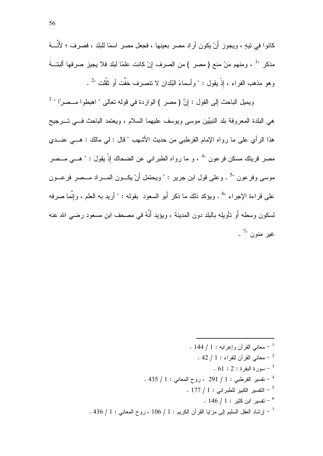كانوا في نيهٍ ، ويجوز أَنْ يكون أراد مصر بعينها ، فجعل مصر اسمًا للبلد ، فصرف ؛ لأَنَّـــهُ مذكر " أ ، ومنهم مَنْ منع ( مصر ) من الصرف إنْ كانت علمًا لبلد فلا يجيز صرفها ألبتـــة وهو مذهب الفراء ، إذْ يقول : " وأسماءُ البُلدان لا نتصرف خَفَّت أو نَقُلت "2.

ويميل الباحث إلى القول : إنَّ ( مصر ) الواردة في قوله تعالى " اهبطوا مــصرًا " <sup>3</sup> هي البلدة المعروفة بلد النبيِّين موسى ويوسف عليهما السلام ، ويعتمد الباحث فسي تسرجيح هذا الرأى على ما رواه الإمام القرطبي من حديث الأشهب " قال : لي مالك : هـــي عنـــدى مصر قرينك مسكن فرعون "<sup>4</sup> ، و ما رواه الطبراني عن الضحاك إذْ يقول : " هـــي مـــصر موسى وفرعون "<sup>5</sup> . وعلى قول ابن جرير : " ويحتمل أَنْ يكــون المـــراد مـــصر فرعـــون على قراءة الإجراء "<sup>6</sup> . ويؤكد ذلك ما ذكر أَبو السعود بقوله : " أريد به العلم ، وإنَّما صرفه لسكون وسطه أو نأويله بالبلد دون المدينة ، ويؤيد أَنَّهُ في مصـحف ابن مسعود رضـي الله عنه . <sup>7</sup>" غير المنوان<sup>7</sup>

> . 144 / 1 : معاني القرآن وإعرابه  $1: 1+1$ معاني القرآن للفراء : 1 / 42 .  $\,$  $61:2:3$ سورة البقرة -  $^{-3}$ . 435 / 1 - تفسير القرطبي : 1 / 291 ، روح المعاني : 1 / 435 .  $177$  / 1 - النفسير الكبير للطبر اني  $1$  / 177  $^{-5}$ .  $146 / 1:$  تفسير ابن كثير  $^{-6}$ . 436 / 1 - إرشاد العقل السليم إلى مزايا القرآن الكريم : 1 / 106 ، روح المعانى : 1 / 436 .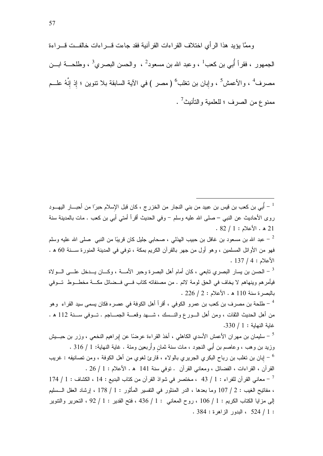وممًّا بِؤيدِ هذا الرَّ أي اختلاف القرَّ اءات القرِّ آنية فقد جاءت قـــر اءات خالفــت قـــر اءة الجمهور ، فقرأ أُبي بن كعب<sup>1</sup> ، وعبد الله بن مسعود<sup>2</sup> ، والحسن البصري<sup>3</sup> ، وطلحــــة ابـــن مصرف<sup>4</sup> ، والأعمش<sup>5</sup> ، وإبان بن تغلب<sup>6</sup> (مصر ) في الآية السابقة بلا نتوين ؛ إِذ إِنَّهُ علـــم ممنوع من الصرف ؛ للعلمية والنأنيث<sup>7</sup> .

فهو من الأوائل المسلمين ، وهو أول من جهر بالقرآن الكريم بمكة ، توفي في المدينة المنورة ســـنة 60 ه .  $.137/4:$ الأعلام :

لحسن بن يسار البصري تابعي ، كان أمام أهل البصر ة وحبر الأمــــة ، وكــــان يــــدخل علــــي الــــو لاة " فيأمرهم وينهاهم لا يخاف في الحق لومة لائم . من مصنفاته كتاب فـــي فــضائل مكـــة مخطـــوط تـــوفي  $.226 / 2:$ بالبصر ة سنة 110 هـ. الأعلام : 2 / 226.

<sup>4</sup> – طلحة بن مصرف بن كعب بن عمرو الكوفي ، أقرأ أهل الكوفة في عصره فكان يسمى سيد القراء وهو من أهل الحديث الثقات ، ومن أهل الـــورع والنـــسك ، شــــهد وقعــــة الـجمــــاجم . تـــوفي ســـنة 112 ه . غابة النهابة: 1 / 330.

<sup>5</sup> – سليمان بن مهران الأعمش الأسدي الكاهلي ، أخذ القراءة عرضًا عن إبراهيم النخعي ، وزر بن حبـــيش وزيد بن وهب ، وعاصم بن أَبِي النجود ، مات سنة ثمان وأُربعين ومئة . غاية النهاية: 1 / 316 .

ايان بن تغلب بن رباح البكري الجريري بالولاء ، قارئ لغوي من أهل الكوفة ، ومن تصانيفه : غريب " القرآن ، القراءات ، الفضائل ، ومعاني القرآن . نوفي سنة 141 هـ . الأعلام : 1 / 26 .

- معاني القرآن للفراء : 1 / 43 ، مختصر في شواذ القرآن من كتاب البديع : 14 ، الكشاف : 1 / 174  $^{-7}$ ، مفاتيح الغيب : 2 / 107 وما بعدها ، الدر المنثور في التفسير المأثور : 1 / 178 ، إرشاد العقل الــسليم إلى مزايا الكتاب الكريم : 1 / 106 ، روح المعاني : 1 / 436 ، فتح القدير : 1 / 92 ، التحرير والتتوير  $.384:384$  ، البدور الزاهرة : 384 .

<sup>&</sup>lt;sup>1</sup> – أُبي بن كعب بن قيس بن عبيد من بني النجار من الخزرج ، كان قبل الإسلام حبرًا من أحبـــار اليهـــود روى الأحاديث عن النبي – صلى الله عليه وسلم – وفي الحديث أقرأ أمتى أبي بن كعب . مات بالمدينة سنة  $.82 / 1:$ هـ الأعلام : 1 / 82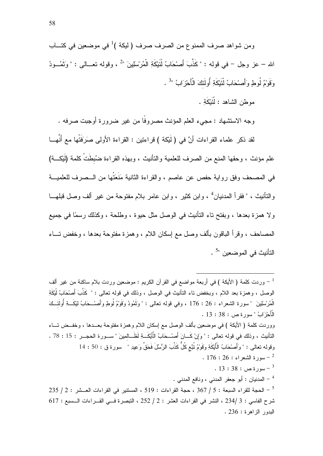ومن شواهد صرف الممنوع من الصرف صرف ( ليكة )<sup>1</sup> في موضعين في كتـــاب الله – عز وجل – في قوله : "كَذَّبَ أَصْحَابُ لْتَيْكَةِ الْمُرْسلينَ "<sup>2</sup> ، وقوله تعـــالـ<sub>ى</sub> : " وَتَمُـــودُ وَقَوْمُ لُوطٍ وَأَصنْحَابُ لْثَيْكَةِ أُولَئِكَ الْأَحْرَابُ "<sup>3</sup> .

موطن الشاهد : لْقَبْكَةِ .

وجه الاستشهاد : مجيء العلم المؤنث مصروفًا من غير ضرورة أوجبت صرفه .

لقد ذكر علماء القراءات أنَّ في (لَيْكة ) قراءتين : القراءة الأولى صَرَفَتْها مع أَنَّهــا علم مؤنث ، وحقها المنع من الصرف للعلمية والنأنيث ، وبهذه القراءة ضُبطَتْ كلمة (لَيْكِــة) في المصحف وفق رواية حفص عن عاصم ، والقراءة الثانية مَنَعَتْها من الـــصرف للعلميـــة والتأنيث ، " فقرأ المدنيان<sup>4</sup> ، وابن كثير ، وابن عامر بلام مفتوحة من غير ألف وصل قبلهـــا ولا همزة بعدها ، وبفتح ناء النأنيث في الوصل مثل حيوة ، وطلحة ، وكذلك رسمًا في جميع المصباحف ، وقرأ الباقون بألف وصل مع إسكان اللام ، و همزة مفتوحة بعدها ، وخفض تساء التأنيث في الموضعين "<sup>5</sup> .

وردت كلمة ( الأيكة ) في أربعة مواضع في القرآن الكريم : موضعين وردت بلام ساكنة من غير ألف  $^{-\, 1}$ الوصل ، وهمزة بعد اللام ، وبخفض ناء النأنيث في الوصل ، وذلك في قوله نعالي : " كَذَّبَ أَصْحَابُ لْيْكَةِ الْمُرْسَلِينَ " سورة الشعراء : 26 : 176 ، وفي قوله تعالى : " وَتَمُودُ وَقَوْمُ لُوطٍ وَأَصْــحَابُ ليْكَـــةِ أُولَئــكَ  $\cdot$  الْأَحْرْ آبُ " سور ة ص $\cdot$  : 38  $\cdot$ ووردت كلمة ( الأيكة ) في موضعين بألف الوصل مع إسكان اللام وهمزة مفتوحة بعــدها ، وخفــض تـــاء النَّانيث ، وذلك في قوله تعالى : " وَإِنْ كَــانَ أَصْــحَابُ الْأَيْكَـــةِ لَظَــالمينَ " ســـورة الحجـــر : 15 : 78 . وقوله تعالى : " وَأَصْحَابُ الْأَيْكَةِ وَقَوْمُ نُبَّع كُلِّ كَذَّبَ الرُّسُلَ فَحَقٌّ وَعِيدِ " سورة ق : 50 : 14 .  $176:26:1$ سورة الشعر اء - $.13:38:$  - سورة ص $^{-3}$ <sup>4</sup> – المدنيان : أبو جعفر المدنى ، ونافع المدني .  $-$  الحجة للقراء السبعة : 5 / 367 ، حجة القراءات : 519 ، المستتير في القراءات العــشر : 2 / 235  $^{-5}$ شرح الفاسي : 3 /234 ، النشر في القراءات العشر : 2 / 252 ، التبصر ة فسي القبر اءات السبيع : 617 البدور الزاهرة: 236.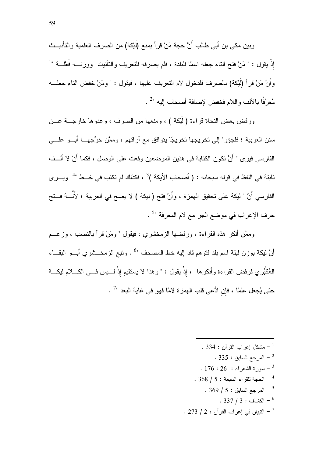وبين مكي بن أبي طالب أَنَّ حجة مَنْ قرأ بمنع (لَيْكة) من الصرف العلمية والتأنيــث إذْ يقول : " مَنْ فتح الناء جعله اسمًا للبلدة ، فلم يصرفه للنعريف والنَّانيث ووزنــــه فَعْلـــة "<sup>1</sup> وأَنَّ مَنْ قرأ (لَيْكة) بالصرف فلدخول لام النعريف عليها ، فيقول : " ومَنْ خفض الناء جعلـــه مُعرَّفًا بالألف واللام فخفض لإضافة أصحاب إليه "2 .

ورفض بعض النحاة قراءة ( لَيْكَة ) ، ومنعها من الصرف ، وعدوها خارجـــة عـــن سنن العربية ؛ فلجؤوا إلى تخريجها تخريجًا يتوافق مع آرائهم ، وممَّن خرِّجهـــا أبـــو علــــى الفارسي فيري " أَنَّ نكون الكتابة في هذين الموضعين وقعت على الوصل ، فكما أَنْ لا ألــف ثابتة في اللفظ في قوله سبحانه : ( أصحاب الأيكة )<sup>3</sup> ، فكذلك لم تكتب في خـــط "<sup>4</sup> ويـــرى الفارسي أَنَّ " ليكة على تحقيق الهمزة ، وأَنَّ فتح ( ليكة ) لا يصح في العربية ؛ لأَنَّـــهُ فــتح حرف الإعراب في موضع الجر مع لام المعرفة "<sup>5</sup> .

وممَّن أنكر هذه القراءة ، ورفضها الزمخشري ، فيقول " ومَنْ قرأ بالنصب ، وزعــم أَنَّ ليكة بوزن ليلة اسم بلد فتوهم قاد إليه خط المصحف "<sup>6</sup> . وتبع الزمخـــشري أبـــو البقـــاء العُكْبُري فرفض القراءة وأنكرها ، إذْ يقول : " وهذا لا يستقيم إذْ لــــيس فـــي الكــــلام ليكـــة حتى يُجعل علمًا ، فإن ادُّعى قلب الهمزة لامًا فهو في غاية البعد "<sup>7</sup> .

> . 334 - مشكل اعر اب القر آن : 334 . . 335 - المرجع السابق  $^{-2}$  $176:26:$ سورة الشعراء -  $^{-3}$  $.368 / 5:$ الحجة للقراء السبعة - 5 / 368  $-$ . 369 / 5 لمرجع السابق : 5 / 369 . . 337 / 3 : الكشاف  $3:37/3$  $\sim$  173 / 2 - النبيان في إعراب القرآن  $\sim$  1 / 273  $^{-7}$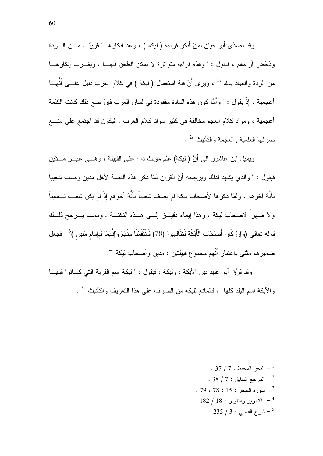وقد تصدَّى أبو حيان لمَنْ أنكر قراءة (ليكة ) ، وعد إنكارهــا قريبًــا مـــن الــــردة ودَحَض آر اءهم ، فبقول : " و هذه قر اءة متواتر ة لا بمكن الطعن فيهــا ، وبقــرب إنكار هــا من الردة والعياذ بالله " ، ويرى أنَّ قلة استعمال ( ليكة ) في كلام العرب دليل علـــي أَنَّهـــا أعجمية ، إذْ يقول : " وأَمَّا كون هذه المادة مفقودة في لسان العرب فإنْ صح ذلك كانت الكلمة أعجمية ، ومواد كلام العجم مخالفة في كثير مواد كلام العرب ، فيكون قد اجتمع على منسع صر فها العلمية والعجمة والتأنيث "2 .

ويميل ابن عاشور إلى أَنَّ (ليكة) علم مؤنث دال على القبيلة ، وهـــي غيـــر مَـــدْيَن فيقول : " والذي يشهد لذلك ويرجحه أَنَّ القرآن لمَّا ذكرَ هذه القصنةَ لأهل مدين وصف شعيباً بأنَّهُ أخوهم ، ولمَّا ذكرها لأصحاب ليكة لم يصف شعيباً بأنَّهُ أخوهم إذْ لم يكن شعيب نـــسيباً ولا صهراً لأصحاب ليكة ، وهذا لِيماء دقيـــق الِــــي هـــذه النكتـــة . وممــــا يــــرجح ذلـــك قوله تعالى (وَإِنْ كَانَ أَصنْحَابُ الْأَيْكَةِ لَظَالِمِينَ (78) فَانْتَقَمْنَا مِنْهُمْ وَإِنَّهُمَا لَبإمَام مُبين )<sup>3</sup> فجعل ضمير هم مثني باعتبار أَنَّهم مجموع قبيلتين : مدين وأصحاب ليكة "<sup>4</sup>.

وقد فرَّق أبو عبيد بين الأيكة ، وليكة ، فيقول : " ليكة اسم القرية التي كـــانوا فيهـــا والأيكة اسم البلد كلها ، فالمانع لليكة من الصرف على هذا التعريف والتأنيث "<sup>5</sup> .

- .  $37 / 7:$  البحر المحيط  $^{-1}$
- . 38  $/$  1 المرجع السابق : 7 / 38 .
- $.79.78:15:15:10^{-3}$
- $182 / 18$ : النّحرير والنّتوير = 18
	- .  $235 / 3:$ شرح الفاسي : 3 / 335 .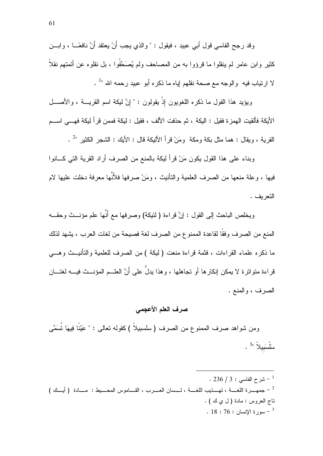وقد رجح الفاسي قول أبي عبيد ، فيقول : " و الذي يجب أَنْ يعتقد أَنَّ نافعًـــا ، و ابـــن كثير وابن عامر لم ينقلوا ما قرؤوا به من المصاحف ولم يُصَحِّفُوا ، بل نقلوه عن أئمتهم نقلاً لا ارتياب فيه ۖ والوجه مع صحة نقلهم لِياه ما ذكره أبو عبيد رحمه الله " .

ويؤيد هذا القول ما ذكره اللغويون إذْ يقولون : " إنَّ ليكة اسم القريــــة ، والأصــــل الأيكة فألقيت الهمز ة فقيل : اليكة ، ثم حذفت الألف ، فقيل : ليكة فممن قر أ ليكة فهـــى اســـم القرية ، ويقال : هما مثل بكة ومكة ۖ ومَنْ قرأ الأليكة قال : الأيك : الشـجر الكثير "2 .

وبناء على هذا القول يكون مَنْ قرأ ليكة بالمنع من الصرف أراد القرية التي كـــانوا فيها ، وعلة منعها من الصرف العلمية والتأنيث ، ومَنْ صرفها فلأَنَّها معرفة دخلت عليها لام التعريف .

ويخلص الباحث إلى القول : إنَّ قراءة ( لنَئِكَة) وصرفها مع أنَّها علم مؤنــث وحقــه المنع من الصرف وفقًا لقاعدة الممنوع من الصرف لغة فصيحة من لغات العرب ، يشهد لذلك ما ذكره علماء القراءات ، فثمة قراءة منعت ( ليكة ) من الصرف للعلمية والتأنيــث وهـــي قراءة متواترة لا يمكن إنكار ها أو تجاهلها ، وهذا يدلُّ على أنَّ العلــم المؤنـــث فيــــه لغتــــان الصرف ، والمنع .

#### صرف العلم الأعجمي

ومن شواهد صرف الممنوع من الصرف ( سلسبيلاً ) كقوله نعالى : " عَيْنًا فِيهَا نُسَمَّى ً سَلْسَبِيلاً "3.

.  $236 / 3:$  شرح الفاسي $^{-1}$ تاج العروس: مادة ( ل ي ك ) . .  $18:76:18$ سورة الإنسان -  $-3$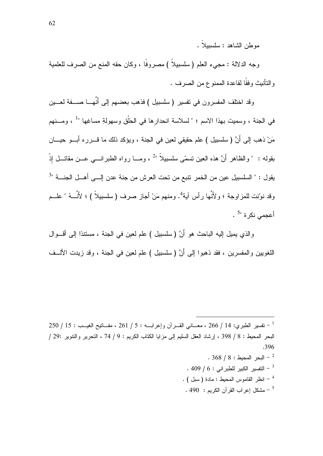موطن الشاهد: سلسببلاً.

وجه الدلالة : مجيء العلم ( سلسبيلاً ) مصروفًا ، وكان حقه المنع من الصرف للعلمية و النَّانيث وفقًا لقاعدة الممنوع من الصرف .

وقد اختلف المفسرون في تفسير ( سلسبيل ) فذهب بعضهم إلى أُنَّهـــا صــــفة لـعــــين في الجنة ، وسميت بهذا الاسم ؛ " لسلاسة انحدارها في الحَلْق وسهولةِ مساغِها " ، ومــنهم مَنْ ذهب إلى أَنَّ (سلسبيل ) علم حقيقي لعين في الجنة ، ويؤكد ذلك ما قــــرره أبـــو حيــــان بقوله : " والظاهر أنَّ هذه العين نسمَّى سلسبيلاً "<sup>2</sup> ، ومـــا رواه الطبرانــــى عـــن مقاتـــل إذْ يقول : " السلسبيل عين من الخمر نتبع من تحت العرش من جنة عدن اللــى أهــل الجنـــة "<sup>3</sup> وقد نوّنت للمزاوجة ؛ ولأنَّها رأس آية<sup>4</sup>. ومنهم مَنْ أجازٍ صرف ( سلسبيلاً ) ؛ لأَنَّـــهُ " علـــم أعجمي نكر ة "<sup>5</sup> .

و الذي يميل إليه الباحث هو أَنَّ ( سلسبيل ) علم لعين في الجنة ، مستندًا إلى أقـــو ال اللغويين والمفسرين ، فقد ذهبوا إلى أَنَّ ( سلسبيل ) علم لعين في الجنة ، وقد زيدت الألــف

250 / 14 - نفسير الطبري: 14 / 266 ، معـــاني القـــرأن وإعرابــــه : 5 / 261 ، مفـــاتيح الغيـــب : 15 / 250 البحر المحيط : 8 / 398 ، إرشاد العقل السليم إلى مزايا الكتاب الكريم : 9 / 74 ، التحرير والتتوير :29 / .396

- $.368 / 8:$  البحر المحيط  $-2$ . 409 / 6 : التفسير الكبير للطبر اني  $16:409$
- . ( سبل ) انظر القاموس المحيط : مادة ( سبل )
- . 490 مشكل إعراب القرآن الكريم  $\sim$  5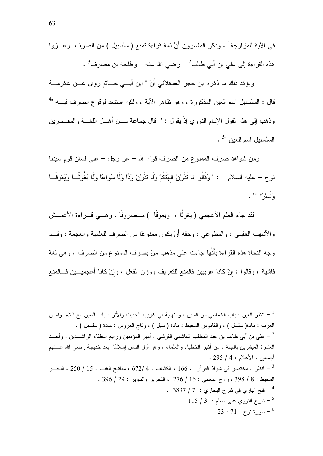في الآية للمزاوجة<sup>1</sup> ، وذكر المفسرون أَنَّ ثمة قراءة تمنع ( سلسبيل ) من الصرف وعـــزوا هذه القراءة إلى على بن أبي طالب $^{-2}$  رضي الله عنه – وطلحة بن مصرف $^{-3}$  .

ويؤكد ذلك ما ذكره ابن حجر العسقلاني أَنَّ " ابن أبـــي حـــاتم روى عـــن عكرمــــة قال : السلسبيل اسم العين المذكورة ، وهو ظاهر الآية ، ولكن استبعد لوقوع الصرف فيــــه " وذهب إلى هذا القول الإمام النووي إِذْ يقول : " قال جماعة مـــن أهـــل اللغـــة والمفـــسرين السلسييل اسم للعبن "5.

ومن شواهد صرف الممنوع من الصرف قول الله – عز وجل – على لسان قوم سيدنا نوح – عليه السلام – : " وَقَالُوا لَا نَذَرُنَّ ٱلهَنَّكُمْ وَلَا نَذَرُنَّ وَدًّا وَلَا سُوَاعًا وَلَا يَغُوثًــا وَيَعُوقُــا  $\cdot$   $\stackrel{6}{\cdots}$  وَ نَسْرُ ا

فقد جاء العلم الأعجمي (يغوثًا ، ويعوقًا ) مــصروفًا ، وهـــي قـــراءة الأعمـــش و الأشهب العقبلي ، و المطوعي ، وحقه أَنْ بكون ممنو عًا من الصر ف للعلمية و العجمة ، وقــد وجه النحاة هذه القراءة بأنَّها جاءت على مذهب مَنْ يصرف الممنوع من الصرف ، وهي لغة فاشية ، وقالوا : إنْ كانا عرببين فالمنع للنعريف ووزن الفعل ، وإنْ كانا أعجميـــين فـــالمنع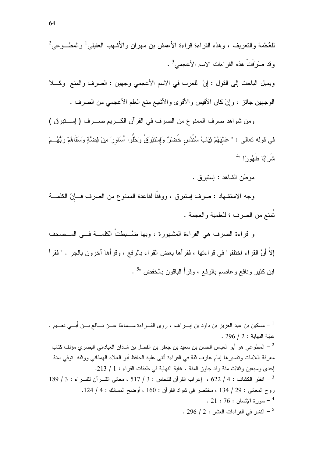للعُجْمة والنعريف ، وهذه القراءة قراءة الأعمش بن مهران والأشهب العقيلي<sup>1</sup> والمطـــوعى<sup>2</sup> وقد صَرَفَتْ هذه القراءات الاسم الأعجمي<sup>3</sup> .

ويميل الباحث إلى القول : إنَّ للعرب في الاسم الأعجمي وجهين : الصرف والمنع وكـــلا الوجهين جائز ، وإنْ كان الأقيس والأقوى والأشيع منع العلم الأعجمي من الصرف .

ومن شواهد صرف الممنوع من الصرف في القرآن الكـــريم صـــــرف ( إســــتبرق ) في قوله تعالى : " عَاليَهُمْ ثِيَابُ سُنْدُس خُضرْ ٌ وَإِسْتَبْرِقٌ وَخُلُوا أَسَاوِرَ مِنْ فِضَّةٍ وَسَقَاهُمْ رَبُّهُ مْ  $4$ " شَدَرَ ايَّا طَبَعُو دِيَّا

موطن الشاهد : إستبر ق .

وجه الاستشهاد : صرف إستبرق ، ووفقًا لقاعدة الممنوع من الصرف فـــإنَّ الكلمـــة نُمنع من الصر ف ؛ للعلمية و العجمة .

و قراءة الصرف هي القراءة المشهورة ، وبها ضُبطتٌ الكلمـــة فـــي المــصحف إلاَّ أنَّ القراء اختلفوا في قراءتها ، فقرأها بعض القراء بالرفع ، وقرأها آخرون بالجر . " فقرأ ابن كثير ونافع وعاصم بالرفع ، وقرأ الباقون بالخفض "<sup>5</sup> .

- مسكين بن عبد العزيز بن داود بن إبــــراهيم ، روى القــــراءة ســـماعًا عــــن نــــافع بــــن أبــــي نعـــيم . . 296 / 2 : غابة النهابة معرفة اللامات وتفسير ها إمام عارف ثقة في القراءة أثنـي عليه الحافظ أبو العلاء المهدانـي ووثقه توفـي سنة إحدى وسبعين وثلاث مئة وقد جاوز المئة . غاية النهاية في طبقات القراء : 1 / 213. 189 / 3 : انظر الكثباف : 4 / 622 ، إعراب القرآن للنحاس : 3 / 517 ، معاني القــرآن للفــراء : 3 / 189 روح المعاني : 29 / 134 ، مختصر في شواذ القرآن : 160 ، أوضح المسالك : 4 / 124. . 21 : 76 : الانسان  $76$  :  $^{-4}$  $1.296 / 2:1$ النشر في القراءات العشر . 296  $^{-5}$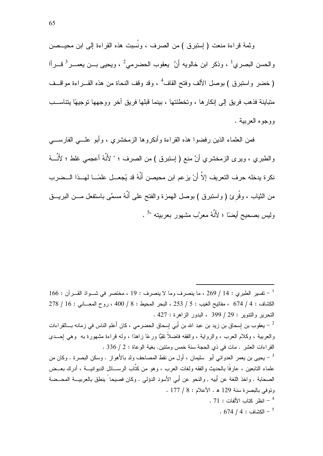وثمة قراءة منعت ( إستبرق ) من الصرف ، ونُسِبت هذه القراءة إلى ابن محيـــصن والحسن البصري<sup>1</sup> ، وذكر ابن خالويه أَنَّ يعقوب الحضرمي<sup>2</sup> ، ويحيى بـــن يعمـــر<sup>3</sup> قـــرأا (خضر واستبرق ) بوصل الألف وفتح القاف<sup>4</sup> ، وقد وقف النحاة من هذه القـــر اءة مو اقـــف متباينة فذهب فريق إلى إنكارها ، وتخطئتها ، بينما قبلها فريق أخر ووجهها توجيهًا بتناســب ووجوه العربية .

فمن العلماء الذين ر فضوا هذه القر اءة و أنكر و ها الز مخشر ي ، و أبو علـــى الفار ســــى والطبري ، ويرى الزمخشري أنَّ منع ( إستبرق ) من الصرف ؛ " لأَنَّهُ أعجمي غلط ؛ لأَنَّــهُ نكرة يدخله حرف التعريف إلاَّ أنْ يزعم ابن محيصن أَنَّهُ قد يُجعـــل علمَـــا لهـــذا الـــضرب من الثياب ، وقُرئ ( واستبرق ) بوصل المهمزة والفتح على أنَّهُ مسمَّى باستفعل مـــن البريـــق وليس بصحيح أيضًا ؛ لأَنَّهُ معرَّبٍ مشهورٍ بعربيته "ً .

يعقوب بن إسحاق بن زيد بن عبد الله بن أَبي إسحاق الحضرمي ، كان أَعلم الناس في زمانه بـــالقراءات  $^\circ$ والعربية ، وكلام العرب ، والرواية ، والفقه فاضلاً نقيًّا ورعًا زاهدًا ، وله قراءة مشهورة به ً وهي إحــدي القراءات العشر . مات في ذي الحجة سنة خمس ومئتين. بغية الوعاة : 2 / 336 .

علماء التابعين ، عار فًا بالحديث والفقه ولغات العرب ، وهو من كتَّاب الرســـائل الديوانيـــة ، أدرك بعـــض الصحابة ، و اخذ اللغة عن أَبيه , و النحو عن أَبي الأسود الدؤلي . و كان فصيحا ً بنطق بالعر بيـــة المحــضة وتوفي بالبصرة سنة 129 هـ. الأعلام : 8 / 177 . . 71 : انظر كتاب الألفات : 71 .

.  $674 / 4:$  الكشاف  $^{-5}$ 

 $166:$  تفسير الطبر ي : 14 / 269 ، ما ينصرف وما لا ينصرف : 19 ، مختصر في شــواذ القــرآن : 166  $^{-1}$  $278 / 16:$  الكشاف : 4 / 674 ، مفاتيح الغيب : 5 / 253 ، البحر المحيط : 8 / 400 ، روح المعــانـي : 16 / 278 التحرير والتتوير : 29 / 399 ، البدور الزاهرة : 427 .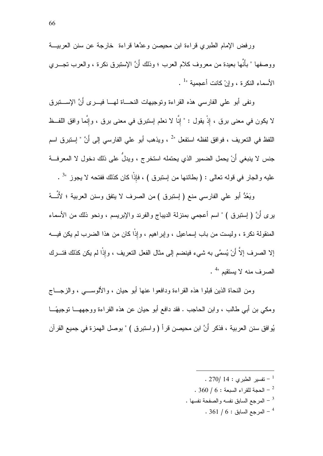ورفض الإمام الطبرى فراءة ابن محيصن وعدَّها فراءة خارجة عن سنن العربيـــة ووصفها " بأنَّها بعيدة من معروف كلام العرب ؛ وذلك أنَّ الإستبرق نكرة ، والعرب تجـــري الأسماء النكرة ، وإنْ كانت أعجمية " .

ونفي أبو على الفارسي هذه القراءة وتوجيهات النحـــاة لمهـــا فيـــــرى أَنَّ الإســــتبرق لا يكون في معنى برق ، إذْ يقول : " إنَّا لا نعلم إستبرق في معنى برق ، وإنَّما وافق اللفــظ اللَّفظ في النَّعر بِف ، فو افق لفظه استفعل "2 ، و بِذهب أبو ٍ علي الفار سي إلي أَنَّ " إستبر ق اسم جنس لا ينبغي أَنْ يحمل الضمير الذي يحتمله استخرج ، ويدلَّ على ذلك دخول لا المعرفـــة عليه والجار في قوله تعالى : ( بطائنها من إستبرق ) ، فإذًا كان كذلك ففتحه لا يجوز <sup>3</sup>" .

ويَعُدُّ أبو على الفارسي منع ( إستبرق ) من الصرف لا يتفق وسنن العربية ؛ لأَنَّـــهُ يري أَنَّ ( إستبرق ) " اسم أعجمي بمنزلة الديباج والفرند والإبريسم ، ونحو ذلك من الأسماء المنقولة نكرة ، وليست من باب إسماعيل ، وإير اهيم ، وإذًا كان من هذا الضرب لم يكن فيـــه إلا الصرف إلاَّ أنْ يُسمَّى به شيء فينضم إلى مثال الفعل النعريف ، وإذْا لم يكن كذلك فتـــرك الصرف منه لا يستقيم "

ومن النحاة الذين قبلوا هذه القراءة ودافعوا عنها أبو حيان ، والألوسبي ، والزجــاج ومكي بن أبي طالب ، وابن الحاجب . فقد دافع أبو حيان عن هذه القراءة ووجههـــا توجيهًـــا يُو افق سنن العربية ، فذكر ۖ أَنَّ ابن محيصن قر أ ( و استبر ق ) " بو صل الهمز ة في جميع القر آن

> . 270/  $14:$  قسبر الطبر ي $^{-1}$ . 360 / 6 : الحجة للقراء السبعة  $\sim 360$  . . المرجع السابق نفسه والصفحة نفسها  $\,$  $.361/6:$  المرجع السابق $.61/6$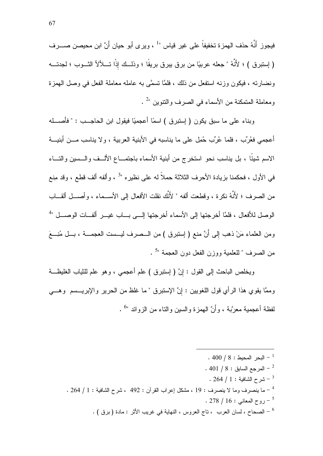فيجوز أَنَّهُ حذف الـهمزة تخفيفاً على غير قياس "<sup>1</sup> ، ويرى أبو حيان أَنَّ ابن محيصن صــــرف ( إستبرق ) ؛ لأَنَّهُ " جعله عربيًا من برق بيرق بريقًا ؛ وذلــك إذْا تـــلألأ الثـــوب ؛ لـجدتـــه ونضارته ، فيكون وزنه استفعل من ذلك ، فلمَّا نسمَّى به عامله معاملة الفعل في وصل الهمزة ومعاملة المتمكنة من الأسماء في الصرف والنتوين "2 .

وبناء على ما سبق بكون ( إستبرق ) اسمًا أعجميًا فيقول ابن الحاجـــب : " فأصـــــله أُعجِمي فعُرِّبٍ ، فلما عُرِّبٍ حُمِلٍ على ما يناسبِه في الأبنية العربية ، و لا يناسبِ مـــن أبنيـــة الاسم شيئًا ، بل يناسب نحو استخرج من أبنية الأسماء باجتمــاع الألــف والــسين والتــاء في الأول ، فحكمنا بزيادة الأحرف الثلاثة حملاً له على نظيره "<sup>3</sup> ، وألفه ألف قطع ، وقد منع من الصرف ؛ لأَنَّهُ نكرة ، وقطعت ألفه " لأَنَّك نقلت الأفعال إلى الأســـماء ، وأصـــل ألقـــاب الوصل للأفعال ، فلمَّا أخرجتها إلى الأسماء أخرجتها إلــى بـــاب غيـــر ألفـــات الوصـــل " ومن العلماء مَنْ ذهب إلى أَنَّ منع ( إستبرق ) من الـــصرف ليـــست العجمـــة ، بـــل مُنِــــعَ من الصرف " للعلمية ووزن الفعل دون العجمة "<sup>5</sup> .

ويخلص الباحث إلى القول : إنَّ ( إستبرق ) علم أعجمي ، وهو علم للثياب الغليظة وممَّا يقوي هذا الرأي قول اللغويين : إنَّ الإستبرق " ما غلظ من الحرير والإبريــــسم ۖ وهــــي لفظة أعجمية معرَّبة ، وأَنَّ الـهمزة والسين والناء من الزوائد "<sup>6</sup> .

- .  $400 / 8:111 1$  البحر المحبط . 401 / 8 : المرجع السابق  $8: 8 \cdot 10$ شرح الشافية : 1 / 264 .  $^{-3}$ . 264 / 1 ينصرف وما لا ينصرف : 19 ، مشكل إعراب القرآن : 492 ، شرح الشافية : 1 / 264 . . 278 / 16 : روح المعاني : 16 / 278 .
	- . [ الصحاح ، لسان العرب ، ناج العروس ، النهاية في غريب الأثر : مادة ( برق ) .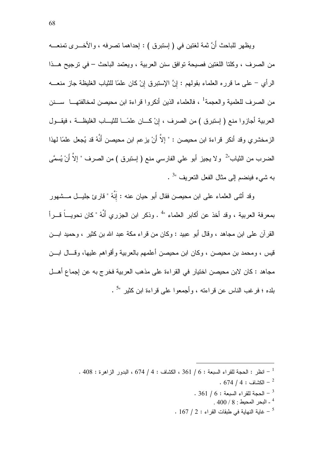ويظهر للباحث أَنَّ ثمة لغتين في ( إستبرق ) : إحداهما تصرفه ، والأخـــري تمنعـــه من الصرف ، وكلتا اللغتين فصبحة توافق سنن العربية ، ويعتمد الباحث – في ترجيح هــذا الرأي – على ما قرره العلماء بقولهم : إنَّ الإستبرق إنْ كان علمًا للثياب الغليظة جاز منعـــه من الصرف للعلمية والعجمة<sup>1</sup> ، فالعلماء الذين أنكروا قراءة ابن محيصن لمخالفتهـــا ســـنن العربية أجازوا منع ( إستبرق ) من الصرف ، إنْ كـــان علمًـــا للنْيـــاب الغليظـــة ، فيقـــول الز مخشر ي وقد أنكر قر اءة ابن محيصن : " إلاّ أَنْ يز عم ابن محيصن أَنَّهُ قد يُجعل علمًا لهذا الضرب من الثياب"<sup>2</sup> و لا يجيز أبو علي الفارسي منع ( إستبرق ) من الصرف " إلاَّ أنْ يُسمَّى به شيء فينضم إلى مثال الفعل النعر يف "<sup>3</sup> .

وقد أنثني العلماء على ابن محيصن فقال أبو حيان عنه : إِنَّهُ " قارئ جليـــل مـــشهور بمعرفة العربية ، وقد أخذ عن أكابر العلماء "<sup>4</sup> . وذكر ابن الجزري أَنَّهُ " كان نحويـــاً قـــراً القر آن علي ابن مجاهد ، وقال أبو عبيد : وكان من قر اء مكة عبد الله بن كثير ، و حميد ابـــن قيس ، ومحمد بن محيصن ، وكان ابن محيصن أعلمهم بالعربية وأقواهم عليها، وقـــال ابـــن مجاهد : كان لابن محيصن اختيار ً في القر اءة على مذهب العربية فخر ج به عن إجماع أهــل بلده ؛ فرغب الناس عن قراءته ، وأجمعوا علم قراءة ابن كثير "<sup>5</sup> .

- .  $674 / 4:$  الكشاف  $-^2$
- $-361/6:$  الحجة للقراء السبعة  $-3$ 
	- $.400/8$  : البحر المحيط  $^\mathrm{4}$
- . 167 / 2 : غاية النهاية في طبقات القراء : 2 / 167 .

<sup>. 408 :</sup> انظر : الحجة للقراء السبعة : 6 / 361 ، الكشاف : 4 / 674 ، البدور الزاهرة : 408 .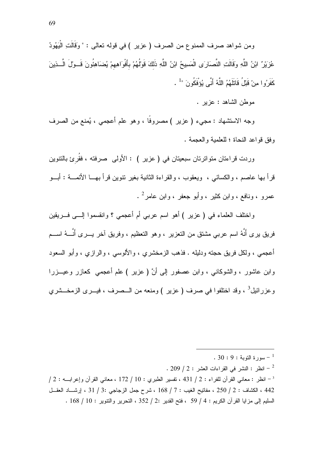ومن شواهد صرف الممنوع من الصرف ( عزير ) في قوله تعالى : " وَقَالَتِ الْيَهُودُ عُزِيْرٌ 'بْنُ اللَّهِ وَقَالَتِ النَّصَارَى الْمَسِيحُ ابْنُ اللَّهِ ذَلكَ قَوْلُهُمْ بِأَفْوَاهِهِمْ يُضَاهِئُونَ قَــوْلَ الَّــذِينَ كَفَرُ و ا مِنْ قَبْلُ قَاتَلَهُمُ اللَّهُ أَنَّى يُوَفَكُونَ " .

موطن الشاهد : عزير .

وجه الاستشهاد : مجيء ( عزير ) مصروفًا ، وهو علم أعجمي ، يُمنع من الصرف وفق قواعد النحاة ؛ للعلمية والعجمة .

وردت قراءتان متواترتان سبعيتان في ( عزير ) : الأولى صرفته ، فقُرئ بالتنوين قرأ بها عاصم ، والكسائبي ، ويعقوب ، والقراءة الثانية بغير نتوين قرأ بهـــا الأئمــــة : أبـــو عمرو ، ونافع ، وابن كثير ، وأبو جعفر ، وابن عامر<sup>2</sup> .

واختلف العلماء في ( عزير ) أهو اسم عربي أم أعجمي ؟ وانقسموا إلـــي فـــريقين فريق يرى أنَّهُ اسم عربي مشتق من التعزير ، وهو التعظيم ، وفريق آخر يــــرى أنَّــــهُ اســــم أعجمي ، ولكل فريق حجته ودليله . فذهب الزمخشري ، والألوسي ، والرازي ، وأبو السعود وابن عاشور ، والشوكانبي ، وابن عصفور إلى أنَّ ( عزير ) علم أعجمي كعازر وعيـــزرا وعزرائيل<sup>3</sup> ، وقد اختلفوا في صرف ( عزير ) ومنعه من الـــصرف ، فيـــرى الزمخـــشري

 $1.209$  / 2 - انظر : النشر في القراءات العشر : 2 / 209  $^{-2}$ 

 $/2:$  انظر : معاني القرآن للفراء : 2 / 431 ، تفسير الطبرى : 10 / 172 ، معاني القرآن وإعرابــه : 2 / 442 ، الكشاف : 2 / 250 ، مفاتيح الغيب : 7 / 168 ، شرح جمل الزجاجي :3 / 31 ، إرشـــاد العقــل السليم إلى مزايا القرآن الكريم : 4 / 59 ، فتح القدير :2 / 352 ، التحرير والتتوير : 10 / 168 .

 $30:9:9:1$ سورة التوبة -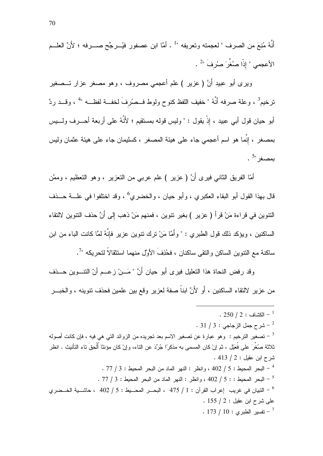أنَّهُ مُنِعَ من الصرف " لعجمته وتعريفه " أ . أمَّا ابن عصفور فيُـــرجِّح صـــــرفه ؛ لأَنَّ العلـــم الأعجمي " إذًا صُغِّرَ صُرِفَ "<sup>2</sup> .

ويرى أبو عبيد أَنَّ ( عزير ) علم أعجمي مصروف ، وهو مصغر عزار تـــصغير ترخيم<sup>3</sup> ، وعلة صرفه أَنَّهُ " خفيف اللفظ كنوح ولوط فــصُرفَ لخفــة لفظـــه "<sup>4</sup> ، وقـــد ردَّ أبو حيان قول أبـى عبيد ، إذْ يقول : " وليس قولـه بمستقيم ؛ لأَنَّهُ علـى أربعة أحــــرف ولـــــيس بمصغر ، إنَّما هو اسم أعجمي جاء على هيئة المصغر ، كسليمان جاء على هيئة عثمان وليس  $\frac{5}{3}$ بمصغر"

أمّا الفريق الثاني فيرى أَنَّ ( عزير ) علم عربي من النعزير ، وهو النعظيم ، وممَّن قال بهذا القول أبو البقاء العكبري ، وأبو حيان ، والخضري<sup>6</sup> ، وقد اختلفوا في علــــة حـــذف النتوين في قراءة مَنْ قرأ ( عزير ) بغير نتوين ، فمنهم مَنْ ذهب إلى أَنَّ حذف النتوين لالنقاء الساكنين ، ويؤكد ذلك قول الطبري : " وأمَّا مَنْ ترك نتوين عزير فإنَّهُ لمَّا كانت الباء من ابن ساكنة مع النتوين الساكن والنقى ساكنان ، فحُذِفَ الأوَّل منهما استثقالاً لتحريكه "ً

وقد رفض النحاة هذا التعليل فيرى أبو حيان أَنَّ " مَـــنْ زعـــم أنّ النتـــوين حـــذف من عزير لالنقاء الساكنين ، أَو لأَنَّ ابناً صفة لعزير وقع بين علمين فحذف نتوينه ، والخبـــر

. 250  $/$  2 الكشاف  $^{-1}$  $31 / 3:$ شرح جمل الزجاجي  $-$  3 /  $-$ تصغير الترخيم : وهو عبارة عن تصغير الاسم بعد تجريده من الزوائد التي هي فيه ، فإن كانت أصوله " ثلاثة صنُغِّرَ على فُعَيْل ، ثم إنْ كان المسمى به مذكر ًا جُريٍّدَ عن الناء، و إنْ كان مؤنثا أُلْحِقَ تاء النأنيث . انظر شرح ابن عقيل : 2 / 413 . . 77 / 3 - البحر المحيط : 5 / 402 ، وانظر : النهر الماد من البحر المحيط : 3 / 77 . . 77 / 3 - البحر المحيط : : 5 / 402 ، وانظر : النهر الماد من البحر المحيط : 3 / 77 .  $.155 / 2:$ طلي شرح ابن عقبل : .  $173 / 10:$  تفسير الطيري ته  $^{-7}$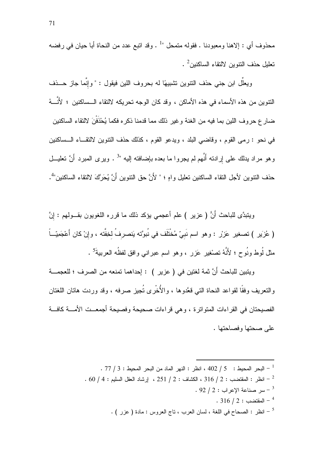محذوف أي : إلاهنا ومعبودنا . فقوله متمحل "أ . وقد اتبع عدد من النحاة أبا حيان في رفضه نعليل حذف النتوين لالنقاء الساكنين<sup>2</sup> .

ويعلَّل ابن جنبي حذف النتوين نشبيهًا له بحروف اللين فيقول : " وإنَّما جازٍ حـــذف النتوين من هذه الأسماء في هذه الأماكن ، وقد كان الوجه تحريكه لالنقاء الـــساكنين ؛ لأَنّـــهُ ضارع حروف اللين بما فيه من الغنة وغير ذلك مما قدمنا ذكره فكما يُحْذَفْنَ لالنقاء الساكنين في نحو : رمي القوم ، وقاضي البلد ، ويدعو القوم ، كذلك حذف التنوين لالتقــاء الــساكنين وهو مراد بدلك على إرادته أنَّهم لم يجروا ما بعده بإضافته إليه "<sup>3</sup> . ويرى المبرد أَنَّ تعليـــل حذف النتوين لأجل النقاء الساكنين تعليل واهٍ ؛ " لأَنَّ حق النتوين أَنَّ يُحَرَّكَ لالنقاء الساكنين"<sup>4</sup>.

ويِتبدَّى للباحث أَنَّ ( عزير ) علم أعجمي يؤكد ذلك ما قرره اللغويون بقـــولمهم : إنَّ ( عُزِير ) تصغير عَزْر : وهو اسم نَبِيّ مُخْتَلَف في نُبوَّته يَنصرفُ لخفَّته ، وإنْ كان أَعْجَمِيّــاً مثل لُوط ونُوح ؛ لأَنَّهُ نصْغِير عَزر ، وهو اسم عبراني وافق لفظُه العربيةَ<sup>5</sup> .

ويتبين للباحث أَنَّ ثمة لغتين في ( عزير ) : إحداهما تمنعه من الصرف ؛ للعجمـــة والنعريف وفقًا لقواعد النحاة التي قعَّدوها ، والأُخْرِي تُجيزٍ صرفه ، وقد وردت هاتان اللغتان الفصيحتان في القراءات المتواترة ، وهي قراءات صحيحة وفصيحة أجمعــت الأمـــة كافــة على صحتها وفصاحتها .

> . 77 / 3 - البحر المحيط :  $\,$  / 202 ، انظر : النهر الماد من البحر المحيط : 3 / 77 .  $^{-1}$  $\sim 60$  / 4 : انظر : المقتضب : 2 / 316 ، الكشاف : 2 / 251 ، إرشاد العقل السليم : 4 / 60 . .  $92 / 2: 12$ سر صناعة الاعراب : 2 . . 316 / 2 : المقتضى $16/2$  .  $\cdot$  ( عزر ) انظر اللغة ، لسان العرب ، تاج العروس : مادة ( عزر )  $^{-5}$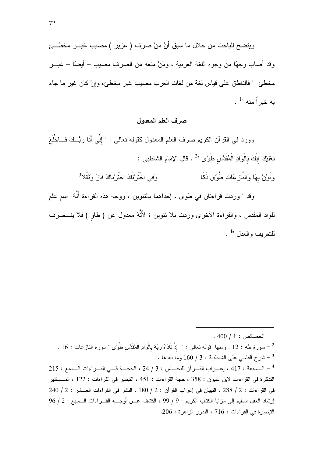ويتضح للباحث من خلال ما سبق أَنَّ مَنْ صرف ( عزير ) مصيب غيـــر مخطــــئ وقد أصاب وجهًا من وجوه اللغة العربية ، ومَنْ منعه من الصرف مصيب – أيضًا – غيـــر مخطئ " فالناطق على قياس لغة من لغات العرب مصيب غير مخطئ، وإنْ كان غير ما جاء  $\cdot$  ده خدر اً منه "

## صرف العلم المعدول

وورد في القرآن الكريم صرف العلم المعدول كقوله تعالى : " إنِّي أَنَا رَبُّــكَ فَـــاخْلَعْ نَعْلَيْكَ إِنَّكَ بِالْوَادِ الْمُقَدَّس طُوءَى "2 . قال الإمام الشاطبي :

> وَفِي اخْتَرَيْتُكَ اخْتَرِيْنَاكَ فَازَ وَثَقَّلا<sup>3</sup> وَنَوِّنْ بِهَا وَالنَّازِ عَاتِ طُوًى ذَكَا

وقد " وردت قراءتان في طوى ، إحداهما بالنتوين ، ووجه هذه القراءة أَنَّهُ ۖ اسم علم للواد المقدس ، والقراءة الأخرى وردت بلا نتوين ؛ لأَنَّهُ معدول عن ( طاو ) فلا ينـــصرف  $\frac{4}{1}$ للتعريف والعدل "

 $.400/1:$  الخصائص  $^{-1}$ . 16 - سورة طه : 12 . ومنها قوله تعالى : " إِذْ نَادَاهُ رَبُّهُ بِالْوَادِ الْمُقَدَّسِ طُوءَى "سورة النازعات : 16 . - شرح الفاسي على الشاطبية : 3 / 160 وما بعدها .  $215:$  السسعة : 417 ، إعـــراب القـــرآن للنحـــاس : 3 / 24 ، الحجـــة فـــى القـــراءات الـــسبع : 215  $\sim$ التذكرة في القراءات لابن غلبون : 358 ، حجة القراءات : 451 ، التيسير في القراءات : 122 ، المــستتير  $240 / 2: 2 \times 20$  في القراءات : 2 / 288 ، التبيان في إعراب القرآن : 2 / 180 ، النشر في القراءات العـشر : 2 / 240 إرشاد العقل السليم إلى مزايا الكتاب الكريم : 9 / 99 ، الكشف عــن أوجـــه القـــراءات الـــسبع : 2 / 96 التبصرة في القراءات : 716 ، البدور الزاهرة : 206.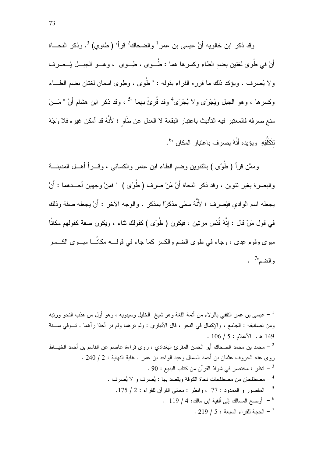وقد ذكر ابن خالويه أَنَّ عيسى بن عمرٍ <sup>1</sup> والضحاكُ <sup>2</sup> قرأا ( طاوى) <sup>3</sup>. وذكر النحـــاة أَنَّ في طُوى لغتين بضم الطاء وكسرها هما : طُــوى ، طِــوى ، وهــو الجبــل يُــصرف ولا يُصرف ، ويؤكد ذلك ما قرره الفراء بقوله : " طُوى ، وطوى اسمان لغتان بضم الطـــاء وكسرها ، وهو الجبل ويُجْرَى ولا يُجْرَىُّ وقد قُرىً بهما "<sup>5</sup> ، وقد ذكر ابن هشام أَنَّ " مَـــنْ منع صرفه فالمعتبر فيه التأنيث باعتبار البقعة لا العدل عن طَاو ؛ لأَنَّهُ قد أمكن غيره فلا وَجْهَ لتَكَلُّفِهِ ۚ وبؤبده أَنَّهُ بصر ف باعتبار المكان "<sup>6</sup>.

وممَّن قرأ ( طُوًى ) بالنتوين وضم الطاء ابن عامر والكسائي ، وقــــرأ أهـــل المدينــــة والبصرة بغير نتوين ، وقد ذكر النحاة أَنَّ مَنْ صرف ( طُوءَى ) " فمنْ وجهين أحـــدهما : أَنْ يجعله اسم الوادي فيُصرف ؛ لأَنَّهُ سمَّى مذكرًا بمذكرٍ ، والوجه الآخر : أَنْ يجعله صفة وذلك في قول مَنْ قال : إنَّهُ قُدّس مرتين ، فيكون ( طُوًى ) كقولك ثناء ، ويكون صفة كقولهم مكانًا سِوى وقوم عِدى ، وجاء في طوى الضم والكسر كما جاء في قولــــه مكانًــــا سـِـــوى الكـــسر والضم"

ومن تصانيفه : الجامع ، والإكمال في النحو ، قال الأنباري : ولم نرهما ولم نر أحدًا رأهما . تـــوفي ســـنة  $.106 / 5:$  الأعلام  $.149$ محمد بن محمد الضحاك أَبو الحسن المقرئ البغدادي ، روى قراءة عاصم عن القاسم بن أحمد الخيـــاط  $^{-{\,2}}$ روى عنه الحروف عثمان بن أحمد السمال وعبد الواحد بن عمر . غاية النهاية : 2 / 240 . . 90 : انظر : مختصر في شواذ القرآن من كتاب البديع : 90 . مصطلحان من مصطلحات نحاة الكوفة ويقصد بها : بُصر ف و لا بُصر ف .  $^{-\, 4}$ - المقصور و الممدود : 77 ، وانظر : معانى القرآن للفراء : 2 / 175.  $\,$ . 119 / 4 أو ضبح المسالك إلى ألفية ابن مالك: 4 / 119 .  $-219/5$  - الحجة للقراء السبعة : 5 / 19 .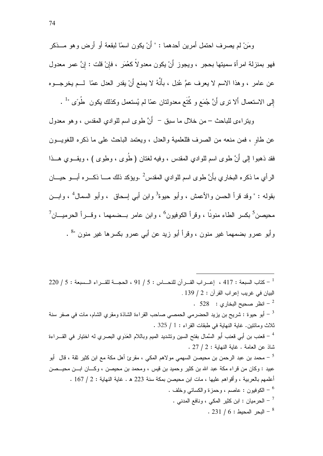ومَنْ لم يصر ف احتمل أمر بن أحدهما : " أَنْ يكون اسمًا لبقعة أو أر ض و هو مـــذكر فهو بمنزلة امرأة سميتها بحجر ، ويجوز أَنْ يكون معدولاً كعُمَر ، فإنْ قلت : إنَّ عمر معدول عن عامر ، وهذا الاسم لا يعرف عمَّ عُدِل ، بأنَّهُ لا يمنع أنْ يقدر العدل عمّا ۖ لـــم يخرجـــوه إلى الاستعمال ألا نرى أنَّ جُمَع و كُتَع معدولتان عمّا لم يُستعمل وكذلك يكون ۖ طُوًى " .

ويتر اءي للباحث – من خلال ما سبق – أَنَّ طوى اسم للوادي المقدس ، وهو معدول عن طاو ، فمن منعه من الصرف فللعلمية والعدل ، ويعتمد الباحث على ما ذكر ه اللغويــون فقد ذهبوا إلى أَنَّ طوى اسم للوادي المقدس ، وفيه لغتان ( طُوى ، وطوى ) ، ويقـــوي هـــذا الرأي ما ذكره البخاري بأَنَّ طوى اسم للوادي المقدس<sup>2</sup> .ويؤكد ذلك مــــا ذكــــره أبـــو حيــــان بقوله : " وقد قرأ الحسن والأعمش ، وأبو حيوة<sup>3</sup> وابن أبي إسحاق ، وأبو السمال<sup>4</sup> ، وابـــن محيصن<sup>5</sup> بكسر الطاء منونًا ، وقرأ الكوفيون<sup>6</sup> ، وابن عامر بــضمهما ، وقـــرأ الحرميـــان<sup>7</sup> وأبو عمرو بضمهما غير منون ، وقرأ أبو زيد عن أبي عمرو بكسرها غير منون "<sup>8</sup> .

 $\sim 220$  / 5 : الحجــة للقــر اب القــر آن للنحــاس : 5 / 91 ، الحجــة للقــر اء الــسبعة : 5 / 220  $^{-1}$ البيان في غريب إعراب القرآن : 2 / 139 . .  $528$  : انظر صحيح البخار ي $\sim$  328  $^{-2}$ أبو حيوة : شريح بن يزيد الحضرمي الحمصي صاحب القراءة الشاذة ومقري الشام، مات في صفر سنة  $^{-3}$ ثلاث ومائنين. غاية النهاية في طبقات القراء : 1 / 325 . <sup>4</sup> – قعنب بن أبي قعنب أبو السَّمال بفتح السين ونتثديد الميم وباللام العَدَوي البصري له اختيار في القـــراءة شاذ عن العامة . غابة النهابة : 2 / 27 . عبيد : وكان من قراء مكة عبد الله بن كثير وحميد بن قيس ، ومحمد بن محيصن ، وكـــان ابـــن محيـــصن أعلمهم بالعربية ، وأقواهم عليها ، مات ابن محبصن بمكة سنة 223 هـ . غاية النهاية : 2 / 167 . لكوفيون : عاصم ، وحمزة والكسائي وخلف .  $^6$ .<br>- الحرميان : ابن كثير المكي ، ونافع المدنى " . 231 / 6 : البحر المحبط . 231 .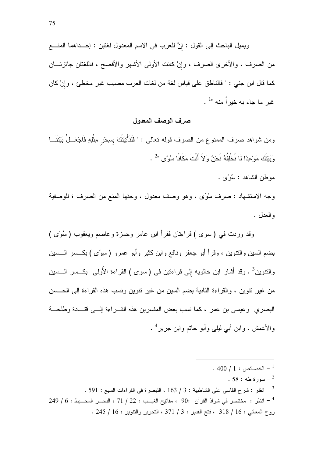ويميل الباحث إلى القول : إنَّ للعرب في الاسم المعدول لغتين : إحــداهما المنـــع من الصرف ، والأخرى الصرف ، وإنْ كانت الأولىي الأشهر والأفصح ، فاللغتان جائزتـــان كما قال ابن جني : " فالناطق على قياس لغة من لغات العرب مصيب غير مخطئ ، وإنْ كان غبر ما جاء به خبر اً منه "1.

#### صرف الوصف المعدول

ومن شواهد صرف الممنوع من الصرف قوله تعالى : " فَلَنَأْتِيَنَّكَ بِسِحْرٍ مِثْلِهِ فَاجْعَــلْ بَيْنَنَـــا وَبَبْنَكَ مَوْعِدًا لَا نُخْلِفُهُ نَحْنُ وَلاَ أَنْتَ مَكَانًا سُوءًى "2 .

موطن الشاهد : سُوءَى .

وجه الاستشهاد : صرف سُوَى ، وهو وصف معدول ، وحقها المنع من الصرف ؛ للوصفية و العدل .

وقد وردت في ( سوى ) قراءتان فقرأ ابن عامر وحمزة وعاصم ويعقوب ( سُوًى ) بضم السين والنتوين ، وقرأ أبو جعفر ونافع وابن كثير وأبو عمرو ( سوًى ) بكــــسر الــــسين والنتوين<sup>3</sup> . وقد أشار ابن خالويه إلى قراءنين في ( سوى ) القراءة الأولى بكـــسر الـــسين من غير نتوين ، والقراءة الثانية بضم السين من غير نتوين ونسب هذه القراءة إلى الحــسن البصري وعيسى بن عمر ، كما نسب بعض المفسرين هذه القـــراءة إلــــي فتـــادة وطلحـــة والأعمش ، وابن أبي ليلي وأبو حاتم وابن جرير <sup>4</sup> .

. 400  $/$  1 : الخصائص  $^{-1}$  $.58:4$ سورة طه  $^{-2}$ . 591 : شارح الفاسي على الشاطبية : 3 / 163 ، التبصرة في القراءات السبع : 591 .  $249/6:$  انظر : مختصر في شواذ القرآن  $90:$  ، مفاتيح الغيــب : 22 / 71 ، البحـــر المحـــيط : 6 / 249 روح المعاني : 16 / 318 ، فتح القدير : 3 / 371 ، التحرير والتتوير : 16 / 245 .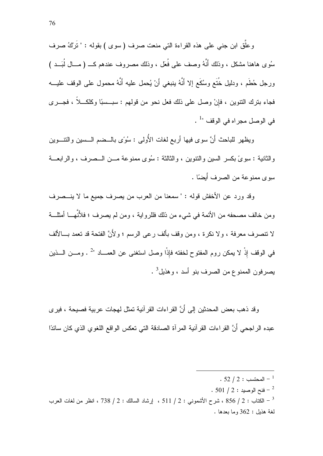وعلَّق ابن جنبي علي هذه القراءة التبي منعت صرف ( سوى ) بقوله : " نَرْكُ صرف سُوى هاهنا مشكل ، وذلك أنَّهُ وصف على فُعَل ، وذلك مصروف عندهم كــــ ( مـــال لُبَـــد ) ورجل حُطَم ، ودليل خُتَع وسُكَع إلا أنَّهُ بنبغي أَنْ يُحمل عليه أنَّهُ محمول على الوقف عليـــه فجاء بنرك النتوين ، فإنْ وصل على ذلك فعل نحو من قولهم : سبـــسبًا وكلكــــلاً ، فجــــرى في الوصل مجراه في الوقف "<sup>1</sup> .

ويظهر للباحث أَنَّ سوى فيها أربع لغات الأُولى : سُوًى بالـــضم الـــسين والنتــــوين والثانية : سوىً بكسر السين والنتوين ، والثالثة : سُوى ممنوعة مــن الــصرف ، والرابعـــة سِوِ ي ممنو عة من الصر ف أَبِضاً .

وقد ورد عن الأخفش قوله : " سمعنا من العرب من يصرف جميع ما لا ينـــصرف ومن خالف مصحفه من الأئمة في شيء من ذلك فللرواية ، ومن لم يصرف ؛ فلأَنَّهـــا أمثلـــة لا نتصرف معرفة ، و لا نكر ة ، ومن وقف بألف ر عے الر سم ؛ و لأَنَّ الفتحة قد تعمد بـــالألف في الوقف إِذْ لا يمكن روم المفتوح لخفته فإذْا وصل استغنى عن العمـــاد "2 . ومـــن الــــذين يصرفون الممنوع من الصرف بنو أسد ، وهذيل<sup>3</sup> .

وقد ذهب بعض المحدثين إلى أَنَّ القراءات القرآنية تمثل لهجات عربية فصيحة ، فيرى عبده الراجحي أَنَّ القراءات القرآنية المرآة الصادقة التي تعكس الواقع اللغوي الذي كان سائدًا

 $.501/2:4$ فنح الوصيد -  $^{-2}$ 

الكتاب : 2 / 856 ، شرح الأشموني : 2 / 511 ، إرشاد السالك : 2 / 738 ، انظر من لغات العرب  $^{-3}$ لغة هذبل : 362 وما بعدها .

<sup>.</sup>  $52 / 2:$  المحتسب  $^{-1}$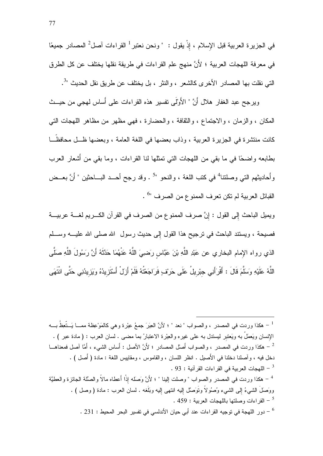في الجزيرة العربية قبل الإسلام ، إذْ يقول : " ونحن نعتبر <sup>1</sup> القراءات آصل<sup>2</sup> المصادر جميعًا في معرفة اللهجات العربية ؛ لأَنَّ منهج علم القراءات في طريقة نقلها يختلف عن كل الطرق التـِّي نقلت بـها المصـادر الأخرى كالشعر ، والنثر ، بل يختلف عن طريق نقل الـحديث "<sup>3</sup>.

ويرجح عبد الغفار هلال أنَّ " الأَوْلَى تفسير هذه القراءات على أساس لهجى من حيــث المكان ، والزمان ، والاجتماع ، والنقافة ، والحضارة ، فهي مظهر من مظاهر اللهجات التبي كانت منتشر ة في الجزير ة العربية ، وذاب بعضها في اللغة العامة ، وبعضها ظـل محافظَــا بطابعه واضحًا في ما بقي من اللهجات التي تمثلها لنا القراءات ، وما بقي من أُشعار العرب وأُحاديثهم التي وصلتنا<sup>4</sup> في كتب اللغة ، والنحو "<sup>5</sup> . وقد رجح أحــد البـــاحثين " أَنَّ بعــض القبائل العربية لم تكن تعرف الممنو ع من الصرف "<sup>6</sup> .

ويميل الباحث إلى القول : إنَّ صرف الممنوع من الصرف في القرآن الكـــريم لغــــة عربيــــة فصيحة ، ويستند الباحث في نرجيح هذا القول إلى حديث رسول الله صلى الله عليـــه وســـلم الذي رواه الإمام البخاري عن عَبْدِ اللَّهِ بْنَ عَبَّاسٍ رَضـِيَ اللَّهُ عَنْهُمَا حَدَّثَهُ أَنَّ رَسُولَ اللَّهِ صلَّى اللَّهُ عَلَيْهِ وَسَلَّمَ قَالَ : أَقْرَأَنِي جِبْرِيلُ عَلَى حَرِيْفٍ فَرَاجَعْتُهُ فَلَمْ أَزِلْ أَسْتَزِيدُهُ وَيَزِيدُنِي حَتَّى انْتَهَى

<sup>1</sup> – هكذا وردت في المصدر ، والصواب " نعد " ؛ لأنَّ العِبَرَ جمعُ عِبْرة وهي كالمَوْعِظة ممـــا يَــتّعِظُ بـــه الإنسان ويَعمَلُ به ويَعتبر ليستدل به على غيره والعِبْرة الاعتبارُ بما مضـي . لسان العرب : ( مادة عبر ) . مكذا وريت في المصدر ، والصواب أَصلْ المصادر ؛ لأَنَّ الأصل : أَساس الشيء ، أَمَّا آصل فمعناهـــا  $^{-2}$ دخل فيه ، و أصلنا دخلنا في الأصيل . انظر اللسان ، والقاموس ، ومقاييس اللغة : مادة ( أصل ) . . 93 - اللهجات العربية في القر اءات القر آنية : 93 . <sup>4</sup> – هكذا وردت في المصدر والصواب " وصلت البنا " ؛ لأَنَّ وَصلَه اذْا أَعطاه مالاً والصِّلة الجائزة والعطيَّة ووَصلَ الشَّيءُ إلى الشَّيء وُصُولاً وتَوَصَّل إليه انتهى إليه وبَلَغه . لسان العرب : مادة ( وصل ) . 5 – القراءات وصلتها باللهجات العربية : 459 . . 231 : دور اللهجة في توجيه القراءات عند أبي حيان الأندلسي في تفسير البحر المحيط : 231 .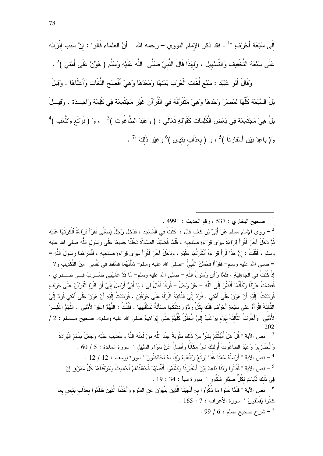وَقَالَ أَبُو عُبَيْد : سَبْع لُغَات الْعَرَب يَمَنهَا وَمَعَدّهَا وَهِيَ أَفْصِنَحِ اللُّغَات وَأَعْلَاهَا . وَقِيلَ بَلْ السَّبْعَة كُلُّهَا لمُضرَرَ وَحْدهَا وَهِيَ مُتَفَرِّقَة فِي الْقُرْآنِ غَيْرِ مُجْتَمِعَة فِي كَلِمَة وَاحِــدَة . وَقِيـــلَ بَلْ هِيَ مُجْتَمِعَة فِي بَعْض الْكَلِمَات كَقَوْل<sub>ْ</sub> لِتَعَالَى : ( وَعَبَدَ الطَّاغُوت )<sup>3</sup> ، وَ ( نَرْتَع وَنَلْعَب )<sup>4</sup> وَ( بَاعِدْ بَيْنِ أَسْقَارِنَا )<sup>5</sup> ، وَ ( بعَذَاب بَئيس )<sup>6</sup> وَغَيْرِ ذَلَكَ "<sup>7</sup> .

<sup>2</sup> − روى الإمام مسلم عَنْ أُبَىِّ بْن كَعْب قَالَ : كُنْتُ في الْمَسْجِدِ ، فَدَخَلَ رَجُلٌ يُصلِّى فَقَرَأَ قِرَاءَةً أَنْكَرْتُهَا عَلَيْهِ ثُمَّ دَخَلَ آخَرُ فَقَرَأَ قِرَاءَةً سِوَى قِرَاءَةِ صَاحِبِهِ ، فَلَمَّا قَضبَيْنَا الصَّلاَةَ دَخَلْنَا جَمِيعًا عَلَى رَسُول اللَّهِ صلى الله عليه وسلم ، فَقُلْتُ : إِنَّ هَذَا قَرَأَ قِرَاءَةً أَنْكَرتُهَا عَلَيْهِ ، وَدَخَلَ آخَرُ فَقَرَأَ سِوَى قِرَاءَةِ صَاحِبِهِ ، فَأَمَرَهُمَا رَسُولُ اللَّهِ = = صلى الله عليه وسلم– فَقَرَأَا فَحَسَّنَ النَّبِيُّ –صلى الله عليه وسلم– شَأْنَهُمَا فَسُقِطَ في نَفْسِي مِنَ التَّكْذِيب وَلاَ اِذْ كُنْتُ في الْجَاهِلِيَّةِ ، فَلَمَّا رَأَى رَسُولُ اللَّهِ – صلى الله عليه وسلم– مَا قَدْ غَشِيَنِي ضَـــرَبَ فِـــي صَـــدْري ، فَفِضنْتُ عَرَفًا وكَأَنَّمَا أَنْظُرُ إِلَى اللَّهِ – عَزَّ وَجَلَّ – فَرَقًا فَقَالَ لي : يَا أُبَيُّ أُرْسِلَ إِلَيَّ أَن اقْرَإ الْقُرْآنَ عَلَى حَرْفٍ .<br>فَرَدَدْتُ اللَّذِ ۚ أَنْ هَوِّنْ عَلَى أُمَّتِى . فَرَدَّ إِلَىَّ الثَّانِيَةَ اقْرَأُهُ عَلَى حَرْفَيْن . فَرَدَدْتُ إِلَيْهِ أَنْ هَوِّنْ عَلَى أُمَّتِي فَرَدَّ إِلَىَّ الثَّالثَةَ اقْرَأْهُ عَلَى سَبْعَةِ أَحْرُفٍ فَلَكَ بِكُلِّ رَدَّةٍ رَدَدْتُكَهَا مَسْأَلَةٌ تَسْأَلُنِيهَا . فَقُلْتُ : اللَّهُمَّ اغْفِرْ لأُمَّتِي . اللَّهُمَّ اغْفِــرْ لأُمَّتِي ۚ وَأَخَّرْتُ الثَّالثَةَ لبَوْمٍ بَرْغَبُ إِلَىَّ الْخَلْقُ كُلُّهُمْ حَتَّى إِبْرَاهِيمُ صلى الله عليه وسلم». صحيح مــسلم : 2 / 202 <sup>3</sup> – نص الآية " قُلْ هَلْ أُنَبِّئُكُمْ بِشَرٍّ مِنْ ذَلِكَ مَثُوبَةً عِنْدَ اللَّهِ مَنْ لَعَنَهُ اللَّهُ وَغَضِبَ عَلَيْهِ وَجَعَلَ مِنْهُمُ الْقِرَدَةَ وَالْخَذَازِ بِرَ وَعَبَدَ الطَّاغُوتَ أُولَئِكَ شَرٌّ مَكَانًا وَأَضلُّ عَنْ سَوَاءِ السَّبِيلِ " سورة المائدة : 5 / 60 . <sup>4</sup> – نص الآية " أَرْسِلْهُ مَعَنَا غَدًا يَرِيَّعْ وَيَلْعَبْ وَإِنَّا لَهُ لَحَافِظُونَ "سورة يوسف : 12 / 12 . <sup>5</sup> – نص الآية " فَقَالُو ا رِيَّنَا بَاعِدْ بَيْنَ أَسْقَارِ نَا وَظَلَمُو ا أَنفُسَهُمْ فَجَعَلْنَاهُمْ أَحَادِيثَ وَمَزَّقْنَاهُمْ كُلَّ مُمَزَّق إنّ فِي ذَلَكَ لَآيَاتٍ لِكُلِّ صَبَّارٍ شَكُورٍ " سورة سبأ : 34 : 19 . <sup>6</sup> – نص الآية " فَلَمَّا نَسُوا مَا ذُكِّرُوا بهِ أَنْجَيْنَا الَّذِينَ يَنْهَوْنَ عَن السُّوءِ وَأَخَذْنَا الَّذِينَ ظَلَمُوا بِحَذَابٍ بَئِيسٍ بِمَا كَانُوا بَغْسُقُونَ " سورة الأَعراف : 7 : 165 .

<sup>.</sup> محيح البخاري : 537 ، رقم الحديث : 4991 .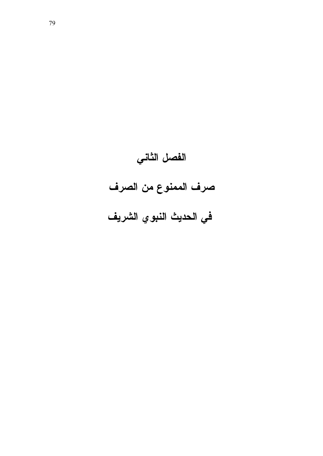# الفصل الثاني صرف الممنوع من الصرف في الحديث النبوي الشريف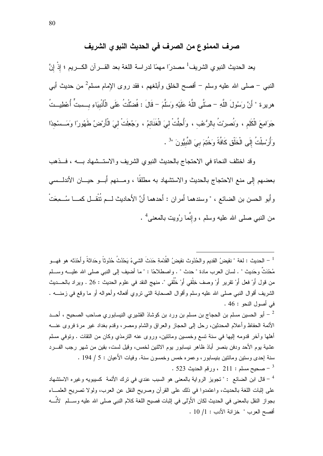# صرف الممنوع من الصرف في الحديث النبو ي الشريف

يعد الحديث النبوي الشريف<sup>1</sup> مصدرًا مهمًا لدراسة اللغة بعد القـــرآن الكـــريم ؛ إذْ إنَّ النبي – صلَّى الله عليه وسلَّم – أفصـح الخلق وأبلغهم ، فقد روى الإِمام مسلَّم<sup>2</sup> من حديث أب*ي* هريرة " أَنَّ رَسُولَ اللَّهِ – صَلَّى اللَّهُ عَلَيْهِ وَسَلَّمَ – قَالَ : فُضَّلْتُ عَلَى الْأَنْبِيَاءِ بــسِتٍّ أُعْطِيــتُ جَوَامِعَ الْكَلِمِ ، وَنُصِرِنْ بِالرُّعْبِ ، وَأُحِلَّتْ لِيَ الْغَذَائِمُ ، وَجُعِلَتْ لِيَ الْأَرْضُ طَهُورًا وَمَــسْجِدًا وَأُرْسِلْتُ إِلَى الْخَلْقِ كَافَّةً وَخُتِمَ بِيَ النَّبِيُّونَ "<sup>3</sup> .

وقد اختلف النحاة في الاحتجاج بالحديث النبوي الشريف والاستــشهاد بــــه ، فـــذهب بعضهم إِلى منع الاحتجاج بالحديث والاستشهاد به مطلقًا ، ومـــنهم أَبـــو حيـــان الأندلـــسى وأَبو الحسن بن الضائع ، " وسندهما أَمران : أَحدهما أَنَّ الأَحاديث لـــم نُتْقــل كمـــا سُـــمِعَتْ من النبـي صلـي الله عليه وسلم ، وإِنَّمـا رُويت بـالمعنـي<sup>4</sup> .

<sup>1</sup> – الحديث : لغة " نقيضُ القديم و الحُدُوث نقيضُ القُدْمةِ حَدَثَ الشيءُ يَحْدُثُ حُدُوثاً وحَداثةً و أَحْدَثه هو فهــو مُحْدَثٌ وحَديث " . لسان العرب مادة " حدث " . و اصطلاحًا : " ما أضيف إلى النبي صلى الله عليـــه وســـلم من قول أَوْ فعل أَوْ تقرير أَوْ وصف خِلْقي أَوْ خُلُقي ". منهج النقد في علوم الحديث : 26 . ويراد بالحـــديث الشريف أقو ال النبي صلى الله عليه وسلم وأقو ال الصحابة التي تروى أفعاله وأحواله أو ما وقع في زمنـــه . في أصول النحو : 46 .

أبو الحسين مسلم بن الحجاج بن مسلم بن ورد بن كوشاذ القشيري النيسابوري صـاحب الصـحيح ، أحـــد  $^{-2}$ الأئمة الحفاظ وأعلام المحدثين، رحل إلى الحجاز والعراق والشام ومصر، وقدم بغداد غير مرة فروى عنــــه أهلها وأخر قدومه إليها في سنة تسع وخمسين ومائتين، وروى عنه الترمذي وكان من النقات . وتوفي مسلم عشية يوم الأحد ودفن بنصر أباذ ظاهر نيسابور يوم الاثنين لخمس، وقيل لست، بقين من شهر رجب الفسر د سنة اِحدى وستين ومائتين بنيسابور، وعمره خمس وخمسون سنة. وفيات الأعيان : 5 / 194 . . 223 - صحيح مسلم : 211 ، ورقم الحديث 523  $-$ 

قال ابن الضائع : " تجويز الرواية بالمعنى هو السبب عندي في ترك الأئمة كسيبويه وغيره الاستشهاد قال ابن ا على إثبات اللغة بالحديث، واعتمدوا في ذلك على القرآن وصريح النقل عن العرب، ولولا نصريح العلمــاء بجواز النقل بالمعنى في الحديث لكان الأُولِّي في اِثبات فصيح اللغة كلام النبي صلى الله عليه وســـلم ِ لأنَّـــه أفصح العرب " خزانة الأدب : 1/ 10 .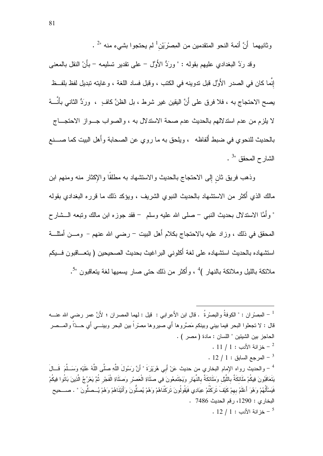وثانيهما أَنَّ أئمة النحو المتقدمين من المِصرْيَن' لم يحتجو ا بشيء منه "<sup>2</sup> .

وقد رَدَّ البغدادي عليهم بقوله : " ورَدُّ الأَوَّل – على تقدير تسليمه – بأَنْ النقل بالمعنى إنَّما كان في الصدر الأُوَّل قبل ندوينه في الكتب ، وقبل فساد اللغة ، وغايته نبديل لفظ بلفــظ يصح الاحتجاج به ، فلا فرق على أنَّ اليقين غير شرط ، بل الظنَّ كافٍ ، ورَدُّ الثاني بأنَّـــهُ لا يلزم من عدم استدلالهم بالحديث عدم صحة الاستدلال به ، والصواب جــواز الاحتجـــاج بالحديث للنحو ي في ضبط ألفاظه ، ويلحق به ما ر و ي عن الصحابة و أهل البيت كما صــــنع الشارح المحقق "3.

وذهب فريق ثان إلى الاحتجاج بالحديث والاستشهاد به مطلقًا والإكثار منه ومنهم ابن مالك الذي أَكثر من الاستشهاد بالحديث النبوي الشريف ، ويؤكد ذلك ما قرر ِه البغدادي بقوله " وأمَّا الاسندلال بحديث النبي – صلَّى الله عليه وسلَّم – فقد جوزه ابن مالك ونبعه الـــشار ح المحقق في ذلك ، وزاد عليه بالاحتجاج بكلام أهل البيت – رضبي الله عنهم – ومـــن أمثلـــة استشهاده بالحديث استشهاده على لغة أكلوني البر اغيث بحديث الصحيحين ( يتعـــاقبون فـــيكم ملائكة بالليل وملائكة بالنهار )<sup>4</sup> ، وأكثر من ذلك حتى صار يسميها لغة يتعاقبون "<sup>5</sup>.

<sup>1</sup> – المِصـْران : " الكوفةُ والبصـْرةُ . قال ابن الأَعرابي : قيل : لهما المصـران ؛ لأَنَّ عمر رضـي الله عنـــه قال : لا تجعلوا البحر فيما بيني وبينكم مَصِّروها أَي صيروها مِصرْراً بين البحر وبينـــي أَي حـــدّاً والمـــصر الحاجز بين الشبئين " اللسان : مادة ( مصر ) .  $11/1:$  خز انة الأدب  $^{-2}$  $12/1:$  المرجع السابق  $1^{3}$ <sup>4</sup> – والحديث رواه الإمام البخاري من حديث عَنْ أَبي هُرَيْرَةَ " أَنَّ رَسُولَ اللَّهِ صَلَّى اللَّهُ عَلَيْهِ وَسَــلَّمَ ۖ فَــالَ يَتَعَاقَبُونَ فِيكُمْ مَلَائِكَةٌ بِاللَّيْلِ وَمَلَائِكَةٌ بِالنَّهَارِ وَيَجْتَمِعُونَ فِي صَلَاةِ الْعَصْر وَصَلَاةِ الْفَجْرِ ثُمَّ يَعْرُجُ الَّذِينَ بَاتُوا فِيكُمْ فَيَسْأَلُهُمْ وَ هُوَ ۖ أَعْلَمُ بِهِمْ كَيْفَ تَرَ كَتُمْ عِبَادِي فَيَقُولُونَ تَرَ كَنَاهُمْ وَ هُمْ يُصنُّونَ وَأَتَيْنَاهُمْ وَهُمْ يُــصنُّونَ " ، صـــحيح البخاري : 1290، رقم الحديث 7486 .  $12/1:$  خز انة الأدب  $^{-5}$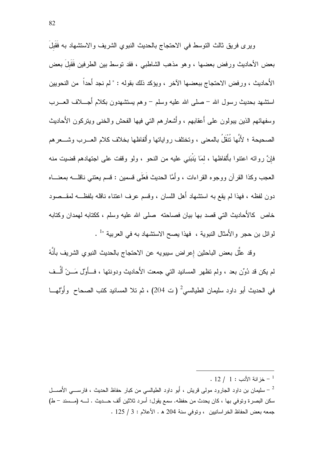ويرى فريق ثالث النوسط في الاحتجاج بالحديث النبوى الشريف والاستشهاد به فَقَبِلَ بعض الأحاديث ور فض بعضها ، و هو مذهب الشاطبي ، فقد نوسط بين الطر فين فقيل بعض الأُحاديث ، ورفض الاحتجاج ببعضها الآخر ، ويؤكد ذلك بقوله : " لم نجد أُحداً من النحويين استشهد بحديث رسول الله – صلى الله عليه وسلم – وهم يستشهدون بكلام أجــــلاف العـــــرب وسفهائهم الذين يبولون على أعقابهم ، وأشعار هم التي فيها الفحش والخنبي ويتركون الأحاديث الصحيحة ؛ لأَنَّها نُتْقَلُ بالمعنى ، وتختلف رواياتها وأَلفاظها بخلاف كلام العـــرب وشــــعرهم فإنَّ رواته اعتنوا بأَلفاظها ، لمَا يَنْبَنِي عليه من النحو ، ولو وقفت على اجتهادهم قضيت منه العجب وكذا القرآن ووجوه القراءات ، وأَمَّا الحديث فَعَلَى قسمين : قسم يعتني ناقلــــه بمعنــــاه دون لفظه ، فهذا لم يقع به استشهاد أهل اللسان ، وقسم عرف اعتناء ناقله بلفظــه لمقــصود خاص كالأحاديث التي قصد بها بيان فصاحته ً صلى الله عليه وسلم ، ككتابه لمهدان وكتابه لموائل بن حجر والأمثال النبوية ، فهذا يصح الاستشهاد به في العربية "<sup>1</sup> .

وقد علَّل بعض الباحثين إعراض سيبويه عن الاحتجاج بالحديث النبوي الشريف بأنَّهُ لم يكن قد دُوِّن بعد ، ولم نظهر المسانيد التي جمعت الأَحاديث ودونتها ، فـــأوَّل مَـــنْ ألَّـــف في الحديث أبو داود سليمان الطيالسي<sup>2</sup> (ت 204) ، ثم تلا المسانيد كتب الصحاح وأَوَّلهـــا

 $12$  /  $1:$  خز انة الأدب  $^{-1}$ 

سليمان بن داود الجارود مولى قريش ، أبو داود الطيالسي من كبار حفاظ الحديث ، فارســـي الأَصـــل –  $^{-2}$ سكن البصرة وتوفى بها ، كان يحدث من حفظه. سمع يقول: أسرد ثلاثين ألف حـــديث . لــــه (مـــسند – ط) جمعه بعض الحفاظ الخر اسانيين ، وتوفي سنة 204 ه . الأعلام : 3 / 125 .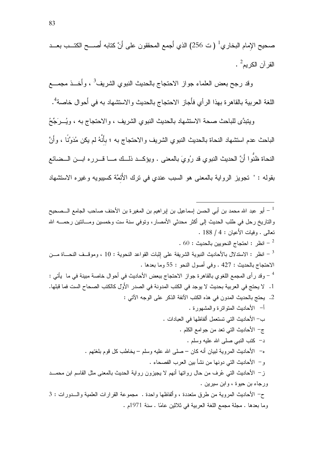صحيح الإمام البخاري<sup>1</sup> ( ت 256) الذي أجمع المحققون على أَنَّ كتابه أَصـــح الكتــب بعـــد القرآن الكريم<sup>2</sup> .

وقد رجح بعض العلماء جواز الاحتجاج بالحديث النبوي الشريف<sup>3</sup> ، وأُخــذ مجمـــع اللغة العربية بالقاهرة بهذا الرأي فأجاز الاحتجاج بالحديث والاستشهاد به في أحوال خاصة<sup>4</sup>.

ويتبدَّى للباحث صحة الاستشهاد بالحديث النبوي الشريف ، والاحتجاج به ، ويُسرَجِّحُ الباحث عدم استشهاد النحاة بالحديث النبوي الشريف والاحتجاج به ؛ بأَنَّهُ لم يكن مُدَوَّنًا ، وأَنَّ النحاة ظنُّوا أَنَّ الحديث النبوي قد رُويَ بالمعنى . ويؤكــد ذلــك مـــا قـــرره ابـــن الـــضائـع بقوله : " تجويز الرواية بالمعنى هو السبب عندي في ترك الأَئمَّة كسيبويه وغيره الاستشهاد

وما بعدها . مجلة مجمع اللغة العربية في ثلاثين عامًا . سنة 1971م .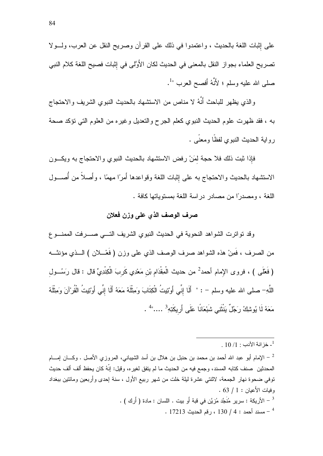على إثبات اللغة بالحديث ، واعتمدوا في ذلك على القرآن وصريح النقل عن العرب، ولـــولا تصريح العلماء بجواز النقل بالمعنى في الحديث لكان الأَوَّلي في إثبات فصيح اللغة كلام النبي صلَّى الله عليه وسلَّم ؛ لأَنَّهُ أفصح العرب "<sup>1</sup>.

والذي يظهر للباحث أنَّهُ لا مناص من الاستشهاد بالحديث النبوي الشريف والاحتجاج به ، فقد ظهرت علوم الحديث النبوي كعلم الجرح والتعديل وغيره من العلوم التي نؤكد صحة رواية الحديث النبوي لفظًا ومعنًى .

فإذا ثبت ذلك فلا حجة لمَنْ رفض الاستشهاد بالحديث النبوي والاحتجاج به ويكــون الاستشهاد بالحديث والاحتجاج به على إثبات اللغة وقواعدها أمرًا مهمًا ، وأصلاً من أُصـــول اللغة ، ومصدراً من مصبادر در اسة اللغة بمستوباتها كافة .

## صرف الوصف الذي على وزن فعلان

وقد تواترت الشواهد النحوية في الحديث النبوي الشريف التسي صسرفت الممنسوع من الصرف ، فَمِنْ هذه الشواهد صرف الوصف الذي على وزن ( فَعْـــلان ) الـــذي مؤنثـــه (فَعْلَى ) ، فروى الإمام أحمد<sup>2</sup> من حديث الْمِقْدَام بْن مَعْدِي كَربَ الْكِنْدِيِّ قال : قال رَسُــول اللَّهِ– صلى الله عليه وسلم – : " أَلَا إنِّي أَوْتِيتُ الْكِتَابَ وَمِثْلَهُ مَعَهُ أَلَا إنِّى أَوْتِيتُ الْقُرْآنَ وَمِثْلَهُ مَعَهُ لَا يُوشِكُ رَجُلٌ يَنْتَنِي شَبْعَانًا عَلَى أَرِيكَتِهِ 3 ....." .

. [ - الأربكة : سربر مُنَجَّد مُزبَّن في قبة أَو ببت . اللسان : مادة ( أَرك ) . . 17213 - مسند أحمد : 4 / 130 ، رقم الحديث 17213

<sup>.</sup> خز انة الأدب : 1/ 10 .

<sup>-</sup> الإمام أبو عبد الله أحمد بن محمد بن حنبل بن هلال بن أسد الشيباني، المروزي الأصل . وكـــان إمــــام  $^{-2}$ المحدثين صنف كتابه المسند، وجمع فيه من الحديث ما لم يتفق لغيره، وقيل: إنَّهُ كان يحفظ ألف ألف حديث نوفي ضحوة نهار الجمعة، لاثنتي عشرة ليلة خلت من شهر ربيع الأول ، سنة اِحدى وأربعين ومائنين ببغداد . فبات الأعبان : 1 / 63 .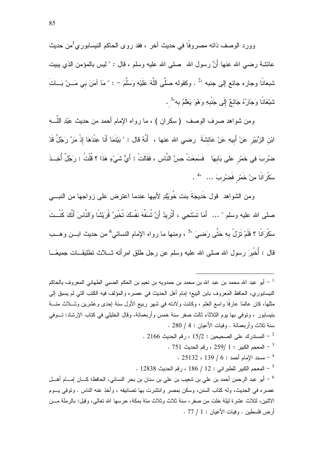وورد الوصف ذاته مصروفًا في حديث آخر ، فقد روى الحاكم النيسابوري<sup>1</sup>من حديث عائشة رضيي الله عنها أَنَّ رسول الله ۖ صلى الله عليه وسلم ، قال : " ليس بالمؤمن الذي يبيت شبعانًا وجاره جائع إلى جنبه "2 . وكقوله صلَّى اللَّهُ عَلَيْهِ وَسَلَّمَ – : " مَا آمَنَ بي مَــنْ بَـــاتَ شَبْعَانًا وَجَارُهُ جَائعٌ إِلَى جَنْبِهِ وَهُوَ يَعْلَمُ بِه"<sup>3</sup> .

ومن شواهد صرف الوصف ( سكران ) ، ما رواه الإمام أحمد من حديث عَبْدِ اللَّـــهِ ابْنِ الزُّبَيْرِ عَنْ أَبِيهِ عَنْ عَائشَةَ رضى الله عنها ، أَنَّهُ قال : " بَيْنَمَا أَنَا عِنْدَهَا إذْ مَرَّ رَجُلٌ قَدْ ضُرِبَ فِي خَمْرِ عَلَى بَابِهَا ۚ فَسَمِعَتْ حِسَّ النَّاسِ ، فَقَالَتْ : أَيُّ شَيْءٍ هَذَا ؟ قُلْتُ : رَجُلٌ أُخِــذَ سكُرَانًا مِنْ خَمْرِ فَضْرُبَ ... 4

ومن الشواهد قول خَدِيجَةَ بنتِ خُوَيَلِدٍ لأبيها عندما اعترض على زواجها من النبـــي صلى الله عليه وسلم " … أَمَا تَسْتَحِى ، أَتُرِيدُ أَنْ تُسَفِّهَ نَفْسَكَ تُخْبِرُ قُرَيْشًا وَالنَّاسَ أَنَّكَ كُنْــتَ سَكْرَانًا ؟ فَلَمْ نَزَلْ بِهِ حَتَّى رَضييَ "<sup>5</sup> ، ومنها ما رواه الإمام النسائـي<sup>6</sup> من حديث ابـــن وهـــب قال : أُخْبرَ رسول الله صلى الله عليه وسلم عن رجل طلق امرأنه نــــلاث نطليقـــات جميعًـــا

<sup>1</sup> – أبو عبد الله محمد بن عبد الله بن محمد بن حمدويه بن نعيم بن الحكم الضبي الطهاني المعروف بالحاكم النيسابوري، الحافظ المعروف بابن البيع؛ إمام أهل الحديث في عصره والمؤلف فيه الكتب التي لم يسبق إلى مثلها، كان عالمًا عارفًا واسع العلم ، وكانت ولادته في شهر ربيع الأول سنة إحدى وعشرين وثــــلاث مئـــة بنيسابور ، وتوفى بها يوم الثلاثاء ثالث صفر سنة خمس وأربعمائة، وقال الخليلي في كتاب الإرشاد: تــوفي سنة ثلاث وأربعمائة . وفيات الأعيان : 4 / 280 .

. 2166 - المستدرك على الصحيحين : 15/2 ، رقم الحديث  $\sim$  2166 .

- . 751 المعجم الكبير : 1 /259 ، رقم الحديث  $^{-3}$ 
	- . 25132 .  $139/6:$  حسند الإمام أحمد  $139/6:$

. 12838 - المعجم الكبير للطبر اني : 12 / 186 ، رقم الحديث 12838 .

أبو ِ عبد الرحمن أحمد بن علي بن شعيب بن علي بن سنان بن بحر النسائي، الحافظ؛ كـــان إمـــام أهـــل أ عصر ه في الحديث، وله كتاب السنن، وسكن بمصر ٍ وانتشرت بها تصانيفه ، و أخذ عنه الناس . وتوفي بــوم الاثنين، لثلاث عشر ة لبلة خلت من صفر ، سنة ثلاث وثلاث مئة بمكة، حرسها الله تعالى، وقبل: بالرملة مـــن أرض فلسطين . وفيات الأعبان : 1 / 77 .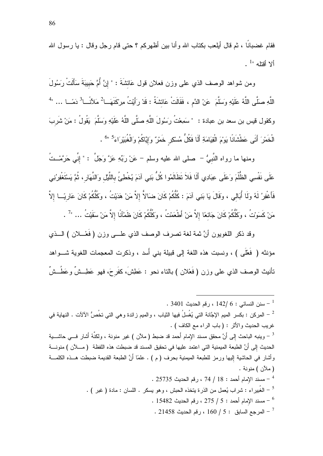فقام غضبانًا ، ثم قال أيلعب بكتاب الله و أنا بين أظهر كم ؟ حتى قام ر جل و قال : يا ر سول الله  $\frac{1}{2}$  a tian  $\sqrt{2}$ 

ومن شواهد الوصف الذي على وزن فعلان قول عَائشَةَ : " إِنَّ أُمَّ حَبِيبَةَ سَأَلَتْ رَسُولَ اللَّهِ صلَّى اللَّهُ عَلَيْهِ وَسَلَّمَ عَنْ الدَّمِ ، فَقَالَتْ عَائشَةُ : قَدْ رَأَيْتُ مِرْكَنَهَــا<sup>2</sup> مَلآَنَــا<sup>3</sup> دَمَــا ... "<sup>4</sup> وكقول قيس بن سعد بن عبادة : " سَمِعْتُ رَسُولَ اللَّهِ صلَّى اللَّهُ عَلَيْهِ وَسَلَّمَ يَقُولُ : مَنْ شَربَ الْخَمْرَ أَتَى عَطْشَانًا يَوْمَ الْقِيَامَةِ أَلَا فَكُلُّ مُسْكِرٍ خَمْرٌ وَإِيَّاكُمْ وَالْغُبَيْرَاءَ ۚ 5" .

ومنها ما رواه النَّبيُّ – صلى الله عليه وسلم – عَنْ رَبِّهِ عَزَّ وَجَلَّ : " إِنِّي حَرَّمْــتُ عَلَى نَفْسِي الظُّلْمَ وَعَلَى عِبَادِي أَلَا فَلاَ تَظَالَمُوا كُلُّ بَنِي آدَمَ يُخْطِئُ بِاللَّيْل وَالنَّهَارِ، ثُمَّ يَسْتَغْفِرُنِي فَأَغْفِرُ لَهُ وَلَا أُبَالَى ، وَقَالَ يَا بَنِي آدَمَ : كُلُّكُمْ كَانَ ضَالاً إِلاَّ مَنْ هَدَيْتُ ، وكُلُّكُمْ كَانَ عَارِيًــا إِلاَّ مَنْ كَسَوْتُ ، وكُلُّكُمْ كَانَ جَائعًا إلاَّ مَنْ أَطْعَمْتُ ، وكَلُّكُمْ كَانَ ظَمْآنًا إلاَّ مَنْ سَقَيْتُ … "7 .

وقد ذكر اللغويون أنَّ ثمة لغة تصرف الوصف الذي علـــي وزن ( فَعْـــلان ) الـــذي مؤنثه ( فَعْلَى ) ، ونسبت هذه اللغة إلى قبيلة بني أسد ، وذكرت المعجمات اللغوية شـــواهد نَأنيث الوصف الذي على وزن ( فَعْلان ) بالناء نحو : عَطِشَ، كفَرحَ، فهو عَطِــشٌ وعَطُــشٌ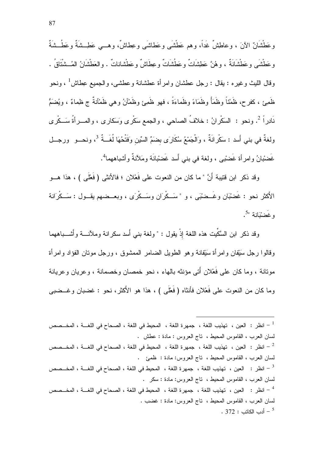وعَطْشَانٌ الآنَ ، وعاطشٌ غَداً، وهم عَطْشَى وعَطاشَى وعِطاشٌ، وهـــي عَطِــشَةٌ وعَطُــشَةٌ و عَطْشَہِ، و عَطْشَانَةٌ ، و هُنَّ عَطِشَاتٌ و عَطُشَاتٌ و عِطَاشٌ و عَطْشاناتٌ . والعَطْشَانُ المُــشْتَاقُ . وفال الليث وغيره : يقال : رجل عطشان وامرأة عطشانة وعطشى، والجميع عِطاش<sup>1</sup> ، ونحو ظَمِئٍ ، كفرح، ظَمْنًاً وظَمَأً وظَمَاءً وظَماءَةً ، فهو ظَمِئٍ وظَمْأَنُ وهي ظَمْأَنةٌ ج ظِماءٌ ، ويُضمُّ نَادِراً <sup>2</sup>. ونحو : السَكْرانُ : خلافُ الصاحي ، والجمع سَكْرِي وَسَكارِي ، والمـــراَةُ سَـــكْرِي ولغةٌ في بني أَسد : سَكْرانَةٌ ، وَالْجَمْعُ سُكَارَى بِضَمِّ السِّينِ وَفَتْحُهَا لُغَــةٌ <sup>3</sup>، ونحــو ۖ ورجــل غَضْبانُ وامرأة غَضْبْبي ، ولغة في بني أسد غَضْبانَة ومَلأنةٌ وأشْباههما<sup>4</sup>.

وقد ذكر ابن قتيبة أنَّ " ما كان من النعوت على فَعْلان ؛ فالأنثى ( فَعْلَى ) ، هذا هـــو الأكثر نحو : غَضْبْان وغَــضْبْبَي ، و "سَــكْرَان وسَــكْرَى ، وبعــضهم بقــول : سَــكْرَانة  $\cdot$ و غَضِيْبَانِهِ ".

وقد ذكر "ابن السَّكِّبت هذه اللغة إذْ بقول : " ولغة بني أسد سكر انة وملأنــــة و أشــــباههما وقالوا رجل سَبْفان وامرأة سَبْفانة وهو الطويل الضامر الممشوق ، ورجل مونان الفؤاد وامرأة مونانة ، وما كان على فَعْلان أُنِّي مؤنثه بالهاء ، نحو خمصان وخصمانة ، وعريان وعريانة وما كان من النعوت على فَعْلان فأنثاه (فَعْلَى ) ، هذا هو الأكثر، نحو : غضبان وغــضبي

$$
\frac{1}{1 - \text{liidt}}
$$
: العين، تهذيب Illغة، جمهرة اللغة، المحيط في للغة، الحدح في اللغية، المخ صص لسان الحرب، القاموس المحيط، تاج الحروس : مادة : عطش .  
2 - انظر : العين، تهذيب اللغة، جمهرة اللغة، المحيط في للغة، المححاح في اللغـة، المخ صص لسان الحرب، القاموس المحيط، تاج الحروس: مادة : ظمئي للغة، المححاح في للغـة، المخ صص لسان الحرب، القاموس المحيط، تاج الحروس: مادة : سكر .  
ئسان العرب، القاموس المحيط، تاج الحروس: مادة : سکر .  
ئسان العرب، القاموس المحيط، تاج الحروس: مادة : غضب .  
ئسان العرب، القاموس المحيط، تاج الحروس: مادة : غضب .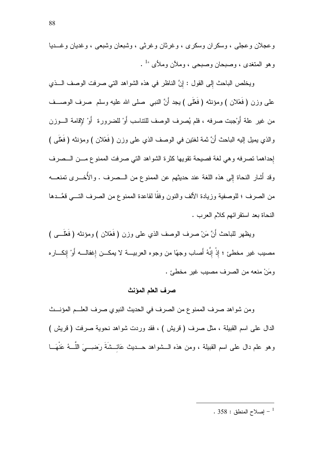وعجلان وعجلي ، وسكران وسكري ، وغرثان وغرثي ، وشبعان وشبعي ، وغديان وغـــديا وهو المتغدى ، وصبحان وصبحي ، وملأن وملأى "1 .

ويخلص الباحث إلى القول : إنَّ الناظر في هذه الشواهد التي صرفت الوصف اللَّفي علمي وزن ( فَعْلان ) ومؤنثه ( فَعْلَى ) يجد أَنَّ النبي صلى الله عليه وسلم صرف الوصــف من غير علة أوْجبت صرفه ، فلم يُصرف الوصف للتناسب أوْ للضرورة ۖ أوْ لإقامة السوزن والذي يميل إليه الباحث أنَّ ثمة لغتين في الوصف الذي على وزن ( فعْلان ) ومؤنثه ( فعْلي ) إحداهما تصرفه وهي لغة فصيحة تقويها كثرة الشواهد التي صرفت الممنوع مسن السصرف وقد أشار النحاة إلى هذه اللغة عند حديثهم عن الممنوع من الـــصرف . والأُخــــرى تمنعــــه من الصرف ؛ للوصفية وزيادة الألف والنون وفقًا لقاعدة الممنوع من الصرف التـــي قعَّـــدها النحاة بعد استقرائهم كلام العرب .

ويظهر للباحث أَنَّ مَنْ صرف الوصف الذي على وزن ( فَعْلان ) ومؤنثه ( فَعَلْـــى ) مصيب غير مخطئ ؛ إذْ إنَّهُ أَصاب وجهًا من وجوه العربيـــة لا يمكـــن إغفالــــه أوْ إِنكـــاره ومَنْ منعه من الصرف مصيب غير مخطئ .

### صرف العلم المؤنث

ومن شواهد صرف الممنوع من الصرف في الحديث النبوي صرف العلــم المؤنـــث الدال علم اسم القبيلة ، مثل صرف ( قريش ) ، فقد وردت شواهد نحوية صرفت ( قريش ) وهو علم دال على اسم القبيلة ، ومن هذه الـــشواهد حـــديث عَائـــشَةَ رَضـِـــيَ اللَّـــهُ عَنْهَـــا

. 358  $-$  اصلاح المنطق  $-$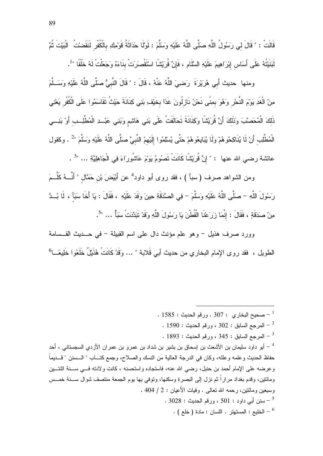ومنها حديث أَبِي هُرِيْرِةَ ۚ رَضِيَ اللَّهُ عَنْهُ ، قَالَ : " قَالَ النَّبِيُّ صِلَّى اللَّهُ عَلَيْهِ وَسَــلَّمَ مِنْ الْغَدِ يَوْمَ النَّحْرِ وَهُوَ بِمِنَّى نَحْنُ نَازِلُونَ غَدًا بِخَيْفِ بَنِي كِنَانَةَ حَيْثُ تَقَاسَمُوا عَلَى الْكُفْرِ يَعْنِي ذَلكَ الْمُحَصَّبَ وَذَلكَ أَنَّ قُرِيَشًا وَكِنَانَةَ تَحَالَفَتْ عَلَى بَنِي هَاشِمِ وَبَنِي عَبْــدِ الْمُطَّلِــب أَوْ بَنِـــي الْمُطَّلِب أَنْ لَا يُنَاكِحُوهُمْ وَلَا يُبَايِعُوهُمْ حَتَّى يُسْلِمُوا إِلَيْهِمْ النَّبِيَّ صلَّى اللَّهُ عَلَيْهِ وَسَلَّمَ "2 . وكقول عائشة رضي الله عنها : " إِنَّ قُرَيْشًا كَانَتْ نَصُومُ يَوْمَ عَاشُورَاءَ فِي الْجَاهِلِيَّةِ … "<sup>3</sup> .

ومن الشواهد صرف (سبأ ) ، فقد روى أبو داود<sup>4</sup> عن أَبْيَضَ بْن حَمَّال " أَنَّـــهُ كَلَّـــمَ رَسُولَ اللَّهِ – صلَّى اللَّهُ عَلَيْهِ وَسَلَّمَ – فِي الصَّدَقَةِ حِينَ وَفَدَ عَلَيْهِ ، فَقَالَ : يَا أَخَا سَبَأَ ، لَا بُــدَّ مِنْ صَدَقَةٍ ، فَقَالَ : إِنَّمَا زِرَعْنَا الْقُطْنَ يَا رِسُولَ اللَّهِ وَقَدْ تَبَدَّدَتْ سَبَأٌ … "<sup>5</sup>.

وورد صرف هذيل – وهو علم مؤنث دال على اسم القبيلة – في حـــديث القـــسامة الطويل ، فقد روى الإمام البخاري من حديث أبي قَلابة " … وَقَدْ كَانَتْ هُذَيْلٌ خَلَعُوا خَلِيعًــا<sup>6</sup>

- $1585:$  صحيح البخار ي  $307:307:$  ورقم الحديث  $^{-1}$
- $\sim 1590:$  المرجع السابق : 302 ، ورقم الحديث  $^{-2}$
- $\cdot$  1893 المرجع السابق : 345 ، ورقم الحديث : 1893  $^{-3}$

أبو داود سليمان بن الأشعث بن إسحاق بن بشير بن شداد بن عمرو بن عمران الأزدي السجستاني ، أحد " حفاظ الحديث وعلمه وعلله، وكان في الدرجة العالية من النسك والصلاح، وجمع كتـــاب " الـــسنن " قـــديماً وعرضه على الإمام أحمد بن حنبل، رضي الله عنه، فاستجاده واستحسنه ، كانت ولادته فــي ســـنة اثنتـــين ومائتين، وقدم بغداد مراراً ثم نزل إلى البصرة وسكنها، وتوفى بها بوم الجمعة منتصف شوال ســـنة خمـــس وسبعين ومائنتين، رحمه الله نعالمي . وفيات الأعيان : 2 / 404 .  $\cdot$  3028  $\cdot$  سنن أبي داود  $\cdot$  501  $\cdot$  ورقم الحديث  $^{-5}$  $\,$  - الخليع : المستهتر . اللسان : مادة ( خلع ) .  $^6$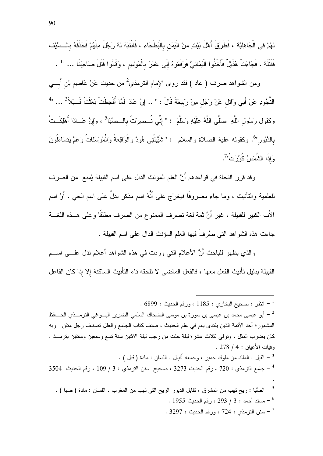لَهُمْ فِي الْجَاهِلِيَّةِ ، فَطَرَقَ أَهْلَ بَيْتٍ مِنْ الْيَمَن بِالْبَطْحَاءِ ، فَانْتَبَهَ لَهُ رَجُلٌ مِنْهُمْ فَحَذَفَهُ بِالسَّيْفِ فَقَتَلَهُ . فَجَاءَتْ هُذَيْلٌ فَأَخَذُوا الْبَمَانِيَّ فَرَفَعُوهُ إِلَى عُمَرَ بِالْمَوْسِمِ ، وَقَالُوا قَتَلَ صَاحِبَنَا … "1.

ومن الشواهد صرف ( عاد ) فقد روى الإمام الترمذي<sup>2</sup> من حديث عَنْ عَاصمِ بْنِ أَبِـــي الذَّجُودِ عَنْ أَبِي وَائِلِ عَنْ رَجُلٍ مِنْ رَبِيعَةَ قَالَ : " .. إِنَّ عَادًا لَمَّا أُقْحِطَتْ بَعَثَتْ قَـ يْلاَّ 3 ... " وكقول رَسُول اللَّهِ ۚ صَلَّى اللَّهُ عَلَيْهِ وَسَلَّمَ : " إِنِّي نُــصِرِيْتُ بِالــصَّبَا<sup>5</sup> ، وَإِنَّ عَــادًا أُهْلِكَــتْ بالدَّبُور"<sup>6</sup>. وكقوله علية الصلاة والسلام : " شَيَّبَتْنِي هُودٌ وَالْوَاقِعَةُ وَالْمُرْسَلَاتُ وَعَمَّ بَتَسَاءَلُونَ وَإِذَا الشَّمْسُ كُورِّت<sup>ْ"</sup>.

وقد قرر النحاة في قواعدهم أَنَّ العلم المؤنث الدال على اسم القبيلة يُمنع من الصرف للعلمية والنأنيث ، وما جاء مصروفًا فيخرَّج على أنَّهُ اسم مذكر يدلُّ على اسم الحي ، أَوْ اسم الأَب الكبير للقبيلة ، غير أَنَّ ثمة لغة تصرف الممنوع من الصرف مطلقًا وعلى هــذه اللغـــة جاءت هذه الشواهد التبي صُرفَ فيها العلم المؤنث الدال على اسم القبيلة .

والذي يظهر للباحث أَنَّ الأعلام التي وردت في هذه الشواهد أعلام ندل علــــى اســـم القبيلة بدليل تأنيث الفعل معها ، فالفعل الماضي لا تلحقه تاء التأنيث الساكنة إلا إذا كان الفاعل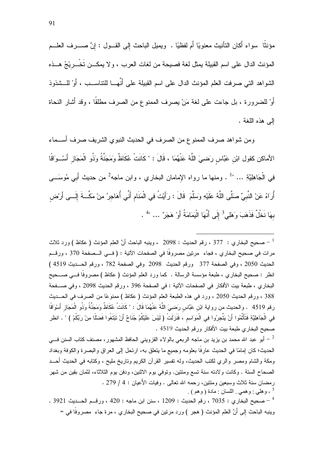مؤنثًا سواء أكان النَّانيث معنويًا أم لفظيًا . ويميل الباحث إلى القـــول : إنَّ صــــرف العلـــم المؤنث الدال على اسم القبيلة يمثل لغة فصيحة من لغات العرب ، ولا يمكــن تَخْـــريْجُ هـــذه الشواهد التي صرفت العلم المؤنث الدال على اسم القبيلة على أنَّهــا للتناســب ، أوْ للــشذوذ أَوْ للضرورة ، بل جاءت على لغة مَنْ يصرف الممنو ع من الصرف مطلقًا ، وقد أُشار النحاة إلى هذه اللغة .

ومن شواهد صرف الممنوع من الصرف في الحديث النبوي الشريف صرف أســـماء الأماكن كقول ابْن عَبَّاس رصَنِيَ اللَّهُ عَنْهُمَا ، قَالَ : " كَانَتْ عُكَاظٌ وَمَجَنَّةُ وَذُو الْمَجَاز أَسْــوَاقًا فِي الْجَاهِلِيَّةِ … "<sup>1</sup> . ومنها ما رواه الإمامان البخاري ، وابن ماجه<sup>2</sup> من حديث أَبي مُوسَـــى أُرِ َاهُ عَنْ النَّبِيِّ صلَّى اللَّهُ عَلَيْهِ وَسَلَّمَ قَالَ : رَأَيْتُ فِي الْمَنَامِ أَنِّي أُهَاجِرُ مِنْ مَكَّــةَ إِلَـــى أَرْض بهَا نَخْلٌ فَذَهَبَ وَهَلِي<sup>3</sup> إِلَى أَنَّهَا الْيَمَامَةُ أَوْ هَجَرٌ" … "<sup>4</sup> .

صحيح البخاري : 377 ، رقم الحديث : 2098 ، وينبه الباحث أنَّ العلم المؤنث ( عكاظ ) ورد ثلاث مرات في صحيح البخاري ، فجاء مرتين مصروفًا في الصفحات الآتية : ( فــي الــصفحة 370 ، ورقــم الحديث 2050 ، وفي الصفحة 377 ورقم الحديث 2098 وفي الصفحة 782 ، ورقم الحــديث 4519 ) انظر : صحيح البخاري ، طبعة مؤسسة الرسالة . كما ورد العلم المؤنث ( عكاظ ) مصروفا فسى صـــحيح البخاري ، طبعة بيت الأفكار في الصفحات الآتية : في الصفحة 396 ، ورقم الحديث 2098 ، وفي صـــفحة 388 ، ورقم الحديث 2050 ، ورد في هذه الطبعة العلم المؤنث ( عكاظ ) ممنوعًا من الصرف في الحـــديث رقم 4519 . والحديث من رواية ابْن عَبَّاس رَضييَ اللَّهُ عَنْهُمَا قَالَ : " كَانَتْ عُكَاظُ وَمَجَنَّةُ وَذُو الْمَجَازِ أَسْوَاقًا فِي الْجَاهِلِيَّةِ فَتَأَثَّمُوا أَنْ يَتَّجِرُوا فِي الْمَوَاسِمِ ، فَنَزَلَتْ ( لَيْسَ عَلَيْكُمْ جُنَاحٌ أَنْ تَبْتَغُوا فَضنَّا مِنْ رَبِّكُمْ ) " . انظر صحيح البخاري طبعة بيت الأفكار ورقم الحديث 4519 .

الحديث؛ كان إمامًا في الحديث عارفًا بعلومه وجميع ما يتعلق به، ارتحل إلى العراق والبصرة والكوفة وبغداد ومكة والشام ومصر والري لكتب الحديث، وله نفسير القرأن الكريم وناريخ مليح ، وكتابه في الحديث أحـــد الصـحـاح السنة . وكـانت ولادنه سنة نسع ومئتين. ونوفي بوم الانثين، ودفن بوم الثلاثاء، لثمـان بقين من شهر رمضان سنة ثلاث وسبعين ومئتين، رحمه الله تعالى . وفيات الأعيان : 4 / 279 . <sup>3</sup> ـ وهلبي : وهمبي <sub>·</sub> اللسان : مادة ( وهم ) <sub>·</sub>

. 3921 - صحيح البخاري : 7035 ، رقم الحديث : 1209 ، سنن ابن ماجه : 420 ، ورقـــم الحــــديث 3921 . وينبه الباحث إلى أنَّ العلم المؤنث ( هجر ) ورد مرتين في صحيح البخاري ، مرة جاء مصروفًا في =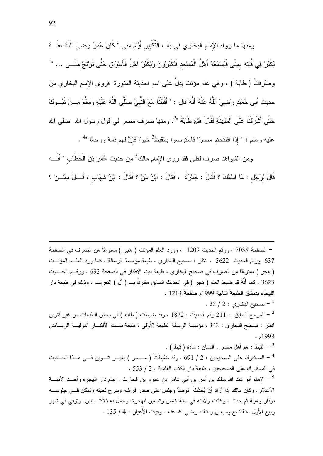ومنها ما رواه الإمام البخاري في بَاب النَّكْبير أَيَّامَ مِنى " كَانَ عُمَرُ رَضييَ اللَّهُ عَنْــهُ يُكَبِّرُ فِي قُبَّتِهِ بِمِنِّي فَيَسْمَعُهُ أَهْلُ الْمَسْجِدِ فَيُكَبِّرُونَ وَيُكَبِّرُ أَهْلُ الْأَسْوَاقِ حَتَّى تَرْتَجَّ مِنَـــى ... "<sup>1</sup> وصُرفتْ ( طابة ) ، وهي علم مؤنث يدلُّ على اسم المدينة المنورة ۖ فروى الإمام البخاري من حديث أَبي حُمَيْدٍ رَضييَ اللَّهُ عَنْهُ أنَّهُ قال : " أَقْبَلْنَا مَعَ النَّبِيِّ صَلَّى اللَّهُ عَلَيْهِ وَسَلَّمَ مِــنْ تَبُــوكَ حَتَّى أَشْرِفْنَا عَلَى الْمَدِينَةِ فَقَالَ هَذِهِ طَابَةٌ "2. ومنها صرف مصر في قول رسول الله صلى الله عليه وسلم : " إذا افتتحتم مصرًا فاستوصوا بالقبط<sup>3</sup> خيرًا فإنَّ لهم ذمة ورحمًا "<sup>4</sup> .

ومن الشواهد صرف لظى فقد روى الإمام مالك<sup>5</sup> من حديث عُمَرَ بْنَ الْخَطَّاب " أَنَّــــه قَالَ لرَجُل : مَا اسْمُكَ ؟ فَقَالَ : جَمْرَةُ ، فَقَالَ : ابْنُ مَنْ ؟ فَقَالَ : ابْنُ شِهَاب ، قَــالَ مِمَّــنْ ؟

= الصفحة 7035 ، ورقم الحديث 1209 ، وورد العلم المؤنث ( هجر ) ممنوعًا من الصرف في الصفحة 637 ورقم الحديث 3622 . انظر : صحيح البخاري ، طبعة مؤسسة الرسالة . كما ورد العلــم المؤنـــث ( هجر ) ممنوعًا من الصرف في صحيح البخاري ، طبعة بيت الأفكار في الصفحة 692 ، ورقــم الحـــديث 3623 . كما أَنَّهُ قد ضبط العلم ( هجر ) في الحديث السابق مقنرنًا بـــ ( أل ) النعريف ، وذلك في طبعة دار الفيحاء بدمشق الطبعة الثانية 1999م صفحة 1213 .  $25/2:$  صحيح البخاري  $-1$ المرجع السابق : 211 رقم الحديث : 1872 ، وقد ضبطت ( طابة ) في بعض الطبعات من غير نتوين  $^{-2}$ 

انظر : صحيح البخاري : 342 ، مؤسسة الرسالة الطبعة الأُولىي ، طبعة بيــت الأفكـــار الدوليـــة الريــــاض  $.4998$ ء .

. [ القبط : هم أهل مصـر . اللسان : مادة ( قبط ) . <sup>4</sup> – المستدرك على الصحيحين : 2 / 691 . وقد ضُبطَتُ ( مــصر ) بغيـــر تتـــوين فـــي هـــذا الحـــديث في المستدرك على الصحيحين ، طبعة دار الكتب العلمية : 2 / 553 . <sup>5</sup> – الإمام أبو عبد الله مالك بن أنس بن أبي عامر بن عمرو بن الحارث ، إمام دار الهجرة وأحــد الأئمـــة الأعلام . وكان مالك إذا أراد أَنْ يُحَدِّثُ ۖ توضأً وجلس على صدرٍ فراشه وسرح لحيته وتمكن فـــى جلوســـه بوقار وهيبة ثم حدث ، وكانت ولادته في سنة خمس وتسعين للهجرة، وحمل به ثلاث سنين. وتوفي في شهر ربيع الأول سنة نسع وسبعين ومئة ، رضي الله عنه . وفيات الأعيان : 4 / 135 .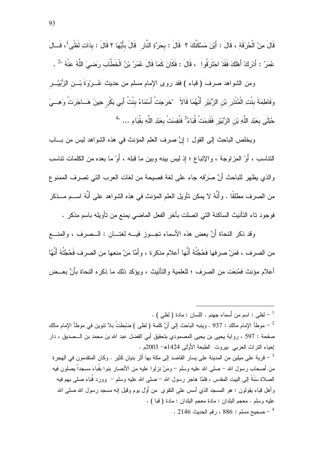قَالَ مِنْ الْحُرِقَةِ ، قَالَ : أَيْنَ مَسْكَنُكَ ؟ قَالَ : بحَرَّةِ النَّارِ ۖ قَالَ بِأَيِّهَا ؟ قَالَ : بذَاتِ لَظًى لَ قَــالَ عُمَرُ : أَدْرِكْ أَهْلَكَ فَقَدْ احْتَرَقُوا ، قَالَ : فَكَانَ كَمَا قَالَ عُمَرُ بْنُ الْخَطَّابِ رَضييَ اللَّهُ عَنْهُ "2 .

ومن الشواهد صرف (قباء ) فقد روى الإمام مسلم من حديث عُـــروْةَ بْـــن الزُّبَيْـــر وَفَاطِمَةَ بِنْتِ الْمُنْذِرِ بْنِ الزُّبَيْرِ أَنَّهُمَا قَالاً ۚ "خَرَجَتْ أَسْمَاءُ بِنْتُ أَبِي بَكْرِ حِينَ هَــاجَرَتْ وَهِـــيَ حُبْلَى بعَبْدِ اللَّهِ بْنِ الزُّبَيْرِ فَقَدِمَتْ قُبَاءً<sup>3</sup> فَنُفِسَتْ بعَبْدِ اللَّهِ بقُبَاءِ ... "<sup>4</sup>

ويخلص الباحث إلى القول : إنَّ صرف العلم المؤنث في هذه الشواهد ليس من بـــاب النتاسب ، أَوْ المزاوجة ، والإنباع ؛ إذ ليس بينه وبين ما قبله ، أَوْ ما بعده من الكلمات نتاسب والذي يظهر للباحث أَنَّ صَرَفه جاء على لغة فصيحة من لغات العرب التي تصرف الممنوع من الصرف مطلقًا . وأَنَّهُ لا يمكن تأويل العلم المؤنث في هذه الشواهد على أنَّهُ اســـم مـــذكر فوجود ناء النَّأنيث الساكنة التي اتصلت بآخر الفعل الماضي يمنع من تأويله باسم مذكر .

وقد ذكر النحاة أَنَّ بعض هذه الأسماء تجــوز فيـــه لغتـــان : الـــصرف ، والمنــــع من الصرف ، فمَنْ صرفها فَحُجَّتُهُ أَنَّها أعلام مذكرة ، وأَمَّا مَنْ منعها من الصرف فَحُجَّتُهُ أَنَّهُا أعلام مؤنث فمُنِعَت من الصرف ؛ للعلمية والتأنيث ، ويؤكد ذلك ما ذكره النحاة بأَنَّ بعــض

. [ - لظبي : اسم من أسماء جهنم . اللسان : مادة ( لظبي ) . موطأ الإمام مالك : 937 . وينبه الباحث إلى أنَّ كلمة ( لظي ) ضُبطَتْ بلا نتوين في موطأ الإمام مالك -صفحة : 597 ، رواية يحيى بن يحيى المصمودي بتحقيق أبي الفضل عبد الله بن محمد بن الـــصديق ، دار احياء النراث العربي بيروت الطبعة الأولى 1424هـ- 2003م . قرية على ميلين من المدينة على يسار القاصد إلى مكة بها أثر بنيان كثير . وكان المتقدمون في الهجرة فرية المجر من أصحاب رسول الله – صلى الله عليه وسلم – ومَنْ نزلوا عليه من الأنصار بنوا بقُباءَ مسجداً بصلون فيه الصلاة سَنَةَ إلى البيت المقدس ، فلمَّا هاجر رسول الله – صلَّى الله عليه وسلَّم – ۖ وورد قَباءَ صلَّى بهم فيه و أهل قباء بقولون : هو المسجد الذي أسس على النقو ي من أوَّل بو م وقيل إنه مسجد ر سول الله صلى الله عليه وسلم . معجم البلدان : مادة معجم البلدان : مادة ( قبا ) .  $\sim 2146$  صحبح مسلم :  $886$  ، رقم الحدبث  $^{-4}$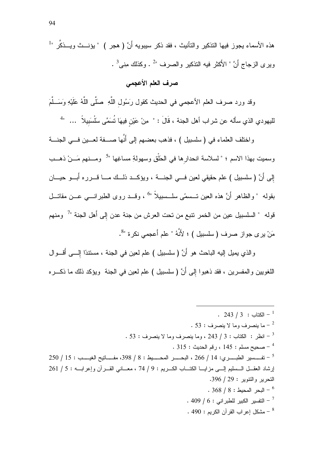هذه الأسماء يجوز فيها النذكير والنأنيث ، فقد ذكر سيبويه أَنَّ ( هجر ) " يؤنـــث ويـــذكَّر "  $\cdot ^3$ . ويرى الزجاج أَنَّ " الأكثر فيه النذكير والصرف " $^2$  . وكذلك مِنى  $^3$ 

# صرف العلم الأعجمي

وقد ورد صرف العلم الأعجمي في الحديث كقول رَسُول اللَّهِ ۚ صَلَّى اللَّهُ عَلَيْهِ وَسَــلَّمَ لليهودي الذي سأله عن شراب أهل الجنة ، قَالَ : " مِنْ عَيْنِ فِيهَا تُسَمَّى سَلْسَبِيلاً ... "

واختلف العلماء في ( سلسبيل ) ، فذهب بعضهم إلى أنَّها صـــفة لعـــين فـــي الـجنـــة وسميت بهذا الاسم ؛ " لسلاسة انحدارها في الحَلْقِ وسهولةِ مساغِها "<sup>5</sup> ومــنهم مَــنْ ذهــب إلى أَنَّ ( سلسبيل ) علم حقيقي لعين فـــي الـجنــــة ، ويؤكـــد ذلـــك مــــا قــــرره أبـــو حيــــان بقوله " والظاهر أنَّ هذه العين تـــسمّى سلـــسبيلاً "<sup>6</sup> ، وقـــد روى الطبرانــــى عـــن مقاتـــل قوله " السلسبيل عين من الخمر نتبع من تحت العرش من جنة عدن إلى أَهل الجنة "<sup>7</sup> ومنهم مَنْ پر ي جو از صرف ( سلسبيل ) ؛ لأنَّهُ " علم أعجمي نكر ة "<sup>8</sup>.

والذي يميل إليه الباحث هو أَنَّ ( سلسبيل ) علم لعين في الجنة ، مسنتذًا إلــــى أقــــوال اللغويين والمفسرين ، فقد ذهبوا إلى أنَّ ( سلسبيل ) علم لعين في الجنة ويؤكد ذلك ما ذكـــره

.  $243 / 3 : 121 - 1$  الكتاب  $-1$ . 53 : ما ينصرف وما لا ينصرف  $\sim$  53  $-$ . 53 : انظر : الكتاب : 3 / 243 ، وما ينصرف وما لا ينصرف : 53 .  $\sim 315:$  صحيح مسلم : 145 ، رقم الحديث  $^{-4}$ إرشاد العقــل الــسليم إلـــي مزايـــا الكتـــاب الكـــريم : 9 / 74 ، معـــاني القـــر أن وإعرابـــه : 5 / 261 التحرير والنتوير : 29 / 396.  $.368 / 8 : 124$  البحر المحبط .  $-$  التفسير الكبير للطير اني : 6 / 409 . مشكل اعر اب القر آن الكريم : 490 .  $\sim$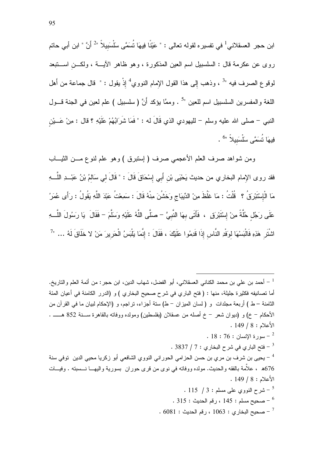ابن حجر العسقلاني<sup>1</sup> في تفسيره لقوله تعالى : " عَيْنًا فِيهَا تُسَمَّى سَلْسَبيلاً "<sup>2</sup> أَنَّ " ابن أبي حاتم روى عن عكرمة قال : السلسبيل اسم العين المذكورة ، وهو ظاهر الأيسة ، ولكـــن اســـتبعد لموقوع الصرف فيه "<sup>3</sup> ، وذهب إلى هذا القول الإمام النووي<sup>4</sup> إذْ يقول : " قال جماعة من أهل اللغة والمفسرين السلسبيل اسم للعين "<sup>5</sup> . وممَّا يؤكد أَنَّ ( سلسبيل ) علم لعين في الجنة قـــول النبي – صلى الله عليه وسلم – لليهودي الذي قَالَ له : " فَمَا شَرَابُهُمْ عَلَيْهِ ؟ قال : مِنْ عَـــشِ فِيهَا نُسَمَّى سَلْسَبِيلاً "<sup>6</sup>

ومن شواهد صرف العلم الأعجمي صرف (إستبرق ) وهو علم لنوع مـــن الثيـــاب فقد روى الإمام البخاري من حديث يَحْيَى بْن أَبِي إِسْحَاقَ قَالَ : " قَالَ لي سَالمُ بْنُ عَبْــدِ اللَّـــهِ مَا الْإِسْتَبْرِقُ ؟ ۚ قُلْتُ : مَا غَلَظَ مِنْ الدِّيبَاجِ وَخَشُنَ مِنْهُ قَالَ : سَمِعْتُ عَبْدَ اللَّهِ يَقُولُ : رَأَى عُمَرُ عَلَى رَجُل خُلَّةً مِنْ إِسْتَبْرِوْ ۚ ، فَأَتَى بِهَا النَّبِيَّ – صَلَّى اللَّهُ عَلَيْهِ وَسَلَّمَ – فَقَالَ ۚ يَا رَسُولَ اللَّــهِ اشْتَرِ هَذِهِ فَالْبَسْهَا لوَفْدِ النَّاسِ إِذَا قَدِمُوا عَلَيْكَ ، فَقَالَ : إِنَّمَا بَلْبَسُ الْحَرِيرَ مَنْ لا خَلَاقَ لَهُ ... "

أحمد بن على بن محمد الكناني العسقلاني، أبو الفضل، شهاب الدين، ابن حجر: من أئمة العلم والناريخ.  $^{-1}\,$ أما تصانيفه فكثيرة جليلة، منها : ( فتح الباري في شرح صحيح البخاري ) و (الدرر الكامنة في أعيان المئة الثامنة – ط ) أربعة مجلدات و ( لسان المبزان – ط) ستة أجزاء، نراجم، و (الإحكام لبيان ما في القرآن من الأحكام – خ) و (ديوان شعر – خ أصله من عسقلان (بفلسطين) ومولده ووفاته بالقاهرة ســـنة 852 هــــــ .  $. 149 / 8 : \mathbb{R}$ الأعلام

- .  $18:76:18$  سورة الإنسان -
- $3837/7:$ فتح الباري في شرح البخاري : 7 / 383  $^{-3}$

<sup>4</sup> – يحيى بن شرف بن مرى بن حسن الحزامي الحور اني النووي الشافعي أبو زكريا محيى الدين توفي سنة 676 ، علاَّمة بالفقه والحديث. مولده ووفاته في نوى من قرى حوران بسورية واليهـــا نـــسبته . وفيـــات  $.149/8:$  الأعلام

- $115$  / 3 شرح النووي على مسلم  $5$ . 315 : صحبح مسلم : 145 ، رقم الحديث : 315 .
- $\sim 6081$  صحيح البخار ي $3:1063$  ، رقم الحديث  $^{-7}$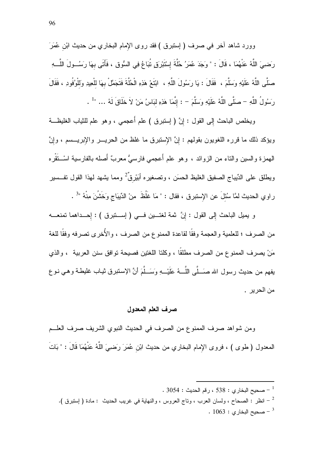وورد شاهد أخر في صرف ( إستبرق ) فقد روى الإمام البخاري من حديث ابْن عُمَرَ رَضييَ اللَّهُ عَنْهُمَا ، قَالَ : " وَجَدَ عُمَرُ حُلَّةَ إِسْتَبْرِقٍ تُبَاعُ فِي السُّوقِ ، فَأَتَى بهَا رَسُــولَ اللَّــهِ صلَّى اللَّهُ عَلَيْهِ وَسَلَّمَ ، فَقَالَ : يَا رَسُولَ اللَّهِ ، ابْتَعْ هَذِهِ الْحُلَّةَ فَتَجَمَّلْ بهَا للْعِيدِ وَللْوُفُودِ ، فَقَالَ رَسُولُ اللَّهِ - صَلَّى اللَّهُ عَلَيْهِ وَسَلَّمَ - : إِنَّمَا هَذِهِ لَبَاسُ مَنْ لاَ خَلَاقَ لَهُ ... "<sup>1</sup> .

ويخلص الباحث إِلى القول : إِنَّ ( إستبرق ) علم أُعجمي ، وهو علم للثياب الغليظـــة ويؤكد ذلك ما قرره اللغويون بقولهم : إنَّ الإستبرق ما غلظ من الحريـــر والإبريـــسم ، وإنَّ المهمزة والسين والناء من الزوائد ، وهو علم أُعجمي فارسيُّ معربٌ أَصله بالفارسية اسْــنَقْره ويطلق على الدِّيباج الصفيق الغليظ الحسَن ، وتصغيره أبَيْرقٌ 2 ومما يشهد لهذا القول تفـــسير راوي الحديث لمَّا سُئلَ عن الإستبرق ، فقال : " مَا غَلُظَ مِنْ الدِّيبَاج وَخَشْنَ مِنْهُ "<sup>3</sup> .

و يميل الباحث إلى القول : إنَّ ثمة لغتـــين فـــي ( إســـنبرق ) : إحـــداهما نمنعــــه من الصرف ؛ للعلمية والعجمة وفقًا لقاعدة الممنوع من الصرف ، والأُخرى تصرفه وفقًا للغة مَنْ يصرف الممنوع من الصرف مطلقًا ، وكلتا اللغتين فصبحة توافق سنن العربية ، والذي يفهم من حديث رسول الله صَـــلَّـى اللَّـــهُ عَلَيْـــهِ وَسَـــلَّمَ أنَّ الإستبرق ثيـاب غليطــة وهـى نـوع من الحر بر ۔

#### صرف العلم المعدول

ومن شواهد صرف الممنوع من الصرف في الحديث النبوي الشريف صرف العلــم المعدول ( طوى ) ، فروى الإمام البخاري من حديث ابْن عُمَرَ رَضييَ اللَّهُ عَنْهُمَا قَالَ : " بَاتَ

 $\sim 3054:$  صحيح البخاري : 538 ، رقم الحديث  $^{-1}$ 

 $\cdot\,1063:$  صحيح البخاري  $^{-3}$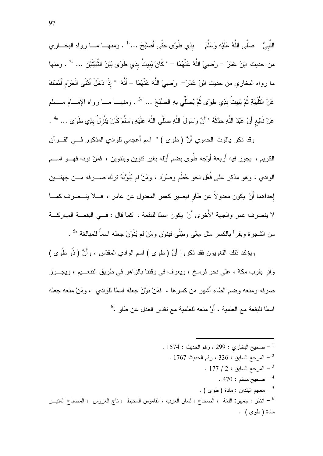النَّبِيُّ – صلَّى اللَّهُ عَلَيْهِ وَسَلَّمَ – بذِي طُوءِ حَتَّى أَصبْحَ …" . ومنهــا مـــا رواه البخـــاري من حديث ابْنَ عُمَرَ – رَضييَ اللَّهُ عَنْهُمَا – " كَانَ يَبِيتُ بِذِي طُوءَى بَيْنَ الثَّنِيَّتَيْن … "<sup>2</sup> . ومنها ما رواه البخاري من حديث ابْنُ عُمَرَ— رَضـِيَ اللَّهُ عَنْهُمَا – أَنَّهُ " إذَا دَخَلَ أَدْنَـى الْحَرَم أَمْسَكَ عَنْ التَّلْبِيَةِ ثُمَّ يَبِيتُ بِذِي طِوءِ ثُمَّ يُصلِّي بِهِ الصُّبْحَ … "<sup>3</sup> . ومنهــا مـــا رواه الإمـــام مـــسلم عَنْ نَافِعٍ أَنَّ عَبْدَ اللَّهِ حَدَّثَهُ " أَنَّ رَسُولَ اللَّهِ صلَّى اللَّهُ عَلَيْهِ وَسَلَّمَ كَانَ يَنْزِلُ بِذِي طَوَى … "' .

وقد ذكر ياقوت الحموي أَنَّ (طوى ) " اسم أُعجمي للوادي المذكور فـــي القــــرآن الكريم ، يجوز فيه أَربعة أَوْجه طُوى بضم أَوْله بغير نتوين وبنتوين ، فمَنْ نونه فهـــو اســـم الوادي ، وهو مذكر على فُعَل نحو حُطَم وصُرَد ، ومَنْ لم يُنَوَّنْهُ ترك صـــــرفه مــــن جهتــــين إحداهما أنْ يكون معدولاً عن طاو فيصير كعمر المعدول عن عامر ، فـــلا ينـــصرف كمـــا لا ينصرف عمر والجهة الأُخرى أَنْ يكون اسمًا للبقعة ، كما قال : فــي البقعـــة المباركـــة من الشجرة ويقرأ بالكسر مثل مِعًى وطلَّى فينوَن ومَنْ لم يُنَوَّنْ جعله اسماً للمبالغة "<sup>5</sup> .

ويؤكد ذلك اللغويون فقد ذكروا أَنَّ ( طوى ) اسم الوادي المقدَّس ، وأَنَّ ( ذُو طُوى ) وَادِ بِقَرْبِ مِكَةٍ ، علي نحو فرسخ ، ويعرف في وِقْتَنا بِالزَّاهِرِ في طريقِ النَّتعــيم ، ويجــوز صرفه ومنعه وضم الطاء أشهر من كسرها ، فمَنْ نَوَّنَ جعله اسمًا للوادي ، ومَنْ منعه جعله اسمًا للبقعة مع العلمية ، أَوْ منعه للعلمية مع تقدير العدل عن طاو .<sup>6</sup>

. 1574 : صحيح البخاري : 299 ، رقم الحديث  $\sim 1$ 1574 .  $\,$ . 1767 - المرجع السابق : 336 ، رقم الحديث  $\,$  .  $177 / 2: 10^{11}$ لمرجع السابق : 1 .  $470:$  صحيح مسلم  $^{-4}$ . ( طوى ) . معجم البلدان : مادة ( طوى ) . انظر : جمهرة اللغة ، الصحاح ، لسان العرب ، القاموس المحيط ، تاج العروس ، المصباح المنيـــر  $^6$ مادة ( طوى ) .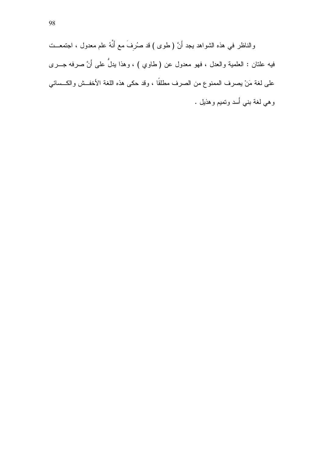والناظر في هذه الشواهد يجد أَنَّ ( طوى ) قد صُرفَ مع أنَّهُ علم معدول ، اجتمعــت فيه علتان : العلمية والعدل ، فهو معدول عن ( طاوي ) ، وهذا يدلُّ على أَنَّ صرفه جـــرى على لغة مَنْ بصرف الممنوع من الصرف مطلقًا ، وقد حكى هذه اللغة الأخفــش والكــسائـي و هي لغة بنـي أسد ونميم و هذيل .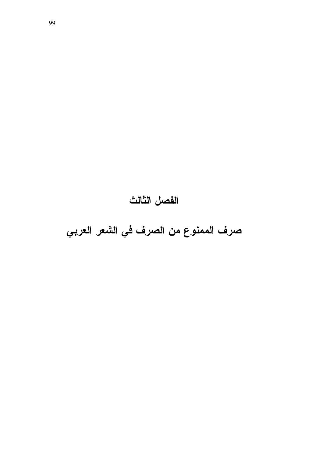# الفصل الثالث

صرف الممنوع من الصرف في الشعر العربي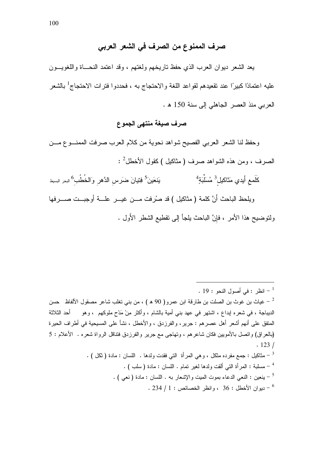# صرف الممنوع من الصرف في الشعر العربي

يعد الشعر ديوان العرب الذي حفظ ناريخهم ولغتهم ، وقد اعتمد النحـــاة واللغويـــون عليه اعتمادًا كبيرًا عند تقعيدهم لقواعد اللغة والاحتجاج به ، فحددوا فترات الاحتجاج<sup>1</sup> بالشعر العربي منذ العصر الجاهلي إلى سنة 150 هـ.

# صرف صيغة منتهى الجموع

وحفظ لنا الشعر العربي الفصيح شواهد نحوية من كلام العرب صرفت الممنوع مسن الصرف ، ومن هذه الشواهد صرف ( مثاكليل )كقول الأخطل<sup>2</sup> : كَلَمع أَيدي مَثاكيل<sup>3</sup> مُسَلِّبَةٍ<sup>4</sup> يَنعَينَ<sup>5</sup> فِتيانَ ضرَس الدَّهر وَالخُطُب<sup>6</sup> البحر السيط ويلحظ الباحث أَنَّ كلمة (مثاكيل ) قد صُرفت مـــن غيـــر علــــة أوجبـــت صـــــرفها ولنوضيح هذا الأمر ، فإنَّ الباحث يلجأ إلى نقطيع الشطر الأُول .

 $\cdot$  19 : انظر : في أصول النحو  $^{-1}$ الديباجة ، في شعره إبداع ، اشتهر في عهد بني أمية بالشام ، وأكثر مِنْ مَدْحٍ ملوكهم ، وهو أحد الثلاثة المنفق على أنهم أشعر أهل عصرهم : جرير، والفرزدق ، والأخطل ، نشأ على المسيحية في أطراف الحيرة (بالعراق) واتصل بالأمويين فكان شاعرهم ، وتهاجى مع جرير والفرزدق فتتاقل الرواة شعره . الأعلام : 5  $.123/$ . [ - مثاكليل : جمع مفرده مثكل ، وهي المرأة النتي فقدت ولدها . اللسان : مادة ( ثكل ) . . ( سلبة : المرأة التي ألقت ولدها لغير تمام . اللسان : مادة ( سلب ) . . [ - ينعين : النعبي الدعاء بموت الميت والإشعار به . اللسان : مادة ( نعبي ) . . 234 إن الأخطل : 36 ، وانظر الخصيائص : 1 / 234 .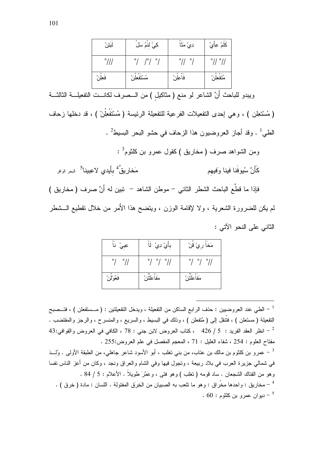| لبَتِنْ        | كِيْ لْنَمُ سَلَ                  | دِيْ مَنَّا                | كَلَمْ عِأْيُ               |
|----------------|-----------------------------------|----------------------------|-----------------------------|
| $^{\circ}$ /// | $^{\circ}$ /<br>$/^\circ/^\circ/$ | $^{\circ}$ // $^{\circ}$ / | $^{\circ}$ // $^{\circ}$ // |
| فعِلْن         | مُسْتَفْعِلْنْ                    | فاعِلنْ                    | متفعلن                      |

ويبدو للباحث أَنَّ الشاعر لو منع ( مثاكيل ) من الـــصرف لكانـــت التفعيلـــة الثالثـــة

(مُسْتَعِلْن ) ، وهي إحدى التفعيلات الفرعية للتفعيلة الرئيسة (مُسْتَفْعِلُنْ ) ، قد دخلها زحاف الطي<sup>1</sup> . وقد أجاز العروضيون هذا الزحاف في حشو البحر البسيط<sup>2</sup> . ومن الشواهد صرف (مخاريق )كقول عمرو بن كلثوم<sup>3</sup> : مَخاريقٌ<sup>4</sup> بأَيدي لاعِبينا<sup>5</sup> البحر الوافر كَأَنَّ سُيوفَنا فينا وَفيهم فإذا ما قطَّع الباحث الشطر الثاني – موطن الشاهد – نبين له أَنَّ صرف ( مخاريق ) لم يكن للضرورة الشعرية ، ولا لإقامة الوزن ، ويتضح هذا الأمر من خلال نقطيع الـــشطر

الثاني على النحو الآتي :

| $\circ$ -<br>عِبِيْ نا   | بِأَيْ دِيْ ۚ لَاْ                | مَخا رِيُّ قَنْ                   |
|--------------------------|-----------------------------------|-----------------------------------|
| $\circ$<br>$^{\circ}$ // | $^{\circ}/\ ^{\circ}/\ ^{\circ}/$ | $^{\circ}/\ ^{\circ}/\ ^{\circ}/$ |
| فَعُوْلُنْ               | $\lambda$<br>مَفاعَلَتَنْ         | ەھ<br>مَفاعَلَتْنُ                |

الطي عند العروضيين : حذف الرابع الساكن من التفعيلة ، ويدخل التفعيلتين : ( مـــستفعلن ) ، فتــصبح " النفعيلة ( مستعلن ) ، فتُنقل إلىي ( مُتفعلن ) ، وذلك في البسيط ، والسريع ، والمنسر ح ، والرجز والمقتضب . 43 - انظر العقد الفريد : 5 / 426 ، كتاب العروض لابن جني : 78 ، الكافي في العروض والقوافي:43  $^{-2}$ مفتاح العلوم : 254 ، شفاء الغليل : 71 ، المعجم المفصل في علم العروض:255 . عمرو بن كلثوم بن مالك بن عتاب، من بنبي نغلب ، أبو الأسود شاعر جاهلي، من الطبقة الأولىي . وُلْـــدَ  $^{-3}$ في شمالـي جزيرة الـعرب في بـلاد ربيعة ، وتـجول فيها وفـي الشام والـعراق ونـجد ، وكان من أعز النـاس نفسا وهو من الفتاك الشجعان . ساد قومه ( نغلب ) وهو فتى ، وعَمَّرَ طويلاً . الأعلام : 5 / 84 . مخاريق : واحدها مِخْراق : وهو ما نلعب به الصبيان من الخِرَق المفتولة . اللسان : مادة ( خرق ) .  $^{-\, 4}$  $60:60:$ ديو ان عمر و بن كلثوم -  $^{-5}$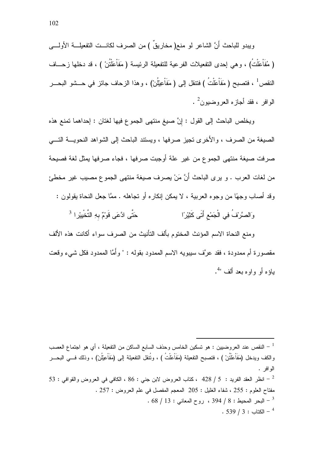ويبدو للباحث أَنَّ الشاعر لو منع( مخاريقٌ ) من الصرف لكانـــت التفعيلــــة الأولــــي ( مُفَاْعَلْتُ) ، وهي إحدى النفعيلات الفرعية للنفعيلة الرئيسة ( مَفَاْعَلْتُنْ ) ، قد دخلها زحـــاف النقص ً ، فتصبح ( مَفَاْعَلْتُ ) فتتقل إلىي ( مَفَاْعِيْلُنْ) ، وهذا الزحاف جائز في حـــشو البحـــر  $\frac{2}{\sqrt{3}}$ الو افر ع فقد أجاز م العر و ضبون $^2$  .

ويخلص الباحث إلى القول : إنَّ صيغ منتهى الجموع فيها لغتان : إحداهما تمنع هذه الصيغة من الصرف ، والأخرى نجيز صرفها ، ويستند الباحث إلى الشواهد النحويـــة النــــي صرفت صيغة منتهى الجموع من غير علة أوجبت صرفها ، فجاء صرفها يمثل لغة فصيحة من لغات العرب . و يرى الباحث أَنَّ مَنْ يصرف صيغة منتهى الجموع مصيب غير مخطئ وقد أصاب وجهًا من وجوه العربية ، لا يمكن إنكاره أو نجاهله . ممَّا جعل النحاة يقولون :

حَتَّى ادَّعَى قَوْمٌ بِهِ التَّخْبِيْرِ ا<sup>3</sup> وَالصَّرْفُ فِي الْجَمْعِ أَتَى كَثِيْرًا

ومنع النحاة الاسم المؤنث المختوم بألف التأنيث من الصرف سواء أكانت هذه الألف مقصورة أم ممدودة ، فقد عرَّف سيبويه الاسم الممدود بقوله : " وأَمَّا الممدود فكل شيء وقعت  $4$ " داؤه أو واوه بعد ألف

النقص عند العروضيين : هو تسكين الخامس وحذف السابع الساكن من التفعيلة ، أي هو اجتماع العصب  $^{-1}$ والكف ويدخل (مَفَاعَلْتُنْ ) ، فتصبح التفعيلة (مَفَاعَلْتُ ) ، وتُنقل التفعيلة إلى (مَفَاْعِيْلُنْ) ، وذلك فسي البحسر الو افر . 53 - انظر العقد الفريد : 5 / 428 ، كتاب العروض لابن جنى : 86 ، الكافى فى العروض والقوافى : 53  $\sim$ مفتاح العلوم : 255 ، شفاء الغليل : 205 المعجم المفصل في علم العروض : 257 .  $.68 / 13:$ البحر المحبط: 8 / 394 ، روح المعاني: 13 / 68  $^{-3}$  $.539 / 3:$ الكتاب -  $^4$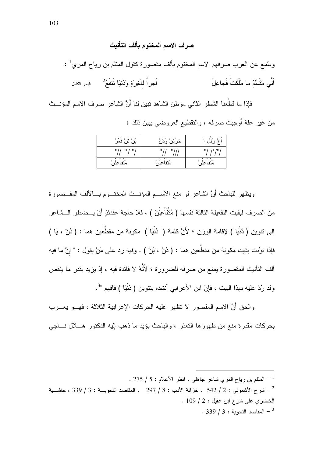#### صرف الاسم المختوم بألف التأنيث

وسُمِع عن العرب صرفهم الاسم المختوم بألف مقصورة كقول المثلم بن رياح المري<sup>1</sup> : أَنَّى مُقَسِّمُ ما مَلَكتُ فَجاعِلٌ 

فإذا ما قطَّعنا الشطر الثاني موطن الشاهد نبين لنا أَنَّ الشاعر صرف الاسم المؤنـــث من غير علة أوجبت صرفه ، والتقطيع العروضبي بيين ذلك :

| $^{\circ}$<br>قعو      | $\Delta$<br>$\sim$<br>حرب<br>ہ سر۔   | $\circ$           |
|------------------------|--------------------------------------|-------------------|
| ٥<br>۰<br>۰            | ۰<br>۰                               | ۰<br>$\sim$<br>۱o |
| $0 - 0$<br>۰<br>متفاعل | $\circ$ $\sim$<br>$\circ$ .<br>متفاء | $0 - 0$<br>متفاء  |

ويظهر للباحث أنَّ الشاعر لو منع الاســم المؤنـــث المختـــوم بـــالألف المقــصورة من الصرف لبقيت التفعيلة الثالثة نفسها ( مُتْفَاْعِلُنْ ) ، فلا حاجة عندئذٍ أَنْ يــضطر الــشاعر إلى نتوين ( دُنْيَا ) لإقامة الوزن ؛ لأَنَّ كلمة ( دُنْيَا ) مكونة من مقطَّعين هما : ( دُنْ ، يَا ) فإذا نوِّنت بقيت مكونة من مقطَّعين هما : ( دُنْ ، بَنْ ) . وفيه رد علمي مَنْ يقول : " إِنَّ ما فيه ألف التأنيث المقصورة يمنع من صرفه للضرورة ؛ لأَنَّهُ لا فائدة فيه ، إذ يزيد بقدر ما ينقص وقد رُدَّ عليه بهذا البيت ، فإنَّ ابن الأعرابي أنشده بنتوين ( دُنْيًا ) فافهم "<sup>3</sup>.

والحق أَنَّ الاسم المقصور لا تظهر عليه الحركات الإعرابية الثلاثة ، فهـــو يعــــرب بحركات مقدرة منع من ظهور ها التعذر ، والباحث يؤيد ما ذهب البه الدكتور ٍ هـــلال نــــاجى

<sup>. 275 / 5 -</sup> المثلم بن رياح المرى شاعر جاهلي . انظر الأعلام : 5 / 275 .

شرح الأشموني : 2 / 542 ، خزانة الأدب : 8 / 297 ، المقاصد النحويـــة : 3 / 339 ، حاشـــية  $^{-2}$ الخضري على شرح ابن عقبل : 2 / 109 .  $.339 / 3:$ المقاصد النحوية - 3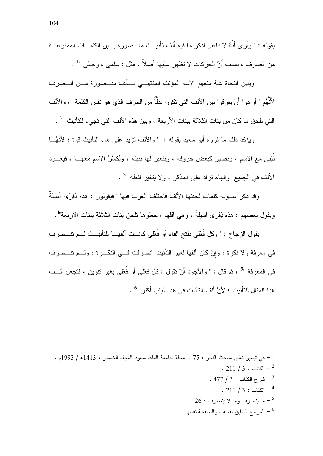ويُبين النحاة علة منعهم الاسم المؤنث المنتهــي بــألف مقــصورة مــن الــصرف لأَنْهُم " أرادوا أَنْ يفرقوا بين الألف التي تكون بدلًّا من الحرف الذي هو نفس الكلمة ، والألف التي تلحق ما كان من بنات الثلاثة ببنات الأربعة ، وبين هذه الألف التي تجيء للتأنيث "<sup>2</sup> .

ويؤكد ذلك ما قرره أبو سعيد بقوله : " والألف تزيد على هاء التأنيث قوة ؛ لأَنَّهُــا تُبْنَى مع الاسم ، وتصير كبعض حروفه ، وتتغير لها بنيته ، ويُكَسَّرُ الاسم معهـــا ، فيعـــود الألف في الجميع والهاء نزاد على المذكر ، ولا يتغير لفظه "<sup>3</sup> .

وقد ذكر ٍ سببويه كلمات لحقتها الألف فاختلف العرب فيها " فيقولون : هذه ذِفرَّى أسبِلةٌ ويقول بعضهم : هذه ذِفرَى أسيلةٌ ، وهي أقلها ، جعلوها نلحق بنات الثلاثة ببنات الأربعة"<sup>4</sup>.

بِقولِ الزِّجاجِ : " وكلِّ فَعْلَى بِفتحِ الفاءِ أو ۖ فُعْلَى كانــتِ ألفهــا للتأنيــث لـــم تتـــصر ف في معرفة ولا نكرة ، وإنْ كان ألفها لغير التأنيث انصرفت فـــي النكـــرة ، ولـــم تتـــصرف في المعرفة "<sup>5</sup> ، ثم قال : " والأجود أَنْ تقول : كل فَعْلى أو فُعْلى بغير نتوين ، فتجعل ألــف هذا المثال للتأنيث ؛ لأَنَّ ألف التأنيث في هذا الباب أكثر "<sup>6</sup> .

- $. 211 / 3 :$  الكتاب  $-$
- .  $477 / 3:$  شرح الكتاب  $5.3$ 
	- $. 211 / 3 : 211 4$
- . 26 : ما ينصر ف وما لا ينصرف  $\sim 5$
- . المرجع السابق نفسه ، والصفحة نفسها  $\sim$

<sup>. -</sup> في نيسير تعليم مباحث النحو : 75 . مجلة جامعة الملك سعود المجلد الخامس ، 1413هـ / 1993م .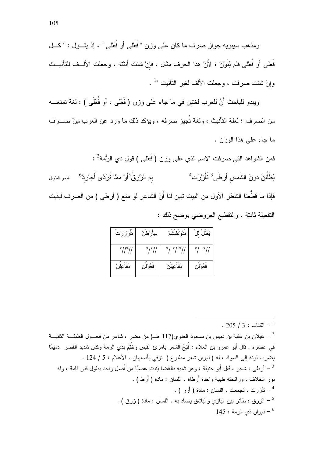ومذهب سببويه جواز صرف ما کان علي وزن " فَعْلي أو فُعْلي " ، إذ يقــول : " کـــل فَعْلَى أو فُعْلَى فلم يُنَوَّنْ ؛ لأَنَّ هذا الحرف مثال . فإنْ شئت أننته ، وجعلت الألــف للتأنيــث وإنْ شئت صرفت ، وجعلت الألف لغير التأنيث "<sup>1</sup> .

ويبدو للباحث أَنَّ للعرب لغتين في ما جاء على وزن ( فَعْلَى ، أو فُعْلَى ) : لغة تمنعـــه من الصرف ؛ لعلة التأنيث ، ولغة تُجيز صرفه ، ويؤكد ذلك ما ورد عن العرب من صــــرف ما جاء علمي هذا الوزن .

فمن الشواهد التـى صـرفت الاسم الذي علـى وزن ( فَعْلـى ) قول ذي الرُمة<sup>2</sup> : بهِ الزُرقُ<sup>5</sup>أَوْ ممَّا نَرَدَّى أُجارِدُ<sup>6</sup> <sub>البحر</sub> الطويل يُظَلِّلْنَ دونَ الشَمس أَرطَّى<sup>3</sup> تَأَزَّرَت<sup>4</sup> فإذا ما قطَّعنا الشطر الأول من البيت تبين لنا أَنَّ الشاعر لو منع ( أرطى ) من الصرف لبقيت النفعيلة ثابتة . والنقطيع العروضي يوضح ذلك :

| تأزرَرَت                    | سِأَرْطَنْ                 | ندُوْنششْمْ                             | يُظلّ لل                |
|-----------------------------|----------------------------|-----------------------------------------|-------------------------|
| $^{\circ}$ // $^{\circ}$ // | $^{\circ}$ / $^{\circ}$ // | $^{\circ}$ / $^{\circ}$ / $^{\circ}$ // | $^{\circ}/$ $^{\circ}/$ |
| مَفاعِلْن                   | فعُوْلُز                   | مَفاعِيْلْنْ                            | فعُوْلِن                |

 $. 205 / 3 : 205 - 1$ 

عيلان بن عقبة بن نهيس بن مسعود العدوى(117 هــ) من مضر ، شاعر من فحــول الطبقـــة الثانيـــة  $^{-{\,2}}$ في عصره . قال أبو عمرو بن العلاء : فُنِحَ الشعر بامرئ القيس وخُنِعَ بذي الرمة وكان شديد القصر دميمًا يضرب لونه إلى السواد ، له ( ديوان شعر مطبوع ) توفي بأصبهان . الأعلام : 5 / 124 . أر طي : شجر ، قال أَبو حنيفة : وهو شبيه بالغضا يُنبت عصيًّا من أَصل واحد بِطول قدر قامة ، وله  $^{-3}$ نور الخلاف ، ورائحته طببة واحدة أَرطاة . اللسان : مادة ( أَرط) . - تأزرت ، تجمعت . اللسان : مادة ( أُزر ) . - الزرق : طائر بين البازي والباشق بصاد به . اللسان : مادة ( زرق ) .  $^{-5}$ 145 : دبو ان ذي الرمة  $-6$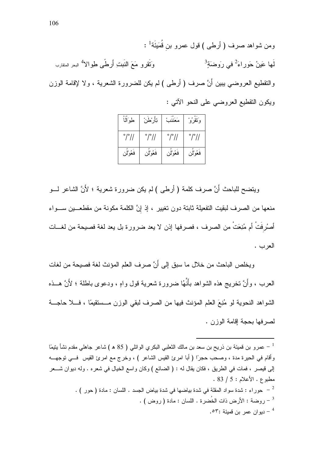ومن شواهد صرف ( أرطى ) قول عمرو بن قُمَينَة<sup>1</sup> : وَتَقَرُّو مَعَ النُّبِتِ أَرطًى طِوالاً لهجر المتقارب لَها عَينُ حَوراء<sup>َ 2</sup>في رَوضَةٍ <sup>3</sup> والنقطيع العروضـي بيبن أَنَّ صرف ( أرطـي ) لم يكن للضرورة الشعرية ، ولا لإقامة الوزن ويكون النقطيع العروضي على النحو الأتبي :

| طوَالما              | تِأرْطنْ             | مَعَننتُ             | وَنَقْرُوْ           |
|----------------------|----------------------|----------------------|----------------------|
| $^{\circ}/^{\circ}/$ | $^{\circ}/^{\circ}/$ | $^{\circ}/^{\circ}/$ | $^{\circ}/^{\circ}/$ |
| فعُوْلُن             | فعُوْلِن             | فعُوْلن              | فعُوْلِن             |

ويتضح للباحث أَنَّ صرف كلمة ( أرطى ) لم يكن ضرورة شعرية ؛ لأَنَّ الشاعر لـــو منعها من الصرف لبقيت التفعيلة ثابتة دون تغيير ، إذ إنَّ الكلمة مكونة من مقطعـــين ســـواء أصرُرفَتْ أم مُنِعَتْ من الصرف ، فصرفها إذن لا يعد ضرورة بل يعد لغة فصيحة من لغـــات العرب .

ويخلص الباحث من خلال ما سبق إلى أَنَّ صر ف العلم المؤنث لغة فصيحة من لغات العرب ، وأنَّ نخريج هذه الشواهد بأنَّهُا ضرورة شعرية قول واهٍ ، ودعوى باطلة ؛ لأَنَّ هــذه الشواهد النحوية لو مُنِعَ العلم المؤنث فيها من الصرف لبقى الوزن مــستقيمًا ، فـــلا حاجـــة لصر فها بحجة إقامة الوزن .

عمرو بن قميئة بن ذريح بن سعد بن مالك الثعلبي البكري الوائلي ( 85 ه ) شاعر جاهلي مقدم نشأ يتيمًا  $^{-\, 1}$ وأقام في الحيرة مدة ، وصحب حجرًا ( أبا امرئ القيس الشاعر ) ، وخرج مع امرئ القيس ۖ فـــي توجهـــه إلى قيصر ، فمات في الطريق ، فكان يقال له : ( الضائع ) وكان واسع الخيال في شعره . وله ديوان شـــعر . 83 / 5 : الأعلام : 5 / 83 - حوراء : شدة سواد المقلة في شدة بياضها في شدة بياض الجسد . اللسان : مادة ( حور ) .  $^{-2}$ . ( روضة : الأرض ذات الخُضرة . اللسان : مادة ( روض ) . دبو ان عمر بن قمبئة :٥٣.  $\sim$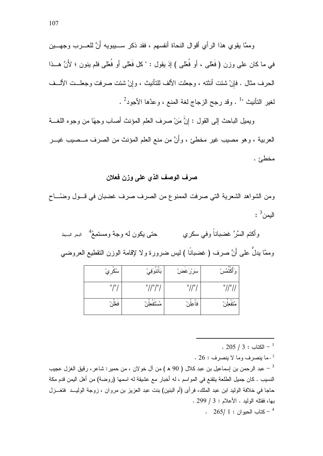وممَّا يقوى هذا الرأى أقوال النحاة أنفسهم ، فقد ذكر ســــيبويه أَنَّ للعــــرب وجهــــين في ما كان على وزن ( فَعْلى ، أو فُعْلى ) إذ يقول : " كل فَعْلى أو فُعْلى فلم ينون ؛ لأَنَّ هـــذا الحرف مثال . فإنْ شئت أنثته ، وجعلت الألف للتأنيث ، وإنْ شئت صرفت وجعلــت الألــف لغير النأنيث "<sup>1</sup> . وقد رجح الزجاج لغة المنع ، وعدَّها الأجود<sup>2</sup> .

ويميل الباحث إلى القول : إِنَّ مَنْ صرف العلم المؤنث أصاب وجهًا من وجوه اللغـــة العربية ، وهو مصيب غير مخطئ ، وأَنَّ من منع العلم المؤنث من الصرف مــصيب غيـــر مخطئ .

#### صرف الوصف الذي على وزن فعلان

ومن الشواهد الشعرية التي صرفت الممنوع من الصرف صرف غضبان في قــول وضـّــاح  $\frac{3}{4}$ البمن

حتبي يكون له وجهٌ ومستمِعُ \* للبحر السيط و أكتم السِّرّ ً غضباناً و في سكر *ي* وممَّا يدلُّ علمي أنَّ صرف ( غضبانًا ) ليس ضرورة ولا لإقامة الوزن النقطيع العروضي

| سُکريُ | $o - o$<br>بَاننوَفِيْ | سررغض               | ۰<br>َأَكتَمُس<br>٥ |
|--------|------------------------|---------------------|---------------------|
| 0/0    | 0/10/0                 | $\circ$ / / $\circ$ | 0/10/               |
| فعلن   | مستفعل                 | $\circ$<br>فاعِلْن  | ۰<br>مُتفعِلُهُ     |

.  $205 / 3:$  الكتاب  $^{-1}$ 

 $26:26:4$ عا ينصرف وما لا ينصرف : 26 .

عبد الرحمن بن إسماعيل بن عبد كلال ( 90 ه ) من آل خولان ، من حمير : شاعر ، رقيق الغزل عجيب  $^{-3}$ النسيب . كان جميل الطلعة يتقنع في المواسم ، له أخبار مع عشيقة له اسمها (روضة) من أهل اليمن قدم مكة حاجا في خلافة الوليد ابن عبد الملك، فرأى (أم البنين) بنت عبد العزيز بن مروان ، زوجة الوليــد فتغـــزل بها، فقتله الوليد . الأعلام : 3 / 299 .

 $265/1$  : كتاب الحبو ان  $-$  4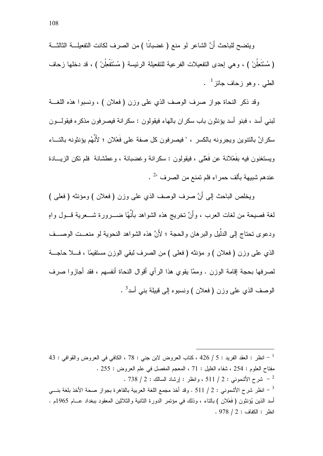ويتضح للباحث أَنَّ الشاعر لو منع ( غضبانًا ) من الصرف لكانت التفعيلـــة الثالثـــة (مُسْتَعِلُنْ ) ، وهي إحدى النفعيلات الفرعية للنفعيلة الرئيسة (مُسْتَفْعِلُنْ ) ، قد دخلها زحاف  $1$  الطبي . وهو زحاف جائز  $1$ 

وقد ذكر النحاة جواز صرف الوصف الذي على وزن (فعلان ) ، ونسبوا هذه اللغـــة لبني أسد ، فبنو أسد يؤنثون باب سكر ان بالهاء فيقولون : سكر انة فيصر فون مذكر ه فيقولـــون سكر انٌ بِالنَّنوينِ ويجرِ ونه بِالكسرِ ﴾ "فيصر فون كل صفة على فَعْلانِ ؛ لأَنَّهُم يؤنثونه بِالنِّساء ويستغنون فيه بفَعْلانة عن فَعْلَى ، فيقولون : سكرانة وغضبانة ، وعطشانة ۖ فلم تكن الزيسـادة عندهم شبيهة بألف حمراء فلم تمنع من الصرف "<sup>2</sup> .

ويخلص الباحث إلى أَنَّ صرف الوصف الذي على وزن (فعلان ) ومؤنثه (فعلي ) لغة فصيحة من لغات العرب ، وأَنَّ نخريج هذه الشواهد بأَنَّهُا ضــــرورة شــــعرية قـــول واهٍ ودعوى تحتاج إلى الدلُّبِل والبر هان والحجة ؛ لأَنَّ هذه الشَّواهد النحوية لو منعــت الوصـــف الذي على وزن (فعلان ) و مؤنثه (فعلي ) من الصرف لبقى الوزن مستقيمًا ، فـــلا حاجـــة لصرفها بحجة إقامة الوزن . وممَّا يقوى هذا الرأى أقوال النحاة أنفسهم ، فقد أجازوا صرف الوصف الذي على وزن ( فعلان ) ونسبوه إلى قبيلة بني أسد<sup>3</sup> .

- انظر : العقد الفريد : 5 / 426 ، كتاب العروض لابن جني : 78 ، الكافي في العروض والقوافي : 43  $\,$ مفتاح العلوم : 254 ، شفاء الغليل : 71 ، المعجم المفصل في علم العروض : 255 . . 738  $/$  2 : شرح الأشموني : 2 / 511 ، وانظر : إرشاد السالك : 2 / 738 . انظر شرح الأشموني : 2 / 511 . وقد أخذ مجمع اللغة العربية بالقاهرة بجواز صحة الأخذ بلغة بنـــي " أسد الذين بُؤنثون ( فَعْلان ) بالناء ، وذلك في مؤتمر الدور ة الثانية والثلاثين المعقود ببغداد عـــام 1965م .  $.978 / 2:$ انظر: الكفاف: 2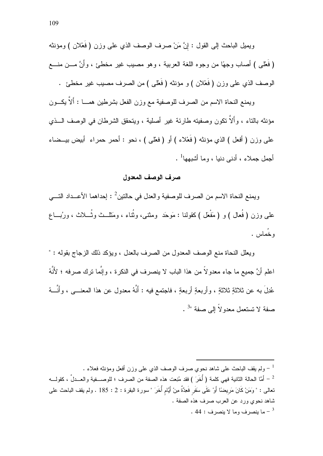ويميل الباحث إلى القول : إنَّ مَنْ صرف الوصف الذي على وزن ( فَعْلان ) ومؤنثه ( فَعْلَى ) أصاب وجهًا من وجوه اللغة العربية ، وهو مصبب غير مخطئ ، وأَنَّ مـــن منـــع الوصف الذي على وزن ( فَعْلان ) و مؤنثه ( فَعْلَى ) من الصرف مصيب غير مخطئ .

ويمنع النحاة الاسم من الصرف للوصفية مع وزن الفعل بشرطين همـــا : ألاَّ يكـــون مؤنثه بالناء ، وألاّ نكون وصفيته طارئة غير أصلية ، ويتحقق الشرطان في الوصف الـــذي على وزن ( أفعل ) الذي مؤنثه ( فَعْلاء ) أو ( فعْلي ) ، نحو : أحمر حمراء ۖ أبيض بيــضاء أجمل جملاء ، أدنى دنبا ، وما أشبهها<sup>1</sup> .

#### صرف الوصف المعدول

ويمنع النحاة الاسم من الصرف للوصفية والعدل في حالتين<sup>2</sup> : إحداهما الأعــداد التـــي علمي وزن ( فُعال ) و ( مَفْعَل )كقولنا : مَوحَد ۖ ومثنى، وثُناء ، ومَثلــث وثُـــلاث ، ورُبـــاع ، خُماس .

ويعلل النحاة منع الوصف المعدول من الصرف بالعدل ، ويؤكد ذلك الزجاج بقوله : " اعلم أنَّ جميع ما جاء معدولاً من هذا الباب لا ينصرف في النكرة ، وإنَّما نرك صرفه ؛ لأَنَّهُ عُدِلَ بـه عن ثلاثةٍ ثلاثةٍ ، وأربعةٍ أربعةٍ ، فاجتمع فيه : أَنَّهُ معدول عن هذا المعنــــي ، وأنَّـــهُ صفة لا تستعمل معدو لاً إلى صفة "3.

ولم يقف الباحث على شاهد نحوى صرف الوصف الذي على وزن أفعل ومؤنثه فعلاء .  $^{-1}$ أمَّا الحالة الثانية فهي كلمة ( أُخَرَ ) فقد مُنِعت هذه الصفة من الصرف ؛ للوصــــفية والعـــدلَّ ، كقولــــه -نعالمي : " وَمَنْ كَانَ مَرِيضًا أَوْ عَلَى سَفَرٍ فَعِدَّةٌ مِنْ أَيَّام أُخَرَ " سورة البقرة : 2 : 185 . ولم يقف الباحث علمي شاهد نحوي ورد عن العرب صرف هذه الصفة . . 44 : - ما بنصر ف وما لا بنصر ف  $\sim$  44  $^{-3}$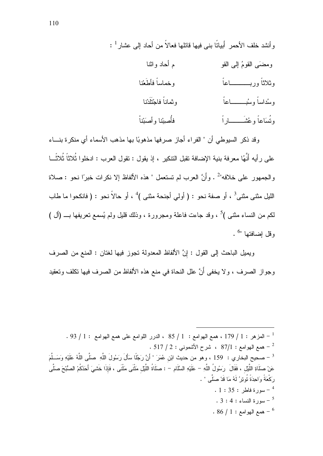وقد ذكر السبوطي أن " الفر اء أجاز صرفها مذهوبًا بها مذهب الأسماء أي منكر ة بنـــاء على رأيه أَنَّهُا معرفة بنية الإضافة تقبل التنكير ، إذ يقول : تقول العرب : ادخلوا ثُلاثًا ثُلاثًـــا والجمهور على خلافه"<sup>2</sup> . وأنَّ العرب لم تستعمل " هذه الألفاظ إلا نكرات خبرًا نحو : صلاة الليل مثنى مثنى<sup>3</sup> ، أو صفة نحو : ( أولى أجنحة مثنى )<sup>4</sup> ، أو حالاً نحو : ( فانكحوا ما طاب لكم من النساء مثنـى )<sup>5</sup> ، وقد جاءت فاعلـة ومجرورة ، وذلك قليل ولم يُسمع تعريفها بــــ (أل )  $\frac{6}{3}$ و قل اضبافتها "

ويميل الباحث إلى القول : إنَّ الألفاظ المعدولة نجوز فيها لغتان : المنع من الصرف وجواز الصرف ، ولا يخفي أنَّ علل النحاة في منع هذه الألفاظ من الصرف فيها تكلف وتعقيد

 $\sim 93$  / 1 : المزهر : 1 / 179 ، همع الهوامع : 1 / 85 ، الدرر اللوامع على همع الهوامع  $\sim 1$  / 93 . . 517 / 2 - همع الهوامع : 87/1 ، شرح الأشموني : 2 / 517 . <sup>3</sup> – صحيح البخاري : 159 ، وهو من حديث ابْن عُمَرَ " أَنَّ رَجُلًا سَأَلَ رَسُولَ اللَّهِ صَلَّى اللَّهُ عَلَيْهِ وَسَــلَّمَ عَنْ صلَاةِ اللَّيْل ، فَقَالَ ۚ رَسُولُ اللَّهِ – عَلَيْهِ السَّلَام – : صلَاةُ اللَّيْل مَثْنَى مَثْنَى ، فَإِذَا خَشِيَ أَحَدُكُمْ الصُّبْحَ صلَّى رِ كَعَةً وَاحِدَةً نُوتِرُ ۚ لَهُ مَا قَدْ صَلَّى " .  $1:35:1$ سورة فاطر . .  $3:4:4$  - سورة النساء  $-5$  $-86/1$ : همع الهو امع  $-6$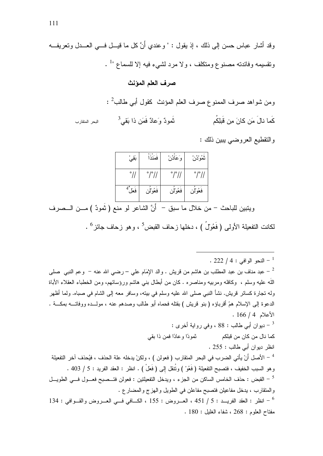صرف العلم المؤنث

|                | ومن شواهد صرف الممنوع صرف العلم المؤنث كقول أب <i>ي</i> طالب <sup>2</sup> : |                                 |
|----------------|-----------------------------------------------------------------------------|---------------------------------|
| البحر المتقارب | $^3$ نُمودٌ وَعادٌ فَمَن ذا بَقي                                            | كَما نالَ مَن كانَ مِن قَبلِكُم |

والنقطيع العروضي يبين ذلك :

| بَقِیْ        | فمنذ                       | وَعَادُنْ            | ثمُوْدُن                   |
|---------------|----------------------------|----------------------|----------------------------|
| $^{\circ}$ // | $^{\circ}$ / $^{\circ}$ // | $^{\circ}/^{\circ}/$ | $^{\circ}$ / $^{\circ}$ // |
| فعل ُ         | فعُوْلن                    | فعُوْلن              | فعُوْلن                    |

ويتبين للباحث – من خلال ما سبق – أنَّ الشاعر لو منع ( نَمودٌ ) مــــن الـــصرف لكانت التفعيلة الأولى ( فَعُولُ ) ، دخلها زحاف القبض<sup>5</sup> ، وهو زحاف جائز <sup>6</sup> .

.  $222 / 4:$ النحو الوافي  $1 - 1$ عبد مناف بن عبد المطلب بن هاشم من فريش . والد الإمَام على – رضـي الله عنه – ۖ وعم النبـي ۖ صلى – عبد المطلب بن

اللَّه عليه وسلم ، وكافله ومربيه ومناصره . كان من أبطال بنبي هاشم ورؤسائهم، ومن الخطباء العقلاء الأباة وله نجارة كسائر قريش. نشأ النبي صلى الله عليه وسلم في بينه، وسافر معه إلى الشام في صباه. ولما أظهر الدعوة إلى الإسلام همَّ أقرباؤه ( بنو قريش ) بقتله فحماه أبو طالب وصدهم عنه ، مولـــده ووفاتــــه بمكـــة .  $.166/4$  الأعلام 166 : - ديوان أبي طالب : 88 ، وفي رواية أخرى : ثمودًا و عادًا فمن ذا بقي كما نال من كان من قبلكم انظر ديوان أبي طالب : 255 .

<sup>4</sup> – الأصل أَنْ يأتي الضرب في البحر المنقارب ( فعولن ) ، ولكنْ يدخله علة الحذف ، فيُحذف آخر التفعيلة وهو السبب الخفيف ، فتصبح التفعيلة ( فَعُوْ ) ونُتقل إلى ( فَعَلْ ) . انظر : العقد الفريد : 5 / 403 . القبض : حذف الخامس الساكن من الجزء ، ويدخل التفعيلتين : فعولن فتــصبح فعـــول فـــي الطويـــل – القبي العبي ال والمنقارب ، يدخل مفاعيلن فتصبح مفاعلن في الطويل والهزج والمضارع .

 $^{-6}$  انظر : العقد الفريـــد : 5 / 451 ، العـــروض : 155 ، الكـــافي فـــي العـــروض والقـــوافي : 134  $^{-6}$  $.180:$  مفتاح العلوم: 268 ، شفاء الغلبل:  $0.9$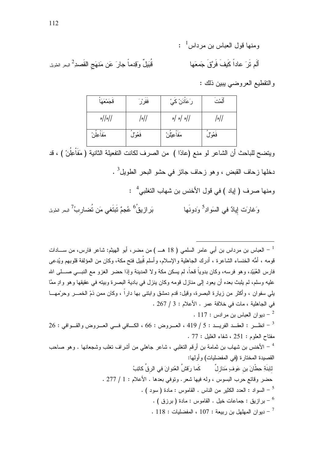قُبَيلٌ وقِدماً جارَ عَن مَنهَج القَصدِ<sup>2</sup> البحر الطويل

والنقطيع العروضي يبين ذلك :

| قجَمْعَهَا    | ففر ْر  | رَ عَأْدَنْ كَيْ  | '، "     |
|---------------|---------|-------------------|----------|
| $\frac{1}{2}$ |         | $\sim$    0  0  0 |          |
| مَفَاْعِلُنْ  | فَغُولُ | مَفَاعِيْلُنْ     | فَغُوْلُ |

ويتضـح للبـاحث أن الشاعر لو منـع (عادًا ) من الصـرف لكـانت النفعيلـة الثـانيـة ( مَفَاْعِلُنْ ) ، قد دخلها زحاف القبض ، وهو زحاف جائز في حشو البحر الطويل<sup>3</sup> .

ومنها صرف ( إياد ) في قول الأخنس بن شهاب التغلبي<sup>4</sup> :

بَرازيقُ<sup>6</sup> عُجمٌ تَبتَغى مَن تُضاربُ<sup>7</sup> البحر الطويل وَغارَت إِيادٌ في السَوادِ<sup>5</sup> وَدونَها

لعباس بن مرداس بن أبي عامر السلمي ( 18 هــ ) من مضر، أبو الهيثم: شاعر فارس، من ســــادات  $^{-\, 1}$ قومه ، أمُّه الخنساء الشاعرة ، أدرك الجاهلية والإسلام، وأسلم قُبيل فتح مكة، وكان من المؤلفة قلوبهم ويُدعى فارس العُبَيْد، و هو فرسه، وكان بدوياً قحاً، لم يسكن مكة و لا المدينة و إذا حضر الغز و مع النبـــى صـــلى الله عليه وسلم، لم يلبث بعده أن يعود إلى منازل قومه وكان ينزل في بادية البصرة وبيته في عقيقها وهو وإد ممَّا بلي سفوان ، و أكثر ٍ من زيار ة البصر ة، وقبل: قدم دمشق وابنتي بها دار أ ، وكان ممن ذمِّ الخمـــر و حرّمهـــا في الجاهلية ، مات في خلافة عمر . الأعلام : 3 / 267 .  $117:$  ديو ان العباس بن مر ادس  $-2$  $26:$  انظـــر : العقـــد الفريـــد : 5 / 419 ، العـــروض : 66 ، الكـــافي فـــي العـــروض والقـــوافي : 26  $^{-3}$ مفتاح العلوم : 251 ، شفاء الغلبل : 77 .

<sup>4</sup> – الأخنس بن شهاب بن ثمامة بن أرقم التغلبي ، شاعر جاهلي من أشراف تغلب وشجعانها . وهو صاحب القصيدة المختارة (في المفضليات) وأولها: للِبنَةِ حِطّانَ بن عَوفٍ مَنازِلٌ ۚ كَما رَقشَّ العُنوانَ في الرقِّ كاتِبُ حضر وقائع حرب البسوس ، وله فيها شعر . وتوفى بعدها . الأعلام : 1 / 277 . . • السواد : العدد الكثير من الناس . القاموس : مادة ( سود ) .

بر از بق : جماعات خبل . القاموس : مادة ( بر ز ق ) .  $\qquad$ 

 $118:$  - ديو ان المهلهل بن ربيعة : 107 ، المفضليات : 118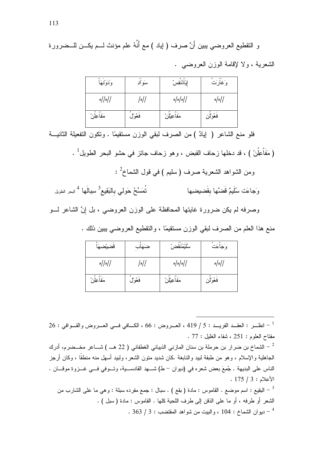و النقطيع العروضـي يبين أَنَّ صرف ( إياد ) مع أنَّهُ علم مؤنث لـــم يكـــن للـــضرورة

الشعرية ، ولا لإقامة الوزن العروضه .

| وَدَوْنُهَأ      | سَوَادِ  | إيادُنفِسْ              | وَغَارَتْ       |
|------------------|----------|-------------------------|-----------------|
| $\frac{1}{2}$  / |          | $\sqrt{\frac{1}{2}}$ اه | $\frac{1}{2}$ ه |
| مَفَاْعِلُنْ     | فَعُوْلَ | مَفَاعِيْلُنْ           | فَعُوْلُن       |

فلو منع الشاعر ( إيادٌ ) من الصرف لبقى الوزن مستقيمًا . وتكون التفعيلة الثانيــة

( مَفَاْعِلُنْ ) ، قد دخلها زحاف القبض ، وهو زحاف جائز في حشو البحر الطويل<sup>1</sup> .

ومن الشواهد الشعرية صرف ( سليم ) في قول الشماخ<sup>2</sup> :

نُعَسِّحُ حَولى بِالبَقيع<sup>3</sup> سِبِالَها <sup>4</sup> البحر الطويل وَجاءَت سُلَيمٌ قَضَّها بقَضيضيها

وصرفه لم يكن ضرورة غايتها المحافظة على الوزن العروضي ، بل إنَّ الشاعر لـــو

منع هذا العلم من الصرف لبقى الوزن مستقيمًا ، والتقطيع العروضي بيبين ذلك .

| قضيضبها          | ضنهَاب   | سُلَيْمُنقضُ            | وَجَأْءَتْ      |
|------------------|----------|-------------------------|-----------------|
| $\frac{1}{2}$  / | •        | $\sqrt{\frac{1}{2}}$ اه | $\frac{1}{2}$ ه |
| مَفَاْعِلُنْ     | فَعُوْلُ | مَفَاْعِيْلُنْ          | فَعُوْلُن       |

 $26:$  انظـــر : العقـــد الفريـــد : 5 / 419 ، العــــروض : 66 ، الكــــافي فـــي العــــروض والقـــوافي : 26 $^{-1}$ مفتاح العلوم : 251 ، شفاء الغلبل : 77 .

- الشماخ بن ضرار بن حرملة بن سنان المازني الذبياني الغطفاني ( 22 هــ ) شـــاعر مخــضرم، أدرك  $^{-2}$ الجاهلية والإسلام ، وهو من طبقة لبيد والنابغة .كان شديد منون الشعر، ولبيد أسهل منه منطقًا ، وكان أرجز الناس على البديهة . جُمِعَ بعض شعره في (ديوان – ط) شـــهد القادســـية، وتـــوفي فـــي غـــزوة موقـــان .  $.175/3:$ الأعلام

البقيع : اسم موضع . القاموس : مادة ( بقع ) . سبال : جمع مفرده سبلة : وهي ما على الشارب من  $^{-3}$ الشعر أو طرفه ، أو ما على الذقن إلى طرف اللحية كلها . القاموس : مادة ( سبل ) . . 363 / 3 : ديو ان الشماخ : 104 ، و البيت من شو اهد المقتضب : 3 / 363 .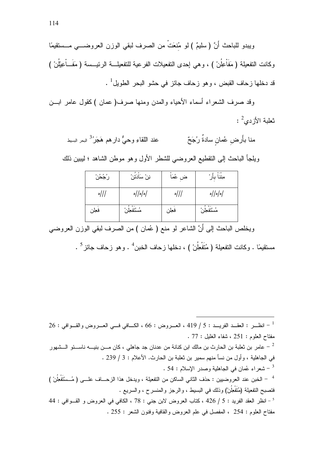ويبدو للباحث أَنَّ ( سليمٌ ) لو مُنعَتْ من الصرف لبقى الوزن العروضـــي مــستقيمًا وكانت التفعيلة ( مَفَاعِلُنْ ) ، وهي إحدى التفعيلات الفرعية للتفعيلـــة الرئيـــسة ( مَفَـــاْعِيْلُنْ ) قد دخلها ز حاف القبض ، و هو ز حاف جائز في حشو البحر الطو بل  $^1$  .

وقد صرف الشعراء أسماء الأحياء والمدن ومنها صرف( عمان ) كقول عامر ابسن  $\cdot \,$ نْعلبة الأزدى

منا بأَرض عُمان سادةٌ رُجَحٌ عند اللقاءِ وحيٌّ دارٍ هم هَجَر<sup>3</sup>ُ <sub>البحر</sub>ِ السِيط

ويلجأ الباحث إلى النقطيع العروضي للشطر الأول وهو موطن الشاهد ؛ ليبين ذلك

| رُجُحُنْ      | نِنْ سَادَتَنْ     | ض عُمَا | ं<br>مِننا بأر       |
|---------------|--------------------|---------|----------------------|
| $\frac{1}{2}$ | $\frac{1}{2}$  م/م | ///     | $\frac{1}{2}$   0  0 |
| فعلن          | مُسْتَفْعِلْنُ     | فعلن    | مُسْتَفْعِلْنُ       |

ويخلص الباحث إلى أنَّ الشاعر لو منع ( عُمان ) من الصرف لبقي الوزن العروضـي

مستقيمًا . وكانت التفعيلة ( مُتَفْعِلُنْ ) ، دخلها زحاف الخبن<sup>4</sup> . وهو زحاف جائز<sup>5</sup> .

 $26:$  انظـــر : العقـــد الفريـــد : 5 / 419 ، العــــروض : 66 ، الكــــافي فـــي العــــروض والقـــوافي : 26 $^{-1}$ مفتاح العلوم : 251 ، شفاء الغلبل : 77 . عامر بن ثعلبة بن الحارث بن مالك ابن كنانة من عدنان جد جاهلي ، كان مـــن بنيــــه ناســـئو الـــشهور  $^{-{\,2}}$ في الجاهلية ، وأول من نسأ منهم سمير بن ثعلبة بن الحارث. الأعلام : 3 / 239 . . 54 : شعر اء عُمان في الجاهلية وصدر الإسلام . 54  $\sim$ <sup>4</sup> – الخبن عند العروضيين : حذف الثاني الساكن من التفعيلة ، ويدخل هذا الزحـــاف علـــي ( مُــسْتَفْعِلُنْ ) فتصبح التفعيلة (مُتَفْعِلُنْ) وذلك في البسيط ، والرجز والمنسرح ، والسريع . 44 : - انظر العقد الفريد : 5 / 426 ، كتاب العروض لابن جني : 78 ، الكافي في العروض و القــوافي : 44 مفتاح العلوم : 254 ، المفصل في علم العروض والقافية وفنون الشعر : 255 .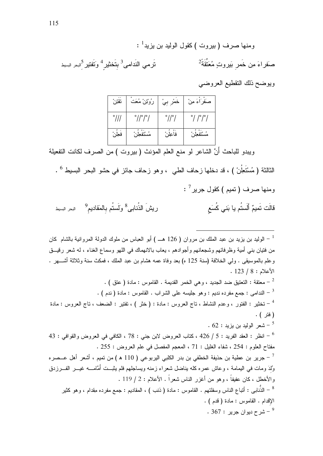ويوضح ذلك التقطيع العروضي

| تقتن           | رُوْتِنْ مُعَت | خمْرِ بِيُّ                | صَفَرَاءَ مِنْ                      |
|----------------|----------------|----------------------------|-------------------------------------|
| $^{\circ}$ /// | °//°/°/        | $^{\circ}$ // $^{\circ}$ / | $^{\circ}/$ / $^{\circ}/^{\circ}$ / |
| فعلن           | مُسْتَفْعِلْنُ | فاعِلْنُ                   | مُسْتَفْعِلْنْ                      |

ويبدو للباحث أَنَّ الشاعر لو منع العلم المؤنث ( بيروت ) من الصرف لكانت التفعيلة

الثالثة ( مُسْتَعِلَنْ ) ، قد دخلها زحاف الطي ، وهو زحاف جائز في حشو البحر البسيط <sup>6</sup> . ومنها صرف (تميم ) كقول جرير<sup>7</sup> : ريشَ الذُنابي<sup>8</sup> ولَستُم بالمَقاديم<sup>9</sup> للبحر السيط قَالَت تَميمٌ أَلَستُم يا بَني كُسَع

<sup>1</sup> – الوليد بن يزيد بن عبد الملك بن مروان ( 126 هــ ) أبو العباس من ملوك الدولة المروانية بالشام كان من فتيان بني أمية وظرفائهم وشجعانهم وأجوادهم ، يعاب بالانهماك في اللهو وسماع الغناء ، له شعر رقيـــق وعلم بالموسيقى . ولَّى الخلافة (سنة 125 ه) بعد وفاة عمه هشام بن عبد الملك ، فمكث سنة وثلاثة أشَّـــهر .  $.123/8:$  الأعلام : . [ معنقة : النعتيق ضد الجديد ، وهي الخمر القديمة . القاموس : مادة . عنق  $\sim$  -  $^2$ . [ - الندامي : جمع مفرده نديم : وهو جليسه على الشراب . القاموس : مادة ( ندم ) . - تخثير : الفتور ، وعدم النشاط ، ناج العروس : مادة : ( خثر ) ، تفتير : الضعف ، ناج العروس : مادة  $^{-\, 4}$ ( فتر ) .  $62:92:1$ شعر الوليدين بزيد .  $5$ 43 - انظر : العقد الفريد : 5 / 426 ، كتاب العروض لابن جنى : 78 ، الكافى فى العروض والقوافى : 43  $\sim$ مفتاح العلوم : 254 ، شفاء الغليل : 71 ، المعجم المفصل في علم العروض : 255 . جرير بن عطية بن حذيفة الخطفي بن بدر الكلبي اليربوعي ( 110 ه ) من تميم ، أشعر أهل عــصره  $^{-7}\,$ وُلَدَ ومات في اليمامة ، وعاش عمره كله يناضل شعراء زمنه ويساجلهم فلم يثبــت أمَّامـــه غيـــر الفـــرزدق والأخطل ، كان عفيفاً ، وهو من أغزر الناس شعراً . الأعلام : 2 / 119 . الذُّنابى : أتباع الناس وسفلتهم . القاموس : مادة ( ذنب ) ، المقاديم : جمع مفرده مقِدام ، وهو كثير  $\cdot$ الإقدام . القاموس : مادة ( قدم ) . شرح دبو ان جرير : 367  $^9$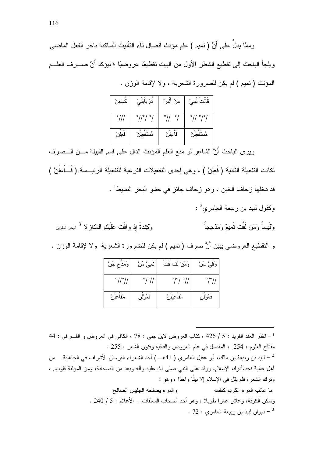وممَّا بِدلِّ على أَنَّ ( تميم ) علم مؤنث اتصال تاء التأنيث الساكنة بآخر الفعل الماضبي ويلجأ الباحث إلى نقطيع الشطر الأول من البيت تقطيعًا عروضيًا ؛ ليؤكد أَنَّ صـــــرف العلــــم المؤنث (تميم ) لم يكن للضرورة الشعرية ، ولا لإقامة الوزن .

| سَعِنْ         | تمْ يَابَني                             | مُنْ أَلَسْ         | قالت تعِيْ   |
|----------------|-----------------------------------------|---------------------|--------------|
| $^{\circ}$ /// | $^{\circ}$ // $^{\circ}$ / $^{\circ}$ / | $^{\circ}$ //<br>۰/ | °// °/°/     |
| فعلن           | $\circ$ .<br>مُستفعِل                   | فاعِلْن             | مُسْتَفعِلُر |

وبرى الباحث أَنَّ الشاعر لو منع العلم المؤنث الدال على اسم القبيلة مـــن الـــصرف لكانت التفعيلة الثانية ( فَعِلُنْ ) ، وهي إحدى التفعيلات الفرعية للتفعيلة الرئيـــسة ( فَـــأْعِلُنْ ) قد دخلها زحاف الخبن ، وهو زحاف جائز في حشو البحر البسيط<sup>1</sup> .

- $\cdot \ ^2$ وكقول لبيد بن ربيعة العامري
- وَكِندَةَ إذ وافَت عَلَيكِ المَنازِ لا <sup>3</sup> البحر الطويل وَقَيِساً وَمَن لَفَّت نَميمٌ وَمَذْحِجاً

و النقطيع العروضي بيبن أنَّ صرف ( تميم ) لم يكن للضرورة الشعرية ولا لإقامة الوزن .

| وَمَذَح جَنْ                | تمِيْ مُنْ           | وَمَنْ لَفْ فَتَ                        | وَقَمِيْ سَنْ              |
|-----------------------------|----------------------|-----------------------------------------|----------------------------|
| $^{\circ}$ // $^{\circ}$ // | $^{\circ}/^{\circ}/$ | $^{\circ}$ / $^{\circ}$ / $^{\circ}$ // | $^{\circ}$ / $^{\circ}$ // |
| مَفاعِلْن                   | فعُوْلُن             | مَفاعِيْلْنْ                            | فعُوْلَن                   |

 $14:$  انظر العقد الفريد : 5 / 426 ، كتاب العروض لابن جني : 78 ، الكافي في العروض و القـوافي : 44 مفتاح العلوم : 254 ، المفصل في علم العروض والقافية وفنون الشعر : 255 . لبيد بن ربيعة بن مالك، أبو عقيل العامري ( 41هــ ) أحد الشعراء الفرسان الأشراف في الجاهلية من  $^{-2}$ أهل عالية نجد.أدرك الإسلام، ووفد على النبي صلى الله عليه وأله ويعد من الصحابة، ومن المؤلفة فلوبهم ، وترك الشعر، فلم يقل في الإسلام إلا بيتًا واحدًا ، وهو : والمرء يصلحه الجليس الصالح ما عاتب المر ء الكربم كنفسه وسكن الكوفة، وعاش عمر ا طوبلا ، وهو أحد أصحاب المعلقات . الأعلام : 5 / 240 . . 72 - دبو ان لببد بن ر ببعة العامر ي  $72:$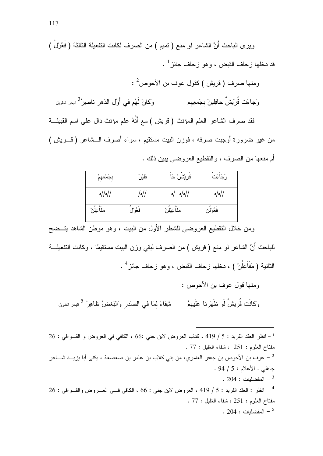وير ي الباحث أنَّ الشاعر لو منع ( تميم ) من الصرف لكانت التفعيلة الثالثة ( فَعُولُ ) قد دخلها ز حاف القبض ، و هو ز حاف حائز <sup>1</sup> .

ومنها صرف (قريش )كقول عوف بن الأحوص $^2$  : وَجاءَت قُرِيشٌ حافِلينَ بجَمعِهِم وَكَانَ لَهُم في أَوَّل الدَهر ناصير<sup>3</sup>ُ <sub>البحر</sub> الطويل

فقد صرف الشاعر العلم المؤنث (قريش ) مع أَنَّهُ علم مؤنث دال على اسم القبيلـــة من غير ضرورة أوجبت صرفه ، فوزن البيت مستقيم ، سواء أصرف الـــشاعر (قــــريش ) أم منعها من الصرف ، والنقطيع العروضيي ببين ذلك .

| بجَمْعِهِمْ        | فِلِيْنَ | قريشن حَا      | وَجَاْءَتْ      |
|--------------------|----------|----------------|-----------------|
| $\frac{1}{2}$    ه |          | $\sim$ /0/0/   | $\frac{1}{2}$ ه |
| مَفَاْعِلُنْ       | فَعُولُ  | مَفَاْعِيْلُنْ | فَعُوْلُن       |

ومن خلال التقطيع العروضي للشطر الأول من البيت ، وهو موطن الشاهد يتــضح

للباحث أنَّ الشاعر لو منع ( قريش ) من الصرف لبقى وزن البيت مستقيمًا ، وكانت التفعيلـــة الثانية ( مَفَاْعِلُنْ ) ، دخلها زحاف القبض ، وهو زحاف جائز <sup>4</sup> .

ومنها قول عوف بن الأحوص : وَكانَت قُريشٌ لَو ظَهَرنا عَلَيهِمُ شْفِاءً لمَا في الصَدَر وَالنُبغضُ ظَاهِرُ<sup> 5</sup> البحر الطويل

 $126:$  إنظر العقد الفريد : 5 / 419 ، كتاب العروض لابن جني :66 ، الكافي في العروض و القــوافي : 26 مفتاح العلوم : 251 ، شفاء الغليل : 77 . عوف بن الأحوص بن جعفر العامري، من بني كلاب بن عامر بن صعصعة ، يكني أبا يزيــد شـــاعر  $^{-{\,2}}$ جاهلبي . الأعلام : 5 / 94 . .  $204:$  المفضليات  $-3$  $26:$  انظر : العقد الفريد : 5 / 419 ، العروض لابن جنى : 66 ، الكافى فـــى العــــروض والقـــوافى : 26  $^{\rm 4}$ مفتاح العلوم : 251 ، شفاء الغلبل : 77 . .  $204:$  المفضلبات  $^{-5}$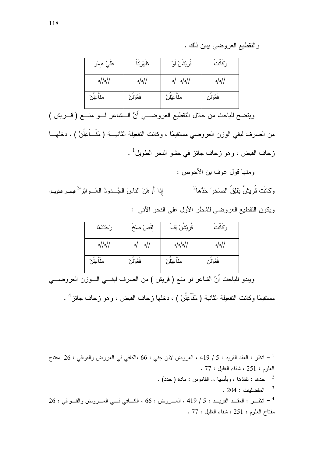## والنقطيع العروضي يبين ذلك .

| عَلـيْ ه مُو       | ظهَرْنا         | قريْشْنْ لوْ  | وكانت           |
|--------------------|-----------------|---------------|-----------------|
| $\frac{1}{2}$  / ه | $\frac{1}{2}$ ه | $\sim$ /0/0/  | $\frac{1}{2}$ ه |
| مَفَاْعِلُنْ       | فعُوْلُن        | مَفَاعِيْلُنْ | فعُوْلِن        |

ويتضح للباحث من خلال النقطيع العروضـــي أنَّ الـــشاعر لـــو منـــع ( قــــريش ) من الصرف لبقى الوزن العروضي مستقيمًا ، وكانت التفعيلة الثانيـــة ( مَفَـــأُعِلُنْ ) ، دخلهـــا زحاف القبض ، و هو زحاف جائز في حشو البحر الطويل<sup>1</sup> .

ومنها قول عوف بن الأحوص :

وَكانَت قُرِيشٌ يَفلِقُ الصَخرَ حَدُّها<sup>2</sup> إذا أَوهَنَ الناسَ الْجُـــدودُ الْعَـــوانْزُ<sup>3</sup> للجـــر الطويـــل ويكون النقطيع العروضي للشطر الأول على النحو الآتي :

| رَحَدْدَهَا      | لقص صَخ     | قريشن يَف     | وكانت           |
|------------------|-------------|---------------|-----------------|
| $\frac{1}{2}$  / | ا $/$<br> ه | $\frac{1}{2}$ | $\frac{1}{2}$ ه |
| مَفاعِلْن        | فعُوْلُن    | مَفَاعِيْلُنْ | فَعُوْلُن       |

ويبدو للباحث أنَّ الشاعر لو منع ( قريش ) من الصرف لبقـــي الــــوزن العروضــــي مستقيمًا وكانت التفعيلة الثانية ( مَفَاْعِلَنْ ) ، دخلها زحاف القبض ، وهو زحاف جائز <sup>4</sup> .

الخطر : العقد الفريد : 5 / 419 ، العروض لابن جني : 66 ،الكافي في العروض والقوافي : 26 مفتاح  $^{-1}\,$ العلوم : 251 ، شفاء الغليل : 77 .

- حدها : نفاذها ، وبأسها ،. القاموس : مادة ( حدد) .

. 204 : المفضليات  $^{-3}$ 

 $26:$  انظـــر : العقـــد الفريـــد : 5 / 419 ، العـــروض : 66 ، الكــــافي فـــي العـــروض والقـــوافي : 26  $^{\rm 4}$ مفتاح العلوم : 251 ، شفاء الغليل : 77 .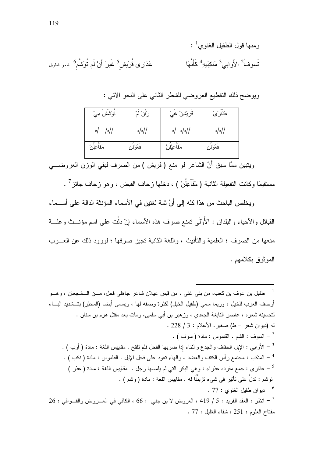|                                                                                  | ومنها قول الطفيل الغنوي $^{-1}$ :                                              |
|----------------------------------------------------------------------------------|--------------------------------------------------------------------------------|
| عَذار ى قُرَيشٍ <sup>5</sup> غَيرَ أَنْ لَم تُوَتشَّمِ <sup>6</sup> البحر الطويل | تَسوفُ <sup>2</sup> َ الأَوابي <sup>3</sup> مَنكِبَيهِ <sup>4</sup> كَأَنَّهَا |

ويوضح ذلك النقطيع العروضي للشطر الثاني على النحو الأتبي :

| نوَشش مِيْ              | رَأَنْ لَمْ     | قريْتْسِْ غيْ | عَذارَىٰ        |
|-------------------------|-----------------|---------------|-----------------|
| $/$  /<br>$\frac{1}{2}$ | $\frac{1}{2}$ ه | $\sim$ /0/0/  | $\frac{1}{2}$ ه |
| مَفاعِلْن               | فعُوْلِن        | مَفاعِيْلْنْ  | فعُوْلِن        |

ويتبين ممَّا سبق أنَّ الشاعر لو منع ( قريش ) من الصرف لبقي الوزن العروضــــي

مستقيمًا وكانت التفعيلة الثانية ( مَفَاْعِلُنْ ) ، دخلها زحاف القبض ، وهو زحاف جائز <sup>7</sup> .

ويخلص الباحث من هذا كله إلى أَنَّ ثمة لغتين في الأسماء المؤنثة الدالة على أســـماء القبائل و الأحياء و البلدان : الأوْلَى تمنع صر ف هذه الأسماء إنْ دلَّت على اسم مؤنستْ و علسة منعها من الصرف ؛ العلمية والتأنيث ، واللغة الثانية تجبز صرفها ؛ لورود ذلك عن العــرب الموثوق بكلامهم .

طفيل بن عوف بن كعب، من بني غني ، من قيس عيلان شاعر جاهلي فحل، مـــن الـــشجعان ، وهـــو  $^{-{\,1}}$ أوصف العرب للخيل ، وربما سمي (طفيل الخيل) لكثرة وصفه لها ، ويسمى أيضا (المحبّر) بتــــثمديد البــــاء لنحسينه شعره ، عاصر النابغة الجعدي ، وزهير بن أبي سلمبي، ومات بعد مقتل هرم بن سنان . له (ديوان شعر - ط) صغير . الأعلام : 3 / 228 . . ( سوف : الشع . القاموس : مادة ( سوف ) . . [ - الأَوابي : الإبل الحقاف والجذع والثناء إذا ضربها الفحل فلم نلقح . مقابيس اللغة : مادة ( أوب ) . . [ - المنكب : مجتمع رأس الكتف والعضد ، والهاء نعود على فحل الإبل . القاموس : مادة ( نكب ) . توشم : تدلَّ على تأثير في شيء تز بنَنًا له . مقابيس اللغة : مادة ( وشم ) . . 27 - دبو ان طفيل الغنو ي $\sim 7$  . 26 : انظر : العقد الفريد : 5 / 419 ، العروض لا بن جني  $66:$  ، الكافي في العـــروض والقـــوافي : 26  $^{-7}$  $.77:$  مفتاح العلوم: 251 ، شفاء الغلبل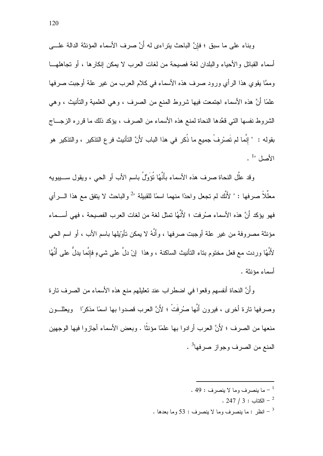وبناء على ما سبق ؛ فإنَّ الباحث يتراءى له أَنَّ صرف الأسماء المؤنثة الدالة علـــي أسماء القبائل والأحباء والبلدان لغة فصبحة من لغات العرب لا بمكن إنكار ها ، أو تجاهلهـــا وممَّا يقوى هذا الرأى ورود صرف هذه الأسماء في كلام العرب من غير علة أوجبت صرفها علمًا أَنَّ هذه الأسماء اجتمعت فيها شروط المنع من الصرف ، وهي العلمية والتأنيث ، وهي الشروط نفسها التي قعَّدها النحاة لمنع هذه الأسماء من الصرف ، يؤكد ذلك ما قرر ه الزجـــاج بِقوله : " إنَّما لم تَصرْ فْ جِمِيع ما ذُكرٍ في هذا البابِ لأَنَّ التأنيث فر ع التذكير ، و التذكير هو  $\cdot$ <sup>1</sup>"

وقد علَّل النحاة صرف هذه الأسماء بأَنَّهُا نُؤَوَّلُ باسم الأب أو الحي ، ويقول ســــيبويه معلِّلاً صرفها : " لأَنَّك لم تجعل واحدًا منهما اسمًا للقبيلة "<sup>2</sup> والباحث لا يتفق مع هذا الــــرأي فهو يؤكد أَنَّ هذه الأسماء صرُفت ؛ لأَنَّهُا تمثِّل لغة من لغات العرب الفصيحة ، فهي أســـماء مؤنثة مصر وفة من غير ِ علة أوجبت صرفها ، وأَنَّهُ لا يمكن تأوِّيلها باسم الأب ، أو اسم الحي لأَنَّهُا وردت مع فعل مختوم بتاء التأنيث الساكنة ، وهذا ۚ إنْ دلَّ على شيءٍ فإنَّما يدلُّ على أَنَّهُا أسماء مؤنثة .

وأنَّ النحاة أنفسهم وقعوا في اضطراب عند تعليلهم منع هذه الأسماء من الصرف نارة وصرفها نارة أخرى ، فيرون أَنَّها صُرِفَتْ ؛ لأَنَّ العرب قصدوا بها اسمًا مذكرًا ٪ ويعللـــون منعها من الصرف ؛ لأَنَّ العرب أر ادوا بها علمًا مؤنثًا . وبعض الأسماء أجاز وا فبها الوجهبن المنع من الصر ف وجو از صر فها<sup>3</sup> .

- . 49 : ما ينصرف وما لا ينصرف  $\sim^{-1}$ 
	- $. 247 / 3 : 247 2$
- . انظر : ما ينصرف وما لا ينصرف : 53 وما بعدها  $\,$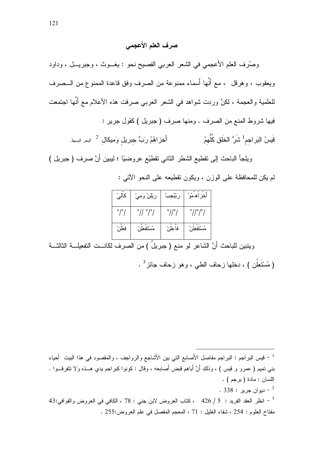# صرف العلم الأعجمي

وصُرف العلم الأعجمي في الشعر العربي الفصيح نحو : يغــوث ، وجبريـــل ، وداود ويعقوب ، وهرقل ، مع أنَّها أسماء ممنوعة من الصرف وفق قاعدة الممنوع من الـــصرف للعلمية والعجمة ، لكنَّ وردت شواهد في الشعر العربي صرفت هذه الأعلام مع أنَّها اجتمعت فيها شروط المنع من الصرف . ومنها صرف ( جبريل ) كقول جرير : قَيِسُ البَر اجم<sup>1</sup> ش<sup>َ</sup>رُ الخَلقِ كُلُّهمُ أُخرْ اهُمُ رَبٌ جبريل وَميكال <sup>2</sup> البحر السيط

ويلجأ الباحث إلى نقطيع الشطر الثاني نقطيَع عروضيًا ؛ ليبين أَنَّ صرف ( جبريل ) لم يكن للمحافظة على الوزن ، ويكون تقطيعه على النحو الآتي :

| كاليُ                | ريْلِنْ وَمِيْ   | رَبْبُجبْ                  | أخز أهمو                                |
|----------------------|------------------|----------------------------|-----------------------------------------|
| $^{\circ}/^{\circ}/$ | °// °/°/         | $^{\circ}$ // $^{\circ}$ / | $^{\circ}$ // $^{\circ}$ / $^{\circ}$ / |
| فعلن                 | مُسْتَفْعِلُوْ ُ | فاعِلْنُ                   | مُسْتَفْعِلْنُ                          |

ويتبين للباحث أَنَّ الشاعر لو منع ( جبريلٌ ) من الصرف لكانـــت التفعيلـــة الثالثـــة

( مُسْتَعِلُن ) ، دخلها ز حاف الطبي ، و هو ز حاف جائز <sup>3</sup> .

<sup>1</sup> – قيس البراجم : البراجم مفاصل الأَصابع التي بين الأَشاجع والرواجف ، والمقصود في هذا البيت أحياء بني تميم ( عمرو و قيس ) ، وذلك أنَّ أباهم قبض أصابعه ، وقال : كونوا كبراجم يدي هــذه ولا تتفرقــوا . اللسان : مادة (برجم) . . 338  $^{-2}$  دبو ان جر بر  $^{-2}$ 43 - انظر العقد الفريد : 5 / 426 ، كتاب العروض لابن جني : 78 ، الكافي في العروض والقوافي:43  $\sim$ مفتاح العلوم : 254 ، شفاء الغليل : 71 ، المعجم المفصل في علم العروض:255 .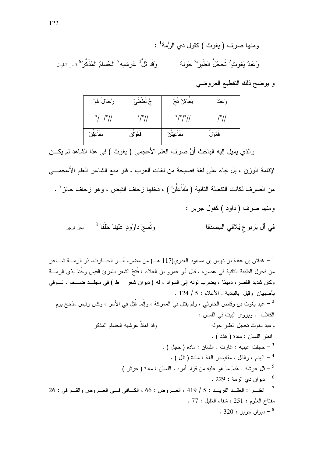- ومنها صرف (يغوث )كقول ذي الرُمة<sup>1</sup> : وقَد نَلَّ<sup>4</sup> عَر شبهِ<sup>5</sup> الحُسامُ الْمُذَكَّر<sup>ُ 6</sup> <sub>البحر</sub>ِ الطويل وَ عَبِدُ بَغوثُ <sup>2</sup> تَحجُلُ الطَّبِر<sup>3</sup>ْ حَو*َ*لَهُ
	- و يوضح ذلك النقطيع العروضي

| رُحَوْلٌ هُوْ             | جُ لططيْ<br>ج        | يَغوْنْنْ تَحْ                | وَعَبْدُ |
|---------------------------|----------------------|-------------------------------|----------|
| $^{\circ}/$ / $^{\circ}/$ | $^{\circ}/^{\circ}/$ | $^{\circ}/^{\circ}/^{\circ}/$ | /°/ا     |
| مَفاعِلْن                 | فعُوْلُن             | مَفاعِيْلْنْ                  | فَعُوْلُ |

والذي يميل إليه الباحث أنَّ صرف العلم الأعجمي ( يغوث ) في هذا الشاهد لم يكـــن

لإقامة الوزن ، بل جاء على لغة فصبحة من لغات العرب ، فلو منع الشاعر العلم الأعجمـــي من الصرف لكانت التفعيلة الثانية ( مَفَاْعِلُنْ ) ، دخلها زحاف القبض ، وهو زحاف جائز <sup>7</sup> . ومنها صرف ( داود ) كقول جرير :

وَنَسجَ داوُودٍ عَلينا حَلَقا <sup>8</sup> مبر الرجز في آل يَربوع يُلاقي المصدّقا

غيلان بن عقبة بن نهيس بن مسعود العدوي(117 هــ) من مضر، أبـــو الحــــارث، ذو الرمــــة شــــاعر  $^{-{\,}1}$ من فحول الطبقة الثانية في عصره . قال أبو عمرو بن العلاء : فُتِحَ الشعر بامرئ القيس وخُتِمَ بذي الرمــــة وكان شديد القصر، دميمًا ، يضرب لونه إلى السواد ، له ( ديوان شعر - ط ) في مجلَّــد ضـــخم ، تـــوفي بأصبهان وقبل بالبادية . الأعلام : 5 / 124 . عبد يغوث بن وقاص الحارثي ، ولم يقتل في المعركة ، وإنِّما قُتِلَ في الأسر ، وكان رئيس مذحج يوم  $^{-2}$ الكُلاب . ويروى البيت في اللسان : وقد اهتذَّ عرشيه الحسام المذكر وعبد يغوث نحجل الطير حوله انظر اللسان : مادة ( هذذ ) . . ( حجلت عينيه : غارت . اللسان : مادة ( حجل ) . - المهدم ، والذل . مقايسس الغة : مادة ( تلل ) . لَّ عرشه : هُدِمَ ما هو عليه من قوام أمر ه . اللسان : مادة ( عرش ) " . 229 : دبو ان ذي الرمة  $^6$  $26:$  انظــر : العقــد الفريـــد : 5 / 419 ، العــروض : 66 ، الكـــافي فـــي العــروض والقــوافي : 26  $^{-7}$ مفتاح العلوم : 251 ، شفاء الغلبل : 77 . ديو ان جرير : 320 .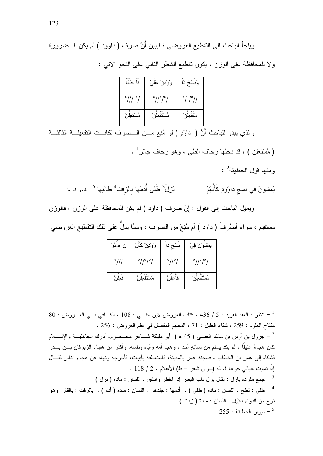| نا حَلقا                    | وُوْدِنْ عَلَىْ                         | وَنَسْخُ دَاً |
|-----------------------------|-----------------------------------------|---------------|
| $^{\circ}$ /// $^{\circ}$ / | $^{\circ}$ // $^{\circ}$ / $^{\circ}$ / | °/ /°//       |
|                             |                                         |               |

والذي يبدو للباحث أَنَّ ( داوُدٍ ) لو مُنِع مـــن الـــصرف لكانـــت التفعيلـــة الثالثـــة ( مُسْتَعِلُن ) ، قد دخلها ز حاف الطبي ، و هو ز حاف جائز <sup>1</sup> . ومنها قول الحطبئة<sup>2</sup> :

يَمشونَ في نَسج داوُودٍ كَأَنَّهُمُ بُزلٌ<sup>3</sup> طَلَى أُدمَها بالزفتِ<sup>4</sup> طالبها <sup>5</sup> البحر السيط

ويميل الباحث إلى القول : إِنَّ صرف ( داود ) لم يكن للمحافظة على الوزن ، فالوزن مستقيم ، سواء أصلُرفَ ( داود ) أم مُنِعَ من الصرف ، وممَّا يدلُّ على ذلك التقطيع العروضـى

| نَ هُمُوْ      | وُوْدِنْ كَأَنْ                       | نسْج دَا                   | يَمْشُوْنَ فِيْ                       |
|----------------|---------------------------------------|----------------------------|---------------------------------------|
| $^{\circ}$ /// | $^{\circ}$ // $^{\circ}$ / $^{\circ}$ | $^{\circ}$ // $^{\circ}$ / | $^{\circ}$ // $^{\circ}$ / $^{\circ}$ |
| فعلن           | مستقعل                                | فاعلن                      | مُسْتَفْعِلْنُ                        |

 $80:$  انظر : العقد الفريد : 5 / 436 ، كتاب العروض لابن جنـــي : 108 ، الكـــافي فـــي العـــروض : 80 مفتاح العلوم : 259 ، شفاء الغليل : 71 ، المعجم المفصل في علم العروض : 256 . جرول بن أوس بن مالك العبسى ( 45 ه ) أبو مليكة شـــاعر مخـــضرم، أدرك الجاهليـــة والإســــلام – كان هجاءً عنيفًا ، لم يكد يسلم من لسانِهِ أحد ، وهجا أمه وأباه ونفسه. وأكثر من هجاء الزبرقان بـــن بـــدر فشكاه إلى عمر بن الخطاب ، فسجنه عمر بالمدينة، فاستعطفه بأبيات، فأخرجه ونهاه عن هجاء الناس فقـــال إِذًا نَموت عيالي جوعا !. له (ديوان شعر – ط) الأعلام : 2 / 118 . جمع مفرده بازل : يقال بزل ناب البعير إذا انفطر وإنشق . اللسان : مادة ( بزل )  $^{-3}$ طلبي : لطخ . اللسان : مادة ( طلبي ) ، أدمها : جلدها . اللسان : مادة ( أدم ) ، بالزفت : بالقار وهو  $^{-4}$ نوع من الدواء للإبل . اللسان : مادة ( زفت ) . 255 : دبو ان الحطبئة  $-5$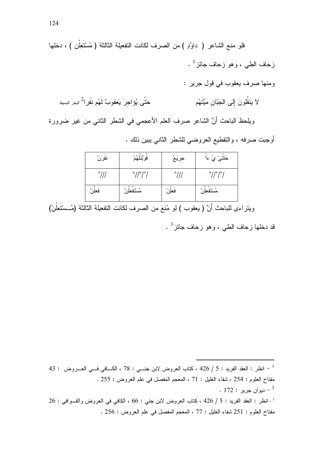فلو منع الشاعر ( داوُدٍ ) من الصرف لكانت التفعيلة الثالثة ( مُسْتَعِلُن ) ، دخلها زحاف الطبي ، وهو زحاف جائز <sup>1</sup> . ومنها صرف يعقوب في قول جرير : حَتَّى يُؤلجرَ يَعقوبٌ لَهُم نَفَرٍا - البحر السيط لا يَنقُلُونَ إِلَى الْجَبّانِ مَيِّتَهُم ويلحظ الباحث أنَّ الشاعر صرف العلم الأعجمي في الشطر الثاني من غير ضرورة

أوجبت صرفه ، والنقطيع العروضي للشطر الثاني يبين ذلك .

| نفرزن          | قُوْبُنْلَهُمْ                          | جرَيَعْ        | - 0<br>حَتتـَىٰ يُ ءَا                  |
|----------------|-----------------------------------------|----------------|-----------------------------------------|
| $^{\circ}$ /// | $^{\circ}$ // $^{\circ}$ / $^{\circ}$ / | $^{\circ}$ /// | $^{\circ}$ // $^{\circ}$ / $^{\circ}$ / |
| فَعِلُن        | $\circ$<br>مُسْتَفْعِلْنُ               | فعِلن          | مُسْتَفْعِلْنُ                          |

ويتراءى للباحث أنَّ ( يعقوب ) لو مُنِعَ من الصرف لكانت التفعيلة الثالثة (مُــسْتَعِلُنْ)

قد دخلها زحاف الطي ، وهو زحاف جائز <sup>3</sup> .

43 : انظر : العقد الفريد : 5 / 426 ، كتاب العروض لابن جنـــي : 78 ، الكـــافي فـــي العــــروض  $^{-1}$ مفتاح العلوم : 254 ، شفاء الغليل : 71 ، المعجم المفصل في علم العروض : 255 . . ديو ان جرير  $172:$  .

 $26:$ انظر : العقد الفريد : 5 / 426 ، كتاب العروض لابن جني : 66 ، الكافي في العروض والقـوافي : 26 مفتاح العلوم : 251 شفاء الغليل : 77 ، المعجم المفصل في علم العروض : 256 .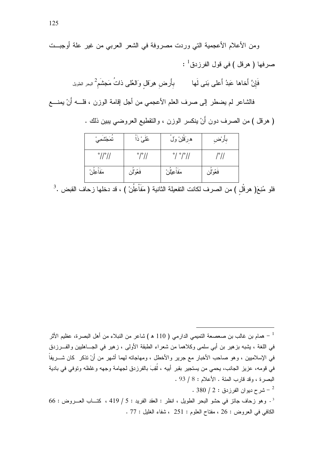ومن الأعلام الأعجمية التي وردت مصروفة في الشعر العربي من غير علة أوجبــت صر فها ( هر قل ) في قول الفر ز دق $^{-1}$  : فَإِنَّ أَخاها عَبدُ أَعلـى بَنـى لَـها بأَرض هِرَقل وَالعُلـى ذاتُ مَجشَم<sup>2</sup> <sub>البحر الطويل</sub> فالشاعر لم يضطر إلى صرف العلم الأعجمي من أجل إقامة الوزن ، فلــــه أنْ يمنــــع ( هرقل ) من الصرف دون أَنْ ينكسر الوزن ، والنقطيع العروضي يبين ذلك .

| تمَجْشْمِيْ                 | عُلمیْ ذا            | ه رَقَلِنْ وَل                  | بأرْض     |
|-----------------------------|----------------------|---------------------------------|-----------|
| $^{\circ}$ // $^{\circ}$ // | $^{\circ}/^{\circ}/$ | $^{\circ}/\ ^{\circ}/^{\circ}/$ | /°/ا      |
| مَفَاْعِلُنْ                | فَعُوْلُن            | مَفاعِيْلْنْ                    | فَعُوْلُن |

فلو مُنِعَ( هرقْل ) من الصرف لكانت التفعيلة الثانية ( مَفَاْعِلُنْ ) ، قد دخلها زحاف القبض .<sup>3</sup>

- همام بن غالب بن صعصعة التميمي الدارمي ( 110 ه ) شاعر من النبلاء من أهل البصرة، عظيم الأثر » في اللغة ، يشبه بزهير بن أبي سلمي وكلاهما من شعراء الطبقة الأولى ، زهير في الجـــاهليين والفـــرزدق في الإسلاميين ، وهو صاحب الأخبار مع جرير والأخطل ، ومهاجاته لهما أشهر من أَنْ تذكر ۖ كان شـــريفاً ۖ في قومه، عزيز الجانب، يحمى من يستجير بقبر أبيه ، لُقِبَ بالفرزدق لجهامة وجهه وغلظه وتوفي في بادية البصرة ، وقد قارب المئة . الأعلام : 8 / 93 . شرح ديو ان الفر ز دق : 2 / 380  $^{-2}$  $66:$  وهو زحاف جائز في حشو البحر الطويل ، انظر : العقد الفريد : 5 / 419 ، كتــاب العـــروض : 66  $^3$ الكافي في العروض : 26 ، مفتاح العلوم : 251 ، شفاء الغليل : 77 .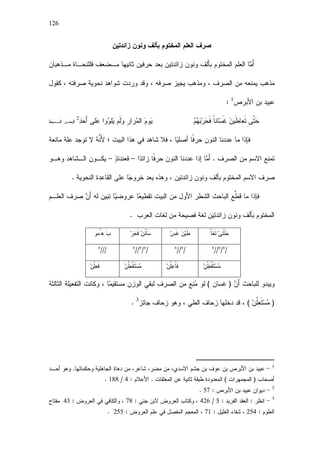## صرف العلم المختوم بألف ونون زائدتين

أُمَّا العلم المختوم بألف ونون زائدتين بعد حرفين ثانيها مــضعف فللنحـــاة مـــذهبان مذهب بمنعه من الصرف ، ومذهب بجيز صرفه ، وقد وردت شواهد نحوية صرفته ، كقول  $\cdot ^{-1}$ عبيد بن الأبر ص

حَتَّى تَعاطَينَ غَسّاناً فَحَربْهُمُ يَومَ المُرارِ ولَم يَلوُوا عَلَى أَحَدِ ۗ البحــر البــسيط فاذا ما عددنا النون حرفًا أصلبًا ، فلا شاهد في هذا الببت ؛ لأَنَّهُ لا توجد علة مانعة تمنع الاسم من الصرف . أمَّا إذا عددنا النون حرفًا زائدًا – فعندئذٍ – يكـــون الـــشاهد وهـــو صرف الاسم المختوم بألف ونون زائدتين ، وهذه يعد خروجًا على القاعدة النحوية .

فإذا ما قطَّع الباحث الشطر الأول من البيت نقطيعًا عروضيًا نبين له أَنَّ صرف العلـــم المختوم بألف ونون زائدتين لغة فصيحة من لغات العرب .

| بَ همو         | سَاننْ فحَرْ                            | طيْنَ غسْ                  | حَتَتَىٰ تَعَا                          |
|----------------|-----------------------------------------|----------------------------|-----------------------------------------|
| $^{\circ}$ /// | $^{\circ}$ // $^{\circ}$ / $^{\circ}$ / | $^{\circ}$ // $^{\circ}$ / | $^{\circ}$ // $^{\circ}$ / $^{\circ}$ / |
| فعِلْنُ        | مُسْتَفْعِلْنُ                          | فاعلن                      | مُسْتَفْعِلْنُ                          |

وبيدو للباحث أَنَّ ( غسان ) لو مُنِع من الصرف لبقى الوزن مستقيمًا ، وكانت التفعيلة الثالثة ( مُسْتَعِلُنْ ) ، قد دخلها زحاف الطبي ، وهو زحاف جائز <sup>3</sup> .

عبيد بن الأبرص بن عوف بن جشم الاسدي، من مضر ، شاعر ، من دهاة الجاهلية وحكمائها. وهو أحـــد = أصحاب ( المجمهر ات ) المعدودة طبقة ثانية عن المعلقات . الأعلام : 4 / 188 . . 57 - دبو ان عبيد بن الأبر ص $\sim 1$  . انظر : العقد الفريد : 5 / 426 ، وكتاب العروض لابن جنى : 78 ، والكافى فى العروض : 43 مفتاح " العلوم: 254 ، شفاء الغليل : 71 ، المعجم المفصل في علم العروض : 255 .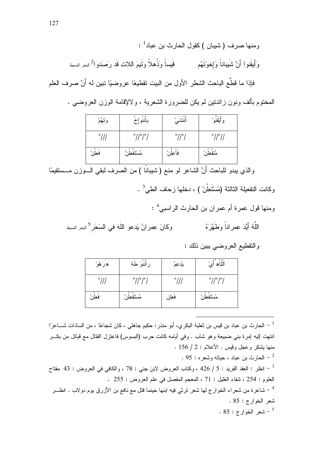| وَتَهُمْ       | $0 - 0$<br>$\circ$<br>َاننوَٳ           | أننشى                      | وَأَيْقَنُوْ                |
|----------------|-----------------------------------------|----------------------------|-----------------------------|
| $^{\circ}$ /// | $^{\circ}$ // $^{\circ}$ / $^{\circ}$ / | $^{\circ}$ // $^{\circ}$ / | $^{\circ}$ // $^{\circ}$ // |
| فَعِلُن        | $\circ$<br>مُسْتَفْعِلْنُ               | ے فر<br>فاعلن              | ره فر<br>مُتَفْعِلْنُ       |

والذي يبدو للباحث أنَّ الشاعر لو منع ( شيبانًا ) من الصرف لبقي الـــوزن مـــستقيمًا وكانت التفعيلة الثالثة (مُسْتَعِلُنْ ) ، دخلها زحاف الطي<sup>3</sup> .

ومنها قول عمرة أم عمران بن الحارث الراسبي<sup>4</sup> :

وَكَانَ عِمرِ انُ يَدعو اللّهَ في السَحَر<sup>5</sup> البحر البسيط اللَّهُ أَبَّدَ عِمراناً وَطَهَّرَهُ

| هرَهُوْ        | $o - o$<br>رَاننوَ طَهْ               | يَدَعِمْ       | ٱللَّلَاٰهُ ۚ أَيْ                      |
|----------------|---------------------------------------|----------------|-----------------------------------------|
| $^{\circ}$ /// | $^{\circ}$ // $^{\circ}$ / $^{\circ}$ | $^{\circ}$ /// | $^{\circ}$ // $^{\circ}$ / $^{\circ}$ / |
| فَعِلُن        | مُسْتَفْعِلْنُ                        | فعلن           | مُسْتَفْعِلْنُ                          |

لحارث بن عباد بن قيس بن ثعلبة البكري، أبو منذر : حكيم جاهلي ، كان شجاعًا ، من السادات شــــاعرًا  $^-\,$ انتهت إليه إمرة بني ضبيعة وهو شاب . وفي أيامه كانت حرب (البسوس) فاعتزل القتال مع قبائل من بكـــر منها بِشكر وعجل وقيس . الأعلام : 2 / 156 . . 95 - الحار ث بن عباد ، حياته وشعر ه $\sim 95$  . انظر : العقد الفريد : 5 / 426 ، وكتاب العروض لابن جنى : 78 ، والكافى فى العروض : 43 مفتاح "  $^{-3}$ العلوم : 254 ، شفاء الغليل : 71 ، المعجم المفصل في علم العروض : 255 . شاعرة من شعراء الخوارج لها شعر نرثي فيه ابنها حينما قتل مع نافع بن الأزرق يوم دولاب . انظـــر " شعر الخوارج: 85 . .  $85:$  شعر الخوارج  $^{-5}$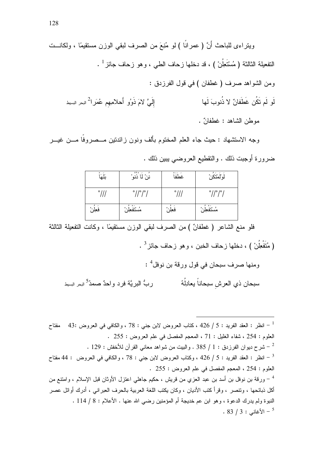وجه الاستشهاد : حيث جاء العلم المختوم بألف ونون زائدتين مـــصروفا مـــن غيـــر ضرورة أوجبت ذلك . والنقطيع العروضيي ببين ذلك .

| بلهَ           | و بر ډو<br>ننْ لا ذنو ْ                 | $0 - 1$<br>غطفا | <u>لُوَالُمُتَكَنْ</u>                  |
|----------------|-----------------------------------------|-----------------|-----------------------------------------|
| $^{\circ}$ /// | $^{\circ}$ // $^{\circ}$ / $^{\circ}$ / | $^{\circ}$ ///  | $^{\circ}$ // $^{\circ}$ / $^{\circ}$ / |
| فَعِلُن        | مُسْتَفْعِلْنُ                          | فعِلْن          | مُسْتَفْعِلْنْ                          |

فلو منع الشاعر ( غطفانٌ ) من الصرف لبقى الوزن مستقيمًا ، وكانت التفعيلة الثالثة

( مُتَفْعِلُنْ ) ، دخلها زحاف الخبن ، و هو زحاف جائز <sup>3</sup> .

و منها صر ف سبحان في قول ور قة بن نوفل<sup>4</sup> : سبحان ذي العرش سبحاناً يعادِلُهُ ر بُّ البر بَّة فر د و احدٌ صمدُ<sup>5</sup> البحر البسط

العلوم : 254 ، شفاء الغليل : 71 ، المعجم المفصل في علم العروض : 255 . . 2 - شرح ديو ان الفر زيـق : 1 / 385 . والبيت من شو اهد معانـي القرآن للأخفش : 129 . العلوم : 254 ، المعجم المفصل في علم العروض : 255 . <sup>4</sup> – ورقة بن نوفل بن أسد بن عبد العزي من قريش ، حكيم جاهلي اعتزل الأوثان قبل الإسلام ، وامتنع من أكل ذبائحها ، ونتصر ، وقرأ كتب الأديان ، وكان يكتب اللغة العربية بالحرف العبراني ، أدرك أوائل عصر النبوة ولم يدرك الدعوة ، وهو ابن عم خديجة أم المؤمنين رضبي الله عنها . الأعلام : 8 / 114 .  $. 83 / 3:$ الأغاني : 3  $^{-5}$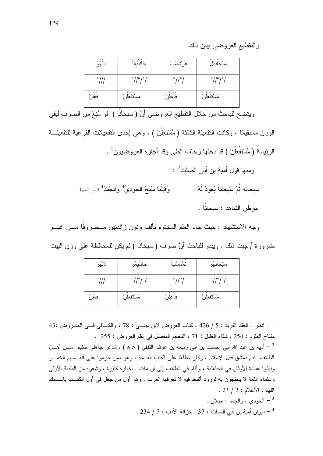والنقطيع العروضي يبين ذلك

| نِلْهُوْ       | $0 - 0$<br>حَاننيُعَا                   | عَرْشِسُبْ               | ەق ە<br>سُبْحَانذِل                     |
|----------------|-----------------------------------------|--------------------------|-----------------------------------------|
| $^{\circ}$ /// | $^{\circ}$ // $^{\circ}$ / $^{\circ}$ / | $^{\circ}$ // $^{\circ}$ | $^{\circ}$ // $^{\circ}$ / $^{\circ}$ / |
| فعِلْن         | $9.1 \cdot 10$<br>مسنفعِنز              | ره فا<br>فاعِلنْ         | $^{\circ}$ .<br>مستفعلا                 |

ويتضح للباحث من خلال التقطيع العروضي أنَّ ( سبحانًا ) لو مُنِعَ من الصرف لبقى الوزن مستقيمًا ، وكانت التفعيلة الثالثة ( مُسْتَعِلُنْ ) ، وهي إحدى التفعيلات الفرعية للتفعيلـــة الرئيسة ( مُسْتَفْعِلُنْ ) قد دخلها ز حاف الطبي وقد أجاز ه العر وضبون  $^{-1}$  .

> ومنها قول أمبة بن أبي الصلت<sup>2</sup> : وَقَبِلَنا سَبَّحَ الْجودِيُّ ۚ وَالْجُمُدُ ۗ البحر السيط سبحانه ثُمَ سُبحاناً يَعو دُ لَهُ موطن الشاهد : سبحانًا .

وجه الاستشهاد : حيث جاء العلم المختوم بألف ونون زائدتين مـــصروفا مـــن غيـــر ضر ور ة أو جبت ذلك . وبيدو للباحث أَنَّ صر ف ( سبحانًا ) لم بكن للمحافظة على وز ن الببت

| دُلْهُوْ       | $\circ$ - $\circ$<br>حَانَنْيَعُو ْ   | $0 \leq \lambda \leq 0.2$<br>ىممسى | $0.8 + 10.08$<br>سبحانهو                |
|----------------|---------------------------------------|------------------------------------|-----------------------------------------|
| $^{\circ}$ /// | $^{\circ}$ // $^{\circ}$ / $^{\circ}$ | $^{\circ}$ // $^{\circ}$           | $^{\circ}$ // $^{\circ}$ / $^{\circ}$ / |
| فعلن           | مُسْتَفْعِلْنُ                        | $\circ$<br>فاعلن                   | مُسْتَفْعِلْنُ                          |

43: انظر : العقد الفريد : 5 / 426 ، كتاب العروض لابن جنـــي : 78 ، والكـــافي فـــي العــــروض :43 مفتاح العلوم : 254 ، شفاء الغليل : 71 ، المعجم المفصل في علم العروض : 255 .

أمية بن عبد الله أبي الصلت بن أبي ربيعة بن عوف الثقفي ( 5 ه ) ، شاعر جاهلي حكيم ۖ مـــن أهـــل  $^{-2}$ الطائف قدم دمشق قبل الإسلام ، وكان مطلعًا على الكتب القديمة ، وهو ممن حرموا على أنفــسهم الخمـــر ونبذوا عبادة الأوثان في الجاهلية ، وأقام في الطائف إلى أن مات . أخباره كثيرة ، وشعره من الطبقة الأولى وعلماء اللغة لا يحتجون به لورود ألفاظ فيه لا تعرفها العرب . وهو أول من جعل في أول الكتــب باســـمك  $.23/2:$  اللهم الأعلام ا

> . الجودي ، والحمد : حبلان . . 234 / 7 : ديو ان أمية بن أبي الصلت : 37 . خز انة الأدب : 7 / 234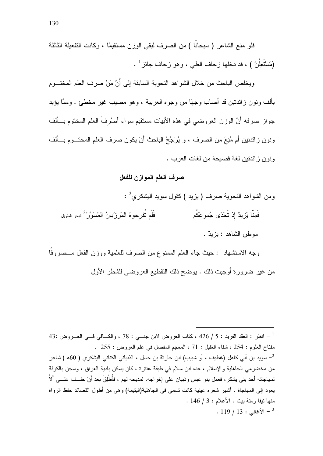فلو منع الشاعر ( سبحانًا ) من الصرف لبقى الوزن مستقيمًا ، وكانت التفعيلة الثالثة (مُسْتَعِلُنْ ) ، قد دخلها زحاف الطبي ، وهو زحاف جائز <sup>1</sup> .

ويخلص الباحث من خلال الشو اهد النحوية السابقة إلى أَنَّ مَنْ صر ف العلم المختـــو م بألف ونون ز ائدتين قد أصاب وجهًا من وجوه العربية ، وهو مصيب غير مخطئ . وممَّا يؤيد جو إن صريفه أَنَّ الوزن العروضي في هذه الأبيات مستقيم سواء أصرُيفَ العلم المختوم بسألف ونون زائدتين أم مُنِعَ من الصرف ، و يُرَجِّحُ الباحث أَنْ يكون صرف العلم المختـــوم بـــألف ونون ز ائدتين لغة فصبحة من لغات العرب .

#### صرف العلم الموازن للفعل

ومن الشواهد النحوية صرف ( بزيد )كقول سويد البشكري<sup>2</sup> : فَمِنَّا بَزِيدٌ إذ تَحَدّى جُموعَكُم فَلَم تُفرحوهُ المَرزُبانُ المُسوَّرُ<sup>3</sup> البحر الطويل موطن الشاهد : يزيدٌ .

وجه الاستشهاد : حيث جاء العلم الممنوع من الصرف للعلمية ووزن الفعل مـــصروفًا من غير ضرورة أوجبت ذلك . يوضح ذلك النقطيع العروضي للشطر الأول

- انظر : العقد الفريد : 5 / 426 ، كتاب العروض لابن جنسي : 78 ، والكسافي فسي العسروض :43 مفتاح العلوم : 254 ، شفاء الغليل : 71 ، المعجم المفصل في علم العروض : 255 . سويد بن أبي كاهل (غطيف ، أو شبيب) ابن حارثة بن حسل ، الذبياني الكناني اليشكر ي ( 60ه ) شاعر – من مخضر مي الجاهلية والإسلام ، عده ابن سلام في طبقة عنتر ة ، كان يسكن بادية العراق ، وسجن بالكوفة لمهاجاته أحد بني يشكر، فعمل بنو عبس وذبيان على إخراجه، لمديحه لهم ، فأُطْلِقَ بعد أَنْ حلَّــف علـــي ألاَّ يعود إلى المهاجاة . أشهر شعر ، عينية كانت تسمى في الجاهلية(اليتيمة) و هي من أطول القصائد حفظ الرواة منها نيفا ومئة بيت . الأعلام : 3 / 146 .  $. 119 / 13 :$  الأغاني  $^{-3}$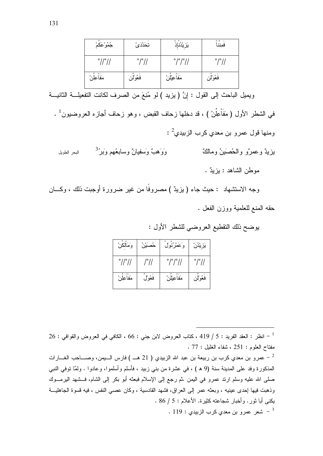| جُمُوْعَكمْ                 | تحَدْدَىْ                  | ؠؘڒۑ۠ۮؙٮٚٳؚ۠ۮ                           | $0 - 0$ -<br>فمننا         |
|-----------------------------|----------------------------|-----------------------------------------|----------------------------|
| $^{\circ}$ // $^{\circ}$ // | $^{\circ}$ / $^{\circ}$ // | $^{\circ}$ / $^{\circ}$ / $^{\circ}$ // | $^{\circ}$ / $^{\circ}$ // |
| مَفاعِلْن                   | فعُوْلِن                   | مَفاعِيْلْن                             | فعُوْلِن                   |

ويميل الباحث إلى القول : إنَّ (يزيد ) لو مُنِعَ من الصرف لكانت التفعيلـــة الثانيـــة

في الشطر الأول (مَفَاْعِلُنْ ) ، قد دخلها زحاف القبض ، وهو زحاف أجازه العروضيون<sup>1</sup> . ومنها قول عمرو بن معدي كرب الزبيدي $^2$  : وَوَهيءٌ وسَفيانٌ وسابعُهم وَيَر<sup>3</sup>ْ بزيدٌ وعمرٌ و والحُصيَينُ ومالكٌ البحر الطويل موطن الشاهد : بزيدٌ .

وجه الاستشهاد : حيث جاء ( بزيدٌ ) مصروفًا من غير ضرورة أوجبت ذلك ، وكـــان حقه المنع للعلمية ووزن الفعل .

بوضح ذلك النقطيع العروضي للشطر الأول :

| وَمَالكن                    | حُصَيْنُ | وَعَمْرُنُولَ              | يزيدن                |
|-----------------------------|----------|----------------------------|----------------------|
| $^{\circ}$ // $^{\circ}$ // | /°//     | $^{\circ}$ / $^{\circ}$ // | $^{\circ}/^{\circ}/$ |
| مَفاعِلْن                   | فعُولُ   | مَفاعِيْلْنْ               | فعُوْلِن             |

 $26:$  انظر : العقد الفريد : 5 / 419 ، كتاب العروض لابن جني : 66 ، الكافي في العروض والقوافي : 26  $^{-1}$ مفتاح العلوم : 251 ، شفاء الغليل : 77 .

عمرو بن معدي كرب بن ربيعة بن عبد الله الزبيدي ( 21 هــ ) فارس الـــيمن، وصــــاحب الغــــارات  $^{-{\,2}}$ المذكورة وفد على المدينة سنة (9 ه ) ، في عشرة من بني زبيد ، فأسلم وأسلموا، وعادوا . ولمَّا نوفي النبي صلَّى الله عليه وسلَّم ارند عمرو في اليمن .ثم رجع إلى الإسلام فبعثه أبو بكر إلى الشام، فـــشهد اليرمـــوك وذهبت فيها إحدى عينيه ، وبعثه عمر إلى العراق، فشهد القادسية ، وكان عصبي النفس ، فيه قسوة الجاهليــة بكني أبا ثور . وأخبار شجاعته كثيرة. الأعلام : 5 / 86 . . 119 - شعر عمرو بن معدي كرب الزبيدي  $\cdot$  119  $^{-3}$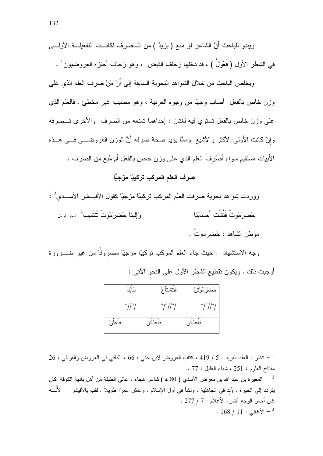ويخلص الباحث من خلال الشواهد النحوية السابقة إلى أَنَّ مَنْ صرف العلم الذي على وزن خاص بالفعل ۖ أصاب وجهًا من وجوه العربية ، وهو مصيب غير مخطئ . فالعلم الذي على وزن خاص بالفعل تستوي فيه لغتان : إحداهما تمنعه من الصرف والأخرى تـــصرفه وإنْ كانت الأولى الأكثر والأشيع وممَّا يؤيد صحة صرفه أَنَّ الوزن العروضـــي فـــي هــذه الأبيات مستقيم سواء أصْرُفَ العلم الذي على وزن خاص بالفعل أم مُنِعَ من الصرف .

# صر ف العلم المر كب تر كببًا مز جبًّا

| ووردت شواهد نحوية صرفت العلم المركب نركيبًا مزجيًا كقول الأقيـــشر الأســـدي <sup>2</sup> : |                                  |
|---------------------------------------------------------------------------------------------|----------------------------------|
| وَا <b>إِلينا حَضر</b> َمَوتٌ نَتَنَسِب <sup>3</sup> البحر الرمل                            | حَضرِمَونٌ فَتَتَّنَّت أَحسابَنا |
|                                                                                             | موطن الشاهد : حَضرَمَونٌ .       |

وجه الاستشهاد : حيث جاء العلم المركب تركيبًا مزجيًا مصروفًا من غير ضـــرورة أوجبت ذلك . ويكون نقطيع الشطر الأول على النحو الآتي :

| $0 - 0$<br>سالنا           | فتتشتا                        | حَضرْكَمُوْتَنْ                 |
|----------------------------|-------------------------------|---------------------------------|
| $^{\circ}$ // $^{\circ}$ / | $^{\circ}/^{\circ}/^{\circ}/$ | $^{\circ}/^{\circ}/^{\circ}/$   |
| ∽ه ا≹<br>فأعلن             | $0 - 0 -$<br>فاعللتين         | $0 \times 0 \times$<br>فاعللتين |

 $26:$  انظر : العقد الفريد : 5 / 419 ، كتاب العروض لابن جني : 66 ، الكافي في العروض والقوافي : 26  $^{-1}$ مفتاح العلوم : 251 ، شفاء الغليل : 77 .

المغيرة بن عبد الله بن معرض الأسدي ( 80 ه ) شاعر هجاء ، عالي الطبقة من أهل بادية الكوفة كان  $\,$ يتردد إلى الحيرة . وُلدَ في الجاهلية ، ونشأ في أول الإسلام . وعاش عمرًا طويلاً . لقب بالأقيشر لأنَّــــه كان أحمر الوجه أقشر . الأعلام : 7 / 277 .  $. 168 / 11$  : الأغاني $^{-3}$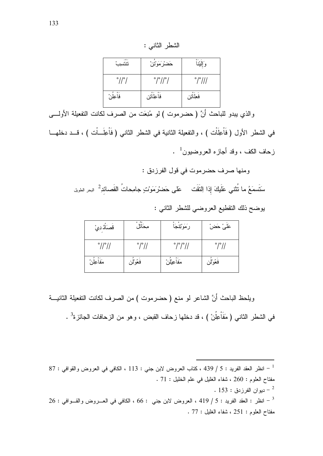| الثاذ | الشد |
|-------|------|
|       |      |

| $-0-$<br>نتنسب             | حَضرْ مَوْتَنْ                | وَإِلَيْنَا                 |
|----------------------------|-------------------------------|-----------------------------|
| $^{\circ}$ // $^{\circ}$ / | $^{\circ}/^{\circ}/^{\circ}/$ | $^{\circ}$ / $^{\circ}$ /// |
| فَأَعِلُن                  | فأعِلَاتِن                    | فَعِلَاتِن                  |

والذي يبدو للباحث أَنَّ ( حضرموت ) لو مُنِعَت من الصرف لكانت التفعيلة الأولــــي

في الشطر الأول (فَاْعِلَاْت ) ، والنفعيلة الثانية في الشطر الثاني (فَاْعِلَــاْت ) ، قـــد دخلهـــا ز حاف الكف ، وقد أحاز م العر وضيون<sup>1</sup> .

ومنها صرف حضرموت في قول الفرزدق :

سَتَسمَعُ ما نُتْنى عَلَيكَ إذا اِلتَقَت معَلى حَضرْمَوْتٍ جامِحاتُ القَصائدِ<sup>2</sup> البحر الطويل

يوضح ذلك النقطيع العروضي للشطر الثاني :

| قَصَاَدُ دِيْ               | محاتل                | رَمَوْتِتِجَا                 | عَلَىٰ حَضْ          |
|-----------------------------|----------------------|-------------------------------|----------------------|
| $^{\circ}$ // $^{\circ}$ // | $^{\circ}/^{\circ}/$ | $^{\circ}/^{\circ}/^{\circ}/$ | $^{\circ}/^{\circ}/$ |
| مَفاعِلْن                   | فَغُوْلُن            | مَفاعِيْلْنْ                  | فعُوْلُن             |

ويلحظ الباحث أَنَّ الشَّاعر لو منع ( حضرموت ) من الصرف لكانت التفعيلة الثانيـــة في الشطر الثاني ( مَفَاعِلُنْ ) ، قد دخلها زحاف القبض ، وهو من الزحافات الجائزة<sup>3</sup> .

 $87:$  انظر العقد الفريد : 5 / 439 ، كتاب العروض لابن جني : 113 ، الكافي في العروض والقوافي : 87  $^{\rm -1}$ مفتاح العلوم : 260 ، شفاء الغليل في علم الخليل : 71 . . دبو ان الفر ز دق : 153 .  $26:$  انظر : العقد الفريد : 5 / 419 ، العروض لابن جني  $66:$  ، الكافي في العـــروض والقـــوافي : 26  $^{-3}$ مفتاح العلوم: 251 ، شفاء الغليل : 77 .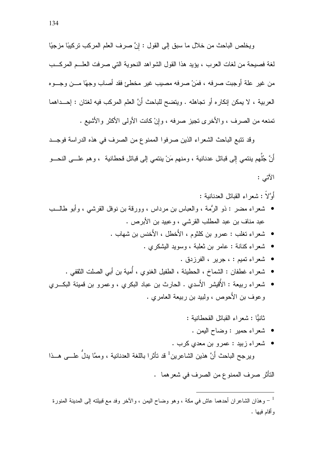ويخلص الباحث من خلال ما سبق إلى القول : إنَّ صرف العلم المركب تركيبًا مزجيًا لغة فصيحة من لغات العرب ، يؤيد هذا القول الشواهد النحوية التي صرفت العلــم المركــب من غير علة أوجبت صرفه ، فمَنْ صرفه مصيب غير مخطئ فقد أصاب وجهًا مـــن وجـــوه العربية ، لا يمكن إنكاره أو تجاهله . ويتضح للباحث أَنَّ العلم المركب فيه لغتان : إحـــداهما نمنعه من الصرف ، والأخرى نجيز صرفه ، وإنْ كانت الأولى الأكثر والأشبع .

وقد تتبع الباحث الشعراء الذين صرفوا الممنوع من الصرف في هذه الدراسة فوجــد أَنَّ جُلُّهم بنتمي إلى قبائل عدنانية ، ومنهم مَنْ بنتمي إلى قبائل قحطانية ، وهم علــــى النحــــو الآتبي :

أُوَّلاً : شعر اءِ القِبائلِ العدنانية :

- شعر اء مضر : ذو الرُّمة ، والعباس بن مرداس ، وورقة بن نوفل القرشبي ، وأبو طالــب عبد مناف بن عبد المطلب القرشي ، وعبيد بن الأبرص .
	- شعر اء تغلب : عمر و بن كلثوم ، الأخطل ، الأخنس بن شهاب .
		- شعر اء كنانة : عامر بن ثعلبة ، وسوبد البِشكر ي .
			- شعراء تميم : ، جرير ، الفرز دق .
	- شعر اء غطفان : الشماخ ، الحطيئة ، الطفيل الغنو ي ، أمية بن أبي الصلت الثقفي .
- شعراء ربيعة : الأُقيشر الأَسدي . الحارث بن عباد البكري ، وعمرو بن قميئة البكـــري وعوف بن الأحوص ، ولبيد بن ربيعة العامري .

ثانبًّا : شعر اء القبائل القحطانبة :

- شعراء حمير : وضاح اليمن .
- شعراء زبيد : عمرو بن معدى كرب . ويرجح الباحث أنَّ هذين الشاعرين<sup>1</sup> قد تأثرا باللغة العدنانية ، وممَّا يدلُّ علــــ, هـــذا

التأثر صرف الممنوع من الصرف في شعر هما .

و هذان الشاعران أحدهما عاش في مكة ، وهو وضاح اليمن ، والآخر وفد مع قبيلته إلى المدينة المنورة  $^{-\, 1}$ و أقام فبها .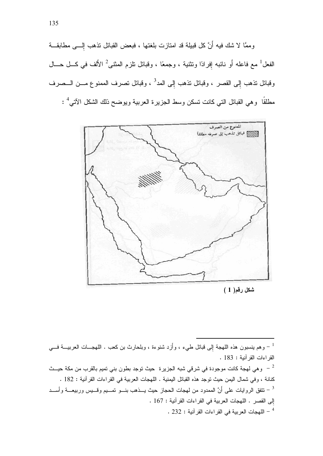وممَّا لا شك فيه أنَّ كل قبيلة قد امتازت بلغتها ، فبعض القبائل نذهب إلـــي مطابقـــة الفعل<sup>1</sup> مع فاعله أو نائبه إفرادًا ونثنية ، وجمعًا ، وقبائل نلزم المثنى<sup>2</sup> الأَلف في كـــل حـــال وقبائل نذهب إِلى القصر ، وقبائل نذهب إِلى المد<sup>3</sup> ، وقبائل نصرف الممنوع مـــن الـــصرف مطلقًا وهي القبائل النبي كانت نسكن وسط الجزيرة العربية ويوضح ذلك الشكل الآني<sup>4</sup> :



شكل رقم( 1 )

وهم بنِسبون هذه اللهجة إلى قبائل طيء ، وأَزِد شنوءة ، وبلحارث بن كعب . اللهجـــات العربيــــة فــــي  $^{-1}$ القراءات القرآنية: 183.

كنانة ، وفي شمال اليمن حيث نوجد هذه القبائل اليمنية . اللهجات العربية في القراءات القرآنية : 182 . تتفق الروايات على أَنَّ الممدود من لهجات الحجاز حيث يــذهب بنـــو تمـــيم وقـــيس وربيعــــة وأســـد  $^{-3}$ إلى القصر . اللهجات العربية في القراءات القرآنية : 167 .  $\sim 232$  : اللهجات العربية في القراءات القرآنية - 232  $^{-4}$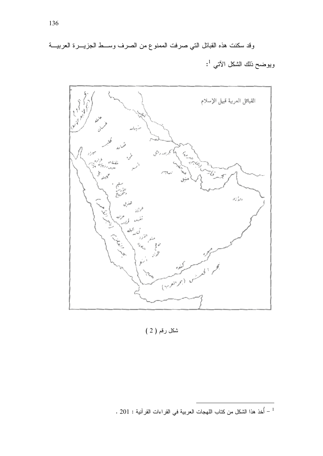وقد سكنت هذه القبائل التي صرفت الممنوع من الصرف وســط الجزيـــرة العربيـــة ويوضح ذلك الشكل الآتي <sup>1</sup>:



شكل رقم ( 2 )

<sup>. 201 :</sup> أخذ هذا الشكل من كتاب اللهجات العربية في القراءات القرآنية : 201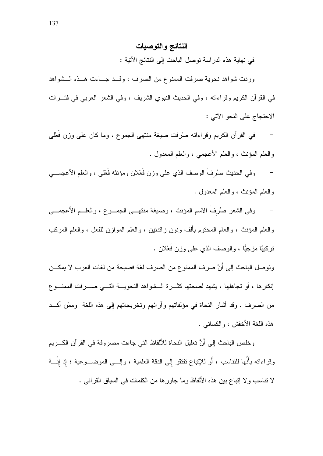## النتائج والتوصيات

في نهاية هذه الدراسة توصل الباحث إلى النتائج الآتية :

وردت شواهد نحوية صرفت الممنوع من الصرف ، وقــد جــاءت هــذه الــشواهد في القرآن الكريم وقراءاته ، وفي الحديث النبوي الشريف ، وفي الشعر العربي في فتـــرات الاحتجاج على النحو الآتي :

في القرآن الكريم وقراءاته صُرفت صيغة منتهى الجموع ، وما كان على وزن فُعْلَى والعلم المؤنث ، والعلم الأعجمي ، والعلم المعدول .

وفي الحديث صُرفَ الوصف الذي على وزن فَعْلان ومؤنثه فَعْلى ، والعلم الأعجمـــي والعلم المؤنث ، والعلم المعدول .

وفي الشعر صُرفَ الاسم المؤنث ، وصيغة منتهــي الجمــوع ، والعلــم الأعجمـــي والعلم المؤنث ، والعام المختوم بألف ونون زائدتين ، والعلم الموازن للفعل ، والعلم المركب نركيبًا مزجيًّا ، والوصف الذي علمي وزن فَعْلان .

ونوصل الباحث إلى أنَّ صرف الممنوع من الصرف لغة فصيحة من لغات العرب لا يمكـــن إنكارها ، أو تجاهلها ، يشهد لصحتها كثـــرة الـــشواهد النحويــــة التــــى صـــــرفت الممنــــو ع من الصرف . وقد أشار النحاة في مؤلفاتهم وآرائهم وتخريجاتهم إلى هذه اللغة ۖ وممّن أكـــد هذه اللغة الأخفش ، والكسائبي .

وخلص الباحث إلى أَنَّ نعليل النحاة للألفاظ النّي جاءت مصروفة في القرآن الكـــريم وقراءاته بأَنَّها للتناسب ، أَو للإنباع نفتقر إلى الدقة العلمية ، وإلـــى الموضـــوعية ؛ إذ إنَّـــهُ لا نتاسب ولا إنباع بين هذه الألفاظ وما جاورها من الكلمات في السياق القرآنبي .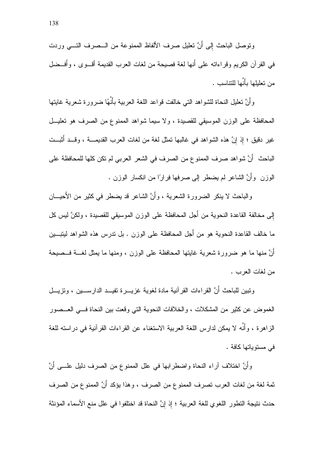وتوصل الباحث إلى أَنَّ تعليل صرف الألفاظ الممنوعة من الـــصرف التــــى وردت في القر آن الكريم وقر اءاته على أنها لغة فصبحة من لغات العرب القديمة أقبو ي ، و أُفسِضل من تعلَّلها بأنَّها للتناسب .

وأنَّ نعليل النحاة للشواهد النبي خالفت قواعد اللغة العربية بأنَّهُا ضرورة شعرية غايتها المحافظة على الوزن الموسيقى للقصيدة ، ولا سيما شواهد الممنوع من الصرف هو تعليــل غير دقيق ؛ إذ إنَّ هذه الشواهد في غالبها تمثَّل لغة من لغات العرب القديمــــة ، وقـــد أُثبـــت الباحث ۖ أَنَّ شواهد صرف الممنوع من الصرف في الشعر العربي لم نكن كلها للمحافظة على الوزن ۖ وأنَّ الشَّاعر لم يضطر إلى صرفها فِرارًا من انكسار الوزن .

والباحث لا ينكر الضرورة الشعرية ، وأنَّ الشاعر قد يضطر في كثير من الأحيـــان إلى مخالفة القاعدة النحوية من أجل المحافظة على الوزن الموسيقى للقصيدة ، ولكنَّ ليس كل ما خالف القاعدة النحوية هو من أجل المحافظة على الوزن . بل ندرس هذه الشواهد ليتبـــين أَنَّ منها ما هو ضرورة شعرية غايتها المحافظة على الوزن ، ومنها ما يمثل لغـــة فــصيحة من لغات العرب .

وتبين للباحث أنَّ القراءات القرآنية مادة لغوية غزيـــرة تفيـــد الدارســــين ، وتزيـــل الغموض عن كثير من المشكلات ، والخلافات النحوية التي وقعت بين النحاة فسي العــصور الز اهر ة ، و أنَّه لا بمكن لدار س اللُّغة العربية الاستغناء عن القر اءات القر آنية في در استه للغة فے مستو باتھا کافة .

وأَنَّ اختلاف آراء النحاة واضطرابها في علل الممنوع من الصرف دليل علـــي أَنَّ ثمة لغة من لغات العرب تصرف الممنوع من الصرف ، وهذا يؤكد أَنَّ الممنوع من الصرف حدث نتيجة التطور اللغوي للغة العربية ؛ إذ إنَّ النحاة قد اختلفوا في علل منع الأسماء المؤنثة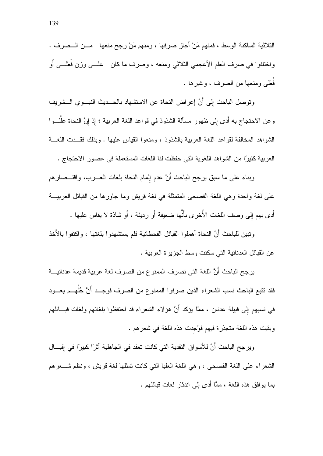الثلاثية الساكنة الوسط ، فمنهم مَنْ أجاز صرفها ، ومنهم مَنْ رجح منعها ۖ مـــن الـــصرف . واختلفوا في صرف العلم الأعجمي الثلاثي ومنعه ، وصرف ما كان علـــي وزن فُعْلـــي أو فُعْلَمٍ ومنعها من الصرف ، وغيرِها .

ونوصل الباحث إلى أَنَّ إعراض النحاة عن الاستشهاد بالحـــديث النبـــوي الـــشريف وعن الاحتجاج به أدى إلى ظهور مسألة الشذوذ في قواعد اللغة العربية ؛ إذ إنَّ النحاة عللـــوا الشواهد المخالفة لقواعد اللغة العربية بالشذوذ ، ومنعوا القياس عليها . وبذلك فقــدت اللغـــة العربية كثيرًا من الشواهد اللغوية التي حفظت لنا اللغات المستعملة في عصور الاحتجاج .

وبناء على ما سبق برجح الباحث أَنَّ عدم إلمام النحاة بلغات العــــرب، واقتـــصـار هم على لغة واحدة وهي اللغة الفصحى المتمثلة في لغة قريش وما جاورها من القبائل العربيـــة أدى بهم إلى وصف اللغات الأُخرى بأنَّها ضعيفة أَو رديئة ، أَو شاذة لا يقاس عليها .

وتبين للباحث أَنَّ النحاة أهملو ا القبائل القحطانية فلم يستشهدو ا بلغتها ، و اكتفو ا بالأخذ عن القبائل العدنانية التي سكنت وسط الجزيرة العربية .

يرجح الباحث أَنَّ اللغة التي تصرف الممنوع من الصرف لغة عربية قديمة عدنانيـــة فقد نتبع الباحث نسب الشعراء الذين صرفوا الممنوع من الصرف فوجــد أَنَّ جُلَّهــم يعـــود في نسبهم إلى قبيلة عدنان ، ممَّا يؤكد أنَّ هؤلاء الشعراء قد احتفظوا بلغاتهم ولغات قبـــائلهم وبِقِيتٍ هذه اللُّغة متجذِّر ة فيهم فوُجِدت هذه اللُّغة في شعر هم .

ويرجح الباحث أَنَّ للأسواق النقدية التي كانت تعقد في الجاهلية أثرًا كبيرًا في إقبـــال الشعراء على اللغة الفصحى ، وهي اللغة العليا التي كانت تمثلها لغة فريش ، ونظم شــعرهم بما بوافق هذه اللغة ، ممَّا أُدى إلى اندثار لغات قبائلهم .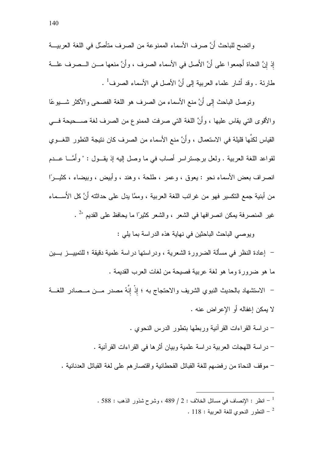واتضح للباحث أَنَّ صرف الأسماء الممنوعة من الصرف متأصِّل في اللغة العربيـــة إذ إنَّ النحاة أجمعوا على أَنَّ الأَصل في الأسماء الصرف ، وأَنَّ منعها مـــن الـــصرف علـــة طارئة . وقد أشار علماء العربية إلى أَنَّ الأصل في الأسماء الصرف<sup>1</sup> .

ونوصل الباحث إلى أَنَّ منع الأسماء من الصرف هو اللغة الفصحى والأكثر شــــيوعًا والأقوى النبي يقاس عليها ، وأنَّ اللغة النبي صرفت الممنوع من الصرف لغة صــــحيحة فـــي القياس لكنَّها قليلة في الاستعمال ، وأَنَّ منع الأسماء من الصرف كان نتيجة التطور اللغـــوى لقواعد اللغة العربية . ولعل برجستراسر أصاب في ما وصل إليه إذ يقــول : " وأُمَّـــا عـــدم انصراف بعض الأسماء نحو : يعوق ، وعمر ، طلحة ، وهند ، وأبيض ، وبيضاء ، كثيـــرًا من أبنية جمع التكسير فهو من غرائب اللغة العربية ، وممَّا يدل على حداثته أَنَّ كل الأَســـماء غير المنصرفة بمكن انصرافها في الشعر ، والشعر كثيرًا ما بحافظ على القديم "<sup>2</sup> .

ويوصبي الباحث الباحثين في نهاية هذه الدر اسة بما يلي :

– إعادة النظر في مسألة الضرورة الشعرية ، ودراستها دراسة علمية دقيقة ؛ للتمييـــز بــــين ما هو ضرورة وما هو لغة عربية فصيحة من لغات العرب القديمة .

- الاستشهاد بالحديث النبوي الشريف والاحتجاج به ؛ إذْ إنَّهُ مصدرٍ مـــن مـــصادر اللغـــة لا يمكن إغفاله أو الإعراض عنه .
	- در اسة القر اءات القر آنية وربطها بتطور الدرس النحوى .
	- در اسة اللهجات العربية در اسة علمية وبيان أثر ها في القر اءات القر آنية .

– موقف النحاة من رفضهم للغة القبائل القحطانية واقتصار هم على لغة القبائل العدنانية .

. 588 : النظر : الإنصاف في مسائل الخلاف : 2 / 489 ، وشرح شذور الذهب : 588 . . 118 : النطور النحوي للغة العربية . 118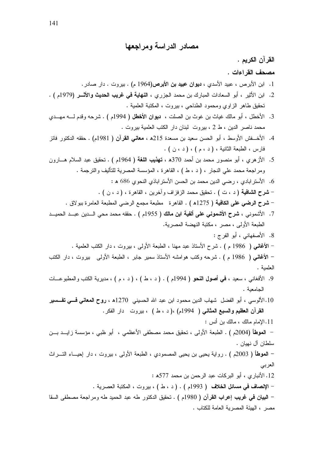مصادر الدراسة ومراجعها

القرآن الكريم . مصحف القر اءات . 1. ابن الأبرص ، عبيد الأسدي ، **ديوان عبيد بن الأبرص(**1964 م) . بيروت . دار صـادر .

- 2. ابن الأثير ، أبو السعادات المبارك بن محمد الجزري ، ا**لنهاية في غريب الحديث والأثـــر (**1979م ) . نحقيق طاهر الزاوي ومحمود الطناحي ، بيروت ، المكتبة العلمية .
- 3. الأخطل ، أبو مالك غياث بن غوث بن الصلت ، **ديوان الأخطل (** 1994م ) . شرحه وقدم لـــه مهـــدي محمد ناصر الدين ، ط 2 ، بيروت لبنان دار الكتب العلمية بيروت .
- 4. الأخـــفش الأوسط ، أبو الحسن سعيد بن مسعدة 215ﻫ ، **معانـي القرآن (** 1981م) . حققه الدكتور فائز فارس ، الطبعة الثانية ، ( د ، م ) ، ( د ، ن ) .
- 5. الأزهري ، أبو منصور محمد بن أحمد 370ﻫ ، **تهذيب اللغة (** 1964م ) . تحقيق عبد السلام هـــارون ومراجعة محمد على النجار ، ( د ، ط ) ، القاهرة ، المؤسسة المصرية للتأليف والنرجمة .
	- 6. الأستر ابادي ، رضبي الدين محمد بن الحسن الأستر اباذي النحوي 686 هـ :
	- شرح الشافية ( د ، ت ) . نحقيق محمد الزفزاف وأخرين ، القاهرة ، ( د ، ن ) . – **شرح الرضي على الكافية (** 1275ﻫ ) . القاهرة مطبعة مجمع الرضي المطبعة العامرة ببولاق .
- 7. الأشموني ، **شرح الأشموني على ألفية ابن مالك (** 1955م ) . حققه محمد محى الـــدين عبـــد الحميـــد
	- الطبعة الأولى ، مصر ، مكتبة النهضة المصرية.
- 8. الأصفهاني ، أبو الفرج : – الأغانس ( 1986 م ) . شرح الأستاذ عبد مهنا ، الطبعة الأولى ، بيروت ، دار الكتب العلمية . – الأغانس ( 1986 م ) . شرحه وكتب هوامشه الأستاذ سمير جابر ، الطبعة الأولى بيروت ، دار الكتب العلمية .
- 9. الأفغاني ، سعيد ، فمي أ**صول النحو (** 1994م ) . ( د ، ط ) ، ( د ، م ) ، مديرية الكتب والمطبوعـــات الجامعية .
- 10.الألوسي ، أبو الفضل شهاب الدين محمود ابن عبد الله الحسيني 1270ﻫ ، روح المعانى فسى تفسسير القرآن العظيم والسبع المثاني ( 1994م) ،( د ، ط ) ، بيروت دار الفكر.
- 11.الإمام مالك ، مالك بن أنس : – ا**لموطأ (**2004م ) . الطبعة الأولى ، تحقيق محمد مصطفى الأعظمى ، أبو ظبى ، مؤسسة زايـــد بـــن سلطان آل نهيان .
- ا**لموطأ (** 2003م ) . رواية يحيى بن يحيى المصمودي ، الطبعة الأولى ، بيروت ، دار إحيـــاء التــــراث العربي 12. الأنبار ي، أبو البركات عبد الرحمن بن محمد 577ﻫ :
	- الإ**نصاف في مسائل الخلاف (** 1993م ) . ( د ، ط ) ، بيروت ، المكتبة العصرية .
- البيان في غريب إعراب القرآن ( 1980م ) . تحقيق الدكتور طه عبد الحميد طه ومراجعة مصطفى السقا مصر ، الهيئة المصرية العامة للكتاب .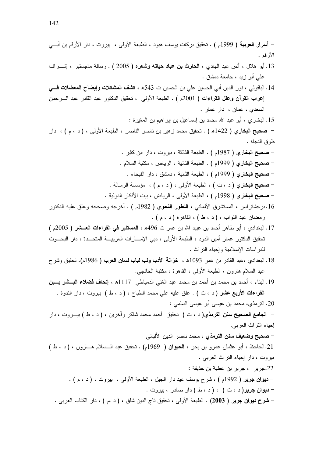- 22.جرير ، جرير بن عطية بن حذيفة :
- **ديوان جرير (** 1992م ) ، شرح يوسف عيد دار الجيل ، الطبعة الأولى ، بيروت ، ( د ، م ) .
	- <mark>- دیوان جریر(</mark> د ، ت ) ، ( د ، ط ) دار صادر ، بیروت .
- شرح ديوان جرير ( 2003) . الطبعة الأولى ، نحقيق ناج الدين شلق ، ( د ،م ) ، دار الكتاب العربي .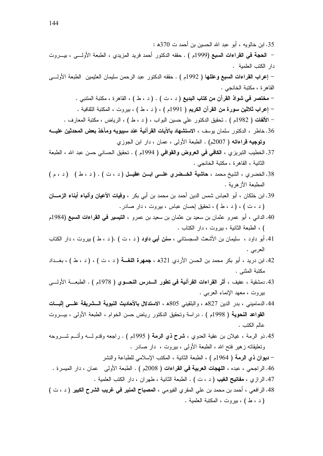35. ابن خالويه ، أبو عبد الله الحسين بن أحمد ت 370ﻫ : – ا**لحجة في القراءات السبع (**1999م ) . حقَّه الدكتور أحمد فريد المزيدي ، الطبعة الأولـــي ، بيـــروت دار الكتب العلمية . – إعراب القراءات السبع وعللها ( 1992م ) . حقَّه الدكتور عبد الرحمن سليمان العثيمين الطبعة الأولـــي القاهر ة ، مكتبة الخانجي . - مختصر في شواذ القرآن من كتاب البديع ( د ، ت ) . ( د ، ط ) ، القاهرة ، مكتبة المتنبي . – إعراب ثلاثين سورة من القرآن الكريم ( 1991م ) ، ( د ، ط ) ، بيروت ، المكتبة الثقافية . – الألفات ( 1982م ) . نحقيق الدكتور على حسين البواب ، ( د ، ط ) ، الرياض ، مكتبة المعارف . 36. خاطر ، الدكتور سلمان بوسف ، الاستشهاد بالآيات القرآنية عند سيبويه ومآخذ بعض المحدثين عليـــه وتوجيه قراءاته ( 2007م) . الطبعة الأولى ، عمان ، دار ابن الجوزي 37. الخطيب النبريزي ، **الكافي في العروض والقوافي (** 1994م ) . تحقيق الحساني حسن عبد الله ، الطبعة الثانية ، القاهر ة ، مكتبة الخانجي . 38. الخضري ، الشيخ محمد ، حاشية الغــضرى علــي ابــن عقيــل (د ، ت ) . (د ، ط ) (د ، م ) المطبعة الأز هربة . 39. ابن خلكان ، أبو العباس شمس الدين أحمد بن محمد بن أبي بكر ، **وفيات الأعيان وأنباء أبناء الزمـــان** (د ، ت ) ، (د ، ط ) ، تحقیق احسان عباس ، بیروت ، دار صادر . 40. الدانـي ، أبو عمرو عثمان بن سعيد بن عثمان بن سعيد بن عمرو ، ا**لتيسير فـي القراءات السبع (**1984م ) ، الطبعة الثانية ، بيروت ، دار الكتاب . 41. أبو داود ، سليمان بن الأشعث السجستانـى ، **سنن أب***ى د***اود (** د ، ت ) .( د ، ط ) بيروت ، دار الكتاب العربي . 42. ابن دريد ، أبو بكر محمد بن الحسن الأردي 321ه ، **جمهرة اللغـــة (** د ، ت ) ، ( د ، ط ) ، بغـــداد

- مكتبة المثنى .
- 43. دمشقية ، عفيف ، أثر القراءات القرآنية في تطور السدرس النحسوي ( 1978م ) . الطبعــــة الأولــــي بيروت ، معهد الإنماء العربي .
- 44. الدماميني ، بدر الدين 827ﻫ ، والبلقيني 805ﻫ ، الا**ستدلال بالأحاديث النبوية الـــشريفة علـــي إثبـــات** القواعد النحوية ( 1998م ) . دراسة وتحقيق الدكتور رياض حسن الخوام ، الطبعة الأولى ، بيـــروت عالم الكتب .
- 45.ذو الرمة ، غيلان بن عقية العدوي ، **شرح ذي الرمة (** 1995م ) . راجعه وقدم لــــه وأتـــم شــــروحه ونعليقاته زهير فتح الله ، الطبعة الأولى ، بيروت ، دار صادر .

– ديوان ذي الرمة ( 1964م ) ، الطبعة الثانية ، المكتب الإسلامي للطباعة والنشر

46. الراجحي ، عبده ، ا**للهجات العربية في القر**اءات ( 2008م ) . الطبعة الأولى عمان ، دار الميسرة . 47. الرازي ، مفاتيح الغيب ( د ، ت ) . الطبعة الثانية ، طهران ، دار الكتب العلمية .

48. الرافعي ، أحمد بن محمد بن علي المقرى الفيومي ، ال**مصباح المنير في غريب الشرح الكبير (** د ، ت ) (د ، ط ) ، بيروت ، المكتبة العلمية .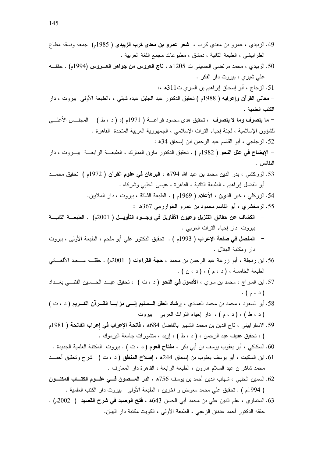- 49. الزبيدي ، عمرو بن معدي كرب ، شعر عمرو بن معدى كرب الزبيدي ( 1985م) جمعه ونسقه مطاع الطرابيشي ، الطبعة الثانية ، دمشق ، مطبوعات مجمع اللغة العربية . 50. الزبيدي ، محمد مرتضى الحسيني ت 1205ھ ، **تاج العروس من جواهر العـــروس (**1994م) . حققــــه علمي شيري ، بيروت دار الفكر . 51. الزجاج ، أبو إسحاق إبراهيم بن السري ت311ﻫ ،: – **معاني القرآن وإعرابه (** 1988م ) تحقيق الدكتور عبد الجليل عبده شبل<sub>ت</sub> ، ،الطبعة الأولى بيروت ، دار الكتب العلمية . – ما ينصرف وما لا ينصرف ، تحقيق هدى محمود قراعـــة ( 1971م )، ( د ، ط ) المجلـــس الأعلـــي للشؤون الإسلامية ، لجنة إحياء النراث الإسلامي ، الجمهورية العربية المتحدة القاهرة . 52. الزجاجي ، أبو القاسم عبد الرحمن ابن إسحاق 34ﻫ : – ا**لإيضاح في علل النحو (** 1982م ) . تحقيق الدكتور مازن المبارك ، الطبعـــة الرابعـــة بيـــروت ، دار النفائس . 53. الزركشي ، بدر الدين محمد بن عبد الله 794**ه ، البرهان في علوم القرآن (** 1972م ) تحقيق محمـــد أبو الفضل إبراهيم ، الطبعة الثانية ، القاهرة ، عيسى الحلبي وشركاه . 54. الزركلي ، خير الدين ، الأعلام ( 1969م ) . الطبعة الثالثة ، بيروت ، دار الملايين. 55. الزمخشري ، أبو القاسم محمود بن عمرو الخوارزمي 367ﻫ : – الكشاف عن حقائق التنزيل وعيون الأقاويل في وجـــوه التأويـــل ( 2001م) . الطبعــــة الثانيـــة
	- بيروت دار إحياء النراث العربي .
- ال**مفصل في صنعة الإعراب (** 1993م ) . تحقيق الدكتور على أبو ملحم ، الطبعة الأولى ، بيروت دار ومكتبة المهلال .
- 56. ابن زنجلة ، أبو زرعة عبد الرحمن بن محمد ، حجة القراءات ( 2001م) . حققـــه ســـعيد الأفغـــانـي الطبعة الخامسة ، (د ، م ) ، (د ، ن ) .
- 57. ابن السراج ، محمد بن سرى ، **الأصول في النحو (** د ، ت ) ، تحقيق عبــد الحـــسين الفتلـــي بغــداد  $\cdot$  ( د ، م )
- 58. أبو السعود ، محمد بن محمد العمادي ، إرشاد العقل السسليم إلسي مزايسا القسرآن الكسريم ( د ، ت ) (د ، ط ) ، (د ، م ) ، دار إحياء النَّزاتُ العربي – بيروت
- 59. الاسفر ابيني ، تاج الدين بن محمد الشهير بالفاضل 684ﻫ ، **فاتحة الإعراب في إعراب الفاتحة (** 1981م ) ، تحقيق عفيف عبد الرحمن ، ( د ، ط ) ، إربد ، منشورات جامعة البرموك .
- 60. السكاكي ، أبو يعقوب يوسف بن أبي بكر ، **مفتاح العوم (** د ، ت ) . بيروت المكتبة العلمية الجديدة .
- 61. ابن السكيت ، أبو يوسف يعقوب بن اسحاق 244ﻫ ، إ**صلاح المنطق (**د ، ت ) شرح وتحقيق أحمـــد محمد شاكر ن عبد السلام هارون ، الطبعة الرابعة ، القاهرة دار المعارف .
- 62. السمين الحلبي ، شهاب الدين أحمد بن يوسف 756ﻫ ، ا**لدر المـــصون فـــي علـــوم الكتـــاب المكنـــون** ( 1994م ) . تحقيق على محمد معوض و أخرين ، الطبعة الأولى بيروت دار الكتب العلمية .
- 63. السنماوي ، علم الدين على بن محمد أبي الحسن 643ﻫ ، **فتح الوصيد في شرح القصيد (** 2002م) . حققه الدكتور أحمد عدنان الزعبي ، الطبعة الأولى ، الكويت مكتبة دار البيان.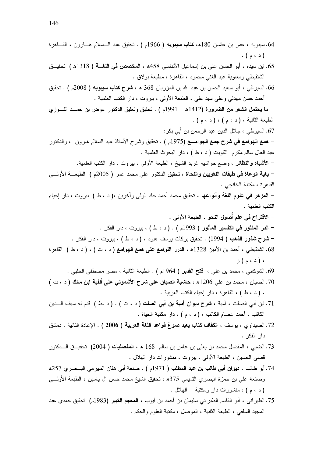64.سيبويه ، عمر بن عثمان 180ھ، **كتاب سيبويه (** 1966م ) . تحقيق عبد الـــسلام هـــارون ، القـــاهرة  $\cdot$  ( د ، م ) 65. ابن سيده ، أبو الحسن على بن إسماعيل الأندلسي 458ﻫ ، **المخصص في اللغـــة (** 1318ﻫ ) تحقيـــق الشنقيطي ومعاوية عبد الغنبي محمود ، القاهرة ، مطبعة بولاق . 66. السير افي ، أبو سعيد الحسن بن عبد الله بن المزربان 368 هـ ، **شرح كتاب سيبويه (** 2008م ) . تحقيق أحمد حسن مهدلي وعلى سيد على ، الطبعة الأولى ، بيروت ، دار الكتب العلمية . – ما ي**حتمل الشعر من الضرورة (**1412ه – 1991م ) . تحقيق وتعليق الدكتور عوض بن حمــد القــوزي الطبعة الثانية ، ( د ، م ) ، ( د ، م ) . 67. السيوطي ، جلال الدين عبد الرحمن بن أبي بكر : – همع الـهوامـع فـي شرح جمـع الـجوامــــع (1975م ) . تـحقيق وشرح الأستاذ عبد السلام هارون ، والدكتور عبد العال سالم مكرم الكويت ( د ، ط ) ، دار البحوث العلمية . – ا**لأشباه والنظائر** ، وضع حواشيه غريد الشيخ ، الطبعة الأولى ، بيروت ، دار الكتب العلمية. – **بغية الوعاة في طبقات اللغويين والنحاة** ، تحقيق الدكتور على محمد عمر ( 2005م ) الطبعــــة الأولـــــى القاهرة ، مكتبة الخانجي . – ا**لمزهر في علوم اللغة وأنواعها** ، تحقيق محمد أحمد جاد الول<sub>ّي</sub> وآخرين ،( د ، ط ) بيروت ، دار إحياء الكتب العلمية . – الاقتراح في علم أُصول النحو ، الطبعة الأولى . – الدر المنثور في التفسير المأثور ( 1993م ) . ( د ، ط ) ، بيروت ، دار الفكر . – **شرح شذور الذهب (** 1994) . نحقيق بركات يوسف هبود ، ( د ، ط ) ، بيروت ، دار الفكر . 68. الشنقيطي ، أحمد بن الأمين 1328ﻫ ، الدرر اللوامع على همع الـهوامع ( د ، ت ) ، ( د ، ط ) القاهرة ، (د ، م) ز 69. الشوكاني ، محمد بن علي ، فتح القدير ( 1964م ) . الطبعة الثانية ، مصر مصطفى الحلبي . 70. الصبان ، محمد بن على 1206ﻫ ، حاشية الصبان على شرح الأشموني على ألفية ابن مالك ( د ، ت ) . (د ، ط ) ، القاهرة ، دار إحياء الكتب العربية . 71. ابن أبي الصلت ، أمية ، **شرح ديوان أمية بن أبي الصلت (** د ، ت ) . ( د ،ط ) قدم له سيف الـــدين الكاتب ، أحمد عصام الكاتب ، ( د ، م ) ، دار مكتبة الحياة . 72. الصيداوي ، يوسف ، الكفاف كتاب يعيد صوغ قواعد اللغة العربية ( 2006 ) . الإعادة الثانية ، دمشق دار الفكر . 73. الضبي ، المفضل محمد بن يعلي بن عامر بن سالم 168 هـ ، ا**لمفضليات (** 2004) تحقيــــق الــــدكتور قصبي الحسين ، الطبعة الأولىي ، بيروت ، منشورات دار الهلال . 74. أبو طالب ، **ديوان أبي طالب بن عبد المطلب (** 1971م ) . صنعة أبي هفان المهزمي البـــصري 257هـ وصنعة علي بن حمزة البصري التميمي 375ﻫ ، تحقيق الشيخ محمد حسن أل ياسين ، الطبعة الأولــــي (د ، م) ، منشورات دار ومکتبة للهلال . 75. الطبر اني ، أبو القاسم الطبر اني سليمان بن أحمد بن أيوب ، ا**لمعجم الكبير (**1983م) تحقيق حمدي عبد

المجيد السلفي ، الطبعة الثانية ، الموصل ، مكتبة العلوم والحكم .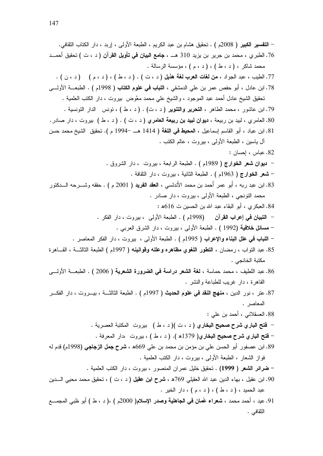. 01'3 - J -A J @ + ? J ;- E ; k'5 . ; ( 2008 ) ! 8 C 5
 k'5 ( 6 J ) .I Y " 
! D
\$ J 310 \$ -- 5 J (-? .76 . &- &&c ( J ; J ( J ) ? J ) J - 5 . ( J ) ( ; J ( J ) ? J ) . ( 6 J ) %0 / '
0 J E J ? .77 @ + ? . ( ;1998 ) 
 1 " 
! J 0' 0!E -E "5 
 J )E .78 . ! - J 6 - M 5 0!E J E 5
 )E k'5 . & - J ( ? J ) . (6 J ) J -? 5 J - E .79 .-\* - J 6 - ( ? J ) . ( 6 J ) / %/! ! ! J - J (- .80 &5 5 k'5 .( ; 1994C 1414 ) %0 " J )E&A ;&' 
 J E .81 . ;E J 6 - J @ + ? J & )/ : &5A J E .82 . k - - J 6 - J - ? . ( ;1989 ) M , / C . 1'3 - J 6 - J 3 ? . ( ;1963 ) M , / \ - 25- 2''5 . ( ; 2001 ) 8 I/ J 0& N+ 5 5N
 -E N
 J 2- E .83 . -\* - J 6 - J @ + ? J 0 5 : 616 6 &5 d E ' 
 J (- .84 . - - J 6 - J @ + ? . ( ;1998) .I  " 
! C . 0 k- - J 6 - J @ + ? . ( 1992) %X, ?
 \ . -\* - - J 6 - J @ + ? . ( ;1995 ) N E
! " 
! \ W-' J 33 ? ; ( 1997 ) K # K \*
A 0 J Q- J E .85 . 0 # @ + ? . ( 2006 ) %/ G F " % / %0 J &5 5 J .?! E .86 . - E?! -Y - J W-' - - J 6 - J 33 ? . ( ;1997 ) B 1 " I Z- J - J -E .87 . -\* : 0!E 5
 J 0 D'& .88 . -\* 6 - ( ? J )( 6 J ) ,! T 
! C . 1- -J 6 - J ( ? J ) .( 1379 ) 
,! T 
! \ 2 ; ; ( 1998) "\$
\$ \$ T J 669 0!E 5 c 0!E &5 
 - \*E .89 . ! - J 6 - J @ + ? J - \$ 1 . ! - J 6 - J - \* -E )!# k'5 . (1999 ) / ?F \ 05 5 k'5 J ( 6 J ) I ! T J 769 0!' d E J )'E .90 . -# - J ( ; J ( J ) ? J ) J 5 E 9 0\ 
 ( ? J ; (J ) 2000 )1XN %
\$ " 
` E/ J 5 5
 J E .91

الثقافي .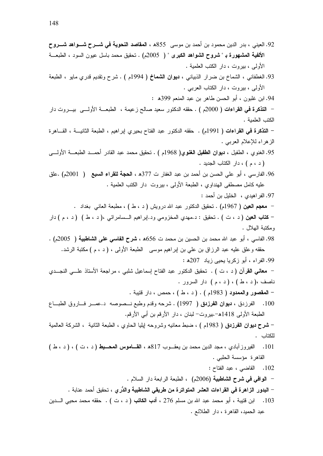92. العيني ، بدر الدين محمود بن أحمد بن موسى 855ﻫ ، المقاصد النحوية في شــــرح شــــواهد شــــروح الألفية المشهورة بـ " شروح الشواهد الكبرى " ( 2005م) . تحقيق محمد باسل عيون السود ، الطبعـــة الأولى ، بيروت ، دار الكتب العلمية . 93. الغطفاني ، الشماخ بن ضرار الذبياني ، ديوان الشماخ ( 1994م ) . شرح وتقديم قدري مايو ، الطبعة الأولى ، بيروت ، دار الكتاب العربي . 94. ابن غلبون ، أبو الحسن طاهر بن عبد المنعم 399ﻫ : – ا**لتذكرة في القراءات (** 2000م ) . حقَّه الدكتور سعيد صالح زعيمة ، الطبعـــة الأولــــي بيـــروت دار الكتب العلمية . – ا**لتذكرة في القراءات (** 1991م) . حققه الدكتور عبد الفتاح بحيري ايراهيم ، الطبعة الثانيـــة ، القـــاهرة الزهراء للإعلام العربي . 95. الغنوي ، الطفيل ، **ديوان الطفيل الغنوي(** 1968م ) . تحقيق محمد عبد القادر أحمـــد الطبعـــة الأولــــي ( د ، م ) ، دار الكتاب الجديد . 96. الفارسي ، أبو على الحسن بن أحمد بن عبد الغفار ت 377ﻫ ، ا**لحجة للقراء السبع (** 2001م) .علق عليه كامل مصطفى الهنداوي ، الطبعة الأولى ، بيروت دار الكتب العلمية . 97. الفر اهيدي ، الخليل بن أحمد : – معجم العين ( 1967م) . تحقيق الدكتور عبد الله درويش ( د ، ط ) ، مطبعة العانبي بغداد . – كتاب العين ( د ، ت ) . تحقيق : د مهدي المخزومي ود إبراهيم الــسامرائي ،( د ، ط ) ( د ، م ) دار ومكتبة الـهلال . 98. الفاسي ، أبو عبد الله محمد بن الحسين بن محمد ت 656ﻫ ، **شرح الفاسي على الشاطبية (** 2005م) . حقَّة وعلَّق عليه عبد الرزاق بن علي بن إبراهيم موسى الطبعة الأولى ، ( د ، م ) مكتبة الرشد. 99. الفراء ، أبو زكريا يحيى زياد 207ﻫ : – معاني القرآن ( د ، ت ) . تحقيق الدكتور عبد الفتاح إسماعيل شلبي ، مراجعة الأستاذ علـــي النجــدي ناصف ،( د ، ط ) ، ( د ، م ) دار السرور . – المقصور والممدود ( 1983م ) . ( د ، ط ) ، حمص ، دار قتيبة . 100. الفرزدق ، ديوان الفرزدق ( 1997) . شرحه وقدم وطبع نــصوصه د.عصــر فـــاروق الطبـــاع الطبعة الأولى 1418هـ-.بيروت– لبنان ، دار الأرقم بن أبي الأرقم. – **شرح ديوان الفرزدق (** 1983م ) ، ضبط معانيه وشروحه لِيليا الحاوي ، الطبعة الثانية ، الشركة العالمية للكتاب . الفيروزآبادي ، مجد الدين محمد بن يعقــوب 817ﻫ ، القـــاموس المحــيط (د ، ت ) ، (د ، ط )  $.101$ القاهرة مؤسسة الحلبي . 102. القاضبي ، عبد الفتاح : – الوافي في شرح الشاطبية (2006م) ، الطبعة الرابعة دار السلام . – البدور الزاهرة في القراءات العشر المتواترة من طريقى الشاطبية والدُرى ، تحقيق أحمد عنابة . 103. ابن قتيبة ، أبو محمد عبد الله بن مسلم 276 ، **أدب الكاتب (** د ، ت ) . حققه محمد محيى الـــدين عبد الحميد، القاهر ة ، دار الطلائع .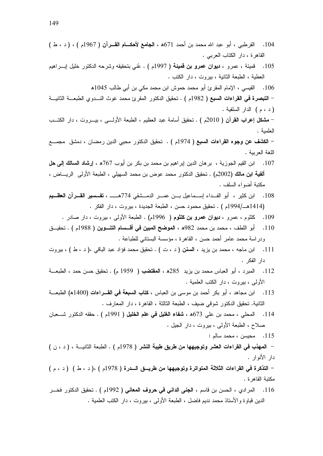- 104. القرطبي ، أبو عبد الله محمد بن أحمد 671ه ، الجامع لأحكـام القــرآن ( 1967م ) ، ( د ، ط ) القاهرة ، دار الكتاب العربي .
- 105. قميئة ، عمرو ، **ديوان عمرو بن قميئة (** 1997م ) . عُني بنحقيقه وشرحه الدكتور خليل إبــــراهيم العطية ، الطبعة الثانية ، بيروت ، دار الكتب .

106. القيسى ، الإمام المقرئ أبو محمد حموش ابن محمد مكي بن أبي طالب 1045ه

– ا**لتبصرة في القراءات السبع (** 1982م ) . تحقيق الدكتور المقرئ محمد غوث النسدوي الطبعـــة الثانيـــة ( د ، م ) الدار السلفية .

– **مشكل إعراب القرآن (** 2010م ) . تحقيق أسامة عبد العظيم ، الطبعة الأولــــي ، بيــــروت ، دار الكتـــب العلمية .

– الكشف عن وجوه القراءات السبع ( 1974م ) . تحقيق الدكتور محيى الدين رمضان ، دمشق مجمـــع اللغة العريبة .

- 107. ابن القيم الجوزية ، بر هان الدين إبر اهيم بن محمد بن بكر بن أبوب 767ه ، إ**رشاد السالك إلى حل** أ**لفية ابن مالك (**2002م) . تحقيق الدكتور محمد عوض بن محمد السهيلي ، الطبعة الأولمي الريــــاض ، مكتبة أضواء السلف .
- 108. ابن كثير ، أبو الفــداء إســماعيل بـــن عمـــر الدمـــشقى 774هــــــ ، **تفـــسير القـــر**آ**ن الـعظــيم** (1414هـ/1994م ) . تحقيق محمود حسن ، الطبعة الجديدة ، بيروت ، دار الفكر .
	- 109. كلثوم ، عمرو ، **ديوان عمرو بن كلثوم (** 1996م) . الطبعة الأولى ، بيروت ، دار صادر .
- 110. أبو اللطف ، محمد بن محمد 982ھ ، ا**لموضح المبين في أقـــسام التنـــوين (** 1988م ) . تحقيـــق ودراسة محمد عامر أحمد حسن ، القاهرة ، مؤسسة البستاني للطباعة .
- 111. ابن ماجه ، محمد بن يزيد ، ا**لسنن (** د ، ت ) . تحقيق محمد فؤاد عبد الباقي ،( د ، ط ) ، بيروت دار الفكر .
- 112. المبرد ، أبو العباس محمد بن بزيد 285ﻫ ، ا**لمقتضب (** 1959 م) . تحقيق حسن حمد ، الطبعـــة الأولى ، بيروت ، دار الكتب العلمية .
- 113. ابن مجاهد ، أبو بكر أحمد بن موسى بن العباس ، **كتاب السبعة في القـــراءات (**1400ﻫ) الطبعـــة الثانية. تحقيق الدكتور شوقي ضيف ، الطبعة الثالثة ، القاهرة ، دار المعارف .
- 114. المحلي ، محمد بن علي 673ه ، **شفاء الغليل في علم الخليل (** 1991م ) . حققه الدكتور شـــعبان صلاح ، الطبعة الأولىي ، بيروت ، دار الـجيل .
	- 115. محبسن ، محمد سالم :

– المعهذب فحى القراءات العشر وتوجيهها من طريق طيبة النشر ( 1978م ) . الطبعة الثانيـــة ، ( د ، ن ) دار الأنوار .

- التذكرة في القراءات الثلاثة المتواترة وتوجيهها من طريسق السدرة ( 1978م ) ،( د ، ط ) ( د ، م ) مكتبة القاهرة .

116. المرادي ، الحسن بن فاسم ، ا**لجني الداني في حروف المعاني (** 1992م ) . تحقيق الدكتور فخـــر الدين قباوة والأستاذ محمد نديم فاضل ، الطبعة الأولىي ، بيروت ، دار الكتب العلمية .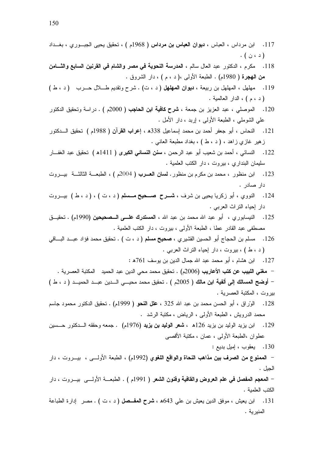- 117. ابن مرداس ، العباس ، **ديوان العباس بن مرداس (** 1968م ) ، تحقيق يحيى الجبــوري ، بغــداد (د ، ن ) .
- 118. مكرم ، الدكتور عبد العال سالم ، المدرسة النحوية في مصر والشام في القرنين السابع والثـــامن **من الـهجرة (** 1980م) . الطبعة الأولىي ،( د ، م ) ، دار الشروق .
- 119. مهلهل ، المهلهل بن ربيعة ، ديوان المهلهل (د ، ت) . شرح وتقديم طلال حـــرب (د ، ط ) ( د ، م ) ، الدار العالمية .
- 120. الموصلي ، عبد العزيز بن جمعة ، **شرح كافية ابن الحاجب (** 2000م ) . دراسة وتحقيق الدكتور على الشوملي ، الطبعة الأولىي ، إربد ، دار الأمل .
- 121. النحاس ، أبو جعفر أحمد بن محمد إسماعيل 338ﻫ ، إعرا**ب القرآن (** 1988م ) تحقيق الــــدكتور زهير غازي زاهد ، ( د ، ط ) ، بغداد مطبعة العانبي .
- 122. النسائي ، أحمد بن شعيب أبو عبد الرحمن ، **سنن النسائ***ي* **الكبرى ( 1**411ھ ) تحقيق عبد الغفـــار سليمان البنداري ، بيروت ، دار الكتب العلمية .
- 123. ابن منظور ، محمد بن مكرم بن منظور . ل**سان العــرب (** 2004م ) ، الطبعـــة الثالثـــة بيـــروت دار صادر .
- 124. النووي ، أبو زكريا يحيى بن شرف ، **شـــرح صـــحيح مــــسلم (** د ، ت ) ، ( د ، ط ) بيـــروت دار إحياء النراث العربي .
- 125. النيسابوري ، أبو عبد الله محمد بن عبد الله ، ا**لمستدرك علـــي الـــصحيحين (**1990م) . تحقيـــق مصطفى عبد القادر عطا ، الطبعة الأولى ، بيروت ، دار الكتب العلمية .
- 126. مسلم بن الحجاج أبو الحسين القشيري ، **صحيح مسلم (** د ، ت ) . تحقيق محمد فؤاد عبــد البـــاقي (د ، ط ) ، بيروت ، دار إحياء النراث العربي .
	- 127. ابن هشام ، أبو محمد عبد الله جمال الدين بن يوسف 761ﻫ :

– مغنى اللبيب عن كتب الأعاريب (2006م) . تحقيق محمد محى الدين عبد الحميد المكتبة العصرية . – أ**وضح المسالك إلى ألفية ابن مالك (** 2005م ) . تحقيق محمد محيـــى الـــدين عبـــد الحميـــد ( د ، ط ) بيروت ، المكتبة العصرية .

- 128. الوّراق ، أبو الحسن محمد بن عبد الله 325 ، **علل النحو (** 1999م) . تحقيق الدكتور محمود جاسم محمد الدرويش ، الطبعة الأولىي ، الرياض ، مكتبة الرشد .
- 129. ابن يزيد الوليد بن يزيد 126ﻫ ، **شعر الوليد بن يزيد (**1976م) . جمعه وحققه الـــدكتور حـــسين عطوان ،الطبعة الأولىي ، عمان ، مكتبة الأقصبي
	- 130. يعقوب ، إميل بديع :

– ال**ممنوع من الصرف بين مذاهب النحاة والواقع اللغوي (**1992م) ، الطبعة الأولـــي ، بيـــروت ، دار الجبل .

– ا**لمعجم المفصل في علم العروض والقافية وفنون الشعر (** 1991م ) . الطبعـــة الأولــــي بيـــروت ، دار الكتب العلمية .

131. ابن يعيش ، موفق الدين يعيش بن على 643ﻫ ، **شرح المفــصل (** د ، ت ) . مصر إدارة الطباعة المنيرية .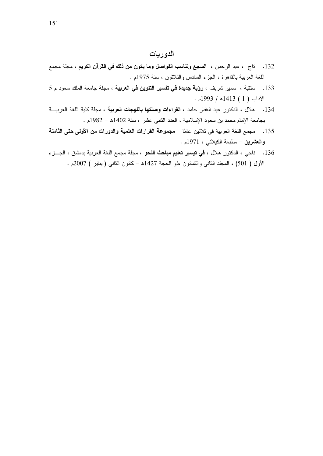## الدو ريات

- 132. تاج ، عبد الرحمن ، ال**سجع وتناسب الفواصل وما يكون من ذلك في القرآن الكريم** ، مجلة مجمع اللغة العربية بالقاهرة ، الجزء السادس والثلاثون ، سنة 1975م .
- 133. ستتية ، سمير شريف ، **رؤية جديدة في تفسير التنوين في العربية** ، مجلة جامعة الملك سعود م 5  $\cdot$  الآداب (1) 1413هـ/ 1993م
- 134. هلال ، الدكتور عبد الغفار حامد ، ا**لقراءات وصلتها باللهجات العربية** ، مجلة كلية اللغة العربيــة بجامعة الإمام محمد بن سعود الإسلامية ، العدد الثاني عشر ، سنة 1402ﻫ – 1982م .
- 135. مجمع اللغة العربية في ثلاثين عامًا مجموعة القرارات العلمية والدورات من الأولى حتى الثامنة والعشرين – مطبعة الكبلانبي ، 1971م .
- .<br>136 . ناجي ، الدكتور هلال ، **في تيسير تعليم مباحث النحو** ، مجلة مجمع اللغة العربية بدمشق ، الجـــز ء الأول ( 501) ، المجلد الثانبي والثمانون ،ذو الحجة 1427ﻫ -كانون الثانبي (يناير ) 2007م .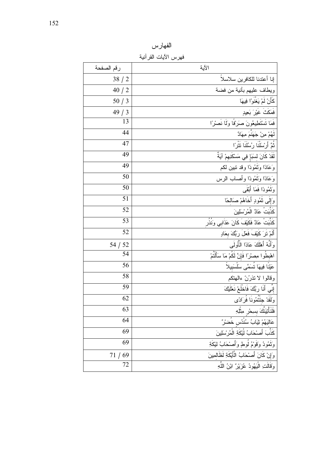الفهارس

فهرس الآيات القرآنية

| رقم الصفحة | الآية                                           |
|------------|-------------------------------------------------|
| 38/2       | إنا أعتدنا للكافرين سلاسلا                      |
| 40/2       | ويطاف عليهم بأنية من فضة                        |
| 50/3       | كَأَنْ لَمْ يَغْنَوْا فِيهَا                    |
| 49/3       | فَمَكَثَ غَيْرَ بَعِيدٍ                         |
| 13         | فَمَا تَسْتَطِيعُونَ صَرَفًا وَلَا نَصْرًا      |
| 44         | لَهُمْ مِنْ جَهَنْمَ مِهَادٌ                    |
| 47         | ثُمَّ أَرْسَلْنَا رُسُلَنَا نَتْرًا             |
| 49         | لَقَدْ كَانَ لِسَبَإٍ فِي مَسْكَنِهِمْ آيَةٌ    |
| 49         | وَعَادًا وَتُمُودًا وقد تبين لكم                |
| 50         | وَعَادًا وَثَمُودًا وأصلب الرس                  |
| 50         | وَثَمُودًا فَمَا أَبْقَى                        |
| 51         | وَإِلَى نَمُودٍ أَخَاهُمْ صَالحًا               |
| 52         | كَذّْبَتْ عَادٌ الْمُرْسَلِينَ                  |
| 53         | كَذَّبَتْ عَادٌ فَكَيْفَ كَانَ عَذَابي وَنُذُر  |
| 52         | أَلَمْ نَرَ كَيْفَ فَعَلَ رَبُّكَ بعَادٍ        |
| 54 / 52    | وَأَنَّهُ أَهْلَكَ عَادًا الْأُولَىي            |
| 54         | اهْبطُوا مِصْرْاً فَإِنَّ لَكُمْ مَا سَأَلْتُمْ |
| 56         | عَيْنَا فِيهَا تُسَمَّى سَلْسَبِيلاً            |
| 58         | وقالوا لاتذرُنّ ءالهتكم                         |
| 59         | إِنِّي أَنَا رَبُّكَ فَاخْلَعْ نَعْلَيْكَ       |
| 62         | وَلَقَدْ جِئْنَمُونَا فَرَادًى                  |
| 63         | فَلَنَأْتِيَنَّكَ بسكر مِثْلِهِ                 |
| 64         | عَالَيَهُمْ ثِيَابُ سُنْدُس خُضرٌ               |
| 69         | كَذَّبَ أَصنْحَابُ لْيْكَةِ الْمُرْسَلِينَ      |
| 69         | وَثَمُودُ وَقَوْمُ لُوطٍ وَأَصْحَابُ لَيْكَةِ   |
| 71/<br>69  | وَإِنْ كَانَ أَصْحَابُ الْأَيْكَةِ لَظَالِمِينَ |
| 72         | وَقَالَتِ الْيَهُودُ عُزِيْرٌ ابْنُ اللَّهِ     |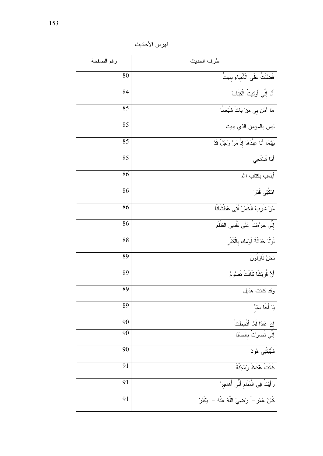فهرس الأحاديث

| رقم الصفحة | طرف الحديث                                       |
|------------|--------------------------------------------------|
| 80         | فُضَّلْتُ عَلَى الْأَنْبِيَاءِ بِسِتٍّ           |
| 84         | أَلَا إِنِّي أَوْتِيتُ الْكِتَابَ                |
| 85         | مَا آمَنَ بي مَنْ بَاتَ شَبْعَانًا               |
| 85         | ليس بالمؤمن الذي يبيت                            |
| 85         | بَيْنَمَا أَنَا عِنْدَهَا إِذْ مَرَّ رَجُلٌ قَدْ |
| 85         | أَمَا تَسْتَحِى                                  |
| 86         | أيلعب بكتاب الله                                 |
| 86         | امْكُثِی قَدْرَ                                  |
| 86         | مَنْ شَرِبَ الْخَمْرَ أَتَى عَطْشَانًا           |
| 86         | إِنِّي حَرَّمْتُ عَلَى نَفْسِي الظُّلْمَ         |
| 88         | لَوْلًا حَدَاثَةُ قَوْمِكِ بِالْكُفْر            |
| 89         | نَحْنُ نَازِلُونَ                                |
| 89         | أَنَّ قُرَيْشًا كَانَتْ نَصُوْمُ                 |
| 89         | وقد كانت هذيل                                    |
| 89         | يَا أَخَا سَبَأَ                                 |
| 90         | إِنَّ عَادًا لَمَّا أُقْحِطَتْ                   |
| 90         | إِنِي نُصرِرْتُ بِالصَّبَا                       |
| 90         | شَيَّبَتْنِي هُودٌ                               |
| 91         | كَانَتْ عُكَاظٌ وَمَجَنَّةُ                      |
| 91         | رَأَيْتُ فِي الْمَنَامِ أَنِّي أُهَاجِرُ         |
| 91         |                                                  |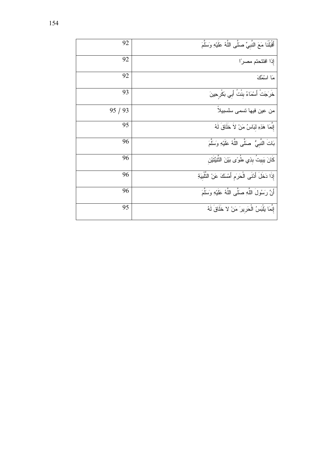| 92    | أَقْبَلْنَا مَعَ النَّبِيِّ صَلَّى اللَّهُ عَلَيْهِ وَسَلَّمَ |
|-------|---------------------------------------------------------------|
| 92    | إذا افتتحتم مصرا                                              |
| 92    | مَا اسْمُكَ                                                   |
| 93    | خَرَجَتْ أَسْمَاءُ بِنْتُ أَبِي بَكْرِحِينَ                   |
| 95/93 | من عين فيها تسمى سلسبيلاً                                     |
| 95    | إِنَّمَا هَذِهِ لَبَاسُ مَنْ لاَ خَلَاقَ لَهُ                 |
| 96    | بَاتَ النَّبِيُّ ۚ صَلَّى اللَّهُ عَلَيْهِ وَسَلَّمَ          |
| 96    | كَانَ يَبِيتُ بِذِي طُوِّى بَيْنَ الثَّنِيَّتَيْن             |
| 96    | إِذَا دَخَلَ أَدْنَى الْحَرَمِ أَمْسَكَ عَنْ النَّلْبِيَةِ    |
| 96    | أَنَّ رَسُولَ اللَّهِ صَلَّى اللَّهُ عَلَيْهِ وَسَلَّمَ       |
| 95    | إِنَّمَا يَلْبَسُ الْحَرِيرَ مَنْ لا خَلَاقَ لَهُ             |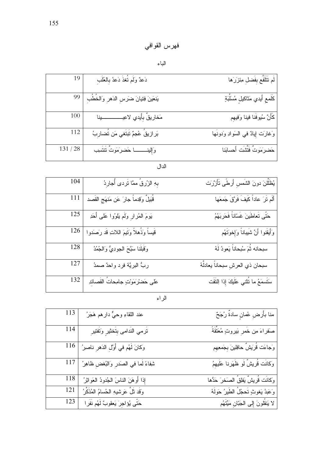## الباء

| 19       | دَعدٌ وَلَم تُغذَ دَعدُ بِالعُلَبِ                           | لَم تَتَلَفَّع بِفَضلِ مِئزَرَها      |
|----------|--------------------------------------------------------------|---------------------------------------|
|          | يَنعَينَ فِتيانَ ضَرَسِ الدَهْرِ وَالْخُطُبِ   <sup>99</sup> | كَلَمعِ أَيدي مَثَاكيلِ مُسَلِّبَةٍ   |
| 100      |                                                              | كَأَنَّ سُيوفَنا فينا وَفيهِم         |
| $112\,$  | بَرازيقُ عُجمٌ تَبتَغي مَن تُضارِبُ                          | وَغَارَتَ لِيلاً في السَوادِ وَدونَها |
| 131 / 28 | وَإِلِينِــــــــــا حَضرَمَوتٌ تَتَتَسِب                    | حَضرِمَونٌ فَتَّتْنَت أَحسابَنا       |

الدال

| 104 | بِهِ الزُرقُ ممَّا نَردى أُجارِدُ           | يُظَلِّلُنَ دونَ الشَّمسِ أَر <b>ط</b> َّى تَأَزَّرَت |
|-----|---------------------------------------------|-------------------------------------------------------|
| 111 | قُبَيلٌ وَقِدماً جارَ عَن مَنهَجِ القَصد    | أَلَم تَرَ عاداً كَيفَ فَرَقَ جَمعَها                 |
| 125 | يَومَ الْمُرارِ وَلَم يَلِوُوا عَلَى أَحَدِ | حَتَّى تَعاطَينَ غَسَاناً فَحَربَهُمُ                 |
| 126 | قَيِساً وَذُهلاً وَتَيمَ اللاتِ قَد رَصَدوا | وَأَيقَنوا أَنَّ شَيباناً وَإِخوَتَهُم                |
| 128 | وَقَبَلَنا سَبَّحَ الجودِيُّ وَالجُمُدُ     | سبحانه ثُمَ سُبحاناً يَعودُ لَهُ                      |
| 127 | ربٌ البريَّة فرد واحدٌ صمدُ                 | سبحان ذي العرشِ سبحاناً يعادلَّهُ                     |
| 132 | عَلَى حَضْرُمَوْتٍ جَامِحَاتُ القَصَائِدِ   | سَتَسمَعُ ما نُتْتـي عَلَيكَ إِذا اِلنَّقَت           |

الراء

| 113 | عند اللقاءِ وحيٌّ دارِ هم هَجَرُ                                                        | منا بأَرضٍ عُمانٍ سادةٌ رُجَحٌ            |
|-----|-----------------------------------------------------------------------------------------|-------------------------------------------|
| 114 | تَرمي النَدامى بِتَخثيرٍ وَتَفتيرِ                                                      | صَفَراءَ مِن خَمَرٍ بَيْرِوتٍ مُعَتَّقَةً |
|     | وكانَ لَهُم في أَوَّلِ الدَهرِ ناصيرُ $\left  \begin{array}{c} 116 \end{array} \right $ | وَجاءَت قُرَيشٌ حافِلينَ بِجَمعِهِم       |
|     | شفاءً لَما في الصَدرِ وَالنُغضِ ظاهِرُ   117                                            | .<br>وكانَت قُريشٌ لَو ظَهَرَنا عَلَيهِمُ |
| 118 | إِذَا أَوهَنَ الناسَ الْجُدودُ الْعَوَاثِرُ                                             | وَكانَت قُرِيشٌ يَفلِقُ الْصَخرَ حَدُّها  |
| 121 | وَقَد ثَلَّ عَرشيهِ الحُسامُ المُذَكَّرُ                                                | وَعَبْدُ يَغوثٍ تَحجُلُ الطَيرُ حَولَهُ   |
| 123 | حَتَّى يُؤلجِرَ يَعقوبٌ لَهُم نَفَرٍا                                                   | لا يَنقُلونَ إِلى الْجَبّانِ مَيِّتَهُم   |